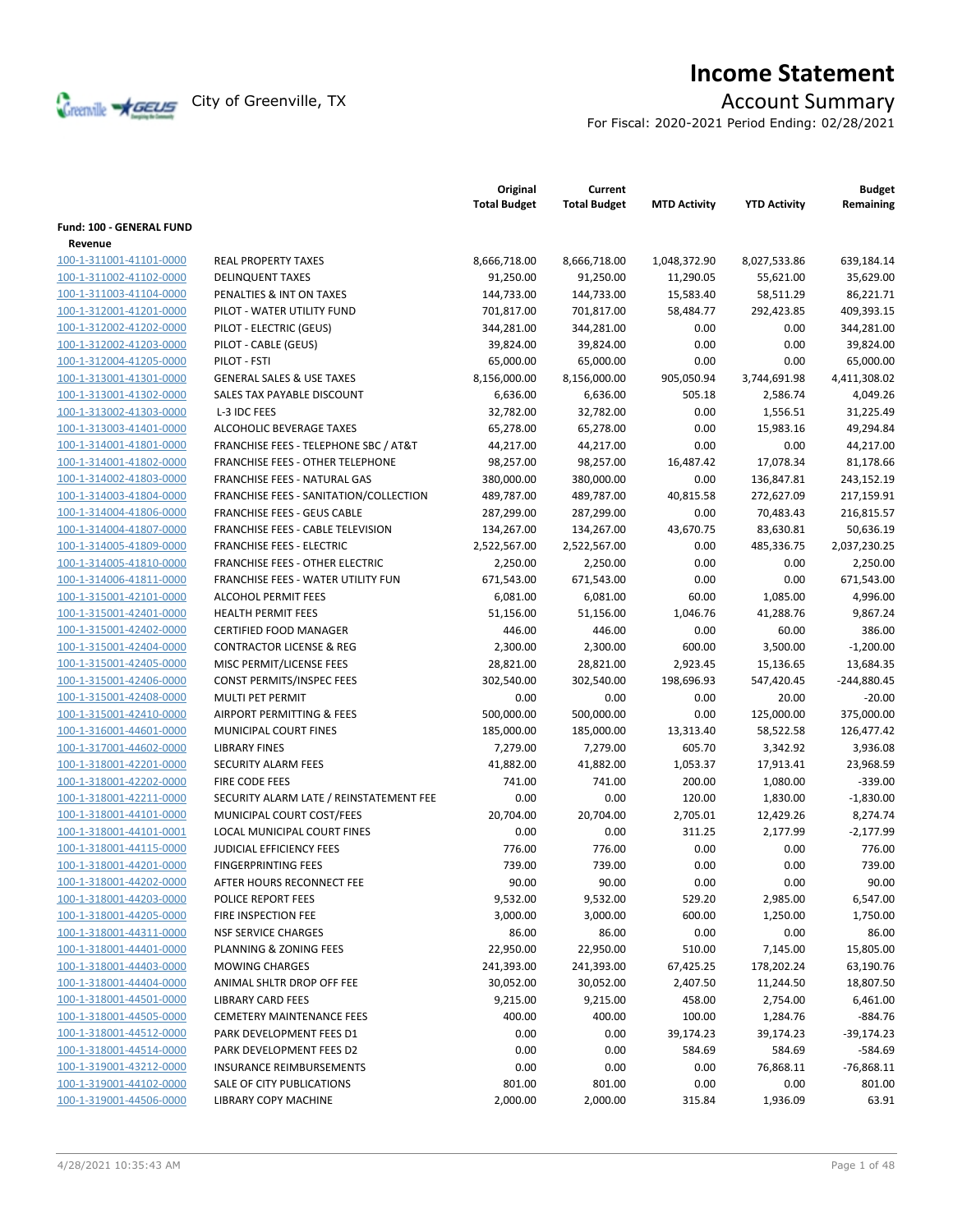

# **Income Statement**

For Fiscal: 2020-2021 Period Ending: 02/28/2021

|                          |                                                  | Original<br><b>Total Budget</b> | Current<br><b>Total Budget</b> | <b>MTD Activity</b> | <b>YTD Activity</b> | <b>Budget</b><br>Remaining |
|--------------------------|--------------------------------------------------|---------------------------------|--------------------------------|---------------------|---------------------|----------------------------|
| Fund: 100 - GENERAL FUND |                                                  |                                 |                                |                     |                     |                            |
| Revenue                  |                                                  |                                 |                                |                     |                     |                            |
| 100-1-311001-41101-0000  | <b>REAL PROPERTY TAXES</b>                       | 8,666,718.00                    | 8,666,718.00                   | 1,048,372.90        | 8,027,533.86        | 639,184.14                 |
| 100-1-311002-41102-0000  | <b>DELINQUENT TAXES</b>                          | 91,250.00                       | 91,250.00                      | 11,290.05           | 55,621.00           | 35,629.00                  |
| 100-1-311003-41104-0000  | PENALTIES & INT ON TAXES                         | 144,733.00                      | 144,733.00                     | 15,583.40           | 58,511.29           | 86,221.71                  |
| 100-1-312001-41201-0000  | PILOT - WATER UTILITY FUND                       | 701,817.00                      | 701,817.00                     | 58,484.77           | 292,423.85          | 409,393.15                 |
| 100-1-312002-41202-0000  | PILOT - ELECTRIC (GEUS)                          | 344,281.00                      | 344,281.00                     | 0.00                | 0.00                | 344,281.00                 |
| 100-1-312002-41203-0000  | PILOT - CABLE (GEUS)                             | 39,824.00                       | 39,824.00                      | 0.00                | 0.00                | 39,824.00                  |
| 100-1-312004-41205-0000  | PILOT - FSTI                                     | 65,000.00                       | 65,000.00                      | 0.00                | 0.00                | 65,000.00                  |
| 100-1-313001-41301-0000  | <b>GENERAL SALES &amp; USE TAXES</b>             | 8,156,000.00                    | 8,156,000.00                   | 905,050.94          | 3,744,691.98        | 4,411,308.02               |
| 100-1-313001-41302-0000  | SALES TAX PAYABLE DISCOUNT                       | 6,636.00                        | 6,636.00                       | 505.18              | 2,586.74            | 4,049.26                   |
| 100-1-313002-41303-0000  | L-3 IDC FEES                                     | 32,782.00                       | 32,782.00                      | 0.00                | 1,556.51            | 31,225.49                  |
| 100-1-313003-41401-0000  | ALCOHOLIC BEVERAGE TAXES                         | 65,278.00                       | 65,278.00                      | 0.00                | 15,983.16           | 49,294.84                  |
| 100-1-314001-41801-0000  | <b>FRANCHISE FEES - TELEPHONE SBC / AT&amp;T</b> | 44,217.00                       | 44,217.00                      | 0.00                | 0.00                | 44,217.00                  |
| 100-1-314001-41802-0000  | <b>FRANCHISE FEES - OTHER TELEPHONE</b>          | 98,257.00                       | 98,257.00                      | 16,487.42           | 17,078.34           | 81,178.66                  |
| 100-1-314002-41803-0000  | FRANCHISE FEES - NATURAL GAS                     | 380,000.00                      | 380,000.00                     | 0.00                |                     | 243,152.19                 |
|                          |                                                  |                                 | 489,787.00                     |                     | 136,847.81          |                            |
| 100-1-314003-41804-0000  | FRANCHISE FEES - SANITATION/COLLECTION           | 489,787.00                      |                                | 40,815.58           | 272,627.09          | 217,159.91                 |
| 100-1-314004-41806-0000  | <b>FRANCHISE FEES - GEUS CABLE</b>               | 287,299.00                      | 287,299.00                     | 0.00                | 70,483.43           | 216,815.57                 |
| 100-1-314004-41807-0000  | FRANCHISE FEES - CABLE TELEVISION                | 134,267.00                      | 134,267.00                     | 43,670.75           | 83,630.81           | 50,636.19                  |
| 100-1-314005-41809-0000  | <b>FRANCHISE FEES - ELECTRIC</b>                 | 2,522,567.00                    | 2,522,567.00                   | 0.00                | 485,336.75          | 2,037,230.25               |
| 100-1-314005-41810-0000  | <b>FRANCHISE FEES - OTHER ELECTRIC</b>           | 2,250.00                        | 2,250.00                       | 0.00                | 0.00                | 2,250.00                   |
| 100-1-314006-41811-0000  | FRANCHISE FEES - WATER UTILITY FUN               | 671,543.00                      | 671,543.00                     | 0.00                | 0.00                | 671,543.00                 |
| 100-1-315001-42101-0000  | <b>ALCOHOL PERMIT FEES</b>                       | 6,081.00                        | 6,081.00                       | 60.00               | 1,085.00            | 4,996.00                   |
| 100-1-315001-42401-0000  | <b>HEALTH PERMIT FEES</b>                        | 51,156.00                       | 51,156.00                      | 1,046.76            | 41,288.76           | 9,867.24                   |
| 100-1-315001-42402-0000  | <b>CERTIFIED FOOD MANAGER</b>                    | 446.00                          | 446.00                         | 0.00                | 60.00               | 386.00                     |
| 100-1-315001-42404-0000  | <b>CONTRACTOR LICENSE &amp; REG</b>              | 2,300.00                        | 2,300.00                       | 600.00              | 3,500.00            | $-1,200.00$                |
| 100-1-315001-42405-0000  | MISC PERMIT/LICENSE FEES                         | 28,821.00                       | 28,821.00                      | 2,923.45            | 15,136.65           | 13,684.35                  |
| 100-1-315001-42406-0000  | CONST PERMITS/INSPEC FEES                        | 302,540.00                      | 302,540.00                     | 198,696.93          | 547,420.45          | $-244,880.45$              |
| 100-1-315001-42408-0000  | <b>MULTI PET PERMIT</b>                          | 0.00                            | 0.00                           | 0.00                | 20.00               | $-20.00$                   |
| 100-1-315001-42410-0000  | AIRPORT PERMITTING & FEES                        | 500,000.00                      | 500,000.00                     | 0.00                | 125,000.00          | 375,000.00                 |
| 100-1-316001-44601-0000  | MUNICIPAL COURT FINES                            | 185,000.00                      | 185,000.00                     | 13,313.40           | 58,522.58           | 126,477.42                 |
| 100-1-317001-44602-0000  | <b>LIBRARY FINES</b>                             | 7,279.00                        | 7,279.00                       | 605.70              | 3,342.92            | 3,936.08                   |
| 100-1-318001-42201-0000  | <b>SECURITY ALARM FEES</b>                       | 41,882.00                       | 41,882.00                      | 1,053.37            | 17,913.41           | 23,968.59                  |
| 100-1-318001-42202-0000  | <b>FIRE CODE FEES</b>                            | 741.00                          | 741.00                         | 200.00              | 1,080.00            | $-339.00$                  |
| 100-1-318001-42211-0000  | SECURITY ALARM LATE / REINSTATEMENT FEE          | 0.00                            | 0.00                           | 120.00              | 1,830.00            | $-1,830.00$                |
| 100-1-318001-44101-0000  | MUNICIPAL COURT COST/FEES                        | 20,704.00                       | 20,704.00                      | 2,705.01            | 12,429.26           | 8,274.74                   |
| 100-1-318001-44101-0001  | LOCAL MUNICIPAL COURT FINES                      | 0.00                            | 0.00                           | 311.25              | 2,177.99            | $-2,177.99$                |
| 100-1-318001-44115-0000  | <b>JUDICIAL EFFICIENCY FEES</b>                  | 776.00                          | 776.00                         | 0.00                | 0.00                | 776.00                     |
| 100-1-318001-44201-0000  | <b>FINGERPRINTING FEES</b>                       | 739.00                          | 739.00                         | 0.00                | 0.00                | 739.00                     |
| 100-1-318001-44202-0000  | AFTER HOURS RECONNECT FEE                        | 90.00                           | 90.00                          | 0.00                | 0.00                | 90.00                      |
| 100-1-318001-44203-0000  | POLICE REPORT FEES                               | 9,532.00                        | 9,532.00                       | 529.20              | 2,985.00            | 6,547.00                   |
| 100-1-318001-44205-0000  | FIRE INSPECTION FEE                              | 3,000.00                        | 3,000.00                       | 600.00              | 1,250.00            | 1,750.00                   |
| 100-1-318001-44311-0000  | <b>NSF SERVICE CHARGES</b>                       | 86.00                           | 86.00                          | 0.00                | 0.00                | 86.00                      |
| 100-1-318001-44401-0000  | PLANNING & ZONING FEES                           | 22,950.00                       | 22,950.00                      | 510.00              | 7,145.00            | 15,805.00                  |
| 100-1-318001-44403-0000  | <b>MOWING CHARGES</b>                            | 241,393.00                      | 241,393.00                     | 67,425.25           | 178,202.24          | 63,190.76                  |
| 100-1-318001-44404-0000  | ANIMAL SHLTR DROP OFF FEE                        | 30,052.00                       | 30,052.00                      | 2,407.50            | 11,244.50           | 18,807.50                  |
| 100-1-318001-44501-0000  | <b>LIBRARY CARD FEES</b>                         | 9,215.00                        | 9,215.00                       | 458.00              | 2,754.00            | 6,461.00                   |
| 100-1-318001-44505-0000  | <b>CEMETERY MAINTENANCE FEES</b>                 | 400.00                          | 400.00                         | 100.00              | 1,284.76            | $-884.76$                  |
| 100-1-318001-44512-0000  | PARK DEVELOPMENT FEES D1                         | 0.00                            | 0.00                           | 39,174.23           | 39,174.23           | $-39,174.23$               |
| 100-1-318001-44514-0000  | PARK DEVELOPMENT FEES D2                         | 0.00                            | 0.00                           | 584.69              | 584.69              | $-584.69$                  |
| 100-1-319001-43212-0000  | <b>INSURANCE REIMBURSEMENTS</b>                  | 0.00                            | 0.00                           | 0.00                | 76,868.11           | $-76,868.11$               |
| 100-1-319001-44102-0000  | SALE OF CITY PUBLICATIONS                        | 801.00                          | 801.00                         | 0.00                | 0.00                | 801.00                     |
| 100-1-319001-44506-0000  | LIBRARY COPY MACHINE                             | 2,000.00                        | 2,000.00                       | 315.84              | 1,936.09            | 63.91                      |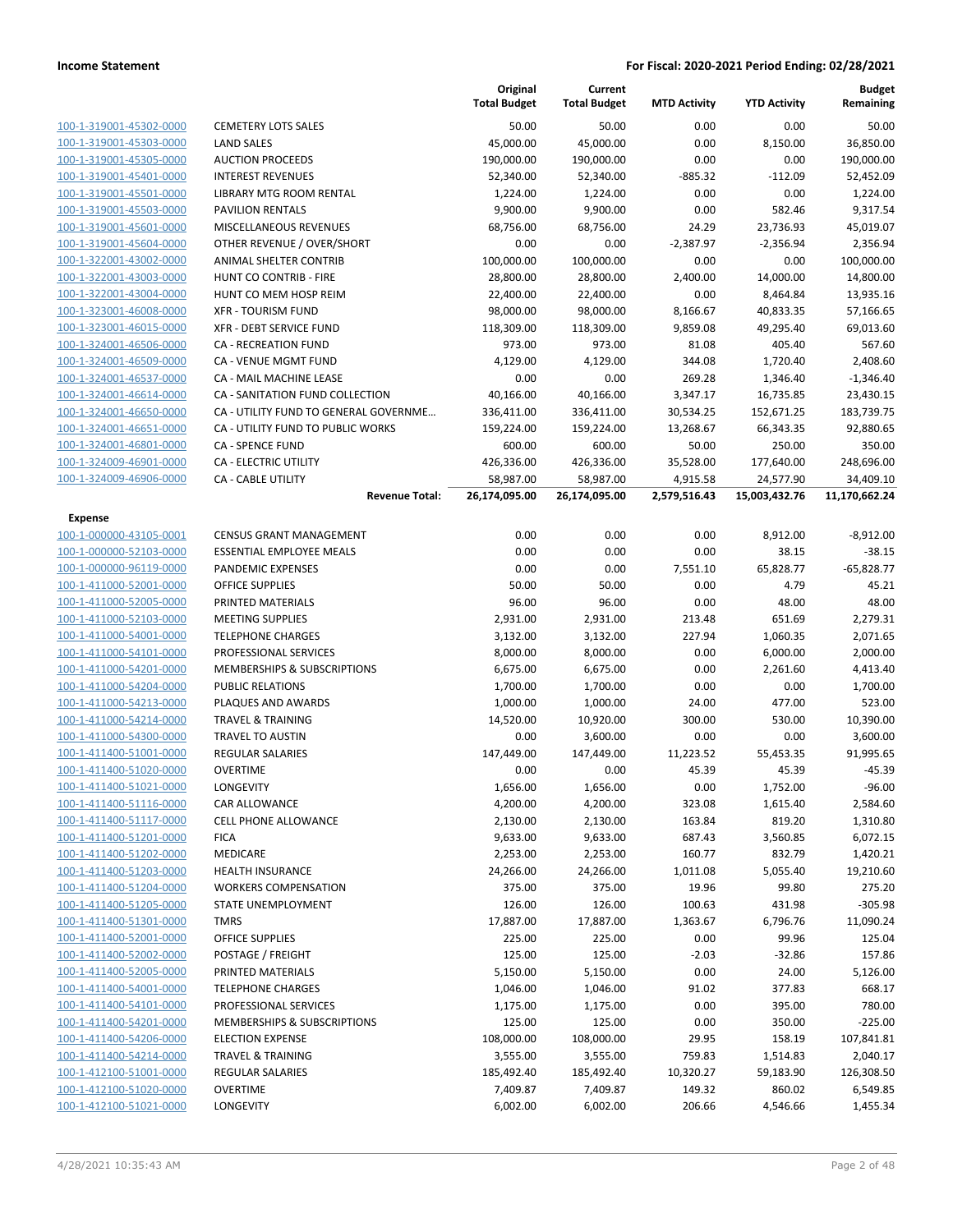|                                                    |                                                   | Original<br><b>Total Budget</b> | Current<br><b>Total Budget</b> | <b>MTD Activity</b> | <b>YTD Activity</b>   | <b>Budget</b><br>Remaining |
|----------------------------------------------------|---------------------------------------------------|---------------------------------|--------------------------------|---------------------|-----------------------|----------------------------|
| 100-1-319001-45302-0000                            | <b>CEMETERY LOTS SALES</b>                        | 50.00                           | 50.00                          | 0.00                | 0.00                  | 50.00                      |
| 100-1-319001-45303-0000                            | LAND SALES                                        | 45,000.00                       | 45,000.00                      | 0.00                | 8,150.00              | 36,850.00                  |
| 100-1-319001-45305-0000                            | <b>AUCTION PROCEEDS</b>                           | 190,000.00                      | 190,000.00                     | 0.00                | 0.00                  | 190,000.00                 |
| 100-1-319001-45401-0000                            | <b>INTEREST REVENUES</b>                          | 52,340.00                       | 52,340.00                      | $-885.32$           | $-112.09$             | 52,452.09                  |
| 100-1-319001-45501-0000                            | LIBRARY MTG ROOM RENTAL                           | 1,224.00                        | 1,224.00                       | 0.00                | 0.00                  | 1,224.00                   |
| 100-1-319001-45503-0000                            | <b>PAVILION RENTALS</b>                           | 9,900.00                        | 9,900.00                       | 0.00                | 582.46                | 9,317.54                   |
| 100-1-319001-45601-0000                            | MISCELLANEOUS REVENUES                            | 68,756.00                       | 68,756.00                      | 24.29               | 23,736.93             | 45,019.07                  |
| 100-1-319001-45604-0000                            | OTHER REVENUE / OVER/SHORT                        | 0.00                            | 0.00                           | $-2,387.97$         | $-2,356.94$           | 2,356.94                   |
| 100-1-322001-43002-0000                            | ANIMAL SHELTER CONTRIB                            | 100,000.00                      | 100,000.00                     | 0.00                | 0.00                  | 100,000.00                 |
| 100-1-322001-43003-0000                            | <b>HUNT CO CONTRIB - FIRE</b>                     | 28,800.00                       | 28,800.00                      | 2,400.00            | 14,000.00             | 14,800.00                  |
| 100-1-322001-43004-0000                            | HUNT CO MEM HOSP REIM                             | 22,400.00                       | 22,400.00                      | 0.00                | 8,464.84              | 13,935.16                  |
| 100-1-323001-46008-0000                            | <b>XFR - TOURISM FUND</b>                         | 98,000.00                       | 98,000.00                      | 8,166.67            | 40,833.35             | 57,166.65                  |
| 100-1-323001-46015-0000                            | <b>XFR - DEBT SERVICE FUND</b>                    | 118,309.00                      | 118,309.00                     | 9,859.08            | 49,295.40             | 69,013.60                  |
| 100-1-324001-46506-0000                            | <b>CA - RECREATION FUND</b>                       | 973.00                          | 973.00                         | 81.08               | 405.40                | 567.60                     |
| 100-1-324001-46509-0000                            | CA - VENUE MGMT FUND                              | 4,129.00                        | 4,129.00                       | 344.08              | 1,720.40              | 2,408.60                   |
| 100-1-324001-46537-0000                            | CA - MAIL MACHINE LEASE                           | 0.00                            | 0.00                           | 269.28              | 1,346.40              | $-1,346.40$                |
| 100-1-324001-46614-0000                            | CA - SANITATION FUND COLLECTION                   | 40,166.00                       | 40,166.00                      | 3,347.17            | 16,735.85             | 23,430.15                  |
| 100-1-324001-46650-0000                            | CA - UTILITY FUND TO GENERAL GOVERNME             | 336,411.00                      | 336,411.00                     | 30,534.25           | 152,671.25            | 183,739.75                 |
| 100-1-324001-46651-0000                            | CA - UTILITY FUND TO PUBLIC WORKS                 | 159,224.00                      | 159,224.00                     | 13,268.67           | 66,343.35             | 92,880.65                  |
| 100-1-324001-46801-0000                            | CA - SPENCE FUND                                  | 600.00                          | 600.00                         | 50.00               | 250.00                | 350.00                     |
| 100-1-324009-46901-0000                            | CA - ELECTRIC UTILITY                             | 426,336.00                      | 426,336.00                     | 35,528.00           | 177,640.00            | 248,696.00                 |
| 100-1-324009-46906-0000                            | <b>CA - CABLE UTILITY</b>                         | 58,987.00                       | 58,987.00                      | 4,915.58            | 24,577.90             | 34,409.10                  |
|                                                    | <b>Revenue Total:</b>                             | 26,174,095.00                   | 26,174,095.00                  | 2,579,516.43        | 15,003,432.76         | 11,170,662.24              |
| <b>Expense</b>                                     |                                                   |                                 |                                |                     |                       |                            |
| 100-1-000000-43105-0001                            | <b>CENSUS GRANT MANAGEMENT</b>                    | 0.00                            | 0.00                           | 0.00                | 8,912.00              | $-8,912.00$                |
| 100-1-000000-52103-0000                            | <b>ESSENTIAL EMPLOYEE MEALS</b>                   | 0.00                            | 0.00                           | 0.00                | 38.15                 | $-38.15$                   |
| 100-1-000000-96119-0000                            | PANDEMIC EXPENSES                                 | 0.00                            | 0.00                           | 7,551.10            | 65,828.77             | $-65,828.77$               |
| 100-1-411000-52001-0000                            | <b>OFFICE SUPPLIES</b>                            | 50.00                           | 50.00                          | 0.00                | 4.79                  | 45.21                      |
| 100-1-411000-52005-0000                            | PRINTED MATERIALS                                 | 96.00                           | 96.00                          | 0.00                | 48.00                 | 48.00                      |
| 100-1-411000-52103-0000                            | <b>MEETING SUPPLIES</b>                           | 2,931.00                        | 2,931.00                       | 213.48              | 651.69                | 2,279.31                   |
| 100-1-411000-54001-0000                            | <b>TELEPHONE CHARGES</b>                          | 3,132.00                        | 3,132.00                       | 227.94              | 1,060.35              | 2,071.65                   |
| 100-1-411000-54101-0000                            | PROFESSIONAL SERVICES                             | 8,000.00                        | 8,000.00                       | 0.00                | 6,000.00              | 2,000.00                   |
| 100-1-411000-54201-0000                            | MEMBERSHIPS & SUBSCRIPTIONS                       | 6,675.00                        | 6,675.00                       | 0.00                | 2,261.60              | 4,413.40                   |
| 100-1-411000-54204-0000                            | PUBLIC RELATIONS                                  | 1,700.00                        | 1,700.00                       | 0.00                | 0.00                  | 1,700.00                   |
| 100-1-411000-54213-0000                            | PLAQUES AND AWARDS                                | 1,000.00                        | 1,000.00                       | 24.00               | 477.00                | 523.00                     |
| 100-1-411000-54214-0000                            | <b>TRAVEL &amp; TRAINING</b>                      | 14,520.00                       | 10,920.00                      | 300.00              | 530.00                | 10,390.00                  |
| 100-1-411000-54300-0000                            | <b>TRAVEL TO AUSTIN</b>                           | 0.00                            | 3,600.00                       | 0.00                | 0.00                  | 3,600.00                   |
| 100-1-411400-51001-0000                            | <b>REGULAR SALARIES</b>                           | 147,449.00                      | 147,449.00                     | 11,223.52           | 55,453.35             | 91,995.65                  |
| 100-1-411400-51020-0000                            | <b>OVERTIME</b>                                   | 0.00                            | 0.00                           | 45.39               | 45.39                 | $-45.39$                   |
| 100-1-411400-51021-0000                            | <b>LONGEVITY</b>                                  | 1,656.00                        | 1,656.00                       | 0.00                | 1,752.00              | $-96.00$                   |
| 100-1-411400-51116-0000                            | <b>CAR ALLOWANCE</b>                              | 4,200.00                        | 4,200.00                       | 323.08              | 1,615.40              | 2,584.60                   |
| 100-1-411400-51117-0000                            | <b>CELL PHONE ALLOWANCE</b>                       | 2,130.00                        | 2,130.00                       | 163.84              | 819.20                | 1,310.80                   |
| 100-1-411400-51201-0000                            | <b>FICA</b>                                       | 9,633.00                        | 9,633.00                       | 687.43              | 3,560.85              | 6,072.15                   |
| 100-1-411400-51202-0000                            | <b>MEDICARE</b>                                   | 2,253.00                        | 2,253.00                       | 160.77              | 832.79                | 1,420.21                   |
| 100-1-411400-51203-0000                            | <b>HEALTH INSURANCE</b>                           | 24,266.00                       | 24,266.00                      | 1,011.08            | 5,055.40              | 19,210.60                  |
| 100-1-411400-51204-0000                            | <b>WORKERS COMPENSATION</b>                       | 375.00                          | 375.00                         | 19.96               | 99.80                 | 275.20                     |
| 100-1-411400-51205-0000                            | STATE UNEMPLOYMENT                                | 126.00                          | 126.00                         | 100.63              | 431.98                | $-305.98$                  |
| 100-1-411400-51301-0000                            | <b>TMRS</b>                                       | 17,887.00                       | 17,887.00                      | 1,363.67            | 6,796.76              | 11,090.24                  |
| 100-1-411400-52001-0000                            | <b>OFFICE SUPPLIES</b>                            | 225.00                          | 225.00                         | 0.00                | 99.96                 | 125.04                     |
| 100-1-411400-52002-0000                            | POSTAGE / FREIGHT                                 | 125.00                          | 125.00                         | $-2.03$             | $-32.86$              | 157.86                     |
| 100-1-411400-52005-0000<br>100-1-411400-54001-0000 | PRINTED MATERIALS                                 | 5,150.00                        | 5,150.00                       | 0.00                | 24.00                 | 5,126.00                   |
| 100-1-411400-54101-0000                            | <b>TELEPHONE CHARGES</b><br>PROFESSIONAL SERVICES | 1,046.00                        | 1,046.00                       | 91.02<br>0.00       | 377.83<br>395.00      | 668.17<br>780.00           |
| 100-1-411400-54201-0000                            | MEMBERSHIPS & SUBSCRIPTIONS                       | 1,175.00                        | 1,175.00<br>125.00             | 0.00                | 350.00                | $-225.00$                  |
| 100-1-411400-54206-0000                            | <b>ELECTION EXPENSE</b>                           | 125.00<br>108,000.00            | 108,000.00                     | 29.95               | 158.19                | 107,841.81                 |
| 100-1-411400-54214-0000                            | <b>TRAVEL &amp; TRAINING</b>                      | 3,555.00                        | 3,555.00                       | 759.83              |                       | 2,040.17                   |
| 100-1-412100-51001-0000                            | <b>REGULAR SALARIES</b>                           | 185,492.40                      | 185,492.40                     | 10,320.27           | 1,514.83<br>59,183.90 |                            |
| 100-1-412100-51020-0000                            | <b>OVERTIME</b>                                   | 7,409.87                        | 7,409.87                       | 149.32              | 860.02                | 126,308.50<br>6,549.85     |
| 100-1-412100-51021-0000                            | <b>LONGEVITY</b>                                  | 6,002.00                        | 6,002.00                       | 206.66              | 4,546.66              | 1,455.34                   |
|                                                    |                                                   |                                 |                                |                     |                       |                            |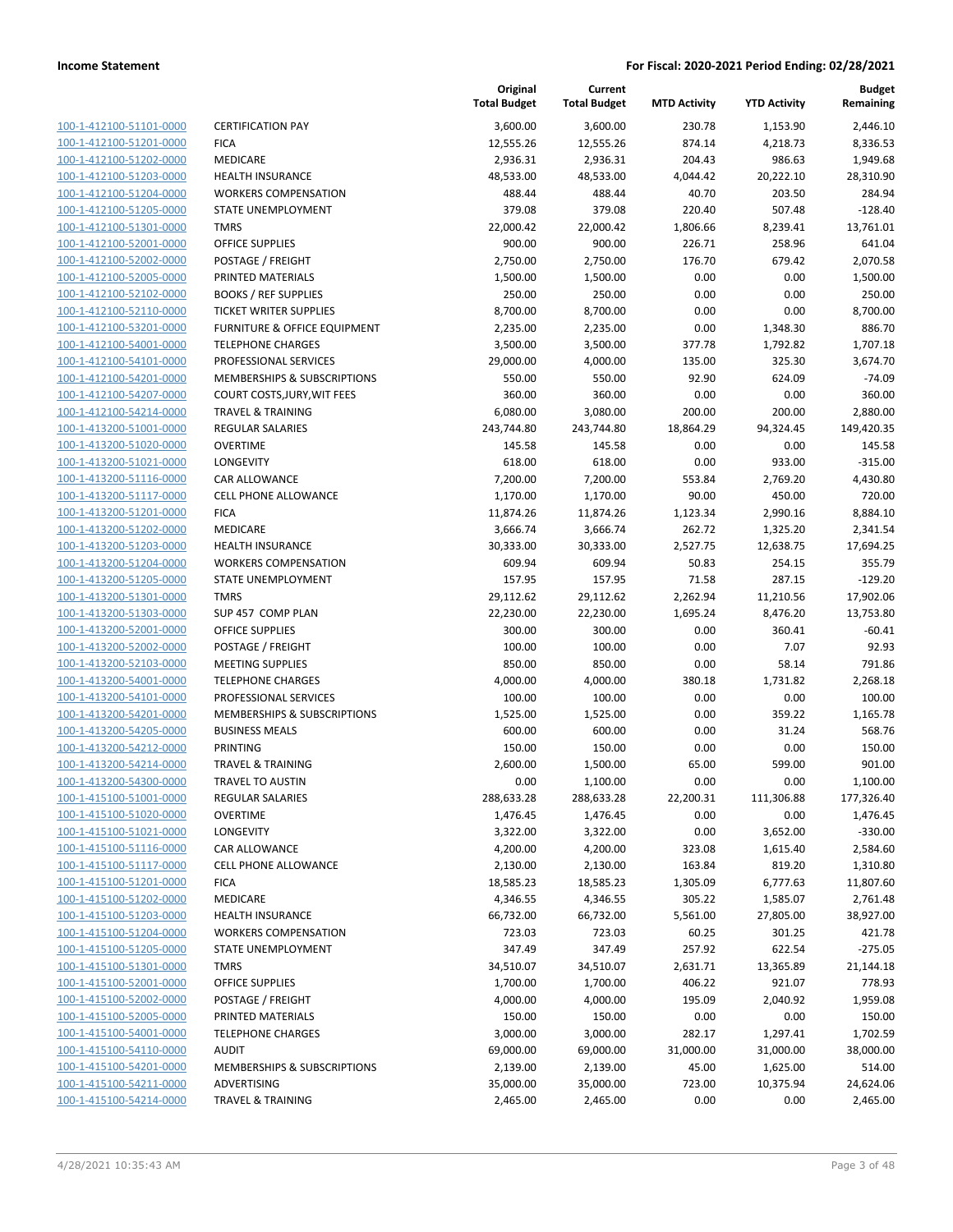| 100-1-412100-51101-0000        |
|--------------------------------|
| 100-1-412100-51201-0000        |
| 100-1-412100-51202-0000        |
| 100-1-412100-51203-0000        |
| <u>100-1-412100-51204-0000</u> |
| 100-1-412100-51205-0000        |
| 100-1-412100-51301-0000        |
| 100-1-412100-52001-0000        |
| 100-1-412100-52002-0000        |
| 100-1-412100-52005-0000        |
| 100-1-412100-52102-0000        |
| 100-1-412100-52110-0000        |
| 100-1-412100-53201-0000        |
| 100-1-412100-54001-0000        |
| 100-1-412100-54101-0000        |
| 100-1-412100-54201-0000        |
| 100-1-412100-54207-0000        |
| 100-1-412100-54214-0000        |
| 100-1-413200-51001-0000        |
| 100-1-413200-51020-0000        |
| 100-1-413200-51021-0000        |
| 100-1-413200-51116-0000        |
| 100-1-413200-51117-0000        |
| 100-1-413200-51201-0000        |
| 100-1-413200-51202-0000        |
| 100-1-413200-51203-0000        |
| 100-1-413200-51204-0000        |
| 100-1-413200-51205-0000        |
| 100-1-413200-51301-0000        |
| 100-1-413200-51303-0000        |
| 100-1-413200-52001-0000        |
| 100-1-413200-52002-0000        |
| 100-1-413200-52103-0000        |
| 100-1-413200-54001-0000        |
| 100-1-413200-54101-0000        |
| 100-1-413200-54201-0000        |
| 100-1-413200-54205-0000        |
| 100-1-413200-54212-0000        |
| 100-1-413200-54214-0000        |
| 100-1-413200-54300-0000        |
| 100-1-415100-51001-0000        |
| <u>100-1-415100-51020-0000</u> |
| 100-1-415100-51021-0000        |
| 100-1-415100-51116-0000        |
| 100-1-415100-51117-0000        |
| <u>100-1-415100-51201-0000</u> |
| <u>100-1-415100-51202-0000</u> |
| <u>100-1-415100-51203-0000</u> |
| 100-1-415100-51204-0000        |
| <u>100-1-415100-51205-0000</u> |
| <u>100-1-415100-51301-0000</u> |
| <u>100-1-415100-52001-0000</u> |
| <u>100-1-415100-52002-0000</u> |
| 100-1-415100-52005-0000        |
| 100-1-415100-54001-0000        |
| <u>100-1-415100-54110-0000</u> |
| 100-1-415100-54201-0000        |
| <u>100-1-415100-54211-0000</u> |
| 100-1-415100-54214-0000        |
|                                |

|                         |                                    | Original<br><b>Total Budget</b> | Current<br><b>Total Budget</b> | <b>MTD Activity</b> | <b>YTD Activity</b> | <b>Budget</b><br>Remaining |
|-------------------------|------------------------------------|---------------------------------|--------------------------------|---------------------|---------------------|----------------------------|
| 100-1-412100-51101-0000 | <b>CERTIFICATION PAY</b>           | 3,600.00                        | 3,600.00                       | 230.78              | 1,153.90            | 2,446.10                   |
| 100-1-412100-51201-0000 | <b>FICA</b>                        | 12,555.26                       | 12,555.26                      | 874.14              | 4,218.73            | 8,336.53                   |
| 100-1-412100-51202-0000 | MEDICARE                           | 2,936.31                        | 2,936.31                       | 204.43              | 986.63              | 1,949.68                   |
| 100-1-412100-51203-0000 | <b>HEALTH INSURANCE</b>            | 48,533.00                       | 48,533.00                      | 4,044.42            | 20,222.10           | 28,310.90                  |
| 100-1-412100-51204-0000 | <b>WORKERS COMPENSATION</b>        | 488.44                          | 488.44                         | 40.70               | 203.50              | 284.94                     |
| 100-1-412100-51205-0000 | STATE UNEMPLOYMENT                 | 379.08                          | 379.08                         | 220.40              | 507.48              | $-128.40$                  |
| 100-1-412100-51301-0000 | <b>TMRS</b>                        | 22,000.42                       | 22,000.42                      | 1,806.66            | 8,239.41            | 13,761.01                  |
| 100-1-412100-52001-0000 | <b>OFFICE SUPPLIES</b>             | 900.00                          | 900.00                         | 226.71              | 258.96              | 641.04                     |
| 100-1-412100-52002-0000 | POSTAGE / FREIGHT                  | 2,750.00                        | 2,750.00                       | 176.70              | 679.42              | 2,070.58                   |
| 100-1-412100-52005-0000 | PRINTED MATERIALS                  | 1,500.00                        | 1,500.00                       | 0.00                | 0.00                | 1,500.00                   |
| 100-1-412100-52102-0000 | <b>BOOKS / REF SUPPLIES</b>        | 250.00                          | 250.00                         | 0.00                | 0.00                | 250.00                     |
| 100-1-412100-52110-0000 | <b>TICKET WRITER SUPPLIES</b>      | 8,700.00                        | 8,700.00                       | 0.00                | 0.00                | 8,700.00                   |
| 100-1-412100-53201-0000 | FURNITURE & OFFICE EQUIPMENT       | 2,235.00                        | 2,235.00                       | 0.00                | 1,348.30            | 886.70                     |
| 100-1-412100-54001-0000 | <b>TELEPHONE CHARGES</b>           | 3,500.00                        | 3,500.00                       | 377.78              | 1,792.82            | 1,707.18                   |
| 100-1-412100-54101-0000 | PROFESSIONAL SERVICES              | 29,000.00                       | 4,000.00                       | 135.00              | 325.30              | 3,674.70                   |
| 100-1-412100-54201-0000 | MEMBERSHIPS & SUBSCRIPTIONS        | 550.00                          | 550.00                         | 92.90               | 624.09              | $-74.09$                   |
| 100-1-412100-54207-0000 | <b>COURT COSTS, JURY, WIT FEES</b> | 360.00                          | 360.00                         | 0.00                | 0.00                | 360.00                     |
| 100-1-412100-54214-0000 | <b>TRAVEL &amp; TRAINING</b>       | 6,080.00                        | 3,080.00                       | 200.00              | 200.00              | 2,880.00                   |
| 100-1-413200-51001-0000 | REGULAR SALARIES                   | 243,744.80                      | 243,744.80                     | 18,864.29           | 94,324.45           | 149,420.35                 |
| 100-1-413200-51020-0000 | <b>OVERTIME</b>                    | 145.58                          | 145.58                         | 0.00                | 0.00                | 145.58                     |
| 100-1-413200-51021-0000 | LONGEVITY                          | 618.00                          | 618.00                         | 0.00                | 933.00              | $-315.00$                  |
| 100-1-413200-51116-0000 | CAR ALLOWANCE                      | 7,200.00                        | 7,200.00                       | 553.84              | 2,769.20            | 4,430.80                   |
| 100-1-413200-51117-0000 | <b>CELL PHONE ALLOWANCE</b>        | 1,170.00                        | 1,170.00                       | 90.00               | 450.00              | 720.00                     |
| 100-1-413200-51201-0000 | <b>FICA</b>                        | 11,874.26                       | 11,874.26                      | 1,123.34            | 2,990.16            | 8,884.10                   |
| 100-1-413200-51202-0000 | MEDICARE                           | 3,666.74                        | 3,666.74                       | 262.72              | 1,325.20            | 2,341.54                   |
| 100-1-413200-51203-0000 | <b>HEALTH INSURANCE</b>            | 30,333.00                       | 30,333.00                      | 2,527.75            | 12,638.75           | 17,694.25                  |
| 100-1-413200-51204-0000 | <b>WORKERS COMPENSATION</b>        | 609.94                          | 609.94                         | 50.83               | 254.15              | 355.79                     |
| 100-1-413200-51205-0000 | <b>STATE UNEMPLOYMENT</b>          | 157.95                          | 157.95                         | 71.58               | 287.15              | $-129.20$                  |
| 100-1-413200-51301-0000 | <b>TMRS</b>                        | 29,112.62                       | 29,112.62                      | 2,262.94            | 11,210.56           | 17,902.06                  |
| 100-1-413200-51303-0000 | SUP 457 COMP PLAN                  | 22,230.00                       | 22,230.00                      | 1,695.24            | 8,476.20            | 13,753.80                  |
| 100-1-413200-52001-0000 | <b>OFFICE SUPPLIES</b>             | 300.00                          | 300.00                         | 0.00                | 360.41              | $-60.41$                   |
| 100-1-413200-52002-0000 | POSTAGE / FREIGHT                  | 100.00                          | 100.00                         | 0.00                | 7.07                | 92.93                      |
| 100-1-413200-52103-0000 | <b>MEETING SUPPLIES</b>            | 850.00                          | 850.00                         | 0.00                | 58.14               | 791.86                     |
| 100-1-413200-54001-0000 | <b>TELEPHONE CHARGES</b>           | 4,000.00                        | 4,000.00                       | 380.18              | 1,731.82            | 2,268.18                   |
| 100-1-413200-54101-0000 | PROFESSIONAL SERVICES              | 100.00                          | 100.00                         | 0.00                | 0.00                | 100.00                     |
| 100-1-413200-54201-0000 | MEMBERSHIPS & SUBSCRIPTIONS        | 1,525.00                        | 1,525.00                       | 0.00                | 359.22              | 1,165.78                   |
| 100-1-413200-54205-0000 | <b>BUSINESS MEALS</b>              | 600.00                          | 600.00                         | 0.00                | 31.24               | 568.76                     |
| 100-1-413200-54212-0000 | <b>PRINTING</b>                    | 150.00                          | 150.00                         | 0.00                | 0.00                | 150.00                     |
| 100-1-413200-54214-0000 | TRAVEL & TRAINING                  | 2,600.00                        | 1,500.00                       | 65.00               | 599.00              | 901.00                     |
| 100-1-413200-54300-0000 | <b>TRAVEL TO AUSTIN</b>            | 0.00                            | 1,100.00                       | 0.00                | 0.00                | 1,100.00                   |
| 100-1-415100-51001-0000 | REGULAR SALARIES                   | 288,633.28                      | 288,633.28                     | 22,200.31           | 111,306.88          | 177,326.40                 |
| 100-1-415100-51020-0000 | <b>OVERTIME</b>                    | 1,476.45                        | 1,476.45                       | 0.00                | 0.00                | 1,476.45                   |
| 100-1-415100-51021-0000 | LONGEVITY                          | 3,322.00                        | 3,322.00                       | 0.00                | 3,652.00            | $-330.00$                  |
| 100-1-415100-51116-0000 | CAR ALLOWANCE                      | 4,200.00                        | 4,200.00                       | 323.08              | 1,615.40            | 2,584.60                   |
| 100-1-415100-51117-0000 | <b>CELL PHONE ALLOWANCE</b>        | 2,130.00                        | 2,130.00                       | 163.84              | 819.20              | 1,310.80                   |
| 100-1-415100-51201-0000 | <b>FICA</b>                        | 18,585.23                       | 18,585.23                      | 1,305.09            | 6,777.63            | 11,807.60                  |
| 100-1-415100-51202-0000 | MEDICARE                           | 4,346.55                        | 4,346.55                       | 305.22              | 1,585.07            | 2,761.48                   |
| 100-1-415100-51203-0000 | <b>HEALTH INSURANCE</b>            | 66,732.00                       | 66,732.00                      | 5,561.00            | 27,805.00           | 38,927.00                  |
| 100-1-415100-51204-0000 | <b>WORKERS COMPENSATION</b>        | 723.03                          | 723.03                         | 60.25               | 301.25              | 421.78                     |
| 100-1-415100-51205-0000 | <b>STATE UNEMPLOYMENT</b>          | 347.49                          | 347.49                         | 257.92              | 622.54              | $-275.05$                  |
| 100-1-415100-51301-0000 | <b>TMRS</b>                        | 34,510.07                       | 34,510.07                      | 2,631.71            | 13,365.89           | 21,144.18                  |
| 100-1-415100-52001-0000 | <b>OFFICE SUPPLIES</b>             | 1,700.00                        | 1,700.00                       | 406.22              | 921.07              | 778.93                     |
| 100-1-415100-52002-0000 | POSTAGE / FREIGHT                  | 4,000.00                        | 4,000.00                       | 195.09              | 2,040.92            | 1,959.08                   |
| 100-1-415100-52005-0000 | PRINTED MATERIALS                  | 150.00                          | 150.00                         | 0.00                | 0.00                | 150.00                     |
| 100-1-415100-54001-0000 | <b>TELEPHONE CHARGES</b>           | 3,000.00                        | 3,000.00                       | 282.17              | 1,297.41            | 1,702.59                   |
| 100-1-415100-54110-0000 | <b>AUDIT</b>                       | 69,000.00                       | 69,000.00                      | 31,000.00           | 31,000.00           | 38,000.00                  |
| 100-1-415100-54201-0000 | MEMBERSHIPS & SUBSCRIPTIONS        | 2,139.00                        | 2,139.00                       | 45.00               | 1,625.00            | 514.00                     |
| 100-1-415100-54211-0000 | ADVERTISING                        | 35,000.00                       | 35,000.00                      | 723.00              | 10,375.94           | 24,624.06                  |
| 100-1-415100-54214-0000 | <b>TRAVEL &amp; TRAINING</b>       | 2,465.00                        | 2,465.00                       | 0.00                | 0.00                | 2,465.00                   |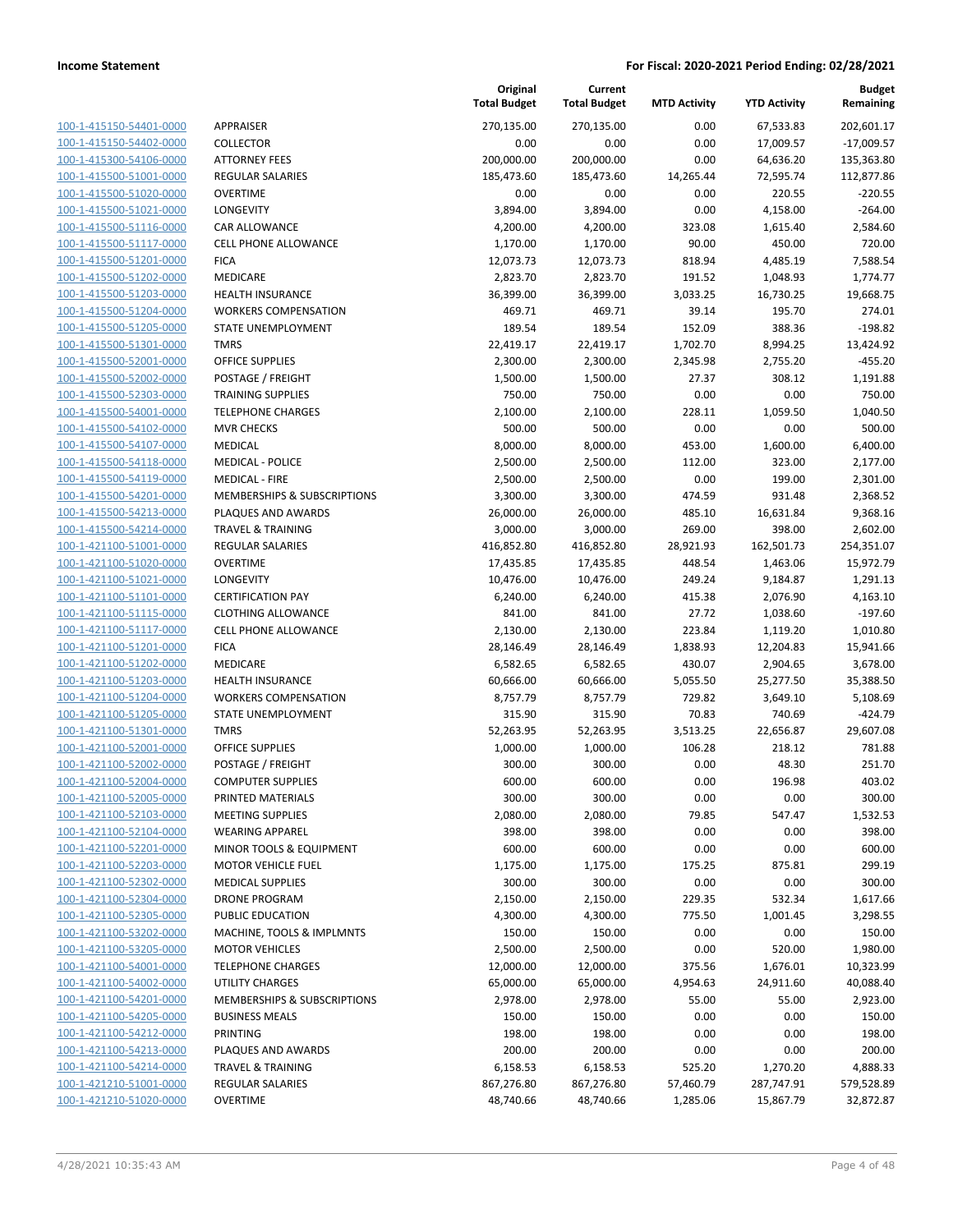| 100-1-415150-54401-0000        |
|--------------------------------|
| 100-1-415150-54402-0000        |
| <u>100-1-415300-54106-0000</u> |
| <u>100-1-415500-51001-0000</u> |
| 100-1-415500-51020-0000        |
| 100-1-415500-51021-0000        |
| 100-1-415500-51116-0000        |
| <u>100-1-415500-51117-0000</u> |
| 100-1-415500-51201-0000        |
| 100-1-415500-51202-0000        |
| 100-1-415500-51203-0000        |
| 100-1-415500-51204-0000        |
| 100-1-415500-51205-0000        |
| 100-1-415500-51301-0000        |
| 100-1-415500-52001-0000        |
| 100-1-415500-52002-0000        |
| 100-1-415500-52303-0000        |
| <u>100-1-415500-54001-0000</u> |
| 100-1-415500-54102-0000        |
| 100-1-415500-54107-0000        |
| 100-1-415500-54118-0000        |
| 100-1-415500-54119-0000        |
| 100-1-415500-54201-0000        |
| 100-1-415500-54213-0000        |
| 100-1-415500-54214-0000        |
| 100-1-421100-51001-0000        |
| 100-1-421100-51020-0000        |
| <u>100-1-421100-51021-0000</u> |
| 100-1-421100-51101-0000        |
| 100-1-421100-51115-0000        |
| 100-1-421100-51117-0000        |
| 100-1-421100-51201-0000        |
| <u>100-1-421100-51202-0000</u> |
| 100-1-421100-51203-0000        |
| 100-1-421100-51204-0000        |
| 100-1-421100-51205-0000        |
| 100-1-421100-51301-0000        |
| 100-1-421100-52001-0000        |
| 100-1-421100-52002-0000        |
| 100-1-421100-52004-0000        |
| 100-1-421100-52005-0000        |
| 100-1-421100-52103-0000        |
| 100-1-421100-52104-0000        |
| 100-1-421100-52201-0000        |
| 100-1-421100-52203-0000        |
| 100-1-421100-52302-0000        |
| 100-1-421100-52304-0000        |
| 100-1-421100-52305-0000        |
| <u>100-1-421100-53202-0000</u> |
| 100-1-421100-53205-0000        |
| 100-1-421100-54001-0000        |
| 100-1-421100-54002-0000        |
| 100-1-421100-54201-0000        |
| 100-1-421100-54205-0000        |
| 100-1-421100-54212-0000        |
| 100-1-421100-54213-0000        |
| 100-1-421100-54214-0000        |
| 100-1-421210-51001-0000        |
| 100-1-421210-51020-0000        |
|                                |

|                         |                              | Original<br><b>Total Budget</b> | Current<br><b>Total Budget</b> | <b>MTD Activity</b> | <b>YTD Activity</b> | <b>Budget</b><br>Remaining |
|-------------------------|------------------------------|---------------------------------|--------------------------------|---------------------|---------------------|----------------------------|
| 100-1-415150-54401-0000 | APPRAISER                    | 270,135.00                      | 270,135.00                     | 0.00                | 67,533.83           | 202,601.17                 |
| 100-1-415150-54402-0000 | <b>COLLECTOR</b>             | 0.00                            | 0.00                           | 0.00                | 17,009.57           | $-17,009.57$               |
| 100-1-415300-54106-0000 | <b>ATTORNEY FEES</b>         | 200,000.00                      | 200,000.00                     | 0.00                | 64,636.20           | 135,363.80                 |
| 100-1-415500-51001-0000 | REGULAR SALARIES             | 185,473.60                      | 185,473.60                     | 14,265.44           | 72,595.74           | 112,877.86                 |
| 100-1-415500-51020-0000 | <b>OVERTIME</b>              | 0.00                            | 0.00                           | 0.00                | 220.55              | $-220.55$                  |
| 100-1-415500-51021-0000 | LONGEVITY                    | 3,894.00                        | 3,894.00                       | 0.00                | 4,158.00            | $-264.00$                  |
| 100-1-415500-51116-0000 | CAR ALLOWANCE                | 4,200.00                        | 4,200.00                       | 323.08              | 1,615.40            | 2,584.60                   |
| 100-1-415500-51117-0000 | <b>CELL PHONE ALLOWANCE</b>  | 1,170.00                        | 1,170.00                       | 90.00               | 450.00              | 720.00                     |
| 100-1-415500-51201-0000 | <b>FICA</b>                  | 12,073.73                       | 12,073.73                      | 818.94              | 4,485.19            | 7,588.54                   |
| 100-1-415500-51202-0000 | MEDICARE                     | 2,823.70                        | 2,823.70                       | 191.52              | 1,048.93            | 1,774.77                   |
| 100-1-415500-51203-0000 | <b>HEALTH INSURANCE</b>      | 36,399.00                       | 36,399.00                      | 3,033.25            | 16,730.25           | 19,668.75                  |
| 100-1-415500-51204-0000 | <b>WORKERS COMPENSATION</b>  | 469.71                          | 469.71                         | 39.14               | 195.70              | 274.01                     |
| 100-1-415500-51205-0000 | STATE UNEMPLOYMENT           | 189.54                          | 189.54                         | 152.09              | 388.36              | $-198.82$                  |
| 100-1-415500-51301-0000 | <b>TMRS</b>                  | 22,419.17                       | 22,419.17                      | 1,702.70            | 8,994.25            | 13,424.92                  |
| 100-1-415500-52001-0000 | <b>OFFICE SUPPLIES</b>       | 2,300.00                        | 2,300.00                       | 2,345.98            | 2,755.20            | $-455.20$                  |
| 100-1-415500-52002-0000 | POSTAGE / FREIGHT            | 1,500.00                        | 1,500.00                       | 27.37               | 308.12              | 1,191.88                   |
| 100-1-415500-52303-0000 | <b>TRAINING SUPPLIES</b>     | 750.00                          | 750.00                         | 0.00                | 0.00                | 750.00                     |
| 100-1-415500-54001-0000 | <b>TELEPHONE CHARGES</b>     | 2,100.00                        | 2,100.00                       | 228.11              | 1,059.50            | 1,040.50                   |
| 100-1-415500-54102-0000 | <b>MVR CHECKS</b>            | 500.00                          | 500.00                         | 0.00                | 0.00                | 500.00                     |
| 100-1-415500-54107-0000 | <b>MEDICAL</b>               | 8,000.00                        | 8,000.00                       | 453.00              | 1,600.00            | 6,400.00                   |
| 100-1-415500-54118-0000 | <b>MEDICAL - POLICE</b>      | 2,500.00                        | 2,500.00                       | 112.00              | 323.00              | 2,177.00                   |
| 100-1-415500-54119-0000 | <b>MEDICAL - FIRE</b>        | 2,500.00                        | 2,500.00                       | 0.00                | 199.00              | 2,301.00                   |
| 100-1-415500-54201-0000 | MEMBERSHIPS & SUBSCRIPTIONS  | 3,300.00                        | 3,300.00                       | 474.59              | 931.48              | 2,368.52                   |
| 100-1-415500-54213-0000 | PLAQUES AND AWARDS           | 26,000.00                       | 26,000.00                      | 485.10              | 16,631.84           | 9,368.16                   |
| 100-1-415500-54214-0000 | <b>TRAVEL &amp; TRAINING</b> | 3,000.00                        | 3,000.00                       | 269.00              | 398.00              | 2,602.00                   |
| 100-1-421100-51001-0000 | REGULAR SALARIES             | 416,852.80                      | 416,852.80                     | 28,921.93           | 162,501.73          | 254,351.07                 |
| 100-1-421100-51020-0000 | <b>OVERTIME</b>              | 17,435.85                       | 17,435.85                      | 448.54              | 1,463.06            | 15,972.79                  |
| 100-1-421100-51021-0000 | LONGEVITY                    | 10,476.00                       | 10,476.00                      | 249.24              | 9,184.87            | 1,291.13                   |
| 100-1-421100-51101-0000 | <b>CERTIFICATION PAY</b>     | 6,240.00                        | 6,240.00                       | 415.38              | 2,076.90            | 4,163.10                   |
| 100-1-421100-51115-0000 | <b>CLOTHING ALLOWANCE</b>    | 841.00                          | 841.00                         | 27.72               | 1,038.60            | $-197.60$                  |
| 100-1-421100-51117-0000 | CELL PHONE ALLOWANCE         | 2,130.00                        | 2,130.00                       | 223.84              | 1,119.20            | 1,010.80                   |
| 100-1-421100-51201-0000 | <b>FICA</b>                  | 28,146.49                       | 28,146.49                      | 1,838.93            | 12,204.83           | 15,941.66                  |
| 100-1-421100-51202-0000 | MEDICARE                     | 6,582.65                        | 6,582.65                       | 430.07              | 2,904.65            | 3,678.00                   |
| 100-1-421100-51203-0000 | <b>HEALTH INSURANCE</b>      | 60,666.00                       | 60,666.00                      | 5,055.50            | 25,277.50           | 35,388.50                  |
| 100-1-421100-51204-0000 | <b>WORKERS COMPENSATION</b>  | 8,757.79                        | 8,757.79                       | 729.82              | 3,649.10            | 5,108.69                   |
| 100-1-421100-51205-0000 | STATE UNEMPLOYMENT           | 315.90                          | 315.90                         | 70.83               | 740.69              | $-424.79$                  |
| 100-1-421100-51301-0000 | <b>TMRS</b>                  | 52,263.95                       | 52,263.95                      | 3,513.25            | 22,656.87           | 29,607.08                  |
| 100-1-421100-52001-0000 | <b>OFFICE SUPPLIES</b>       | 1,000.00                        | 1,000.00                       | 106.28              | 218.12              | 781.88                     |
| 100-1-421100-52002-0000 | POSTAGE / FREIGHT            | 300.00                          | 300.00                         | 0.00                | 48.30               | 251.70                     |
| 100-1-421100-52004-0000 | <b>COMPUTER SUPPLIES</b>     | 600.00                          | 600.00                         | 0.00                | 196.98              | 403.02                     |
| 100-1-421100-52005-0000 | PRINTED MATERIALS            | 300.00                          | 300.00                         | 0.00                | 0.00                | 300.00                     |
| 100-1-421100-52103-0000 | <b>MEETING SUPPLIES</b>      | 2,080.00                        | 2,080.00                       | 79.85               | 547.47              | 1,532.53                   |
| 100-1-421100-52104-0000 | <b>WEARING APPAREL</b>       | 398.00                          | 398.00                         | 0.00                | 0.00                | 398.00                     |
| 100-1-421100-52201-0000 | MINOR TOOLS & EQUIPMENT      | 600.00                          | 600.00                         | 0.00                | 0.00                | 600.00                     |
| 100-1-421100-52203-0000 | <b>MOTOR VEHICLE FUEL</b>    | 1,175.00                        | 1,175.00                       | 175.25              | 875.81              | 299.19                     |
| 100-1-421100-52302-0000 | <b>MEDICAL SUPPLIES</b>      | 300.00                          | 300.00                         | 0.00                | 0.00                | 300.00                     |
| 100-1-421100-52304-0000 | <b>DRONE PROGRAM</b>         | 2,150.00                        | 2,150.00                       | 229.35              | 532.34              | 1,617.66                   |
| 100-1-421100-52305-0000 | PUBLIC EDUCATION             | 4,300.00                        | 4,300.00                       | 775.50              | 1,001.45            | 3,298.55                   |
| 100-1-421100-53202-0000 | MACHINE, TOOLS & IMPLMNTS    | 150.00                          | 150.00                         | 0.00                | 0.00                | 150.00                     |
| 100-1-421100-53205-0000 | <b>MOTOR VEHICLES</b>        | 2,500.00                        | 2,500.00                       | 0.00                | 520.00              | 1,980.00                   |
| 100-1-421100-54001-0000 | <b>TELEPHONE CHARGES</b>     | 12,000.00                       | 12,000.00                      | 375.56              | 1,676.01            | 10,323.99                  |
| 100-1-421100-54002-0000 | UTILITY CHARGES              | 65,000.00                       | 65,000.00                      | 4,954.63            | 24,911.60           | 40,088.40                  |
| 100-1-421100-54201-0000 | MEMBERSHIPS & SUBSCRIPTIONS  | 2,978.00                        | 2,978.00                       | 55.00               | 55.00               | 2,923.00                   |
| 100-1-421100-54205-0000 | <b>BUSINESS MEALS</b>        | 150.00                          | 150.00                         | 0.00                | 0.00                | 150.00                     |
| 100-1-421100-54212-0000 | PRINTING                     | 198.00                          | 198.00                         | 0.00                | 0.00                | 198.00                     |
| 100-1-421100-54213-0000 | PLAQUES AND AWARDS           | 200.00                          | 200.00                         | 0.00                | 0.00                | 200.00                     |
| 100-1-421100-54214-0000 | <b>TRAVEL &amp; TRAINING</b> | 6,158.53                        | 6,158.53                       | 525.20              | 1,270.20            | 4,888.33                   |
| 100-1-421210-51001-0000 | REGULAR SALARIES             | 867,276.80                      | 867,276.80                     | 57,460.79           | 287,747.91          | 579,528.89                 |
| 100-1-421210-51020-0000 | <b>OVERTIME</b>              | 48,740.66                       | 48,740.66                      | 1,285.06            | 15,867.79           | 32,872.87                  |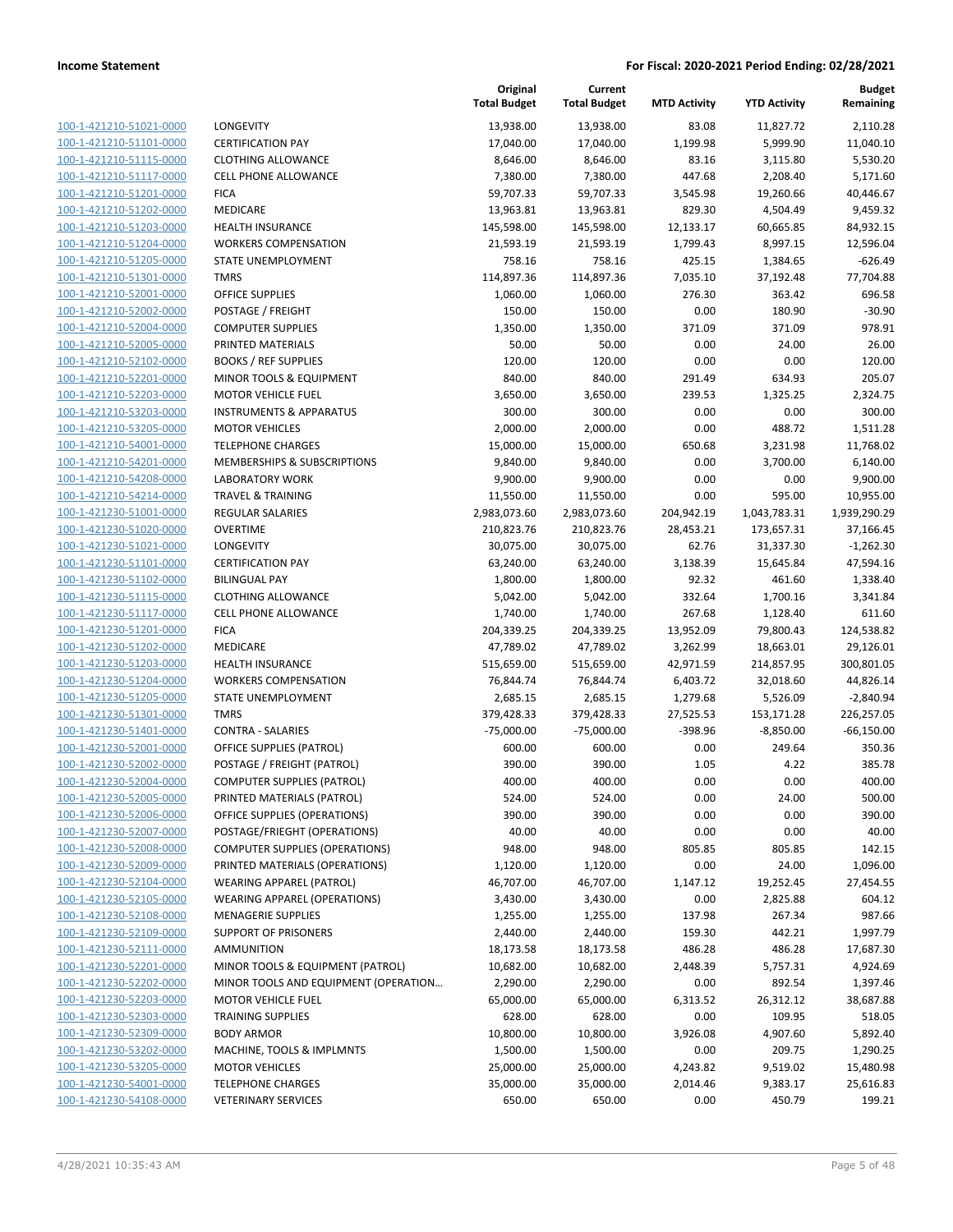|                         |                                       | Original<br><b>Total Budget</b> | Current<br><b>Total Budget</b> | <b>MTD Activity</b> | <b>YTD Activity</b> | Budget<br>Remaining |
|-------------------------|---------------------------------------|---------------------------------|--------------------------------|---------------------|---------------------|---------------------|
| 100-1-421210-51021-0000 | LONGEVITY                             | 13,938.00                       | 13,938.00                      | 83.08               | 11,827.72           | 2,110.28            |
| 100-1-421210-51101-0000 | <b>CERTIFICATION PAY</b>              | 17,040.00                       | 17,040.00                      | 1,199.98            | 5,999.90            | 11,040.10           |
| 100-1-421210-51115-0000 | <b>CLOTHING ALLOWANCE</b>             | 8,646.00                        | 8,646.00                       | 83.16               | 3,115.80            | 5,530.20            |
| 100-1-421210-51117-0000 | <b>CELL PHONE ALLOWANCE</b>           | 7,380.00                        | 7,380.00                       | 447.68              | 2,208.40            | 5,171.60            |
| 100-1-421210-51201-0000 | <b>FICA</b>                           | 59,707.33                       | 59,707.33                      | 3,545.98            | 19,260.66           | 40,446.67           |
| 100-1-421210-51202-0000 | MEDICARE                              | 13,963.81                       | 13,963.81                      | 829.30              | 4,504.49            | 9,459.32            |
| 100-1-421210-51203-0000 | <b>HEALTH INSURANCE</b>               | 145,598.00                      | 145,598.00                     | 12,133.17           | 60,665.85           | 84,932.15           |
| 100-1-421210-51204-0000 | <b>WORKERS COMPENSATION</b>           | 21,593.19                       | 21,593.19                      | 1,799.43            | 8,997.15            | 12,596.04           |
| 100-1-421210-51205-0000 | <b>STATE UNEMPLOYMENT</b>             | 758.16                          | 758.16                         | 425.15              | 1,384.65            | $-626.49$           |
| 100-1-421210-51301-0000 | <b>TMRS</b>                           | 114,897.36                      | 114,897.36                     | 7,035.10            | 37,192.48           | 77,704.88           |
| 100-1-421210-52001-0000 | <b>OFFICE SUPPLIES</b>                | 1,060.00                        | 1,060.00                       | 276.30              | 363.42              | 696.58              |
| 100-1-421210-52002-0000 | POSTAGE / FREIGHT                     | 150.00                          | 150.00                         | 0.00                | 180.90              | $-30.90$            |
| 100-1-421210-52004-0000 | <b>COMPUTER SUPPLIES</b>              | 1,350.00                        | 1,350.00                       | 371.09              | 371.09              | 978.91              |
| 100-1-421210-52005-0000 | PRINTED MATERIALS                     | 50.00                           | 50.00                          | 0.00                | 24.00               | 26.00               |
| 100-1-421210-52102-0000 | <b>BOOKS / REF SUPPLIES</b>           | 120.00                          | 120.00                         | 0.00                | 0.00                | 120.00              |
| 100-1-421210-52201-0000 | MINOR TOOLS & EQUIPMENT               | 840.00                          | 840.00                         | 291.49              | 634.93              | 205.07              |
| 100-1-421210-52203-0000 | <b>MOTOR VEHICLE FUEL</b>             | 3,650.00                        | 3,650.00                       | 239.53              | 1,325.25            | 2,324.75            |
| 100-1-421210-53203-0000 | <b>INSTRUMENTS &amp; APPARATUS</b>    | 300.00                          | 300.00                         | 0.00                | 0.00                | 300.00              |
| 100-1-421210-53205-0000 | <b>MOTOR VEHICLES</b>                 | 2,000.00                        | 2,000.00                       | 0.00                | 488.72              | 1,511.28            |
| 100-1-421210-54001-0000 | <b>TELEPHONE CHARGES</b>              | 15,000.00                       | 15,000.00                      | 650.68              | 3,231.98            | 11,768.02           |
| 100-1-421210-54201-0000 | MEMBERSHIPS & SUBSCRIPTIONS           | 9,840.00                        | 9,840.00                       | 0.00                | 3,700.00            | 6,140.00            |
| 100-1-421210-54208-0000 | <b>LABORATORY WORK</b>                | 9,900.00                        | 9,900.00                       | 0.00                | 0.00                | 9,900.00            |
| 100-1-421210-54214-0000 | <b>TRAVEL &amp; TRAINING</b>          | 11,550.00                       | 11,550.00                      | 0.00                | 595.00              | 10,955.00           |
| 100-1-421230-51001-0000 | <b>REGULAR SALARIES</b>               | 2,983,073.60                    | 2,983,073.60                   | 204,942.19          | 1,043,783.31        | 1,939,290.29        |
| 100-1-421230-51020-0000 | <b>OVERTIME</b>                       | 210,823.76                      | 210,823.76                     | 28,453.21           | 173,657.31          | 37,166.45           |
| 100-1-421230-51021-0000 | LONGEVITY                             | 30,075.00                       | 30,075.00                      | 62.76               | 31,337.30           | $-1,262.30$         |
| 100-1-421230-51101-0000 | <b>CERTIFICATION PAY</b>              | 63,240.00                       | 63,240.00                      | 3,138.39            | 15,645.84           | 47,594.16           |
| 100-1-421230-51102-0000 | <b>BILINGUAL PAY</b>                  | 1,800.00                        | 1,800.00                       | 92.32               | 461.60              | 1,338.40            |
| 100-1-421230-51115-0000 | <b>CLOTHING ALLOWANCE</b>             | 5,042.00                        | 5,042.00                       | 332.64              | 1,700.16            | 3,341.84            |
| 100-1-421230-51117-0000 | CELL PHONE ALLOWANCE                  | 1,740.00                        | 1,740.00                       | 267.68              | 1,128.40            | 611.60              |
| 100-1-421230-51201-0000 | <b>FICA</b>                           | 204,339.25                      | 204,339.25                     | 13,952.09           | 79,800.43           | 124,538.82          |
| 100-1-421230-51202-0000 | MEDICARE                              | 47,789.02                       | 47,789.02                      | 3,262.99            | 18,663.01           | 29,126.01           |
| 100-1-421230-51203-0000 | <b>HEALTH INSURANCE</b>               | 515,659.00                      | 515,659.00                     | 42,971.59           | 214,857.95          | 300,801.05          |
| 100-1-421230-51204-0000 | <b>WORKERS COMPENSATION</b>           | 76,844.74                       | 76,844.74                      | 6,403.72            | 32,018.60           | 44,826.14           |
| 100-1-421230-51205-0000 | <b>STATE UNEMPLOYMENT</b>             | 2,685.15                        | 2,685.15                       | 1,279.68            | 5,526.09            | $-2,840.94$         |
| 100-1-421230-51301-0000 | <b>TMRS</b>                           | 379,428.33                      | 379,428.33                     | 27,525.53           | 153,171.28          | 226,257.05          |
| 100-1-421230-51401-0000 | <b>CONTRA - SALARIES</b>              | $-75,000.00$                    | $-75,000.00$                   | $-398.96$           | $-8,850.00$         | $-66,150.00$        |
| 100-1-421230-52001-0000 | OFFICE SUPPLIES (PATROL)              | 600.00                          | 600.00                         | 0.00                | 249.64              | 350.36              |
| 100-1-421230-52002-0000 | POSTAGE / FREIGHT (PATROL)            | 390.00                          | 390.00                         | 1.05                | 4.22                | 385.78              |
| 100-1-421230-52004-0000 | <b>COMPUTER SUPPLIES (PATROL)</b>     | 400.00                          | 400.00                         | 0.00                | 0.00                | 400.00              |
| 100-1-421230-52005-0000 | PRINTED MATERIALS (PATROL)            | 524.00                          | 524.00                         | 0.00                | 24.00               | 500.00              |
| 100-1-421230-52006-0000 | OFFICE SUPPLIES (OPERATIONS)          | 390.00                          | 390.00                         | 0.00                | 0.00                | 390.00              |
| 100-1-421230-52007-0000 | POSTAGE/FRIEGHT (OPERATIONS)          | 40.00                           | 40.00                          | 0.00                | 0.00                | 40.00               |
| 100-1-421230-52008-0000 | <b>COMPUTER SUPPLIES (OPERATIONS)</b> | 948.00                          | 948.00                         | 805.85              | 805.85              | 142.15              |
| 100-1-421230-52009-0000 | PRINTED MATERIALS (OPERATIONS)        | 1,120.00                        | 1,120.00                       | 0.00                | 24.00               | 1,096.00            |
| 100-1-421230-52104-0000 | <b>WEARING APPAREL (PATROL)</b>       | 46,707.00                       | 46,707.00                      | 1,147.12            | 19,252.45           | 27,454.55           |
| 100-1-421230-52105-0000 | <b>WEARING APPAREL (OPERATIONS)</b>   | 3,430.00                        | 3,430.00                       | 0.00                | 2,825.88            | 604.12              |
| 100-1-421230-52108-0000 | <b>MENAGERIE SUPPLIES</b>             | 1,255.00                        | 1,255.00                       | 137.98              | 267.34              | 987.66              |
| 100-1-421230-52109-0000 | <b>SUPPORT OF PRISONERS</b>           | 2,440.00                        | 2,440.00                       | 159.30              | 442.21              | 1,997.79            |
| 100-1-421230-52111-0000 | <b>AMMUNITION</b>                     | 18,173.58                       | 18,173.58                      | 486.28              | 486.28              | 17,687.30           |
| 100-1-421230-52201-0000 | MINOR TOOLS & EQUIPMENT (PATROL)      | 10,682.00                       | 10,682.00                      | 2,448.39            | 5,757.31            | 4,924.69            |
| 100-1-421230-52202-0000 | MINOR TOOLS AND EQUIPMENT (OPERATION  | 2,290.00                        | 2,290.00                       | 0.00                | 892.54              | 1,397.46            |
| 100-1-421230-52203-0000 | <b>MOTOR VEHICLE FUEL</b>             | 65,000.00                       | 65,000.00                      | 6,313.52            | 26,312.12           | 38,687.88           |
| 100-1-421230-52303-0000 | <b>TRAINING SUPPLIES</b>              | 628.00                          | 628.00                         | 0.00                | 109.95              | 518.05              |
| 100-1-421230-52309-0000 | <b>BODY ARMOR</b>                     | 10,800.00                       | 10,800.00                      | 3,926.08            | 4,907.60            | 5,892.40            |
| 100-1-421230-53202-0000 | MACHINE, TOOLS & IMPLMNTS             | 1,500.00                        | 1,500.00                       | 0.00                | 209.75              | 1,290.25            |
| 100-1-421230-53205-0000 | <b>MOTOR VEHICLES</b>                 | 25,000.00                       | 25,000.00                      | 4,243.82            | 9,519.02            | 15,480.98           |
| 100-1-421230-54001-0000 | <b>TELEPHONE CHARGES</b>              | 35,000.00                       | 35,000.00                      | 2,014.46            | 9,383.17            | 25,616.83           |
| 100-1-421230-54108-0000 | <b>VETERINARY SERVICES</b>            | 650.00                          | 650.00                         | 0.00                | 450.79              | 199.21              |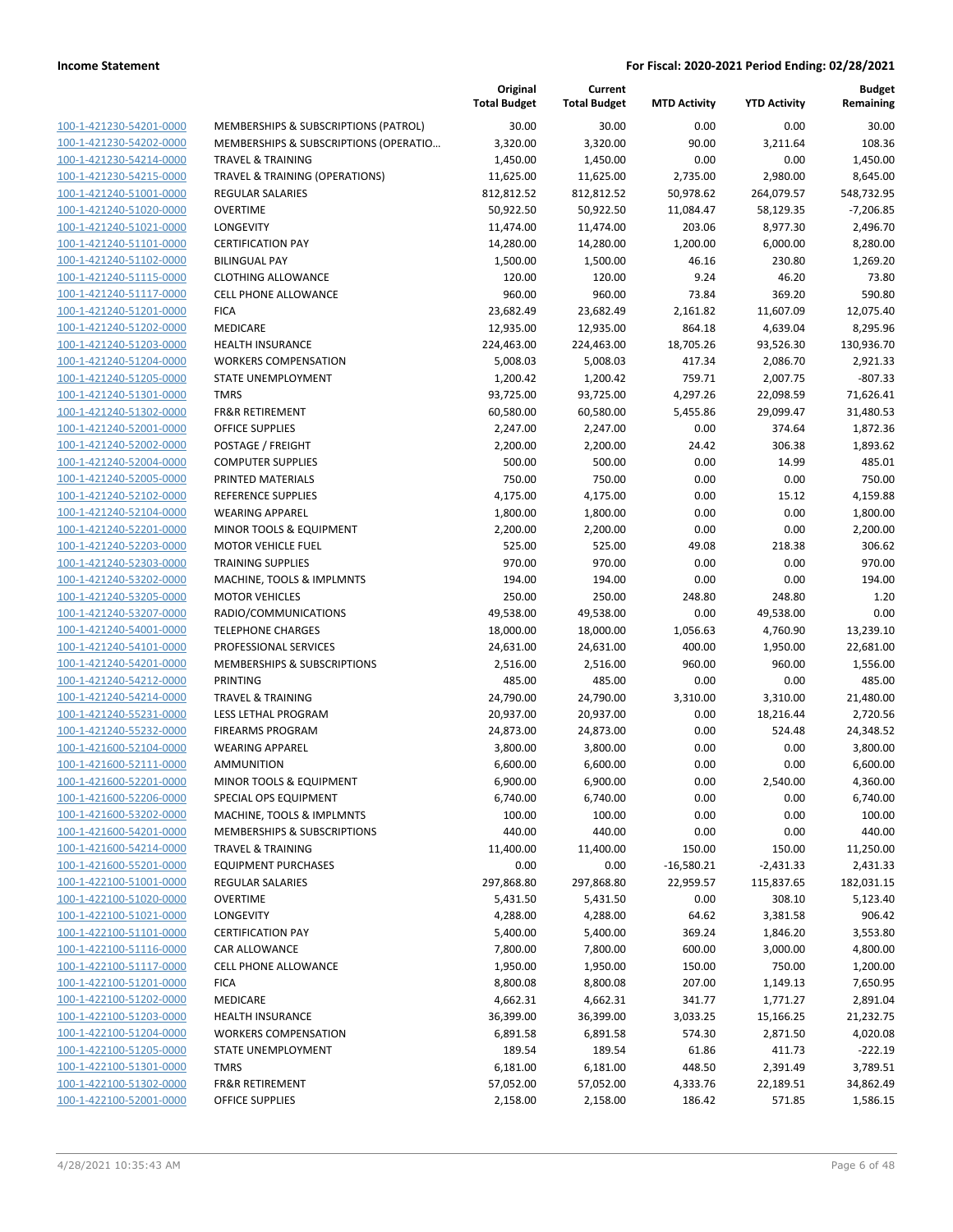**Budget**

|                                                    |                                                            | Original<br><b>Total Budget</b> | Current<br><b>Total Budget</b> | <b>MTD Activity</b> | <b>YTD Activity</b> | <b>Budget</b><br>Remaining |
|----------------------------------------------------|------------------------------------------------------------|---------------------------------|--------------------------------|---------------------|---------------------|----------------------------|
| 100-1-421230-54201-0000                            | MEMBERSHIPS & SUBSCRIPTIONS (PATROL)                       | 30.00                           | 30.00                          | 0.00                | 0.00                | 30.00                      |
| 100-1-421230-54202-0000                            | MEMBERSHIPS & SUBSCRIPTIONS (OPERATIO                      | 3,320.00                        | 3,320.00                       | 90.00               | 3,211.64            | 108.36                     |
| 100-1-421230-54214-0000                            | <b>TRAVEL &amp; TRAINING</b>                               | 1,450.00                        | 1,450.00                       | 0.00                | 0.00                | 1,450.00                   |
| 100-1-421230-54215-0000                            | TRAVEL & TRAINING (OPERATIONS)                             | 11,625.00                       | 11,625.00                      | 2,735.00            | 2,980.00            | 8,645.00                   |
| 100-1-421240-51001-0000                            | REGULAR SALARIES                                           | 812,812.52                      | 812,812.52                     | 50,978.62           | 264,079.57          | 548,732.95                 |
| 100-1-421240-51020-0000                            | <b>OVERTIME</b>                                            | 50,922.50                       | 50,922.50                      | 11,084.47           | 58,129.35           | $-7,206.85$                |
| 100-1-421240-51021-0000                            | LONGEVITY                                                  | 11,474.00                       | 11,474.00                      | 203.06              | 8,977.30            | 2,496.70                   |
| 100-1-421240-51101-0000                            | <b>CERTIFICATION PAY</b>                                   | 14,280.00                       | 14,280.00                      | 1,200.00            | 6,000.00            | 8,280.00                   |
| 100-1-421240-51102-0000                            | <b>BILINGUAL PAY</b>                                       | 1,500.00                        | 1,500.00                       | 46.16               | 230.80              | 1,269.20                   |
| 100-1-421240-51115-0000                            | <b>CLOTHING ALLOWANCE</b>                                  | 120.00                          | 120.00                         | 9.24                | 46.20               | 73.80                      |
| 100-1-421240-51117-0000                            | CELL PHONE ALLOWANCE                                       | 960.00                          | 960.00                         | 73.84               | 369.20              | 590.80                     |
| 100-1-421240-51201-0000                            | <b>FICA</b>                                                | 23,682.49                       | 23,682.49                      | 2,161.82            | 11,607.09           | 12,075.40                  |
| 100-1-421240-51202-0000                            | MEDICARE                                                   | 12,935.00                       | 12,935.00                      | 864.18              | 4,639.04            | 8,295.96                   |
| 100-1-421240-51203-0000                            | <b>HEALTH INSURANCE</b>                                    | 224,463.00                      | 224,463.00                     | 18,705.26           | 93,526.30           | 130,936.70                 |
| 100-1-421240-51204-0000                            | <b>WORKERS COMPENSATION</b>                                | 5,008.03                        | 5,008.03                       | 417.34              | 2,086.70            | 2,921.33                   |
| 100-1-421240-51205-0000                            | STATE UNEMPLOYMENT                                         | 1,200.42                        | 1,200.42                       | 759.71              | 2,007.75            | $-807.33$                  |
| 100-1-421240-51301-0000                            | <b>TMRS</b>                                                | 93,725.00                       | 93,725.00                      | 4,297.26            | 22,098.59           | 71,626.41                  |
| 100-1-421240-51302-0000                            | <b>FR&amp;R RETIREMENT</b>                                 | 60,580.00                       | 60,580.00                      | 5,455.86            | 29,099.47           | 31,480.53                  |
| 100-1-421240-52001-0000                            | <b>OFFICE SUPPLIES</b>                                     | 2,247.00                        | 2,247.00                       | 0.00                | 374.64              | 1,872.36                   |
| 100-1-421240-52002-0000                            | POSTAGE / FREIGHT                                          | 2,200.00                        | 2,200.00                       | 24.42               | 306.38              | 1,893.62                   |
| 100-1-421240-52004-0000                            | <b>COMPUTER SUPPLIES</b>                                   | 500.00                          | 500.00                         | 0.00                | 14.99               | 485.01                     |
| 100-1-421240-52005-0000                            | PRINTED MATERIALS                                          | 750.00                          | 750.00                         | 0.00                | 0.00                | 750.00                     |
| 100-1-421240-52102-0000                            | REFERENCE SUPPLIES                                         | 4,175.00                        | 4,175.00                       | 0.00                | 15.12               | 4,159.88                   |
| 100-1-421240-52104-0000                            | <b>WEARING APPAREL</b>                                     | 1,800.00                        | 1,800.00                       | 0.00                | 0.00                | 1,800.00                   |
| 100-1-421240-52201-0000                            | MINOR TOOLS & EQUIPMENT                                    | 2,200.00                        | 2,200.00                       | 0.00                | 0.00                | 2,200.00                   |
| 100-1-421240-52203-0000                            | <b>MOTOR VEHICLE FUEL</b>                                  | 525.00                          | 525.00                         | 49.08               | 218.38              | 306.62                     |
| 100-1-421240-52303-0000                            | <b>TRAINING SUPPLIES</b>                                   | 970.00                          | 970.00                         | 0.00                | 0.00                | 970.00                     |
| 100-1-421240-53202-0000                            | MACHINE, TOOLS & IMPLMNTS                                  | 194.00                          | 194.00                         | 0.00                | 0.00                | 194.00                     |
| 100-1-421240-53205-0000                            | <b>MOTOR VEHICLES</b>                                      | 250.00                          | 250.00                         | 248.80              | 248.80              | 1.20                       |
| 100-1-421240-53207-0000                            | RADIO/COMMUNICATIONS                                       | 49,538.00                       | 49,538.00                      | 0.00                | 49,538.00           | 0.00                       |
| 100-1-421240-54001-0000                            | <b>TELEPHONE CHARGES</b>                                   | 18,000.00                       | 18,000.00                      | 1,056.63            | 4,760.90            | 13,239.10                  |
| 100-1-421240-54101-0000                            | PROFESSIONAL SERVICES                                      | 24,631.00                       | 24,631.00                      | 400.00              | 1,950.00            | 22,681.00                  |
| 100-1-421240-54201-0000                            | MEMBERSHIPS & SUBSCRIPTIONS                                | 2,516.00                        | 2,516.00                       | 960.00              | 960.00              | 1,556.00                   |
| 100-1-421240-54212-0000                            | PRINTING                                                   | 485.00                          | 485.00                         | 0.00                | 0.00                | 485.00                     |
| 100-1-421240-54214-0000                            | <b>TRAVEL &amp; TRAINING</b><br><b>LESS LETHAL PROGRAM</b> | 24,790.00                       | 24,790.00                      | 3,310.00            | 3,310.00            | 21,480.00                  |
| 100-1-421240-55231-0000                            |                                                            | 20,937.00                       | 20,937.00                      | 0.00                | 18,216.44           | 2,720.56                   |
| 100-1-421240-55232-0000<br>100-1-421600-52104-0000 | <b>FIREARMS PROGRAM</b>                                    | 24,873.00                       | 24,873.00                      | 0.00                | 524.48              | 24,348.52                  |
|                                                    | <b>WEARING APPAREL</b><br><b>AMMUNITION</b>                | 3,800.00                        | 3,800.00                       | 0.00                | 0.00                | 3,800.00                   |
| 100-1-421600-52111-0000<br>100-1-421600-52201-0000 |                                                            | 6,600.00                        | 6,600.00                       | 0.00                | 0.00                | 6,600.00                   |
|                                                    | MINOR TOOLS & EQUIPMENT                                    | 6,900.00                        | 6,900.00                       | 0.00<br>0.00        | 2,540.00<br>0.00    | 4,360.00<br>6,740.00       |
| 100-1-421600-52206-0000<br>100-1-421600-53202-0000 | SPECIAL OPS EQUIPMENT<br>MACHINE, TOOLS & IMPLMNTS         | 6,740.00<br>100.00              | 6,740.00<br>100.00             | 0.00                | 0.00                | 100.00                     |
| 100-1-421600-54201-0000                            | MEMBERSHIPS & SUBSCRIPTIONS                                | 440.00                          | 440.00                         | 0.00                | 0.00                | 440.00                     |
| 100-1-421600-54214-0000                            | <b>TRAVEL &amp; TRAINING</b>                               | 11,400.00                       | 11,400.00                      | 150.00              | 150.00              | 11,250.00                  |
| 100-1-421600-55201-0000                            | <b>EQUIPMENT PURCHASES</b>                                 | 0.00                            | 0.00                           | $-16,580.21$        | $-2,431.33$         | 2,431.33                   |
| 100-1-422100-51001-0000                            | REGULAR SALARIES                                           | 297,868.80                      | 297,868.80                     | 22,959.57           | 115,837.65          | 182,031.15                 |
| 100-1-422100-51020-0000                            | <b>OVERTIME</b>                                            | 5,431.50                        | 5,431.50                       | 0.00                | 308.10              | 5,123.40                   |
| 100-1-422100-51021-0000                            | <b>LONGEVITY</b>                                           | 4,288.00                        | 4,288.00                       | 64.62               | 3,381.58            | 906.42                     |
| 100-1-422100-51101-0000                            | <b>CERTIFICATION PAY</b>                                   | 5,400.00                        | 5,400.00                       | 369.24              | 1,846.20            | 3,553.80                   |
| 100-1-422100-51116-0000                            | CAR ALLOWANCE                                              | 7,800.00                        | 7,800.00                       | 600.00              | 3,000.00            | 4,800.00                   |
| 100-1-422100-51117-0000                            | CELL PHONE ALLOWANCE                                       | 1,950.00                        | 1,950.00                       | 150.00              | 750.00              | 1,200.00                   |
| 100-1-422100-51201-0000                            | <b>FICA</b>                                                | 8,800.08                        | 8,800.08                       | 207.00              | 1,149.13            | 7,650.95                   |
| 100-1-422100-51202-0000                            | MEDICARE                                                   | 4,662.31                        | 4,662.31                       | 341.77              | 1,771.27            | 2,891.04                   |
| 100-1-422100-51203-0000                            | <b>HEALTH INSURANCE</b>                                    | 36,399.00                       | 36,399.00                      | 3,033.25            | 15,166.25           | 21,232.75                  |
| 100-1-422100-51204-0000                            | <b>WORKERS COMPENSATION</b>                                | 6,891.58                        | 6,891.58                       | 574.30              | 2,871.50            | 4,020.08                   |
| 100-1-422100-51205-0000                            | STATE UNEMPLOYMENT                                         | 189.54                          | 189.54                         | 61.86               | 411.73              | $-222.19$                  |
| 100-1-422100-51301-0000                            |                                                            |                                 |                                | 448.50              |                     |                            |
| 100-1-422100-51302-0000                            | <b>TMRS</b><br><b>FR&amp;R RETIREMENT</b>                  | 6,181.00                        | 6,181.00                       |                     | 2,391.49            | 3,789.51                   |
| 100-1-422100-52001-0000                            | OFFICE SUPPLIES                                            | 57,052.00                       | 57,052.00                      | 4,333.76            | 22,189.51           | 34,862.49                  |
|                                                    |                                                            | 2,158.00                        | 2,158.00                       | 186.42              | 571.85              | 1,586.15                   |

**Original**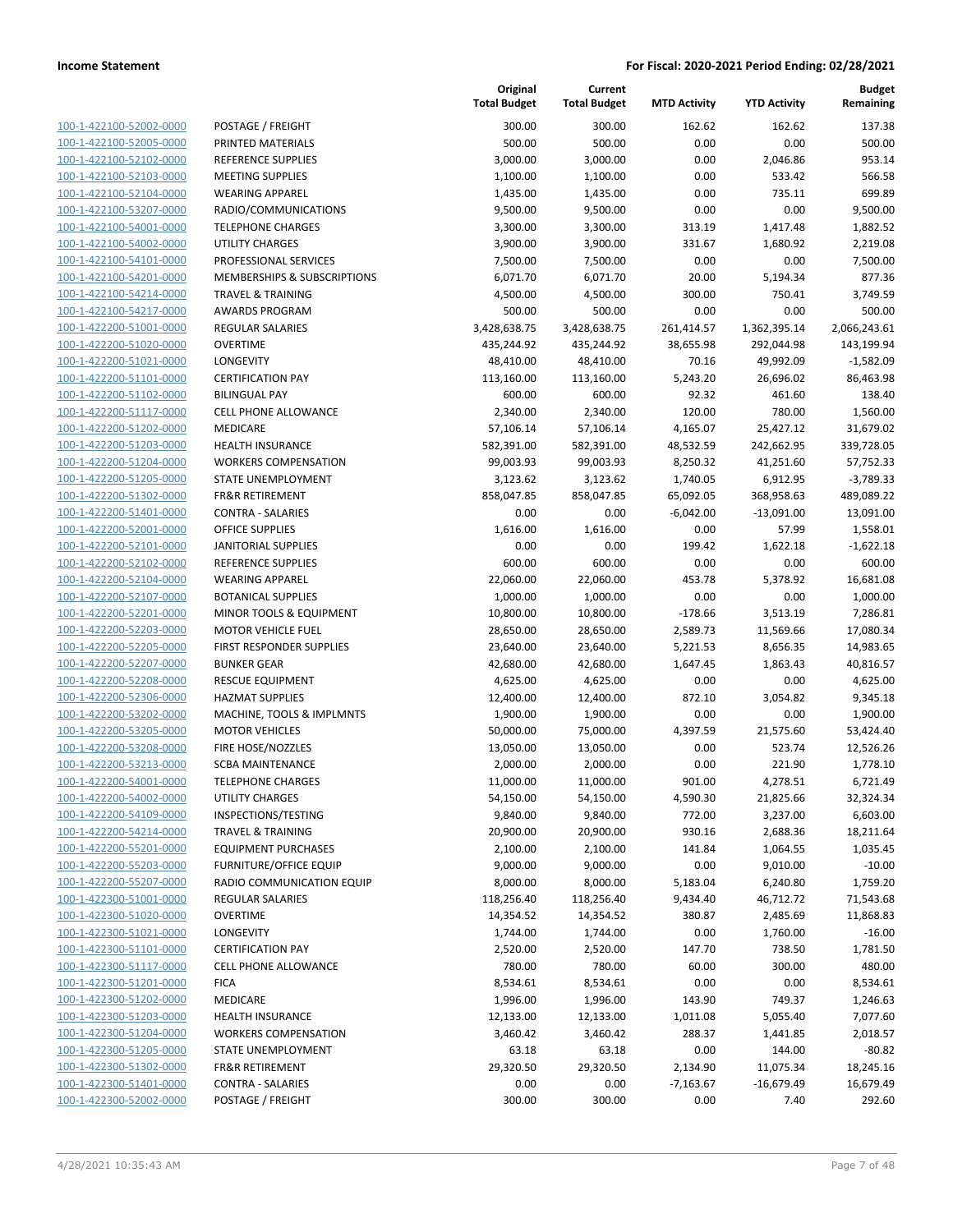100-1-422100-52002-0000 100-1-422100-52005-0000 PRINTED MATERIALS 500.00 500.00 0.00 0.00 500.00 100-1-422100-52102-0000 100-1-422100-52103-0000 100-1-422100-52104-0000 100-1-422100-53207-0000 100-1-422100-54001-0000 100-1-422100-54002-0000 100-1-422100-54101-0000 100-1-422100-54201-0000 100-1-422100-54214-0000 100-1-422100-54217-0000 100-1-422200-51001-0000 100-1-422200-51020-0000 100-1-422200-51021-0000 100-1-422200-51101-0000 100-1-422200-51102-0000 BILINGUAL PAY 600.00 600.00 92.32 461.60 138.40 100-1-422200-51117-0000 100-1-422200-51202-0000 100-1-422200-51203-0000 100-1-422200-51204-0000 100-1-422200-51205-0000 100-1-422200-51302-0000 100-1-422200-51401-0000 100-1-422200-52001-0000 100-1-422200-52101-0000 100-1-422200-52102-0000 REFERENCE SUPPLIES 600.00 600.00 0.00 0.00 600.00 100-1-422200-52104-0000 100-1-422200-52107-0000 100-1-422200-52201-0000 100-1-422200-52203-0000 100-1-422200-52205-0000 100-1-422200-52207-0000 100-1-422200-52208-0000 100-1-422200-52306-0000 100-1-422200-53202-0000 100-1-422200-53205-0000 100-1-422200-53208-0000 100-1-422200-53213-0000 100-1-422200-54001-0000 100-1-422200-54002-0000 100-1-422200-54109-0000 100-1-422200-54214-0000 100-1-422200-55201-0000 100-1-422200-55203-0000 100-1-422200-55207-0000 100-1-422300-51001-0000 100-1-422300-51020-0000 100-1-422300-51021-0000 100-1-422300-51101-0000 100-1-422300-51117-0000 100-1-422300-51201-0000 100-1-422300-51202-0000 100-1-422300-51203-0000 100-1-422300-51204-0000 100-1-422300-51205-0000 100-1-422300-51302-0000 100-1-422300-51401-0000 100-1-422300-52002-0000

|                              | Original<br><b>Total Budget</b> | Current<br><b>Total Budget</b> | <b>MTD Activity</b> | <b>YTD Activity</b> | <b>Budget</b><br>Remaining |
|------------------------------|---------------------------------|--------------------------------|---------------------|---------------------|----------------------------|
| POSTAGE / FREIGHT            | 300.00                          | 300.00                         | 162.62              | 162.62              | 137.38                     |
| PRINTED MATERIALS            | 500.00                          | 500.00                         | 0.00                | 0.00                | 500.00                     |
| REFERENCE SUPPLIES           | 3,000.00                        | 3,000.00                       | 0.00                | 2,046.86            | 953.14                     |
| <b>MEETING SUPPLIES</b>      | 1,100.00                        | 1,100.00                       | 0.00                | 533.42              | 566.58                     |
| <b>WEARING APPAREL</b>       | 1,435.00                        | 1,435.00                       | 0.00                | 735.11              | 699.89                     |
| RADIO/COMMUNICATIONS         | 9,500.00                        | 9,500.00                       | 0.00                | 0.00                | 9,500.00                   |
| <b>TELEPHONE CHARGES</b>     | 3,300.00                        | 3,300.00                       | 313.19              | 1,417.48            | 1,882.52                   |
| <b>UTILITY CHARGES</b>       | 3,900.00                        | 3,900.00                       | 331.67              | 1,680.92            | 2,219.08                   |
| PROFESSIONAL SERVICES        | 7,500.00                        | 7,500.00                       | 0.00                | 0.00                | 7,500.00                   |
| MEMBERSHIPS & SUBSCRIPTIONS  | 6,071.70                        | 6,071.70                       | 20.00               | 5,194.34            | 877.36                     |
| <b>TRAVEL &amp; TRAINING</b> | 4,500.00                        | 4,500.00                       | 300.00              | 750.41              | 3,749.59                   |
| <b>AWARDS PROGRAM</b>        | 500.00                          | 500.00                         | 0.00                | 0.00                | 500.00                     |
| <b>REGULAR SALARIES</b>      | 3,428,638.75                    | 3,428,638.75                   | 261,414.57          | 1,362,395.14        | 2,066,243.61               |
| <b>OVERTIME</b>              | 435,244.92                      | 435,244.92                     | 38,655.98           | 292,044.98          | 143,199.94                 |
| LONGEVITY                    | 48,410.00                       | 48,410.00                      | 70.16               | 49,992.09           | $-1,582.09$                |
| <b>CERTIFICATION PAY</b>     | 113,160.00                      | 113,160.00                     | 5,243.20            | 26,696.02           | 86,463.98                  |
| <b>BILINGUAL PAY</b>         | 600.00                          | 600.00                         | 92.32               | 461.60              | 138.40                     |
| CELL PHONE ALLOWANCE         | 2,340.00                        | 2,340.00                       | 120.00              | 780.00              | 1,560.00                   |
| MEDICARE                     | 57,106.14                       | 57,106.14                      | 4,165.07            | 25,427.12           | 31,679.02                  |
| <b>HEALTH INSURANCE</b>      | 582,391.00                      | 582,391.00                     | 48,532.59           | 242,662.95          | 339,728.05                 |
| <b>WORKERS COMPENSATION</b>  | 99,003.93                       | 99,003.93                      | 8,250.32            | 41,251.60           | 57,752.33                  |
| STATE UNEMPLOYMENT           | 3,123.62                        | 3,123.62                       | 1,740.05            | 6,912.95            | $-3,789.33$                |
| <b>FR&amp;R RETIREMENT</b>   | 858,047.85                      | 858,047.85                     | 65,092.05           | 368,958.63          | 489,089.22                 |
| <b>CONTRA - SALARIES</b>     | 0.00                            | 0.00                           | $-6,042.00$         | $-13,091.00$        | 13,091.00                  |
| OFFICE SUPPLIES              | 1,616.00                        | 1,616.00                       | 0.00                | 57.99               | 1,558.01                   |
| <b>JANITORIAL SUPPLIES</b>   | 0.00                            | 0.00                           | 199.42              | 1,622.18            | $-1,622.18$                |
| <b>REFERENCE SUPPLIES</b>    | 600.00                          | 600.00                         | 0.00                | 0.00                | 600.00                     |
| <b>WEARING APPAREL</b>       | 22,060.00                       | 22,060.00                      | 453.78              | 5,378.92            | 16,681.08                  |
| <b>BOTANICAL SUPPLIES</b>    | 1,000.00                        | 1,000.00                       | 0.00                | 0.00                | 1,000.00                   |
| MINOR TOOLS & EQUIPMENT      | 10,800.00                       | 10,800.00                      | $-178.66$           | 3,513.19            | 7,286.81                   |
| <b>MOTOR VEHICLE FUEL</b>    | 28,650.00                       | 28,650.00                      | 2,589.73            | 11,569.66           | 17,080.34                  |
| FIRST RESPONDER SUPPLIES     | 23,640.00                       | 23,640.00                      | 5,221.53            | 8,656.35            | 14,983.65                  |
| <b>BUNKER GEAR</b>           | 42,680.00                       | 42,680.00                      | 1,647.45            | 1,863.43            | 40,816.57                  |
| <b>RESCUE EQUIPMENT</b>      | 4,625.00                        | 4,625.00                       | 0.00                | 0.00                | 4,625.00                   |
| <b>HAZMAT SUPPLIES</b>       | 12,400.00                       | 12,400.00                      | 872.10              | 3,054.82            | 9,345.18                   |
| MACHINE, TOOLS & IMPLMNTS    | 1,900.00                        | 1,900.00                       | 0.00                | 0.00                | 1,900.00                   |
| <b>MOTOR VEHICLES</b>        | 50,000.00                       | 75,000.00                      | 4,397.59            | 21,575.60           | 53,424.40                  |
| FIRE HOSE/NOZZLES            | 13,050.00                       | 13,050.00                      | 0.00                | 523.74              | 12,526.26                  |
| <b>SCBA MAINTENANCE</b>      | 2,000.00                        | 2,000.00                       | 0.00                | 221.90              | 1,778.10                   |
| <b>TELEPHONE CHARGES</b>     | 11,000.00                       | 11,000.00                      | 901.00              | 4,278.51            | 6,721.49                   |
| <b>UTILITY CHARGES</b>       | 54,150.00                       | 54,150.00                      | 4,590.30            | 21,825.66           | 32,324.34                  |
| INSPECTIONS/TESTING          | 9,840.00                        | 9,840.00                       | 772.00              | 3,237.00            | 6,603.00                   |
| <b>TRAVEL &amp; TRAINING</b> | 20,900.00                       | 20,900.00                      | 930.16              | 2,688.36            | 18,211.64                  |
| <b>EQUIPMENT PURCHASES</b>   | 2,100.00                        | 2,100.00                       | 141.84              | 1,064.55            | 1,035.45                   |
| FURNITURE/OFFICE EQUIP       | 9,000.00                        | 9,000.00                       | 0.00                | 9,010.00            | $-10.00$                   |
| RADIO COMMUNICATION EQUIP    | 8,000.00                        | 8,000.00                       | 5,183.04            | 6,240.80            | 1,759.20                   |
| REGULAR SALARIES             | 118,256.40                      | 118,256.40                     | 9,434.40            | 46,712.72           | 71,543.68                  |
| <b>OVERTIME</b>              | 14,354.52                       | 14,354.52                      | 380.87              | 2,485.69            | 11,868.83                  |
| <b>LONGEVITY</b>             | 1,744.00                        | 1,744.00                       | 0.00                | 1,760.00            | $-16.00$                   |
| <b>CERTIFICATION PAY</b>     | 2,520.00                        | 2,520.00                       | 147.70              | 738.50              | 1,781.50                   |
| CELL PHONE ALLOWANCE         | 780.00                          | 780.00                         | 60.00               | 300.00              | 480.00                     |
| <b>FICA</b>                  | 8,534.61                        | 8,534.61                       | 0.00                | 0.00                | 8,534.61                   |
| MEDICARE                     | 1,996.00                        | 1,996.00                       | 143.90              | 749.37              | 1,246.63                   |
| <b>HEALTH INSURANCE</b>      | 12,133.00                       | 12,133.00                      | 1,011.08            | 5,055.40            | 7,077.60                   |
| <b>WORKERS COMPENSATION</b>  | 3,460.42                        | 3,460.42                       | 288.37              | 1,441.85            | 2,018.57                   |
| STATE UNEMPLOYMENT           | 63.18                           | 63.18                          | 0.00                | 144.00              | -80.82                     |
| <b>FR&amp;R RETIREMENT</b>   | 29,320.50                       | 29,320.50                      | 2,134.90            | 11,075.34           | 18,245.16                  |
| <b>CONTRA - SALARIES</b>     | 0.00                            | 0.00                           | $-7,163.67$         | $-16,679.49$        | 16,679.49                  |
| POSTAGE / FREIGHT            | 300.00                          | 300.00                         | 0.00                | 7.40                | 292.60                     |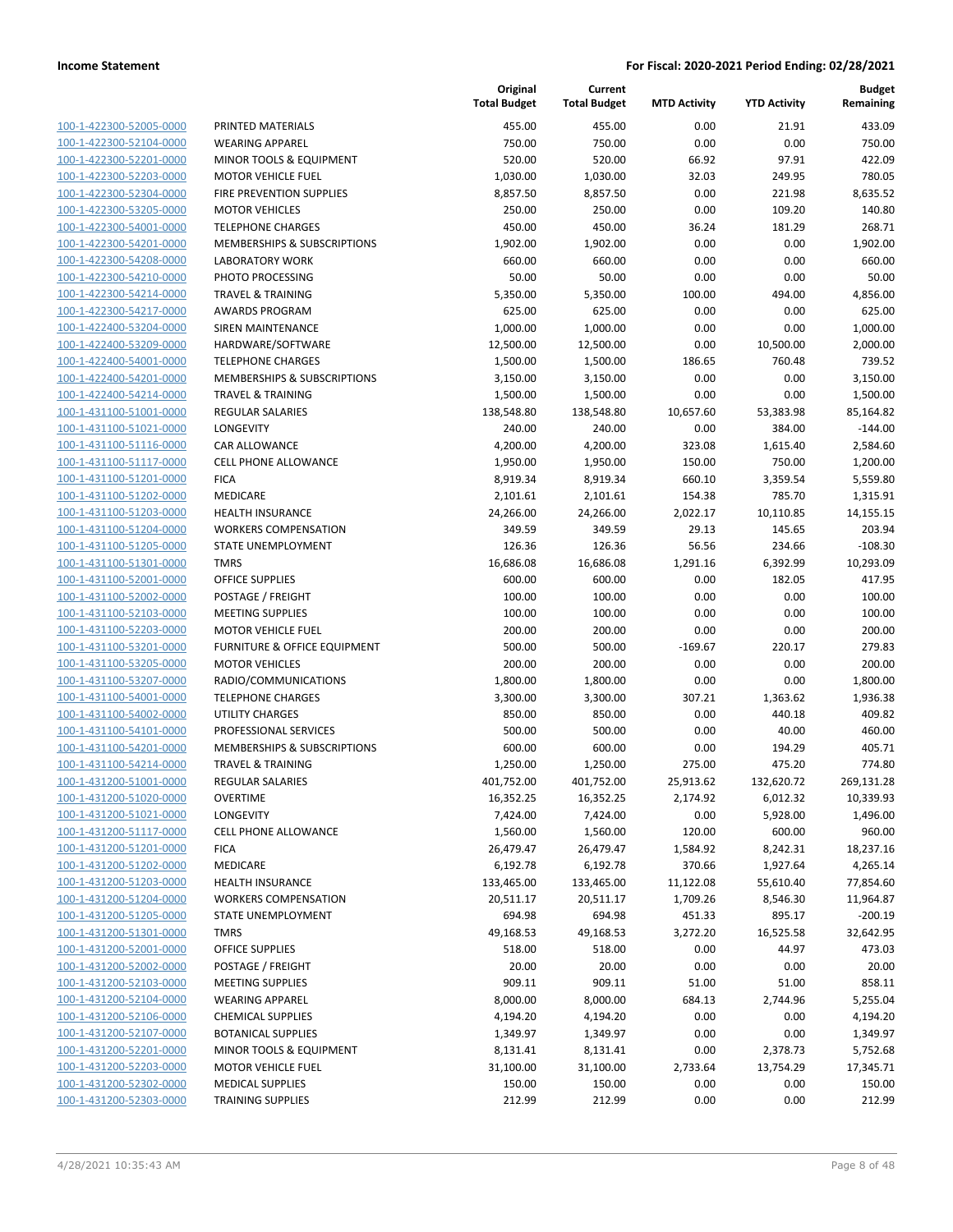| 100-1-422300-52005-0000        | P |
|--------------------------------|---|
| 100-1-422300-52104-0000        | ٧ |
| 100-1-422300-52201-0000        | Ν |
| <u>100-1-422300-52203-0000</u> | Λ |
| 100-1-422300-52304-0000        | F |
| 100-1-422300-53205-0000        | Λ |
| 100-1-422300-54001-0000        | Т |
| 100-1-422300-54201-0000        | Λ |
| 100-1-422300-54208-0000        | L |
| 100-1-422300-54210-0000        | P |
|                                | Т |
| 100-1-422300-54214-0000        |   |
| 100-1-422300-54217-0000        | А |
| 100-1-422400-53204-0000        | S |
| 100-1-422400-53209-0000        | ۲ |
| 100-1-422400-54001-0000        | T |
| 100-1-422400-54201-0000        | Λ |
| 100-1-422400-54214-0000        | Т |
| 100-1-431100-51001-0000        | R |
| 100-1-431100-51021-0000        | L |
| 100-1-431100-51116-0000        | C |
| 100-1-431100-51117-0000        | C |
| 100-1-431100-51201-0000        | F |
| 100-1-431100-51202-0000        | Ν |
| 100-1-431100-51203-0000        | ۲ |
| 100-1-431100-51204-0000        | ٧ |
| 100-1-431100-51205-0000        | S |
| 100-1-431100-51301-0000        | T |
| 100-1-431100-52001-0000        | C |
| 100-1-431100-52002-0000        | P |
| 100-1-431100-52103-0000        | Ν |
| 100-1-431100-52203-0000        | Λ |
| 100-1-431100-53201-0000        | F |
| 100-1-431100-53205-0000        | Ν |
| 100-1-431100-53207-0000        | R |
| 100-1-431100-54001-0000        | Т |
| 100-1-431100-54002-0000        | ι |
| 100-1-431100-54101-0000        | P |
| 100-1-431100-54201-0000        | Ν |
| 100-1-431100-54214-0000        | Т |
| 100-1-431200-51001-0000        | R |
| 100-1-431200-51020-0000        | C |
| 100-1-431200-51021-0000        | L |
| 100-1-431200-51117-0000        | C |
|                                | F |
| <u>100-1-431200-51201-0000</u> |   |
| 100-1-431200-51202-0000        | Λ |
| 100-1-431200-51203-0000        | ۲ |
| 100-1-431200-51204-0000        |   |
| 100-1-431200-51205-0000        | S |
| <u>100-1-431200-51301-0000</u> | Т |
| <u>100-1-431200-52001-0000</u> | C |
| 100-1-431200-52002-0000        | P |
| 100-1-431200-52103-0000        | Λ |
| 100-1-431200-52104-0000        | ٧ |
| <u>100-1-431200-52106-0000</u> | c |
| <u>100-1-431200-52107-0000</u> | В |
| 100-1-431200-52201-0000        | Λ |
| 100-1-431200-52203-0000        | Λ |
| 100-1-431200-52302-0000        | Λ |
| 100-1-431200-52303-0000        | Т |
|                                |   |

|                         |                              | Original<br><b>Total Budget</b> | Current<br><b>Total Budget</b> | <b>MTD Activity</b> | <b>YTD Activity</b> | <b>Budget</b><br>Remaining |
|-------------------------|------------------------------|---------------------------------|--------------------------------|---------------------|---------------------|----------------------------|
| 100-1-422300-52005-0000 | PRINTED MATERIALS            | 455.00                          | 455.00                         | 0.00                | 21.91               | 433.09                     |
| 100-1-422300-52104-0000 | <b>WEARING APPAREL</b>       | 750.00                          | 750.00                         | 0.00                | 0.00                | 750.00                     |
| 100-1-422300-52201-0000 | MINOR TOOLS & EQUIPMENT      | 520.00                          | 520.00                         | 66.92               | 97.91               | 422.09                     |
| 100-1-422300-52203-0000 | <b>MOTOR VEHICLE FUEL</b>    | 1,030.00                        | 1,030.00                       | 32.03               | 249.95              | 780.05                     |
| 100-1-422300-52304-0000 | FIRE PREVENTION SUPPLIES     | 8,857.50                        | 8,857.50                       | 0.00                | 221.98              | 8,635.52                   |
| 100-1-422300-53205-0000 | <b>MOTOR VEHICLES</b>        | 250.00                          | 250.00                         | 0.00                | 109.20              | 140.80                     |
| 100-1-422300-54001-0000 | <b>TELEPHONE CHARGES</b>     | 450.00                          | 450.00                         | 36.24               | 181.29              | 268.71                     |
| 100-1-422300-54201-0000 | MEMBERSHIPS & SUBSCRIPTIONS  | 1,902.00                        | 1,902.00                       | 0.00                | 0.00                | 1,902.00                   |
| 100-1-422300-54208-0000 | <b>LABORATORY WORK</b>       | 660.00                          | 660.00                         | 0.00                | 0.00                | 660.00                     |
| 100-1-422300-54210-0000 | PHOTO PROCESSING             | 50.00                           | 50.00                          | 0.00                | 0.00                | 50.00                      |
| 100-1-422300-54214-0000 | <b>TRAVEL &amp; TRAINING</b> | 5,350.00                        | 5,350.00                       | 100.00              | 494.00              | 4,856.00                   |
| 100-1-422300-54217-0000 | <b>AWARDS PROGRAM</b>        | 625.00                          | 625.00                         | 0.00                | 0.00                | 625.00                     |
| 100-1-422400-53204-0000 | <b>SIREN MAINTENANCE</b>     | 1,000.00                        | 1,000.00                       | 0.00                | 0.00                | 1,000.00                   |
| 100-1-422400-53209-0000 | HARDWARE/SOFTWARE            | 12,500.00                       | 12,500.00                      | 0.00                | 10,500.00           | 2,000.00                   |
| 100-1-422400-54001-0000 | <b>TELEPHONE CHARGES</b>     | 1,500.00                        | 1,500.00                       | 186.65              | 760.48              | 739.52                     |
| 100-1-422400-54201-0000 | MEMBERSHIPS & SUBSCRIPTIONS  | 3,150.00                        | 3,150.00                       | 0.00                | 0.00                | 3,150.00                   |
| 100-1-422400-54214-0000 | <b>TRAVEL &amp; TRAINING</b> | 1,500.00                        | 1,500.00                       | 0.00                | 0.00                | 1,500.00                   |
| 100-1-431100-51001-0000 | <b>REGULAR SALARIES</b>      | 138,548.80                      | 138,548.80                     | 10,657.60           | 53,383.98           | 85,164.82                  |
| 100-1-431100-51021-0000 | LONGEVITY                    | 240.00                          | 240.00                         | 0.00                | 384.00              | $-144.00$                  |
| 100-1-431100-51116-0000 | CAR ALLOWANCE                | 4,200.00                        | 4,200.00                       | 323.08              | 1,615.40            | 2,584.60                   |
| 100-1-431100-51117-0000 | CELL PHONE ALLOWANCE         | 1,950.00                        | 1,950.00                       | 150.00              | 750.00              | 1,200.00                   |
| 100-1-431100-51201-0000 | <b>FICA</b>                  | 8,919.34                        | 8,919.34                       | 660.10              | 3,359.54            | 5,559.80                   |
| 100-1-431100-51202-0000 | <b>MEDICARE</b>              | 2,101.61                        | 2,101.61                       | 154.38              | 785.70              | 1,315.91                   |
| 100-1-431100-51203-0000 | HEALTH INSURANCE             | 24,266.00                       | 24,266.00                      | 2,022.17            | 10,110.85           | 14,155.15                  |
| 100-1-431100-51204-0000 | <b>WORKERS COMPENSATION</b>  | 349.59                          | 349.59                         | 29.13               | 145.65              | 203.94                     |
| 100-1-431100-51205-0000 | STATE UNEMPLOYMENT           | 126.36                          | 126.36                         | 56.56               | 234.66              | $-108.30$                  |
| 100-1-431100-51301-0000 | <b>TMRS</b>                  | 16,686.08                       | 16,686.08                      | 1,291.16            | 6,392.99            | 10,293.09                  |
| 100-1-431100-52001-0000 | <b>OFFICE SUPPLIES</b>       | 600.00                          | 600.00                         | 0.00                | 182.05              | 417.95                     |
| 100-1-431100-52002-0000 | POSTAGE / FREIGHT            | 100.00                          | 100.00                         | 0.00                | 0.00                | 100.00                     |
| 100-1-431100-52103-0000 | <b>MEETING SUPPLIES</b>      | 100.00                          | 100.00                         | 0.00                | 0.00                | 100.00                     |
| 100-1-431100-52203-0000 | <b>MOTOR VEHICLE FUEL</b>    | 200.00                          | 200.00                         | 0.00                | 0.00                | 200.00                     |
| 100-1-431100-53201-0000 | FURNITURE & OFFICE EQUIPMENT | 500.00                          | 500.00                         | $-169.67$           | 220.17              | 279.83                     |
| 100-1-431100-53205-0000 | <b>MOTOR VEHICLES</b>        | 200.00                          | 200.00                         | 0.00                | 0.00                | 200.00                     |
| 100-1-431100-53207-0000 | RADIO/COMMUNICATIONS         | 1,800.00                        | 1,800.00                       | 0.00                | 0.00                | 1,800.00                   |
| 100-1-431100-54001-0000 | <b>TELEPHONE CHARGES</b>     | 3,300.00                        | 3,300.00                       | 307.21              | 1,363.62            | 1,936.38                   |
| 100-1-431100-54002-0000 | UTILITY CHARGES              | 850.00                          | 850.00                         | 0.00                | 440.18              | 409.82                     |
| 100-1-431100-54101-0000 | PROFESSIONAL SERVICES        | 500.00                          | 500.00                         | 0.00                | 40.00               | 460.00                     |
| 100-1-431100-54201-0000 | MEMBERSHIPS & SUBSCRIPTIONS  | 600.00                          | 600.00                         | 0.00                | 194.29              | 405.71                     |
| 100-1-431100-54214-0000 | <b>TRAVEL &amp; TRAINING</b> | 1,250.00                        | 1,250.00                       | 275.00              | 475.20              | 774.80                     |
| 100-1-431200-51001-0000 | <b>REGULAR SALARIES</b>      | 401,752.00                      | 401,752.00                     | 25,913.62           | 132,620.72          | 269,131.28                 |
| 100-1-431200-51020-0000 | <b>OVERTIME</b>              | 16,352.25                       | 16,352.25                      | 2,174.92            | 6,012.32            | 10,339.93                  |
| 100-1-431200-51021-0000 | LONGEVITY                    | 7,424.00                        | 7,424.00                       | 0.00                | 5,928.00            | 1,496.00                   |
| 100-1-431200-51117-0000 | CELL PHONE ALLOWANCE         | 1,560.00                        | 1,560.00                       | 120.00              | 600.00              | 960.00                     |
| 100-1-431200-51201-0000 | <b>FICA</b>                  | 26,479.47                       | 26,479.47                      | 1,584.92            | 8,242.31            | 18,237.16                  |
| 100-1-431200-51202-0000 | MEDICARE                     | 6,192.78                        | 6,192.78                       | 370.66              | 1,927.64            | 4,265.14                   |
| 100-1-431200-51203-0000 | HEALTH INSURANCE             | 133,465.00                      | 133,465.00                     | 11,122.08           | 55,610.40           | 77,854.60                  |
| 100-1-431200-51204-0000 | <b>WORKERS COMPENSATION</b>  | 20,511.17                       | 20,511.17                      | 1,709.26            | 8,546.30            | 11,964.87                  |
| 100-1-431200-51205-0000 | STATE UNEMPLOYMENT           | 694.98                          | 694.98                         | 451.33              | 895.17              | $-200.19$                  |
| 100-1-431200-51301-0000 | <b>TMRS</b>                  | 49,168.53                       | 49,168.53                      | 3,272.20            | 16,525.58           | 32,642.95                  |
| 100-1-431200-52001-0000 | <b>OFFICE SUPPLIES</b>       | 518.00                          | 518.00                         | 0.00                | 44.97               | 473.03                     |
| 100-1-431200-52002-0000 | POSTAGE / FREIGHT            | 20.00                           | 20.00                          | 0.00                | 0.00                | 20.00                      |
| 100-1-431200-52103-0000 | <b>MEETING SUPPLIES</b>      | 909.11                          | 909.11                         | 51.00               | 51.00               | 858.11                     |
| 100-1-431200-52104-0000 | <b>WEARING APPAREL</b>       | 8,000.00                        | 8,000.00                       | 684.13              | 2,744.96            | 5,255.04                   |
| 100-1-431200-52106-0000 | <b>CHEMICAL SUPPLIES</b>     | 4,194.20                        | 4,194.20                       | 0.00                | 0.00                | 4,194.20                   |
| 100-1-431200-52107-0000 | <b>BOTANICAL SUPPLIES</b>    | 1,349.97                        | 1,349.97                       | 0.00                | 0.00                | 1,349.97                   |
| 100-1-431200-52201-0000 | MINOR TOOLS & EQUIPMENT      | 8,131.41                        | 8,131.41                       | 0.00                | 2,378.73            | 5,752.68                   |
| 100-1-431200-52203-0000 | <b>MOTOR VEHICLE FUEL</b>    | 31,100.00                       | 31,100.00                      | 2,733.64            | 13,754.29           | 17,345.71                  |
| 100-1-431200-52302-0000 | <b>MEDICAL SUPPLIES</b>      | 150.00                          | 150.00                         | 0.00                | 0.00                | 150.00                     |
| 100-1-431200-52303-0000 | <b>TRAINING SUPPLIES</b>     | 212.99                          | 212.99                         | 0.00                | 0.00                | 212.99                     |
|                         |                              |                                 |                                |                     |                     |                            |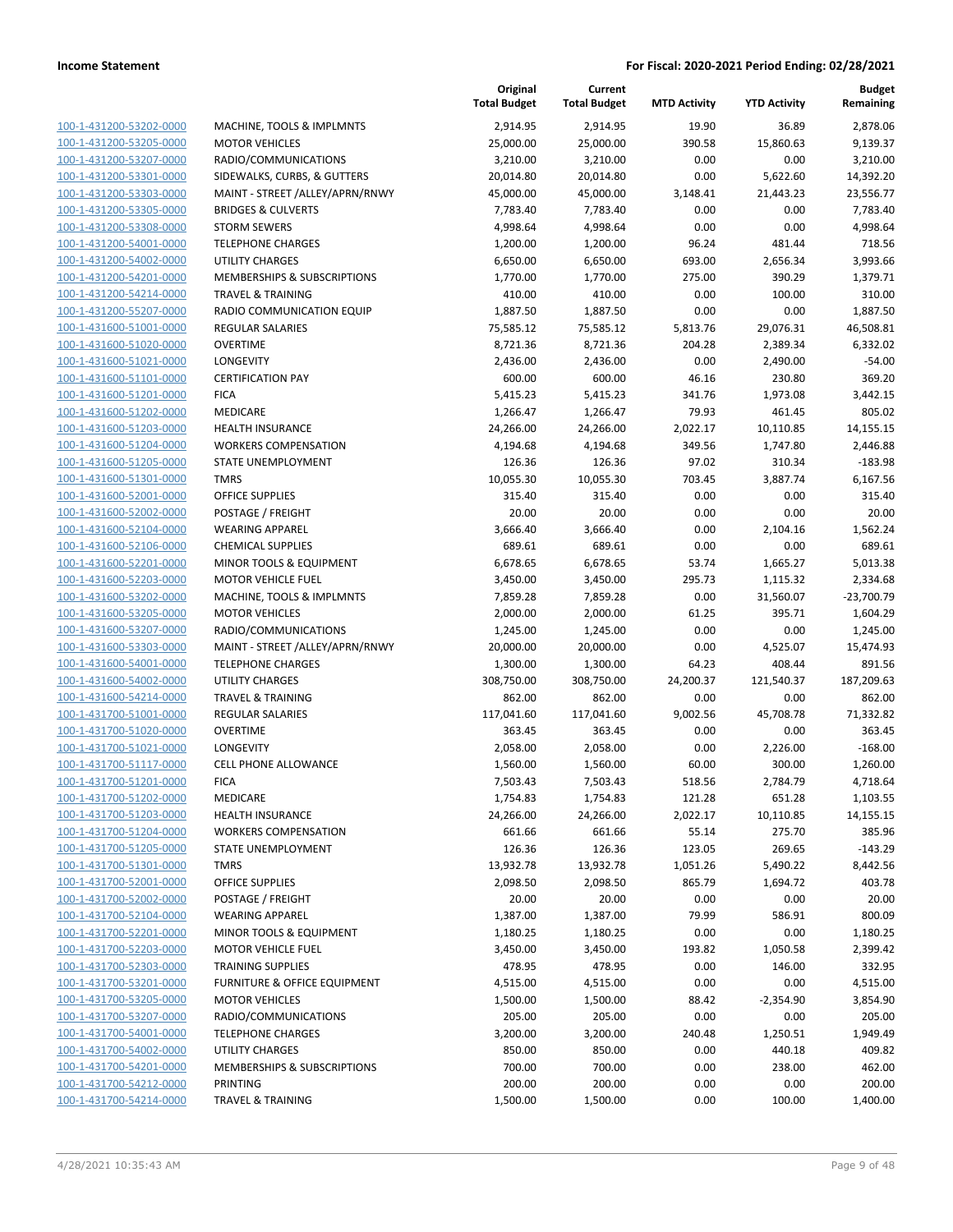| <u>100-1-431200-53202-0000</u> |
|--------------------------------|
| <u>100-1-431200-53205-0000</u> |
| 100-1-431200-53207-0000        |
| <u>100-1-431200-53301-0000</u> |
| 100-1-431200-53303-0000        |
| 100-1-431200-53305-0000        |
| <u>100-1-431200-53308-0000</u> |
| 100-1-431200-54001-0000        |
| 100-1-431200-54002-0000        |
| 100-1-431200-54201-0000        |
| 100-1-431200-54214-0000        |
| 100-1-431200-55207-0000        |
| 100-1-431600-51001-0000        |
| <u>100-1-431600-51020-0000</u> |
| 100-1-431600-51021-0000        |
| 100-1-431600-51101-0000        |
| 100-1-431600-51201-0000        |
| 100-1-431600-51202-0000        |
| 100-1-431600-51203-0000        |
|                                |
| 100-1-431600-51204-0000        |
| 100-1-431600-51205-0000        |
| 100-1-431600-51301-0000        |
| 100-1-431600-52001-0000        |
| 100-1-431600-52002-0000        |
| 100-1-431600-52104-0000        |
| 100-1-431600-52106-0000        |
| 100-1-431600-52201-0000        |
| 100-1-431600-52203-0000        |
| <u>100-1-431600-53202-0000</u> |
| 100-1-431600-53205-0000        |
| 100-1-431600-53207-0000        |
| 100-1-431600-53303-0000        |
| <u>100-1-431600-54001-0000</u> |
| 100-1-431600-54002-0000        |
| 100-1-431600-54214-0000        |
| 100-1-431700-51001-0000        |
| 100-1-431700-51020-0000        |
| 100-1-431700-51021-0000        |
| 100-1-431700-51117-0000        |
| 100-1-431700-51201-0000        |
| 100-1-431700-51202-0000        |
| <u>100-1-431700-51203-0000</u> |
| 100-1-431700-51204-0000        |
| 100-1-431700-51205-0000        |
| 100-1-431700-51301-0000        |
| 100-1-431700-52001-0000        |
| 100-1-431700-52002-0000        |
| <u>100-1-431700-52104-0000</u> |
| 100-1-431700-52201-0000        |
| 100-1-431700-52203-0000        |
| 100-1-431700-52303-0000        |
| 100-1-431700-53201-0000        |
| 100-1-431700-53205-0000        |
| 100-1-431700-53207-0000        |
| 100-1-431700-54001-0000        |
| 100-1-431700-54002-0000        |
| 100-1-431700-54201-0000        |
| 100-1-431700-54212-0000        |
| 100-1-431700-54214-0000        |
|                                |

|                         |                                 | Original<br><b>Total Budget</b> | Current<br><b>Total Budget</b> | <b>MTD Activity</b> | <b>YTD Activity</b> | <b>Budget</b><br>Remaining |
|-------------------------|---------------------------------|---------------------------------|--------------------------------|---------------------|---------------------|----------------------------|
| 100-1-431200-53202-0000 | MACHINE, TOOLS & IMPLMNTS       | 2,914.95                        | 2,914.95                       | 19.90               | 36.89               | 2,878.06                   |
| 100-1-431200-53205-0000 | <b>MOTOR VEHICLES</b>           | 25,000.00                       | 25,000.00                      | 390.58              | 15,860.63           | 9,139.37                   |
| 100-1-431200-53207-0000 | RADIO/COMMUNICATIONS            | 3,210.00                        | 3,210.00                       | 0.00                | 0.00                | 3,210.00                   |
| 100-1-431200-53301-0000 | SIDEWALKS, CURBS, & GUTTERS     | 20,014.80                       | 20,014.80                      | 0.00                | 5,622.60            | 14,392.20                  |
| 100-1-431200-53303-0000 | MAINT - STREET /ALLEY/APRN/RNWY | 45,000.00                       | 45,000.00                      | 3,148.41            | 21,443.23           | 23,556.77                  |
| 100-1-431200-53305-0000 | <b>BRIDGES &amp; CULVERTS</b>   | 7,783.40                        | 7,783.40                       | 0.00                | 0.00                | 7,783.40                   |
| 100-1-431200-53308-0000 | <b>STORM SEWERS</b>             | 4,998.64                        | 4,998.64                       | 0.00                | 0.00                | 4,998.64                   |
| 100-1-431200-54001-0000 | <b>TELEPHONE CHARGES</b>        | 1,200.00                        | 1,200.00                       | 96.24               | 481.44              | 718.56                     |
| 100-1-431200-54002-0000 | UTILITY CHARGES                 | 6,650.00                        | 6,650.00                       | 693.00              | 2,656.34            | 3,993.66                   |
| 100-1-431200-54201-0000 | MEMBERSHIPS & SUBSCRIPTIONS     | 1,770.00                        | 1,770.00                       | 275.00              | 390.29              | 1,379.71                   |
| 100-1-431200-54214-0000 | <b>TRAVEL &amp; TRAINING</b>    | 410.00                          | 410.00                         | 0.00                | 100.00              | 310.00                     |
| 100-1-431200-55207-0000 | RADIO COMMUNICATION EQUIP       | 1,887.50                        | 1,887.50                       | 0.00                | 0.00                | 1,887.50                   |
| 100-1-431600-51001-0000 | <b>REGULAR SALARIES</b>         | 75,585.12                       | 75,585.12                      | 5,813.76            | 29,076.31           | 46,508.81                  |
| 100-1-431600-51020-0000 | <b>OVERTIME</b>                 | 8,721.36                        | 8,721.36                       | 204.28              | 2,389.34            | 6,332.02                   |
| 100-1-431600-51021-0000 | LONGEVITY                       | 2,436.00                        | 2,436.00                       | 0.00                | 2,490.00            | $-54.00$                   |
| 100-1-431600-51101-0000 | <b>CERTIFICATION PAY</b>        | 600.00                          | 600.00                         | 46.16               | 230.80              | 369.20                     |
| 100-1-431600-51201-0000 | <b>FICA</b>                     | 5,415.23                        | 5,415.23                       | 341.76              | 1,973.08            | 3,442.15                   |
| 100-1-431600-51202-0000 | MEDICARE                        | 1,266.47                        | 1,266.47                       | 79.93               | 461.45              | 805.02                     |
| 100-1-431600-51203-0000 | <b>HEALTH INSURANCE</b>         | 24,266.00                       | 24,266.00                      | 2,022.17            | 10,110.85           | 14,155.15                  |
| 100-1-431600-51204-0000 | <b>WORKERS COMPENSATION</b>     | 4,194.68                        | 4,194.68                       | 349.56              | 1,747.80            | 2,446.88                   |
| 100-1-431600-51205-0000 | STATE UNEMPLOYMENT              | 126.36                          | 126.36                         | 97.02               | 310.34              | $-183.98$                  |
| 100-1-431600-51301-0000 | <b>TMRS</b>                     | 10,055.30                       | 10,055.30                      | 703.45              | 3,887.74            | 6,167.56                   |
| 100-1-431600-52001-0000 | <b>OFFICE SUPPLIES</b>          | 315.40                          | 315.40                         | 0.00                | 0.00                | 315.40                     |
| 100-1-431600-52002-0000 | POSTAGE / FREIGHT               | 20.00                           | 20.00                          | 0.00                | 0.00                | 20.00                      |
| 100-1-431600-52104-0000 | <b>WEARING APPAREL</b>          | 3,666.40                        | 3,666.40                       | 0.00                | 2,104.16            | 1,562.24                   |
| 100-1-431600-52106-0000 | <b>CHEMICAL SUPPLIES</b>        | 689.61                          | 689.61                         | 0.00                | 0.00                | 689.61                     |
| 100-1-431600-52201-0000 | MINOR TOOLS & EQUIPMENT         | 6,678.65                        | 6,678.65                       | 53.74               | 1,665.27            | 5,013.38                   |
| 100-1-431600-52203-0000 | <b>MOTOR VEHICLE FUEL</b>       | 3,450.00                        | 3,450.00                       | 295.73              | 1,115.32            | 2,334.68                   |
| 100-1-431600-53202-0000 | MACHINE, TOOLS & IMPLMNTS       | 7,859.28                        | 7,859.28                       | 0.00                | 31,560.07           | $-23,700.79$               |
| 100-1-431600-53205-0000 | <b>MOTOR VEHICLES</b>           | 2,000.00                        | 2,000.00                       | 61.25               | 395.71              | 1,604.29                   |
| 100-1-431600-53207-0000 | RADIO/COMMUNICATIONS            | 1,245.00                        | 1,245.00                       | 0.00                | 0.00                | 1,245.00                   |
| 100-1-431600-53303-0000 | MAINT - STREET /ALLEY/APRN/RNWY | 20,000.00                       | 20,000.00                      | 0.00                | 4,525.07            | 15,474.93                  |
| 100-1-431600-54001-0000 | <b>TELEPHONE CHARGES</b>        | 1,300.00                        | 1,300.00                       | 64.23               | 408.44              | 891.56                     |
| 100-1-431600-54002-0000 | UTILITY CHARGES                 | 308,750.00                      | 308,750.00                     | 24,200.37           | 121,540.37          | 187,209.63                 |
| 100-1-431600-54214-0000 | <b>TRAVEL &amp; TRAINING</b>    | 862.00                          | 862.00                         | 0.00                | 0.00                | 862.00                     |
| 100-1-431700-51001-0000 | <b>REGULAR SALARIES</b>         | 117,041.60                      | 117,041.60                     | 9,002.56            | 45,708.78           | 71,332.82                  |
| 100-1-431700-51020-0000 | <b>OVERTIME</b>                 | 363.45                          | 363.45                         | 0.00                | 0.00                | 363.45                     |
| 100-1-431700-51021-0000 | <b>LONGEVITY</b>                | 2,058.00                        | 2,058.00                       | 0.00                | 2,226.00            | $-168.00$                  |
| 100-1-431700-51117-0000 | CELL PHONE ALLOWANCE            | 1,560.00                        | 1,560.00                       | 60.00               | 300.00              | 1,260.00                   |
| 100-1-431700-51201-0000 | <b>FICA</b>                     | 7,503.43                        | 7,503.43                       | 518.56              | 2,784.79            | 4,718.64                   |
| 100-1-431700-51202-0000 | MEDICARE                        | 1,754.83                        | 1,754.83                       | 121.28              | 651.28              | 1,103.55                   |
| 100-1-431700-51203-0000 | <b>HEALTH INSURANCE</b>         | 24,266.00                       | 24,266.00                      | 2,022.17            | 10,110.85           | 14,155.15                  |
| 100-1-431700-51204-0000 | <b>WORKERS COMPENSATION</b>     | 661.66                          | 661.66                         | 55.14               | 275.70              | 385.96                     |
| 100-1-431700-51205-0000 | STATE UNEMPLOYMENT              | 126.36                          | 126.36                         | 123.05              | 269.65              | $-143.29$                  |
| 100-1-431700-51301-0000 | <b>TMRS</b>                     | 13,932.78                       | 13,932.78                      | 1,051.26            | 5,490.22            | 8,442.56                   |
| 100-1-431700-52001-0000 | <b>OFFICE SUPPLIES</b>          | 2,098.50                        | 2,098.50                       | 865.79              | 1,694.72            | 403.78                     |
| 100-1-431700-52002-0000 | POSTAGE / FREIGHT               | 20.00                           | 20.00                          | 0.00                | 0.00                | 20.00                      |
| 100-1-431700-52104-0000 | <b>WEARING APPAREL</b>          | 1,387.00                        | 1,387.00                       | 79.99               | 586.91              | 800.09                     |
| 100-1-431700-52201-0000 | MINOR TOOLS & EQUIPMENT         | 1,180.25                        | 1,180.25                       | 0.00                | 0.00                | 1,180.25                   |
| 100-1-431700-52203-0000 | <b>MOTOR VEHICLE FUEL</b>       | 3,450.00                        | 3,450.00                       | 193.82              | 1,050.58            | 2,399.42                   |
| 100-1-431700-52303-0000 | <b>TRAINING SUPPLIES</b>        | 478.95                          | 478.95                         | 0.00                | 146.00              | 332.95                     |
| 100-1-431700-53201-0000 | FURNITURE & OFFICE EQUIPMENT    | 4,515.00                        | 4,515.00                       | 0.00                | 0.00                | 4,515.00                   |
| 100-1-431700-53205-0000 | <b>MOTOR VEHICLES</b>           | 1,500.00                        | 1,500.00                       | 88.42               | $-2,354.90$         | 3,854.90                   |
| 100-1-431700-53207-0000 | RADIO/COMMUNICATIONS            | 205.00                          | 205.00                         | 0.00                | 0.00                | 205.00                     |
| 100-1-431700-54001-0000 | <b>TELEPHONE CHARGES</b>        | 3,200.00                        | 3,200.00                       | 240.48              | 1,250.51            | 1,949.49                   |
| 100-1-431700-54002-0000 | UTILITY CHARGES                 | 850.00                          | 850.00                         | 0.00                | 440.18              | 409.82                     |
| 100-1-431700-54201-0000 | MEMBERSHIPS & SUBSCRIPTIONS     | 700.00                          | 700.00                         | 0.00                | 238.00              | 462.00                     |
| 100-1-431700-54212-0000 | PRINTING                        | 200.00                          | 200.00                         | 0.00                | 0.00                | 200.00                     |
| 100-1-431700-54214-0000 | <b>TRAVEL &amp; TRAINING</b>    | 1,500.00                        | 1,500.00                       | 0.00                | 100.00              | 1,400.00                   |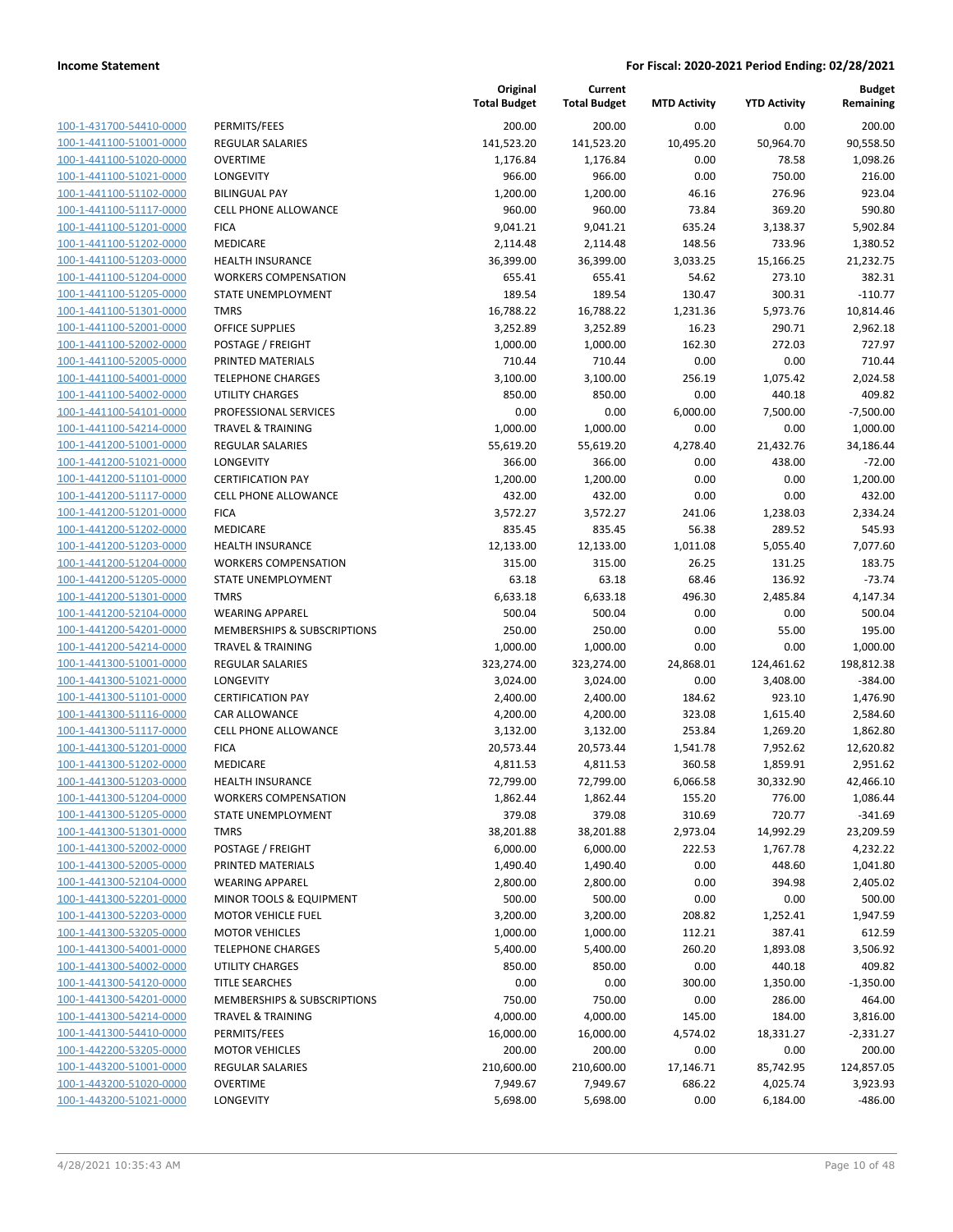| 100-1-431700-54410-0000         |
|---------------------------------|
| 100-1-441100-51001-0000         |
| 100-1-441100-51020-0000         |
| 100-1-441100-51021-0000         |
| <u>100-1-441100-51102-0000</u>  |
| 100-1-441100-51117-0000         |
| -441100-51201-0000<br>$100 - 1$ |
| 100-1-441100-51202-0000         |
| 100-1-441100-51203-0000         |
| 100-1-441100-51204-0000         |
| 100-1-441100-51205-0000         |
| -441100-51301-0000<br>$100 - 1$ |
| 100-1-441100-52001-0000         |
|                                 |
| 100-1-441100-52002-0000         |
| <u>100-1-441100-52005-0000</u>  |
| 100-1-441100-54001-0000         |
| -441100-54002-0000<br>$100 - 1$ |
| 100-1-441100-54101-0000         |
| 100-1-441100-54214-0000         |
| 100-1-441200-51001-0000         |
| 100-1-441200-51021-0000         |
| -441200-51101-0000<br>$100 - 1$ |
| 100-1-441200-51117-0000         |
| 100-1-441200-51201-0000         |
| 100-1-441200-51202-0000         |
| 100-1-441200-51203-0000         |
| -441200-51204-0000<br>$100 - 1$ |
| 100-1-441200-51205-0000         |
|                                 |
| 100-1-441200-51301-0000         |
| 100-1-441200-52104-0000         |
| 100-1-441200-54201-0000         |
| -441200-54214-0000<br>$100 - 1$ |
| 100-1-441300-51001-0000         |
| 100-1-441300-51021-0000         |
| <u>100-1-441300-51101-0000</u>  |
| 100-1-441300-51116-0000         |
| -441300-51117-0000<br>$100 - 1$ |
| 100-1-441300-51201-0000         |
| 100-1-441300-51202-0000         |
| 100-1-441300-51203-0000         |
| 100-1-441300-51204-0000         |
| 100-1-441300-51205-0000         |
| 100-1-441300-51301-0000         |
|                                 |
| <u>100-1-441300-52002-0000</u>  |
| 100-1-441300-52005-0000         |
| <u>100-1-441300-52104-0000</u>  |
| 100-1-441300-52201-0000         |
| 100-1-441300-52203-0000         |
| 100-1-441300-53205-0000         |
| <u>100-1-441300-54001-0000</u>  |
| 100-1-441300-54002-0000         |
| 100-1-441300-54120-0000         |
| 100-1-441300-54201-0000         |
| <u>100-1-441300-54214-0000</u>  |
| <u>100-1-441300-54410-0000</u>  |
| <u>100-1-442200-53205-0000</u>  |
| 100-1-443200-51001-0000         |
| 100-1-443200-51020-0000         |
|                                 |
| 100-1-443200-51021-0000         |

|                         |                              | Original<br><b>Total Budget</b> | Current<br><b>Total Budget</b> | <b>MTD Activity</b> | <b>YTD Activity</b> | <b>Budget</b><br>Remaining |
|-------------------------|------------------------------|---------------------------------|--------------------------------|---------------------|---------------------|----------------------------|
| 100-1-431700-54410-0000 | PERMITS/FEES                 | 200.00                          | 200.00                         | 0.00                | 0.00                | 200.00                     |
| 100-1-441100-51001-0000 | <b>REGULAR SALARIES</b>      | 141,523.20                      | 141,523.20                     | 10,495.20           | 50,964.70           | 90,558.50                  |
| 100-1-441100-51020-0000 | <b>OVERTIME</b>              | 1,176.84                        | 1,176.84                       | 0.00                | 78.58               | 1,098.26                   |
| 100-1-441100-51021-0000 | LONGEVITY                    | 966.00                          | 966.00                         | 0.00                | 750.00              | 216.00                     |
| 100-1-441100-51102-0000 | <b>BILINGUAL PAY</b>         | 1,200.00                        | 1,200.00                       | 46.16               | 276.96              | 923.04                     |
| 100-1-441100-51117-0000 | <b>CELL PHONE ALLOWANCE</b>  | 960.00                          | 960.00                         | 73.84               | 369.20              | 590.80                     |
| 100-1-441100-51201-0000 | <b>FICA</b>                  | 9,041.21                        | 9,041.21                       | 635.24              | 3,138.37            | 5,902.84                   |
| 100-1-441100-51202-0000 | MEDICARE                     | 2,114.48                        | 2,114.48                       | 148.56              | 733.96              | 1,380.52                   |
| 100-1-441100-51203-0000 | <b>HEALTH INSURANCE</b>      | 36,399.00                       | 36,399.00                      | 3,033.25            | 15,166.25           | 21,232.75                  |
| 100-1-441100-51204-0000 | <b>WORKERS COMPENSATION</b>  | 655.41                          | 655.41                         | 54.62               | 273.10              | 382.31                     |
| 100-1-441100-51205-0000 | STATE UNEMPLOYMENT           | 189.54                          | 189.54                         | 130.47              | 300.31              | $-110.77$                  |
| 100-1-441100-51301-0000 | <b>TMRS</b>                  | 16,788.22                       | 16,788.22                      | 1,231.36            | 5,973.76            | 10,814.46                  |
| 100-1-441100-52001-0000 | <b>OFFICE SUPPLIES</b>       | 3,252.89                        | 3,252.89                       | 16.23               | 290.71              | 2,962.18                   |
| 100-1-441100-52002-0000 | POSTAGE / FREIGHT            | 1,000.00                        | 1,000.00                       | 162.30              | 272.03              | 727.97                     |
| 100-1-441100-52005-0000 | PRINTED MATERIALS            | 710.44                          | 710.44                         | 0.00                | 0.00                | 710.44                     |
| 100-1-441100-54001-0000 | <b>TELEPHONE CHARGES</b>     | 3,100.00                        | 3,100.00                       | 256.19              | 1,075.42            | 2,024.58                   |
| 100-1-441100-54002-0000 | <b>UTILITY CHARGES</b>       | 850.00                          | 850.00                         | 0.00                | 440.18              | 409.82                     |
| 100-1-441100-54101-0000 | PROFESSIONAL SERVICES        | 0.00                            | 0.00                           | 6,000.00            | 7,500.00            | $-7,500.00$                |
| 100-1-441100-54214-0000 | <b>TRAVEL &amp; TRAINING</b> | 1,000.00                        | 1,000.00                       | 0.00                | 0.00                | 1,000.00                   |
| 100-1-441200-51001-0000 | <b>REGULAR SALARIES</b>      | 55,619.20                       | 55,619.20                      | 4,278.40            | 21,432.76           | 34,186.44                  |
| 100-1-441200-51021-0000 | LONGEVITY                    | 366.00                          | 366.00                         | 0.00                | 438.00              | $-72.00$                   |
| 100-1-441200-51101-0000 | <b>CERTIFICATION PAY</b>     | 1,200.00                        | 1,200.00                       | 0.00                | 0.00                | 1,200.00                   |
| 100-1-441200-51117-0000 | <b>CELL PHONE ALLOWANCE</b>  | 432.00                          | 432.00                         | 0.00                | 0.00                | 432.00                     |
| 100-1-441200-51201-0000 | <b>FICA</b>                  | 3,572.27                        | 3,572.27                       | 241.06              | 1,238.03            | 2,334.24                   |
| 100-1-441200-51202-0000 | MEDICARE                     | 835.45                          | 835.45                         | 56.38               | 289.52              | 545.93                     |
| 100-1-441200-51203-0000 | <b>HEALTH INSURANCE</b>      | 12,133.00                       | 12,133.00                      | 1,011.08            | 5,055.40            | 7,077.60                   |
| 100-1-441200-51204-0000 | <b>WORKERS COMPENSATION</b>  | 315.00                          | 315.00                         | 26.25               | 131.25              | 183.75                     |
| 100-1-441200-51205-0000 | STATE UNEMPLOYMENT           | 63.18                           | 63.18                          | 68.46               | 136.92              | $-73.74$                   |
| 100-1-441200-51301-0000 | <b>TMRS</b>                  | 6,633.18                        | 6,633.18                       | 496.30              | 2,485.84            | 4,147.34                   |
| 100-1-441200-52104-0000 | <b>WEARING APPAREL</b>       | 500.04                          | 500.04                         | 0.00                | 0.00                | 500.04                     |
| 100-1-441200-54201-0000 | MEMBERSHIPS & SUBSCRIPTIONS  | 250.00                          | 250.00                         | 0.00                | 55.00               | 195.00                     |
| 100-1-441200-54214-0000 | <b>TRAVEL &amp; TRAINING</b> | 1,000.00                        | 1,000.00                       | 0.00                | 0.00                | 1,000.00                   |
| 100-1-441300-51001-0000 | <b>REGULAR SALARIES</b>      | 323,274.00                      | 323,274.00                     | 24,868.01           | 124,461.62          | 198,812.38                 |
| 100-1-441300-51021-0000 | LONGEVITY                    | 3,024.00                        | 3,024.00                       | 0.00                | 3,408.00            | $-384.00$                  |
| 100-1-441300-51101-0000 | <b>CERTIFICATION PAY</b>     | 2,400.00                        | 2,400.00                       | 184.62              | 923.10              | 1,476.90                   |
| 100-1-441300-51116-0000 | <b>CAR ALLOWANCE</b>         | 4,200.00                        | 4,200.00                       | 323.08              | 1,615.40            | 2,584.60                   |
| 100-1-441300-51117-0000 | <b>CELL PHONE ALLOWANCE</b>  | 3,132.00                        | 3,132.00                       | 253.84              | 1,269.20            | 1,862.80                   |
| 100-1-441300-51201-0000 | <b>FICA</b>                  | 20,573.44                       | 20,573.44                      | 1,541.78            | 7,952.62            | 12,620.82                  |
| 100-1-441300-51202-0000 | MEDICARE                     | 4,811.53                        | 4,811.53                       | 360.58              | 1,859.91            | 2,951.62                   |
| 100-1-441300-51203-0000 | <b>HEALTH INSURANCE</b>      | 72,799.00                       | 72,799.00                      | 6,066.58            | 30,332.90           | 42,466.10                  |
| 100-1-441300-51204-0000 | <b>WORKERS COMPENSATION</b>  | 1,862.44                        | 1,862.44                       | 155.20              | 776.00              | 1,086.44                   |
| 100-1-441300-51205-0000 | STATE UNEMPLOYMENT           | 379.08                          | 379.08                         | 310.69              | 720.77              | $-341.69$                  |
| 100-1-441300-51301-0000 | <b>TMRS</b>                  | 38,201.88                       | 38,201.88                      | 2,973.04            | 14,992.29           | 23,209.59                  |
| 100-1-441300-52002-0000 | POSTAGE / FREIGHT            | 6,000.00                        | 6,000.00                       | 222.53              | 1,767.78            | 4,232.22                   |
| 100-1-441300-52005-0000 | PRINTED MATERIALS            | 1,490.40                        | 1,490.40                       | 0.00                | 448.60              | 1,041.80                   |
| 100-1-441300-52104-0000 | <b>WEARING APPAREL</b>       | 2,800.00                        | 2,800.00                       | 0.00                | 394.98              | 2,405.02                   |
| 100-1-441300-52201-0000 | MINOR TOOLS & EQUIPMENT      | 500.00                          | 500.00                         | 0.00                | 0.00                | 500.00                     |
| 100-1-441300-52203-0000 | <b>MOTOR VEHICLE FUEL</b>    | 3,200.00                        | 3,200.00                       | 208.82              | 1,252.41            | 1,947.59                   |
| 100-1-441300-53205-0000 | <b>MOTOR VEHICLES</b>        | 1,000.00                        | 1,000.00                       | 112.21              | 387.41              | 612.59                     |
| 100-1-441300-54001-0000 | <b>TELEPHONE CHARGES</b>     | 5,400.00                        | 5,400.00                       | 260.20              | 1,893.08            | 3,506.92                   |
| 100-1-441300-54002-0000 | UTILITY CHARGES              | 850.00                          | 850.00                         | 0.00                | 440.18              | 409.82                     |
| 100-1-441300-54120-0000 | <b>TITLE SEARCHES</b>        | 0.00                            | 0.00                           | 300.00              | 1,350.00            | $-1,350.00$                |
| 100-1-441300-54201-0000 | MEMBERSHIPS & SUBSCRIPTIONS  | 750.00                          | 750.00                         | 0.00                | 286.00              | 464.00                     |
| 100-1-441300-54214-0000 | <b>TRAVEL &amp; TRAINING</b> | 4,000.00                        | 4,000.00                       | 145.00              | 184.00              | 3,816.00                   |
| 100-1-441300-54410-0000 | PERMITS/FEES                 | 16,000.00                       | 16,000.00                      | 4,574.02            | 18,331.27           | $-2,331.27$                |
| 100-1-442200-53205-0000 | <b>MOTOR VEHICLES</b>        | 200.00                          | 200.00                         | 0.00                | 0.00                | 200.00                     |
| 100-1-443200-51001-0000 | REGULAR SALARIES             | 210,600.00                      | 210,600.00                     | 17,146.71           | 85,742.95           | 124,857.05                 |
| 100-1-443200-51020-0000 | <b>OVERTIME</b>              | 7,949.67                        | 7,949.67                       | 686.22              | 4,025.74            | 3,923.93                   |
| 100-1-443200-51021-0000 | <b>LONGEVITY</b>             | 5,698.00                        | 5,698.00                       | 0.00                | 6,184.00            | $-486.00$                  |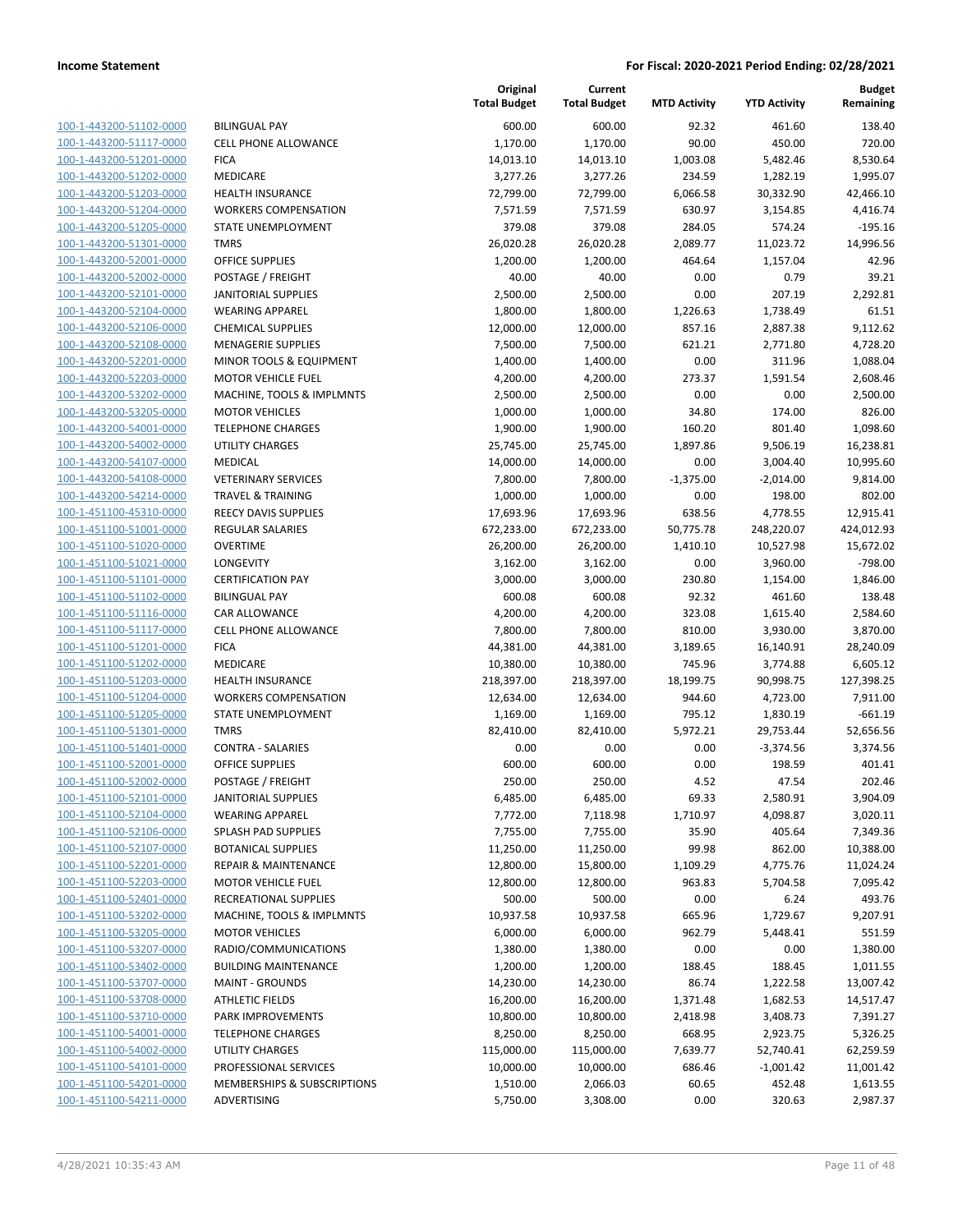| 100-1-443200-51102-0000        |
|--------------------------------|
| 100-1-443200-51117-0000        |
| 100-1-443200-51201-0000        |
| 100-1-443200-51202-0000        |
| <u>100-1-443200-51203-0000</u> |
| 100-1-443200-51204-0000        |
| 100-1-443200-51205-0000        |
| 100-1-443200-51301-0000        |
| 100-1-443200-52001-0000        |
| 100-1-443200-52002-0000        |
| 100-1-443200-52101-0000        |
| 100-1-443200-52104-0000        |
| 100-1-443200-52106-0000        |
| 100-1-443200-52108-0000        |
| <u>100-1-443200-52201-0000</u> |
| 100-1-443200-52203-0000        |
| 100-1-443200-53202-0000        |
| 100-1-443200-53205-0000        |
| 100-1-443200-54001-0000        |
| <u>100-1-443200-54002-0000</u> |
| 100-1-443200-54107-0000        |
| 100-1-443200-54108-0000        |
| 100-1-443200-54214-0000        |
| 100-1-451100-45310-0000        |
| <u>100-1-451100-51001-0000</u> |
| 100-1-451100-51020-0000        |
| 100-1-451100-51021-0000        |
| 100-1-451100-51101-0000        |
|                                |
| 100-1-451100-51102-0000        |
| 100-1-451100-51116-0000        |
| 100-1-451100-51117-0000        |
| 100-1-451100-51201-0000        |
| 100-1-451100-51202-0000        |
| 100-1-451100-51203-0000        |
| <u>100-1-451100-51204-0000</u> |
| 100-1-451100-51205-0000        |
| 100-1-451100-51301-0000        |
| 100-1-451100-51401-0000        |
| 100-1-451100-52001-0000        |
| 100-1-451100-52002-0000        |
| 100-1-451100-52101-0000        |
| 100-1-451100-52104-0000        |
| 100-1-451100-52106-0000        |
| 100-1-451100-52107-0000        |
| 100-1-451100-52201-0000        |
| <u>100-1-451100-52203-0000</u> |
| 100-1-451100-52401-0000        |
| 100-1-451100-53202-0000        |
| 100-1-451100-53205-0000        |
| 100-1-451100-53207-0000        |
| <u>100-1-451100-53402-0000</u> |
| 100-1-451100-53707-0000        |
| 100-1-451100-53708-0000        |
| <u>100-1-451100-53710-0000</u> |
| 100-1-451100-54001-0000        |
| <u>100-1-451100-54002-0000</u> |
| 100-1-451100-54101-0000        |
| <u>100-1-451100-54201-0000</u> |
| <u>100-1-451100-54211-0000</u> |
|                                |

|                                                    |                                                    | Original<br><b>Total Budget</b> | Current<br><b>Total Budget</b> | <b>MTD Activity</b> | <b>YTD Activity</b> | <b>Budget</b><br>Remaining |
|----------------------------------------------------|----------------------------------------------------|---------------------------------|--------------------------------|---------------------|---------------------|----------------------------|
| 100-1-443200-51102-0000                            | <b>BILINGUAL PAY</b>                               | 600.00                          | 600.00                         | 92.32               | 461.60              | 138.40                     |
| 100-1-443200-51117-0000                            | CELL PHONE ALLOWANCE                               | 1,170.00                        | 1,170.00                       | 90.00               | 450.00              | 720.00                     |
| 100-1-443200-51201-0000                            | <b>FICA</b>                                        | 14,013.10                       | 14,013.10                      | 1,003.08            | 5,482.46            | 8,530.64                   |
| 100-1-443200-51202-0000                            | MEDICARE                                           | 3,277.26                        | 3,277.26                       | 234.59              | 1,282.19            | 1,995.07                   |
| 100-1-443200-51203-0000                            | HEALTH INSURANCE                                   | 72,799.00                       | 72,799.00                      | 6,066.58            | 30,332.90           | 42,466.10                  |
| 100-1-443200-51204-0000                            | <b>WORKERS COMPENSATION</b>                        | 7,571.59                        | 7,571.59                       | 630.97              | 3,154.85            | 4,416.74                   |
| 100-1-443200-51205-0000                            | STATE UNEMPLOYMENT                                 | 379.08                          | 379.08                         | 284.05              | 574.24              | $-195.16$                  |
| 100-1-443200-51301-0000                            | <b>TMRS</b>                                        | 26,020.28                       | 26,020.28                      | 2,089.77            | 11,023.72           | 14,996.56                  |
| 100-1-443200-52001-0000                            | <b>OFFICE SUPPLIES</b>                             | 1,200.00                        | 1,200.00                       | 464.64              | 1,157.04            | 42.96                      |
| 100-1-443200-52002-0000                            | POSTAGE / FREIGHT                                  | 40.00                           | 40.00                          | 0.00                | 0.79                | 39.21                      |
| 100-1-443200-52101-0000                            | <b>JANITORIAL SUPPLIES</b>                         | 2,500.00                        | 2,500.00                       | 0.00                | 207.19              | 2,292.81                   |
| 100-1-443200-52104-0000                            | <b>WEARING APPAREL</b>                             | 1,800.00                        | 1,800.00                       | 1,226.63            | 1,738.49            | 61.51                      |
| 100-1-443200-52106-0000                            | <b>CHEMICAL SUPPLIES</b>                           | 12,000.00                       | 12,000.00                      | 857.16              | 2,887.38            | 9,112.62                   |
| 100-1-443200-52108-0000                            | <b>MENAGERIE SUPPLIES</b>                          | 7,500.00                        | 7,500.00                       | 621.21              | 2,771.80            | 4,728.20                   |
| 100-1-443200-52201-0000                            | MINOR TOOLS & EQUIPMENT                            | 1,400.00                        | 1,400.00                       | 0.00                | 311.96              | 1,088.04                   |
| 100-1-443200-52203-0000                            | <b>MOTOR VEHICLE FUEL</b>                          | 4,200.00                        | 4,200.00                       | 273.37              | 1,591.54            | 2,608.46                   |
| 100-1-443200-53202-0000                            | MACHINE, TOOLS & IMPLMNTS                          | 2,500.00                        | 2,500.00                       | 0.00                | 0.00                | 2,500.00                   |
| 100-1-443200-53205-0000<br>100-1-443200-54001-0000 | <b>MOTOR VEHICLES</b>                              | 1,000.00                        | 1,000.00                       | 34.80               | 174.00              | 826.00                     |
| 100-1-443200-54002-0000                            | <b>TELEPHONE CHARGES</b><br><b>UTILITY CHARGES</b> | 1,900.00                        | 1,900.00                       | 160.20<br>1,897.86  | 801.40<br>9,506.19  | 1,098.60<br>16,238.81      |
| 100-1-443200-54107-0000                            | MEDICAL                                            | 25,745.00<br>14,000.00          | 25,745.00                      | 0.00                | 3,004.40            | 10,995.60                  |
| 100-1-443200-54108-0000                            | <b>VETERINARY SERVICES</b>                         | 7,800.00                        | 14,000.00<br>7,800.00          | $-1,375.00$         | $-2,014.00$         | 9,814.00                   |
| 100-1-443200-54214-0000                            | <b>TRAVEL &amp; TRAINING</b>                       | 1,000.00                        | 1,000.00                       | 0.00                | 198.00              | 802.00                     |
| 100-1-451100-45310-0000                            | REECY DAVIS SUPPLIES                               | 17,693.96                       | 17,693.96                      | 638.56              | 4,778.55            | 12,915.41                  |
| 100-1-451100-51001-0000                            | <b>REGULAR SALARIES</b>                            | 672,233.00                      | 672,233.00                     | 50,775.78           | 248,220.07          | 424,012.93                 |
| 100-1-451100-51020-0000                            | <b>OVERTIME</b>                                    | 26,200.00                       | 26,200.00                      | 1,410.10            | 10,527.98           | 15,672.02                  |
| 100-1-451100-51021-0000                            | <b>LONGEVITY</b>                                   | 3,162.00                        | 3,162.00                       | 0.00                | 3,960.00            | $-798.00$                  |
| 100-1-451100-51101-0000                            | <b>CERTIFICATION PAY</b>                           | 3,000.00                        | 3,000.00                       | 230.80              | 1,154.00            | 1,846.00                   |
| 100-1-451100-51102-0000                            | <b>BILINGUAL PAY</b>                               | 600.08                          | 600.08                         | 92.32               | 461.60              | 138.48                     |
| 100-1-451100-51116-0000                            | CAR ALLOWANCE                                      | 4,200.00                        | 4,200.00                       | 323.08              | 1,615.40            | 2,584.60                   |
| 100-1-451100-51117-0000                            | <b>CELL PHONE ALLOWANCE</b>                        | 7,800.00                        | 7,800.00                       | 810.00              | 3,930.00            | 3,870.00                   |
| 100-1-451100-51201-0000                            | <b>FICA</b>                                        | 44,381.00                       | 44,381.00                      | 3,189.65            | 16,140.91           | 28,240.09                  |
| 100-1-451100-51202-0000                            | MEDICARE                                           | 10,380.00                       | 10,380.00                      | 745.96              | 3,774.88            | 6,605.12                   |
| 100-1-451100-51203-0000                            | <b>HEALTH INSURANCE</b>                            | 218,397.00                      | 218,397.00                     | 18,199.75           | 90,998.75           | 127,398.25                 |
| 100-1-451100-51204-0000                            | <b>WORKERS COMPENSATION</b>                        | 12,634.00                       | 12,634.00                      | 944.60              | 4,723.00            | 7,911.00                   |
| 100-1-451100-51205-0000                            | STATE UNEMPLOYMENT                                 | 1,169.00                        | 1,169.00                       | 795.12              | 1,830.19            | $-661.19$                  |
| 100-1-451100-51301-0000                            | <b>TMRS</b>                                        | 82,410.00                       | 82,410.00                      | 5,972.21            | 29,753.44           | 52,656.56                  |
| 100-1-451100-51401-0000                            | <b>CONTRA - SALARIES</b>                           | 0.00                            | 0.00                           | 0.00                | $-3,374.56$         | 3,374.56                   |
| 100-1-451100-52001-0000                            | <b>OFFICE SUPPLIES</b>                             | 600.00                          | 600.00                         | 0.00                | 198.59              | 401.41                     |
| 100-1-451100-52002-0000                            | POSTAGE / FREIGHT                                  | 250.00                          | 250.00                         | 4.52                | 47.54               | 202.46                     |
| 100-1-451100-52101-0000                            | <b>JANITORIAL SUPPLIES</b>                         | 6,485.00                        | 6,485.00                       | 69.33               | 2,580.91            | 3,904.09                   |
| 100-1-451100-52104-0000                            | <b>WEARING APPAREL</b>                             | 7,772.00                        | 7,118.98                       | 1,710.97            | 4,098.87            | 3,020.11                   |
| 100-1-451100-52106-0000                            | SPLASH PAD SUPPLIES                                | 7,755.00                        | 7,755.00                       | 35.90               | 405.64              | 7,349.36                   |
| 100-1-451100-52107-0000                            | <b>BOTANICAL SUPPLIES</b>                          | 11,250.00                       | 11,250.00                      | 99.98               | 862.00              | 10,388.00                  |
| 100-1-451100-52201-0000                            | <b>REPAIR &amp; MAINTENANCE</b>                    | 12,800.00                       | 15,800.00                      | 1,109.29            | 4,775.76            | 11,024.24                  |
| 100-1-451100-52203-0000                            | <b>MOTOR VEHICLE FUEL</b>                          | 12,800.00                       | 12,800.00                      | 963.83              | 5,704.58            | 7,095.42                   |
| 100-1-451100-52401-0000                            | RECREATIONAL SUPPLIES                              | 500.00                          | 500.00                         | 0.00                | 6.24                | 493.76                     |
| 100-1-451100-53202-0000                            | MACHINE, TOOLS & IMPLMNTS                          | 10,937.58                       | 10,937.58                      | 665.96              | 1,729.67            | 9,207.91                   |
| 100-1-451100-53205-0000                            | <b>MOTOR VEHICLES</b>                              | 6,000.00                        | 6,000.00                       | 962.79              | 5,448.41            | 551.59                     |
| 100-1-451100-53207-0000                            | RADIO/COMMUNICATIONS                               | 1,380.00                        | 1,380.00                       | 0.00                | 0.00                | 1,380.00                   |
| 100-1-451100-53402-0000                            | <b>BUILDING MAINTENANCE</b>                        | 1,200.00                        | 1,200.00                       | 188.45              | 188.45              | 1,011.55                   |
| 100-1-451100-53707-0000                            | <b>MAINT - GROUNDS</b>                             | 14,230.00                       | 14,230.00                      | 86.74               | 1,222.58            | 13,007.42                  |
| 100-1-451100-53708-0000                            | <b>ATHLETIC FIELDS</b>                             | 16,200.00                       | 16,200.00                      | 1,371.48            | 1,682.53            | 14,517.47                  |
| 100-1-451100-53710-0000                            | PARK IMPROVEMENTS                                  | 10,800.00                       | 10,800.00                      | 2,418.98            | 3,408.73            | 7,391.27                   |
| 100-1-451100-54001-0000                            | <b>TELEPHONE CHARGES</b>                           | 8,250.00                        | 8,250.00                       | 668.95              | 2,923.75            | 5,326.25                   |
| 100-1-451100-54002-0000                            | UTILITY CHARGES                                    | 115,000.00                      | 115,000.00                     | 7,639.77            | 52,740.41           | 62,259.59                  |
| 100-1-451100-54101-0000                            | PROFESSIONAL SERVICES                              | 10,000.00                       | 10,000.00                      | 686.46              | $-1,001.42$         | 11,001.42                  |
| 100-1-451100-54201-0000                            | MEMBERSHIPS & SUBSCRIPTIONS                        | 1,510.00                        | 2,066.03                       | 60.65               | 452.48              | 1,613.55                   |
| 100-1-451100-54211-0000                            | ADVERTISING                                        | 5,750.00                        | 3,308.00                       | 0.00                | 320.63              | 2,987.37                   |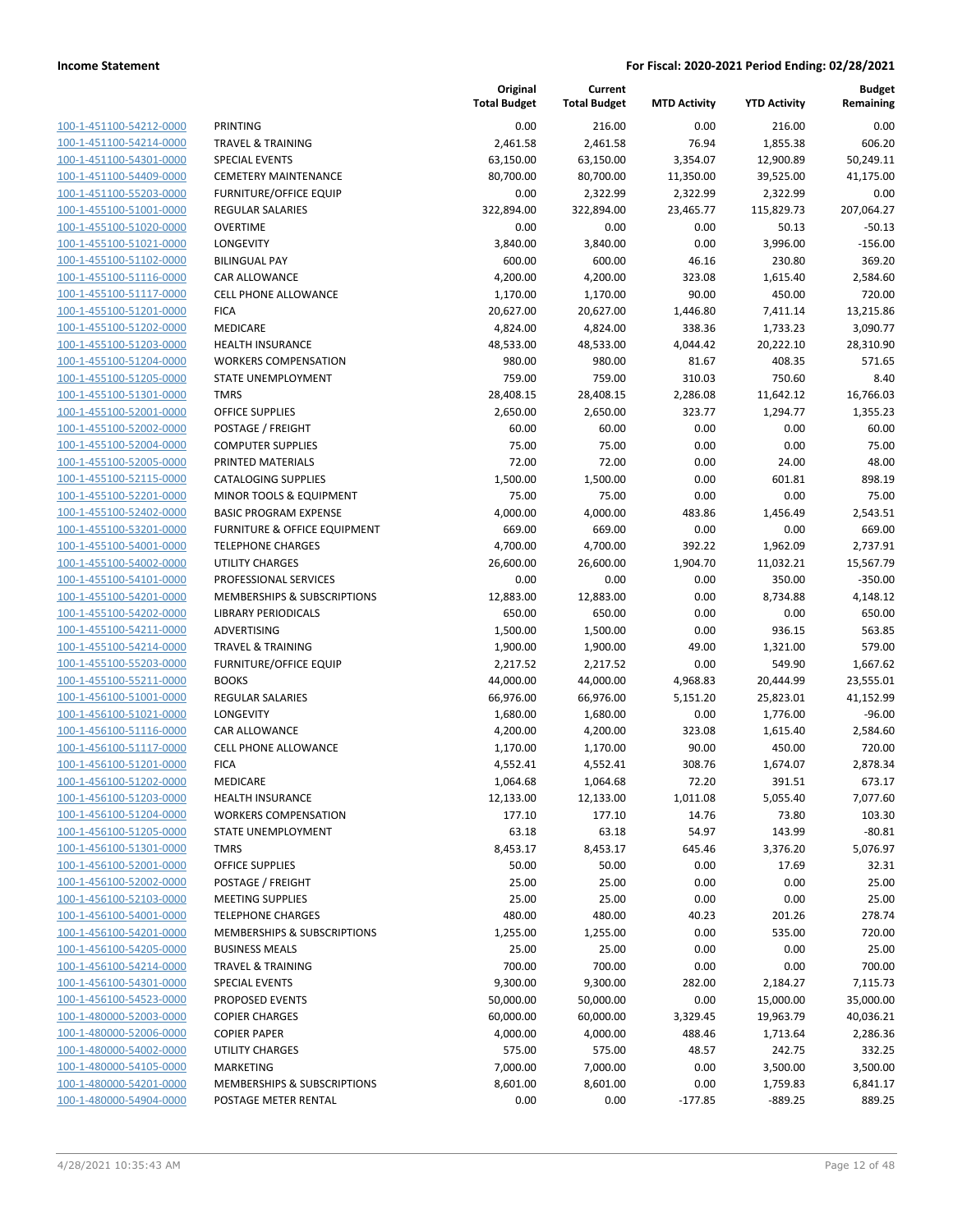100-1-451100-54212-0000 100-1-451100-54214-0000 100-1-451100-54301-0000 100-1-451100-54409-0000 100-1-451100-55203-0000 100-1-455100-51001-0000 100-1-455100-51020-0000 100-1-455100-51021-0000 100-1-455100-51102-0000 100-1-455100-51116-0000 100-1-455100-51117-0000 100-1-455100-51201-0000 100-1-455100-51202-0000 100-1-455100-51203-0000 100-1-455100-51204-0000 100-1-455100-51205-0000 100-1-455100-51301-0000 100-1-455100-52001-0000 100-1-455100-52002-0000 100-1-455100-52004-0000 100-1-455100-52005-0000 100-1-455100-52115-0000 100-1-455100-52201-0000 100-1-455100-52402-0000 100-1-455100-53201-0000 100-1-455100-54001-0000 100-1-455100-54002-0000 100-1-455100-54101-0000 100-1-455100-54201-0000 100-1-455100-54202-0000 LIBRARY PERIODICALS 650.00 650.00 0.00 0.00 650.00 100-1-455100-54211-0000 100-1-455100-54214-0000 100-1-455100-55203-0000 100-1-455100-55211-0000 100-1-456100-51001-0000 100-1-456100-51021-0000 100-1-456100-51116-0000 100-1-456100-51117-0000 100-1-456100-51201-0000 100-1-456100-51202-0000 100-1-456100-51203-0000 100-1-456100-51204-0000 100-1-456100-51205-0000 100-1-456100-51301-0000 100-1-456100-52001-0000 100-1-456100-52002-0000 100-1-456100-52103-0000 100-1-456100-54001-0000 100-1-456100-54201-0000 100-1-456100-54205-0000 100-1-456100-54214-0000 100-1-456100-54301-0000 100-1-456100-54523-0000 100-1-480000-52003-0000 100-1-480000-52006-0000 100-1-480000-54002-0000 100-1-480000-54105-0000 100-1-480000-54201-0000 100-1-480000-54904-0000

|                                        | Original<br><b>Total Budget</b> | Current<br><b>Total Budget</b> | <b>MTD Activity</b> | <b>YTD Activity</b>   | <b>Budget</b><br>Remaining |
|----------------------------------------|---------------------------------|--------------------------------|---------------------|-----------------------|----------------------------|
| <b>PRINTING</b>                        | 0.00                            |                                | 0.00                |                       | 0.00                       |
| <b>TRAVEL &amp; TRAINING</b>           | 2,461.58                        | 216.00<br>2,461.58             | 76.94               | 216.00<br>1,855.38    | 606.20                     |
| <b>SPECIAL EVENTS</b>                  | 63,150.00                       | 63,150.00                      | 3,354.07            |                       |                            |
| <b>CEMETERY MAINTENANCE</b>            | 80,700.00                       | 80,700.00                      | 11,350.00           | 12,900.89             | 50,249.11<br>41,175.00     |
| <b>FURNITURE/OFFICE EQUIP</b>          | 0.00                            | 2,322.99                       | 2,322.99            | 39,525.00<br>2,322.99 | 0.00                       |
| REGULAR SALARIES                       | 322,894.00                      | 322,894.00                     | 23,465.77           | 115,829.73            | 207,064.27                 |
| <b>OVERTIME</b>                        | 0.00                            | 0.00                           | 0.00                | 50.13                 | $-50.13$                   |
| LONGEVITY                              |                                 | 3,840.00                       | 0.00                |                       |                            |
| <b>BILINGUAL PAY</b>                   | 3,840.00                        |                                |                     | 3,996.00              | $-156.00$                  |
|                                        | 600.00                          | 600.00                         | 46.16               | 230.80                | 369.20                     |
| CAR ALLOWANCE                          | 4,200.00                        | 4,200.00                       | 323.08              | 1,615.40              | 2,584.60                   |
| <b>CELL PHONE ALLOWANCE</b>            | 1,170.00                        | 1,170.00                       | 90.00               | 450.00                | 720.00                     |
| <b>FICA</b>                            | 20,627.00                       | 20,627.00                      | 1,446.80            | 7,411.14              | 13,215.86                  |
| MEDICARE                               | 4,824.00                        | 4,824.00                       | 338.36              | 1,733.23              | 3,090.77                   |
| <b>HEALTH INSURANCE</b>                | 48,533.00                       | 48,533.00                      | 4,044.42            | 20,222.10             | 28,310.90                  |
| <b>WORKERS COMPENSATION</b>            | 980.00                          | 980.00                         | 81.67               | 408.35                | 571.65                     |
| STATE UNEMPLOYMENT                     | 759.00                          | 759.00                         | 310.03              | 750.60                | 8.40                       |
| <b>TMRS</b>                            | 28,408.15                       | 28,408.15                      | 2,286.08            | 11,642.12             | 16,766.03                  |
| <b>OFFICE SUPPLIES</b>                 | 2,650.00                        | 2,650.00                       | 323.77              | 1,294.77              | 1,355.23                   |
| POSTAGE / FREIGHT                      | 60.00                           | 60.00                          | 0.00                | 0.00                  | 60.00                      |
| <b>COMPUTER SUPPLIES</b>               | 75.00                           | 75.00                          | 0.00                | 0.00                  | 75.00                      |
| PRINTED MATERIALS                      | 72.00                           | 72.00                          | 0.00                | 24.00                 | 48.00                      |
| <b>CATALOGING SUPPLIES</b>             | 1,500.00                        | 1,500.00                       | 0.00                | 601.81                | 898.19                     |
| MINOR TOOLS & EQUIPMENT                | 75.00                           | 75.00                          | 0.00                | 0.00                  | 75.00                      |
| <b>BASIC PROGRAM EXPENSE</b>           | 4,000.00                        | 4,000.00                       | 483.86              | 1,456.49              | 2,543.51                   |
| FURNITURE & OFFICE EQUIPMENT           | 669.00                          | 669.00                         | 0.00                | 0.00                  | 669.00                     |
| <b>TELEPHONE CHARGES</b>               | 4,700.00                        | 4,700.00                       | 392.22              | 1,962.09              | 2,737.91                   |
| <b>UTILITY CHARGES</b>                 | 26,600.00                       | 26,600.00                      | 1,904.70            | 11,032.21             | 15,567.79                  |
| PROFESSIONAL SERVICES                  | 0.00                            | 0.00                           | 0.00                | 350.00                | $-350.00$                  |
| MEMBERSHIPS & SUBSCRIPTIONS            | 12,883.00                       | 12,883.00                      | 0.00                | 8,734.88              | 4,148.12                   |
| <b>LIBRARY PERIODICALS</b>             | 650.00                          | 650.00                         | 0.00                | 0.00                  | 650.00                     |
| ADVERTISING                            | 1,500.00                        | 1,500.00                       | 0.00                | 936.15                | 563.85                     |
| <b>TRAVEL &amp; TRAINING</b>           | 1,900.00                        | 1,900.00                       | 49.00               | 1,321.00              | 579.00                     |
| <b>FURNITURE/OFFICE EQUIP</b>          | 2,217.52                        | 2,217.52                       | 0.00                | 549.90                | 1,667.62                   |
| <b>BOOKS</b>                           | 44,000.00                       | 44,000.00                      | 4,968.83            | 20,444.99             | 23,555.01                  |
| <b>REGULAR SALARIES</b>                | 66,976.00                       | 66,976.00                      | 5,151.20            | 25,823.01             | 41,152.99                  |
| LONGEVITY                              | 1,680.00                        | 1,680.00                       | 0.00                | 1,776.00              | $-96.00$                   |
| <b>CAR ALLOWANCE</b>                   | 4,200.00                        | 4,200.00                       | 323.08              | 1,615.40              | 2,584.60                   |
| <b>CELL PHONE ALLOWANCE</b>            | 1,170.00                        | 1,170.00                       | 90.00               | 450.00                | 720.00                     |
| <b>FICA</b>                            | 4,552.41                        | 4,552.41                       | 308.76              | 1,674.07              | 2,878.34                   |
| MEDICARE                               | 1,064.68                        | 1,064.68                       | 72.20               | 391.51                | 673.17                     |
| <b>HEALTH INSURANCE</b>                | 12,133.00                       | 12,133.00                      | 1,011.08            | 5,055.40              | 7,077.60                   |
| <b>WORKERS COMPENSATION</b>            | 177.10                          | 177.10                         | 14.76               | 73.80                 | 103.30                     |
| STATE UNEMPLOYMENT                     | 63.18                           | 63.18                          | 54.97               | 143.99                | $-80.81$                   |
| <b>TMRS</b>                            | 8,453.17                        | 8,453.17                       | 645.46              | 3,376.20              | 5,076.97                   |
| <b>OFFICE SUPPLIES</b>                 | 50.00                           | 50.00                          | 0.00                | 17.69                 | 32.31                      |
| POSTAGE / FREIGHT                      | 25.00                           | 25.00                          | 0.00                | 0.00                  | 25.00                      |
| <b>MEETING SUPPLIES</b>                | 25.00                           | 25.00                          | 0.00                | 0.00                  | 25.00                      |
| <b>TELEPHONE CHARGES</b>               | 480.00                          | 480.00                         | 40.23               | 201.26                | 278.74                     |
| <b>MEMBERSHIPS &amp; SUBSCRIPTIONS</b> | 1,255.00                        | 1,255.00                       | 0.00                | 535.00                | 720.00                     |
| <b>BUSINESS MEALS</b>                  | 25.00                           | 25.00                          | 0.00                | 0.00                  | 25.00                      |
| <b>TRAVEL &amp; TRAINING</b>           | 700.00                          | 700.00                         | 0.00                | 0.00                  | 700.00                     |
| <b>SPECIAL EVENTS</b>                  | 9,300.00                        | 9,300.00                       | 282.00              | 2,184.27              | 7,115.73                   |
| PROPOSED EVENTS                        | 50,000.00                       | 50,000.00                      | 0.00                | 15,000.00             | 35,000.00                  |
| <b>COPIER CHARGES</b>                  | 60,000.00                       | 60,000.00                      | 3,329.45            | 19,963.79             | 40,036.21                  |
| <b>COPIER PAPER</b>                    | 4,000.00                        | 4,000.00                       | 488.46              | 1,713.64              | 2,286.36                   |
| UTILITY CHARGES                        | 575.00                          | 575.00                         | 48.57               | 242.75                | 332.25                     |
| MARKETING                              | 7,000.00                        | 7,000.00                       | 0.00                | 3,500.00              | 3,500.00                   |
| MEMBERSHIPS & SUBSCRIPTIONS            | 8,601.00                        | 8,601.00                       | 0.00                | 1,759.83              | 6,841.17                   |
| POSTAGE METER RENTAL                   | 0.00                            | 0.00                           | $-177.85$           | $-889.25$             | 889.25                     |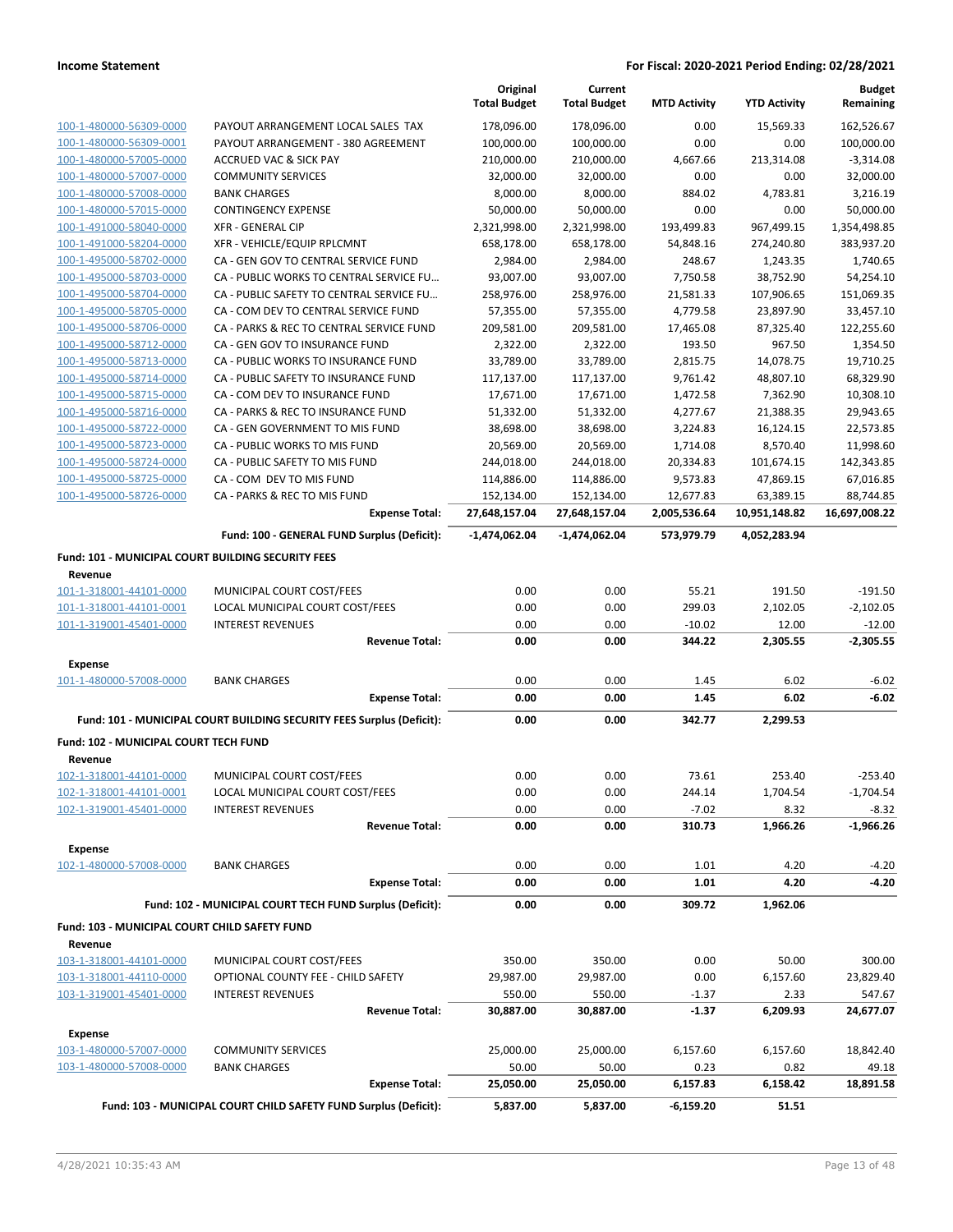|                                                    |                                                                       | Original<br><b>Total Budget</b> | Current<br><b>Total Budget</b> | <b>MTD Activity</b> | <b>YTD Activity</b> | <b>Budget</b><br>Remaining |
|----------------------------------------------------|-----------------------------------------------------------------------|---------------------------------|--------------------------------|---------------------|---------------------|----------------------------|
| 100-1-480000-56309-0000                            | PAYOUT ARRANGEMENT LOCAL SALES TAX                                    | 178,096.00                      | 178,096.00                     | 0.00                | 15,569.33           | 162,526.67                 |
| 100-1-480000-56309-0001                            | PAYOUT ARRANGEMENT - 380 AGREEMENT                                    | 100,000.00                      | 100,000.00                     | 0.00                | 0.00                | 100,000.00                 |
| 100-1-480000-57005-0000                            | <b>ACCRUED VAC &amp; SICK PAY</b>                                     | 210,000.00                      | 210,000.00                     | 4,667.66            | 213,314.08          | $-3,314.08$                |
| 100-1-480000-57007-0000                            | <b>COMMUNITY SERVICES</b>                                             | 32,000.00                       | 32,000.00                      | 0.00                | 0.00                | 32,000.00                  |
| 100-1-480000-57008-0000                            | <b>BANK CHARGES</b>                                                   | 8,000.00                        | 8,000.00                       | 884.02              | 4,783.81            | 3,216.19                   |
| 100-1-480000-57015-0000                            | <b>CONTINGENCY EXPENSE</b>                                            | 50,000.00                       | 50,000.00                      | 0.00                | 0.00                | 50,000.00                  |
| 100-1-491000-58040-0000                            | <b>XFR - GENERAL CIP</b>                                              | 2,321,998.00                    | 2,321,998.00                   | 193,499.83          | 967,499.15          | 1,354,498.85               |
| 100-1-491000-58204-0000                            | XFR - VEHICLE/EQUIP RPLCMNT                                           | 658,178.00                      | 658,178.00                     | 54,848.16           | 274,240.80          | 383,937.20                 |
| 100-1-495000-58702-0000                            | CA - GEN GOV TO CENTRAL SERVICE FUND                                  | 2,984.00                        | 2,984.00                       | 248.67              | 1,243.35            | 1,740.65                   |
| 100-1-495000-58703-0000                            | CA - PUBLIC WORKS TO CENTRAL SERVICE FU                               | 93,007.00                       | 93,007.00                      | 7,750.58            | 38,752.90           | 54,254.10                  |
| 100-1-495000-58704-0000                            | CA - PUBLIC SAFETY TO CENTRAL SERVICE FU                              | 258,976.00                      | 258,976.00                     | 21,581.33           | 107,906.65          | 151,069.35                 |
| 100-1-495000-58705-0000                            | CA - COM DEV TO CENTRAL SERVICE FUND                                  | 57,355.00                       | 57,355.00                      | 4,779.58            | 23,897.90           | 33,457.10                  |
| 100-1-495000-58706-0000                            | CA - PARKS & REC TO CENTRAL SERVICE FUND                              | 209,581.00                      | 209,581.00                     | 17,465.08           | 87,325.40           | 122,255.60                 |
| 100-1-495000-58712-0000                            | CA - GEN GOV TO INSURANCE FUND                                        | 2,322.00                        | 2,322.00                       | 193.50              | 967.50              | 1,354.50                   |
| 100-1-495000-58713-0000                            | CA - PUBLIC WORKS TO INSURANCE FUND                                   | 33,789.00                       | 33,789.00                      | 2,815.75            | 14,078.75           | 19,710.25                  |
| 100-1-495000-58714-0000                            | CA - PUBLIC SAFETY TO INSURANCE FUND                                  | 117,137.00                      | 117,137.00                     | 9,761.42            | 48,807.10           | 68,329.90                  |
| 100-1-495000-58715-0000                            | CA - COM DEV TO INSURANCE FUND                                        | 17,671.00                       | 17,671.00                      | 1,472.58            | 7,362.90            | 10,308.10                  |
| 100-1-495000-58716-0000                            | CA - PARKS & REC TO INSURANCE FUND                                    | 51,332.00                       | 51,332.00                      | 4,277.67            | 21,388.35           | 29,943.65                  |
| 100-1-495000-58722-0000                            | CA - GEN GOVERNMENT TO MIS FUND                                       | 38,698.00                       | 38,698.00                      | 3,224.83            | 16,124.15           | 22,573.85                  |
| 100-1-495000-58723-0000                            | CA - PUBLIC WORKS TO MIS FUND                                         | 20,569.00                       | 20,569.00                      | 1,714.08            | 8,570.40            | 11,998.60                  |
| 100-1-495000-58724-0000                            | CA - PUBLIC SAFETY TO MIS FUND                                        | 244,018.00                      | 244,018.00                     | 20,334.83           | 101,674.15          | 142,343.85                 |
| 100-1-495000-58725-0000                            | CA - COM DEV TO MIS FUND                                              | 114,886.00                      | 114,886.00                     | 9,573.83            | 47,869.15           | 67,016.85                  |
| 100-1-495000-58726-0000                            | CA - PARKS & REC TO MIS FUND                                          | 152,134.00                      | 152,134.00                     | 12,677.83           | 63,389.15           | 88,744.85                  |
|                                                    | <b>Expense Total:</b>                                                 | 27,648,157.04                   | 27,648,157.04                  | 2,005,536.64        | 10,951,148.82       | 16,697,008.22              |
|                                                    | Fund: 100 - GENERAL FUND Surplus (Deficit):                           | -1,474,062.04                   | -1,474,062.04                  | 573,979.79          | 4,052,283.94        |                            |
| Fund: 101 - MUNICIPAL COURT BUILDING SECURITY FEES |                                                                       |                                 |                                |                     |                     |                            |
| Revenue                                            |                                                                       |                                 |                                |                     |                     |                            |
| 101-1-318001-44101-0000                            | MUNICIPAL COURT COST/FEES                                             | 0.00                            | 0.00                           | 55.21               | 191.50              | -191.50                    |
| 101-1-318001-44101-0001                            | LOCAL MUNICIPAL COURT COST/FEES                                       | 0.00                            | 0.00                           | 299.03              | 2,102.05            | $-2,102.05$                |
| 101-1-319001-45401-0000                            | <b>INTEREST REVENUES</b><br><b>Revenue Total:</b>                     | 0.00<br>0.00                    | 0.00<br>0.00                   | $-10.02$<br>344.22  | 12.00<br>2,305.55   | $-12.00$<br>$-2,305.55$    |
|                                                    |                                                                       |                                 |                                |                     |                     |                            |
| <b>Expense</b><br>101-1-480000-57008-0000          | <b>BANK CHARGES</b>                                                   | 0.00                            | 0.00                           | 1.45                | 6.02                | $-6.02$                    |
|                                                    | <b>Expense Total:</b>                                                 | 0.00                            | 0.00                           | 1.45                | 6.02                | $-6.02$                    |
|                                                    | Fund: 101 - MUNICIPAL COURT BUILDING SECURITY FEES Surplus (Deficit): | 0.00                            | 0.00                           | 342.77              | 2,299.53            |                            |
| Fund: 102 - MUNICIPAL COURT TECH FUND              |                                                                       |                                 |                                |                     |                     |                            |
| Revenue                                            |                                                                       |                                 |                                |                     |                     |                            |
| 102-1-318001-44101-0000                            | MUNICIPAL COURT COST/FEES                                             | 0.00                            | 0.00                           | 73.61               | 253.40              | $-253.40$                  |
| 102-1-318001-44101-0001                            | LOCAL MUNICIPAL COURT COST/FEES                                       | 0.00                            | 0.00                           | 244.14              | 1,704.54            | $-1,704.54$                |
| 102-1-319001-45401-0000                            | <b>INTEREST REVENUES</b>                                              | 0.00                            | 0.00                           | $-7.02$             | 8.32                | $-8.32$                    |
|                                                    | <b>Revenue Total:</b>                                                 | 0.00                            | 0.00                           | 310.73              | 1,966.26            | $-1,966.26$                |
| <b>Expense</b>                                     |                                                                       |                                 |                                |                     |                     |                            |
| 102-1-480000-57008-0000                            | <b>BANK CHARGES</b>                                                   | 0.00                            | 0.00                           | 1.01                | 4.20                | $-4.20$                    |
|                                                    | <b>Expense Total:</b>                                                 | 0.00                            | 0.00                           | 1.01                | 4.20                | $-4.20$                    |
|                                                    | Fund: 102 - MUNICIPAL COURT TECH FUND Surplus (Deficit):              | 0.00                            | 0.00                           | 309.72              | 1,962.06            |                            |
| Fund: 103 - MUNICIPAL COURT CHILD SAFETY FUND      |                                                                       |                                 |                                |                     |                     |                            |
| Revenue                                            |                                                                       |                                 |                                |                     |                     |                            |
| 103-1-318001-44101-0000                            | MUNICIPAL COURT COST/FEES                                             | 350.00                          | 350.00                         | 0.00                | 50.00               | 300.00                     |
| 103-1-318001-44110-0000                            | OPTIONAL COUNTY FEE - CHILD SAFETY                                    | 29,987.00                       | 29,987.00                      | 0.00                | 6,157.60            | 23,829.40                  |
| 103-1-319001-45401-0000                            | <b>INTEREST REVENUES</b>                                              | 550.00                          | 550.00                         | $-1.37$             | 2.33                | 547.67                     |
|                                                    | <b>Revenue Total:</b>                                                 | 30,887.00                       | 30,887.00                      | $-1.37$             | 6,209.93            | 24,677.07                  |
| <b>Expense</b>                                     |                                                                       |                                 |                                |                     |                     |                            |
| 103-1-480000-57007-0000                            | <b>COMMUNITY SERVICES</b>                                             | 25,000.00                       | 25,000.00                      | 6,157.60            | 6,157.60            | 18,842.40                  |
| 103-1-480000-57008-0000                            | <b>BANK CHARGES</b>                                                   | 50.00                           | 50.00                          | 0.23                | 0.82                | 49.18                      |
|                                                    | <b>Expense Total:</b>                                                 | 25,050.00                       | 25,050.00                      | 6,157.83            | 6,158.42            | 18,891.58                  |
|                                                    | Fund: 103 - MUNICIPAL COURT CHILD SAFETY FUND Surplus (Deficit):      | 5,837.00                        | 5,837.00                       | $-6,159.20$         | 51.51               |                            |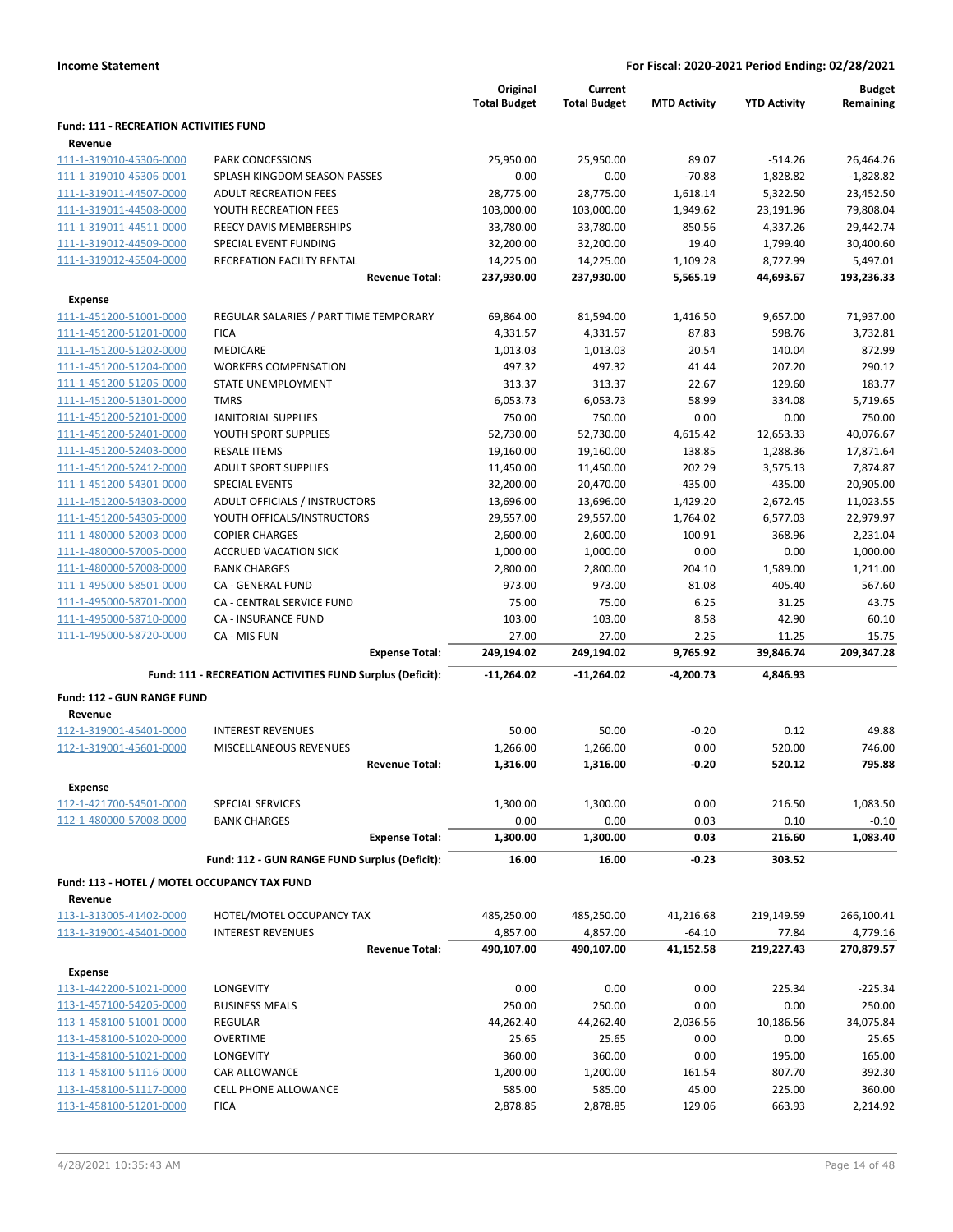|                                                         |                                                           | Original<br><b>Total Budget</b> | Current<br><b>Total Budget</b> | <b>MTD Activity</b> | <b>YTD Activity</b> | <b>Budget</b><br>Remaining |
|---------------------------------------------------------|-----------------------------------------------------------|---------------------------------|--------------------------------|---------------------|---------------------|----------------------------|
| <b>Fund: 111 - RECREATION ACTIVITIES FUND</b>           |                                                           |                                 |                                |                     |                     |                            |
| Revenue<br>111-1-319010-45306-0000                      | PARK CONCESSIONS                                          | 25,950.00                       | 25,950.00                      | 89.07               | $-514.26$           | 26,464.26                  |
| 111-1-319010-45306-0001                                 | SPLASH KINGDOM SEASON PASSES                              | 0.00                            | 0.00                           | $-70.88$            | 1,828.82            | $-1.828.82$                |
| 111-1-319011-44507-0000                                 | <b>ADULT RECREATION FEES</b>                              | 28,775.00                       | 28,775.00                      | 1,618.14            | 5,322.50            | 23,452.50                  |
| 111-1-319011-44508-0000                                 | YOUTH RECREATION FEES                                     | 103,000.00                      | 103,000.00                     | 1,949.62            | 23,191.96           | 79,808.04                  |
| 111-1-319011-44511-0000                                 | REECY DAVIS MEMBERSHIPS                                   | 33,780.00                       | 33,780.00                      | 850.56              | 4,337.26            | 29,442.74                  |
| 111-1-319012-44509-0000                                 | SPECIAL EVENT FUNDING                                     | 32,200.00                       | 32,200.00                      | 19.40               | 1,799.40            | 30,400.60                  |
| 111-1-319012-45504-0000                                 | RECREATION FACILTY RENTAL                                 | 14,225.00                       | 14,225.00                      | 1,109.28            | 8,727.99            | 5,497.01                   |
|                                                         | <b>Revenue Total:</b>                                     | 237,930.00                      | 237,930.00                     | 5,565.19            | 44,693.67           | 193,236.33                 |
| <b>Expense</b>                                          |                                                           |                                 |                                |                     |                     |                            |
| 111-1-451200-51001-0000                                 | REGULAR SALARIES / PART TIME TEMPORARY                    | 69,864.00                       | 81,594.00                      | 1,416.50            | 9,657.00            | 71,937.00                  |
| 111-1-451200-51201-0000                                 | <b>FICA</b>                                               | 4,331.57                        | 4,331.57                       | 87.83               | 598.76              | 3,732.81                   |
| 111-1-451200-51202-0000                                 | MEDICARE                                                  | 1,013.03                        | 1,013.03                       | 20.54               | 140.04              | 872.99                     |
| 111-1-451200-51204-0000                                 | <b>WORKERS COMPENSATION</b>                               | 497.32                          | 497.32                         | 41.44               | 207.20              | 290.12                     |
| 111-1-451200-51205-0000                                 | STATE UNEMPLOYMENT                                        | 313.37                          | 313.37                         | 22.67               | 129.60              | 183.77                     |
| 111-1-451200-51301-0000                                 | <b>TMRS</b>                                               | 6,053.73                        | 6,053.73                       | 58.99               | 334.08              | 5.719.65                   |
| 111-1-451200-52101-0000                                 | <b>JANITORIAL SUPPLIES</b>                                | 750.00                          | 750.00                         | 0.00                | 0.00                | 750.00                     |
| 111-1-451200-52401-0000                                 | YOUTH SPORT SUPPLIES                                      | 52,730.00                       | 52,730.00                      | 4,615.42            | 12,653.33           | 40,076.67                  |
| 111-1-451200-52403-0000                                 | <b>RESALE ITEMS</b>                                       | 19,160.00                       | 19,160.00                      | 138.85              | 1,288.36            | 17,871.64                  |
| 111-1-451200-52412-0000                                 | <b>ADULT SPORT SUPPLIES</b>                               | 11,450.00                       | 11,450.00                      | 202.29              | 3,575.13            | 7,874.87                   |
| 111-1-451200-54301-0000                                 | <b>SPECIAL EVENTS</b>                                     | 32,200.00                       | 20,470.00                      | $-435.00$           | $-435.00$           | 20,905.00                  |
| 111-1-451200-54303-0000                                 | ADULT OFFICIALS / INSTRUCTORS                             | 13,696.00                       | 13,696.00                      | 1,429.20            | 2,672.45            | 11,023.55                  |
| 111-1-451200-54305-0000                                 | YOUTH OFFICALS/INSTRUCTORS                                | 29,557.00                       | 29,557.00                      | 1,764.02            | 6,577.03            | 22,979.97                  |
| 111-1-480000-52003-0000                                 | <b>COPIER CHARGES</b>                                     | 2,600.00                        | 2,600.00                       | 100.91              | 368.96              | 2,231.04                   |
| 111-1-480000-57005-0000                                 | <b>ACCRUED VACATION SICK</b>                              | 1,000.00                        | 1,000.00                       | 0.00                | 0.00                | 1,000.00                   |
| 111-1-480000-57008-0000                                 | <b>BANK CHARGES</b>                                       | 2,800.00                        | 2,800.00                       | 204.10              | 1,589.00            | 1,211.00                   |
| 111-1-495000-58501-0000                                 | CA - GENERAL FUND                                         | 973.00                          | 973.00                         | 81.08               | 405.40              | 567.60                     |
| 111-1-495000-58701-0000                                 | CA - CENTRAL SERVICE FUND                                 | 75.00                           | 75.00                          | 6.25                | 31.25               | 43.75                      |
| 111-1-495000-58710-0000                                 | CA - INSURANCE FUND                                       | 103.00                          | 103.00                         | 8.58                | 42.90               | 60.10                      |
| 111-1-495000-58720-0000                                 | CA - MIS FUN                                              | 27.00                           | 27.00                          | 2.25                | 11.25               | 15.75                      |
|                                                         | <b>Expense Total:</b>                                     | 249,194.02                      | 249,194.02                     | 9,765.92            | 39,846.74           | 209,347.28                 |
|                                                         | Fund: 111 - RECREATION ACTIVITIES FUND Surplus (Deficit): | $-11,264.02$                    | -11,264.02                     | -4,200.73           | 4,846.93            |                            |
| <b>Fund: 112 - GUN RANGE FUND</b>                       |                                                           |                                 |                                |                     |                     |                            |
| Revenue                                                 |                                                           |                                 |                                |                     |                     |                            |
| 112-1-319001-45401-0000                                 | <b>INTEREST REVENUES</b>                                  | 50.00                           | 50.00                          | $-0.20$             | 0.12                | 49.88                      |
| 112-1-319001-45601-0000                                 | MISCELLANEOUS REVENUES                                    | 1,266.00                        | 1,266.00                       | 0.00                | 520.00              | 746.00                     |
|                                                         | <b>Revenue Total:</b>                                     | 1,316.00                        | 1,316.00                       | -0.20               | 520.12              | 795.88                     |
| <b>Expense</b>                                          |                                                           |                                 |                                |                     |                     |                            |
| 112-1-421700-54501-0000                                 | SPECIAL SERVICES                                          | 1,300.00                        | 1,300.00                       | 0.00                | 216.50              | 1,083.50                   |
| 112-1-480000-57008-0000                                 | <b>BANK CHARGES</b>                                       | 0.00                            | 0.00                           | 0.03                | 0.10                | $-0.10$                    |
|                                                         | <b>Expense Total:</b>                                     | 1,300.00                        | 1,300.00                       | 0.03                | 216.60              | 1,083.40                   |
|                                                         | Fund: 112 - GUN RANGE FUND Surplus (Deficit):             | 16.00                           | 16.00                          | $-0.23$             | 303.52              |                            |
| Fund: 113 - HOTEL / MOTEL OCCUPANCY TAX FUND<br>Revenue |                                                           |                                 |                                |                     |                     |                            |
| 113-1-313005-41402-0000                                 | HOTEL/MOTEL OCCUPANCY TAX                                 | 485,250.00                      | 485,250.00                     | 41,216.68           | 219,149.59          | 266,100.41                 |
| 113-1-319001-45401-0000                                 | <b>INTEREST REVENUES</b>                                  | 4,857.00                        | 4,857.00                       | $-64.10$            | 77.84               | 4,779.16                   |
|                                                         | <b>Revenue Total:</b>                                     | 490,107.00                      | 490,107.00                     | 41,152.58           | 219,227.43          | 270,879.57                 |
| <b>Expense</b>                                          |                                                           |                                 |                                |                     |                     |                            |
| 113-1-442200-51021-0000                                 | LONGEVITY                                                 | 0.00                            | 0.00                           | 0.00                | 225.34              | $-225.34$                  |
| 113-1-457100-54205-0000                                 | <b>BUSINESS MEALS</b>                                     | 250.00                          | 250.00                         | 0.00                | 0.00                | 250.00                     |
| 113-1-458100-51001-0000                                 | REGULAR                                                   | 44,262.40                       | 44,262.40                      | 2,036.56            | 10,186.56           | 34,075.84                  |
| 113-1-458100-51020-0000                                 | <b>OVERTIME</b>                                           | 25.65                           | 25.65                          | 0.00                | 0.00                | 25.65                      |
| 113-1-458100-51021-0000                                 | LONGEVITY                                                 | 360.00                          | 360.00                         | 0.00                | 195.00              | 165.00                     |
| 113-1-458100-51116-0000                                 | CAR ALLOWANCE                                             | 1,200.00                        | 1,200.00                       | 161.54              | 807.70              | 392.30                     |
| 113-1-458100-51117-0000                                 | CELL PHONE ALLOWANCE                                      | 585.00                          | 585.00                         | 45.00               | 225.00              | 360.00                     |
| 113-1-458100-51201-0000                                 | <b>FICA</b>                                               | 2,878.85                        | 2,878.85                       | 129.06              | 663.93              | 2,214.92                   |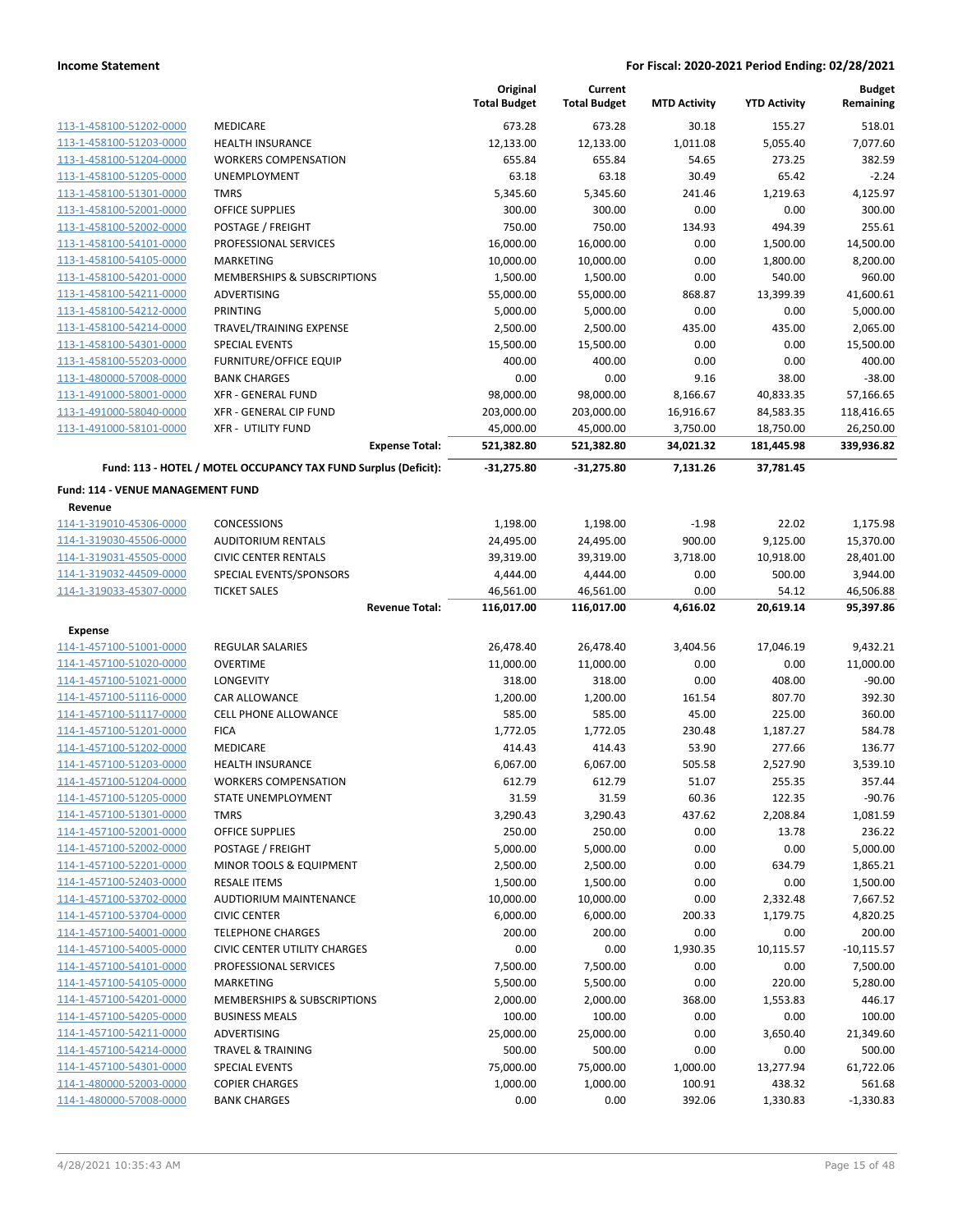|                                                    |                                                                 | Original<br><b>Total Budget</b> | Current<br><b>Total Budget</b> | <b>MTD Activity</b> | <b>YTD Activity</b> | <b>Budget</b><br>Remaining |
|----------------------------------------------------|-----------------------------------------------------------------|---------------------------------|--------------------------------|---------------------|---------------------|----------------------------|
| 113-1-458100-51202-0000                            | MEDICARE                                                        | 673.28                          | 673.28                         | 30.18               | 155.27              | 518.01                     |
| 113-1-458100-51203-0000                            | <b>HEALTH INSURANCE</b>                                         | 12,133.00                       | 12,133.00                      | 1,011.08            | 5,055.40            | 7,077.60                   |
| 113-1-458100-51204-0000                            | <b>WORKERS COMPENSATION</b>                                     | 655.84                          | 655.84                         | 54.65               | 273.25              | 382.59                     |
| 113-1-458100-51205-0000                            | <b>UNEMPLOYMENT</b>                                             | 63.18                           | 63.18                          | 30.49               | 65.42               | $-2.24$                    |
| 113-1-458100-51301-0000                            | <b>TMRS</b>                                                     | 5,345.60                        | 5,345.60                       | 241.46              | 1,219.63            | 4,125.97                   |
| 113-1-458100-52001-0000                            | <b>OFFICE SUPPLIES</b>                                          | 300.00                          | 300.00                         | 0.00                | 0.00                | 300.00                     |
| 113-1-458100-52002-0000                            | POSTAGE / FREIGHT                                               | 750.00                          | 750.00                         | 134.93              | 494.39              | 255.61                     |
| 113-1-458100-54101-0000                            | PROFESSIONAL SERVICES                                           | 16,000.00                       | 16,000.00                      | 0.00                | 1,500.00            | 14,500.00                  |
| 113-1-458100-54105-0000                            | <b>MARKETING</b>                                                | 10,000.00                       | 10,000.00                      | 0.00                | 1,800.00            | 8,200.00                   |
| 113-1-458100-54201-0000                            | MEMBERSHIPS & SUBSCRIPTIONS                                     | 1,500.00                        | 1,500.00                       | 0.00                | 540.00              | 960.00                     |
| 113-1-458100-54211-0000                            | ADVERTISING                                                     | 55,000.00                       | 55,000.00                      | 868.87              | 13,399.39           | 41,600.61                  |
| 113-1-458100-54212-0000                            | <b>PRINTING</b>                                                 | 5,000.00                        | 5,000.00                       | 0.00                | 0.00                | 5,000.00                   |
| 113-1-458100-54214-0000                            | TRAVEL/TRAINING EXPENSE                                         | 2,500.00                        | 2,500.00                       | 435.00              | 435.00              | 2,065.00                   |
| 113-1-458100-54301-0000                            | <b>SPECIAL EVENTS</b>                                           | 15,500.00                       | 15,500.00                      | 0.00                | 0.00                | 15,500.00                  |
| 113-1-458100-55203-0000                            | <b>FURNITURE/OFFICE EQUIP</b>                                   | 400.00                          | 400.00                         | 0.00                | 0.00                | 400.00                     |
| 113-1-480000-57008-0000                            | <b>BANK CHARGES</b>                                             | 0.00                            | 0.00                           | 9.16                | 38.00               | $-38.00$                   |
| 113-1-491000-58001-0000                            | <b>XFR - GENERAL FUND</b>                                       | 98,000.00                       | 98,000.00                      | 8,166.67            | 40,833.35           | 57,166.65                  |
| 113-1-491000-58040-0000                            | XFR - GENERAL CIP FUND                                          | 203,000.00                      | 203,000.00                     | 16,916.67           | 84,583.35           | 118,416.65                 |
| 113-1-491000-58101-0000                            | <b>XFR - UTILITY FUND</b>                                       | 45,000.00                       | 45,000.00                      | 3,750.00            | 18,750.00           | 26,250.00                  |
|                                                    | <b>Expense Total:</b>                                           | 521,382.80                      | 521,382.80                     | 34,021.32           | 181,445.98          | 339,936.82                 |
|                                                    | Fund: 113 - HOTEL / MOTEL OCCUPANCY TAX FUND Surplus (Deficit): | $-31,275.80$                    | $-31,275.80$                   | 7,131.26            | 37,781.45           |                            |
| Fund: 114 - VENUE MANAGEMENT FUND                  |                                                                 |                                 |                                |                     |                     |                            |
| Revenue                                            |                                                                 |                                 |                                |                     |                     |                            |
| 114-1-319010-45306-0000                            | <b>CONCESSIONS</b>                                              | 1,198.00                        | 1,198.00                       | $-1.98$             | 22.02               | 1,175.98                   |
| 114-1-319030-45506-0000                            | <b>AUDITORIUM RENTALS</b>                                       | 24,495.00                       | 24,495.00                      | 900.00              | 9,125.00            | 15,370.00                  |
| 114-1-319031-45505-0000                            | <b>CIVIC CENTER RENTALS</b>                                     | 39,319.00                       | 39,319.00                      | 3,718.00            | 10,918.00           | 28,401.00                  |
| 114-1-319032-44509-0000                            | SPECIAL EVENTS/SPONSORS                                         | 4,444.00                        | 4,444.00                       | 0.00                | 500.00              | 3,944.00                   |
| 114-1-319033-45307-0000                            | <b>TICKET SALES</b><br><b>Revenue Total:</b>                    | 46,561.00<br>116,017.00         | 46,561.00<br>116,017.00        | 0.00<br>4,616.02    | 54.12<br>20,619.14  | 46,506.88<br>95,397.86     |
|                                                    |                                                                 |                                 |                                |                     |                     |                            |
| <b>Expense</b><br>114-1-457100-51001-0000          | <b>REGULAR SALARIES</b>                                         | 26,478.40                       | 26,478.40                      | 3,404.56            | 17,046.19           | 9,432.21                   |
|                                                    | <b>OVERTIME</b>                                                 |                                 |                                |                     |                     |                            |
| 114-1-457100-51020-0000<br>114-1-457100-51021-0000 | LONGEVITY                                                       | 11,000.00<br>318.00             | 11,000.00<br>318.00            | 0.00                | 0.00                | 11,000.00<br>$-90.00$      |
| 114-1-457100-51116-0000                            | CAR ALLOWANCE                                                   | 1,200.00                        | 1,200.00                       | 0.00<br>161.54      | 408.00<br>807.70    | 392.30                     |
| 114-1-457100-51117-0000                            | <b>CELL PHONE ALLOWANCE</b>                                     | 585.00                          | 585.00                         | 45.00               | 225.00              | 360.00                     |
| 114-1-457100-51201-0000                            | <b>FICA</b>                                                     | 1,772.05                        | 1,772.05                       | 230.48              | 1,187.27            | 584.78                     |
| 114-1-457100-51202-0000                            | MEDICARE                                                        | 414.43                          | 414.43                         | 53.90               | 277.66              | 136.77                     |
| 114-1-457100-51203-0000                            | <b>HEALTH INSURANCE</b>                                         | 6,067.00                        | 6,067.00                       | 505.58              | 2,527.90            | 3,539.10                   |
| 114-1-457100-51204-0000                            | <b>WORKERS COMPENSATION</b>                                     | 612.79                          | 612.79                         | 51.07               | 255.35              | 357.44                     |
| 114-1-457100-51205-0000                            | <b>STATE UNEMPLOYMENT</b>                                       | 31.59                           | 31.59                          | 60.36               | 122.35              | $-90.76$                   |
| 114-1-457100-51301-0000                            | <b>TMRS</b>                                                     | 3,290.43                        | 3,290.43                       | 437.62              | 2,208.84            | 1,081.59                   |
| 114-1-457100-52001-0000                            | <b>OFFICE SUPPLIES</b>                                          | 250.00                          | 250.00                         | 0.00                | 13.78               | 236.22                     |
| 114-1-457100-52002-0000                            | POSTAGE / FREIGHT                                               | 5,000.00                        | 5,000.00                       | 0.00                | 0.00                | 5,000.00                   |
| 114-1-457100-52201-0000                            | MINOR TOOLS & EQUIPMENT                                         | 2,500.00                        | 2,500.00                       | 0.00                | 634.79              | 1,865.21                   |
| 114-1-457100-52403-0000                            | <b>RESALE ITEMS</b>                                             | 1,500.00                        | 1,500.00                       | 0.00                | 0.00                | 1,500.00                   |
| 114-1-457100-53702-0000                            | <b>AUDTIORIUM MAINTENANCE</b>                                   | 10,000.00                       | 10,000.00                      | 0.00                | 2,332.48            | 7,667.52                   |
| 114-1-457100-53704-0000                            | <b>CIVIC CENTER</b>                                             | 6,000.00                        | 6,000.00                       | 200.33              | 1,179.75            | 4,820.25                   |
| 114-1-457100-54001-0000                            | <b>TELEPHONE CHARGES</b>                                        | 200.00                          | 200.00                         | 0.00                | 0.00                | 200.00                     |
| 114-1-457100-54005-0000                            | <b>CIVIC CENTER UTILITY CHARGES</b>                             | 0.00                            | 0.00                           | 1,930.35            | 10,115.57           | $-10,115.57$               |
| 114-1-457100-54101-0000                            | PROFESSIONAL SERVICES                                           | 7,500.00                        | 7,500.00                       | 0.00                | 0.00                | 7,500.00                   |
| 114-1-457100-54105-0000                            | <b>MARKETING</b>                                                | 5,500.00                        | 5,500.00                       | 0.00                | 220.00              | 5,280.00                   |
| 114-1-457100-54201-0000                            | MEMBERSHIPS & SUBSCRIPTIONS                                     | 2,000.00                        | 2,000.00                       | 368.00              | 1,553.83            | 446.17                     |
| 114-1-457100-54205-0000                            | <b>BUSINESS MEALS</b>                                           | 100.00                          | 100.00                         | 0.00                | 0.00                | 100.00                     |
| 114-1-457100-54211-0000                            | ADVERTISING                                                     | 25,000.00                       | 25,000.00                      | 0.00                | 3,650.40            | 21,349.60                  |
| 114-1-457100-54214-0000                            | <b>TRAVEL &amp; TRAINING</b>                                    | 500.00                          | 500.00                         | 0.00                | 0.00                | 500.00                     |
| 114-1-457100-54301-0000                            | <b>SPECIAL EVENTS</b>                                           | 75,000.00                       | 75,000.00                      | 1,000.00            | 13,277.94           | 61,722.06                  |
| 114-1-480000-52003-0000                            | <b>COPIER CHARGES</b>                                           | 1,000.00                        | 1,000.00                       | 100.91              | 438.32              | 561.68                     |
| 114-1-480000-57008-0000                            | <b>BANK CHARGES</b>                                             | 0.00                            | 0.00                           | 392.06              | 1,330.83            | $-1,330.83$                |
|                                                    |                                                                 |                                 |                                |                     |                     |                            |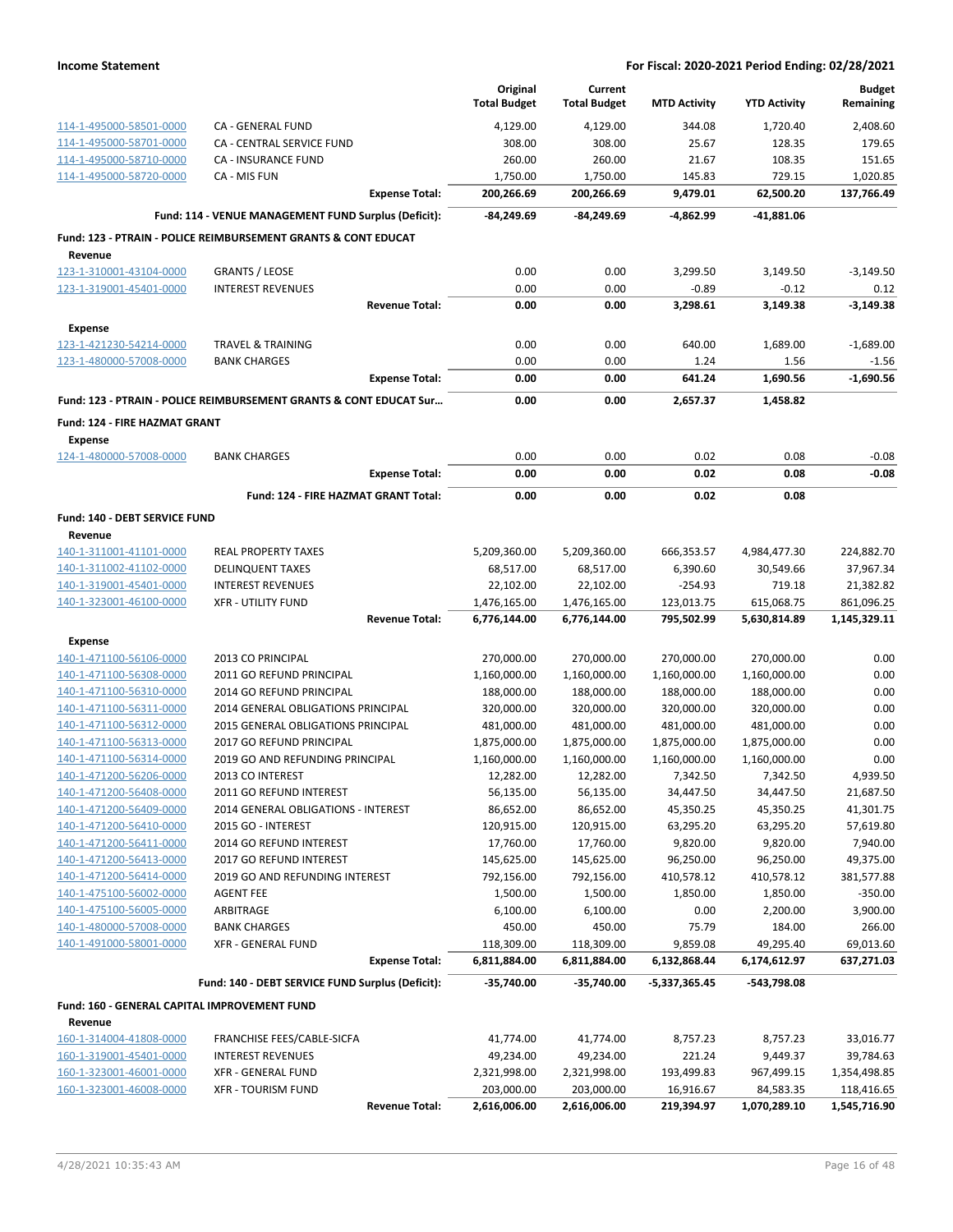|                                                    |                                                                           |                       | Original                  | Current                    |                        |                         | <b>Budget</b>              |
|----------------------------------------------------|---------------------------------------------------------------------------|-----------------------|---------------------------|----------------------------|------------------------|-------------------------|----------------------------|
|                                                    |                                                                           |                       | <b>Total Budget</b>       | <b>Total Budget</b>        | <b>MTD Activity</b>    | <b>YTD Activity</b>     | Remaining                  |
| 114-1-495000-58501-0000                            | CA - GENERAL FUND                                                         |                       | 4,129.00                  | 4,129.00                   | 344.08                 | 1,720.40                | 2,408.60                   |
| 114-1-495000-58701-0000                            | CA - CENTRAL SERVICE FUND                                                 |                       | 308.00                    | 308.00                     | 25.67                  | 128.35                  | 179.65                     |
| 114-1-495000-58710-0000                            | <b>CA - INSURANCE FUND</b>                                                |                       | 260.00                    | 260.00                     | 21.67                  | 108.35                  | 151.65                     |
| 114-1-495000-58720-0000                            | CA - MIS FUN                                                              |                       | 1,750.00                  | 1,750.00                   | 145.83                 | 729.15                  | 1,020.85                   |
|                                                    |                                                                           | <b>Expense Total:</b> | 200,266.69                | 200,266.69                 | 9,479.01               | 62,500.20               | 137,766.49                 |
|                                                    | Fund: 114 - VENUE MANAGEMENT FUND Surplus (Deficit):                      |                       | $-84,249.69$              | -84,249.69                 | -4,862.99              | -41,881.06              |                            |
|                                                    | <b>Fund: 123 - PTRAIN - POLICE REIMBURSEMENT GRANTS &amp; CONT EDUCAT</b> |                       |                           |                            |                        |                         |                            |
| Revenue                                            |                                                                           |                       |                           |                            |                        |                         |                            |
| 123-1-310001-43104-0000                            | <b>GRANTS / LEOSE</b>                                                     |                       | 0.00                      | 0.00                       | 3,299.50               | 3,149.50                | $-3,149.50$                |
| 123-1-319001-45401-0000                            | <b>INTEREST REVENUES</b>                                                  |                       | 0.00                      | 0.00                       | $-0.89$                | $-0.12$                 | 0.12                       |
|                                                    |                                                                           | <b>Revenue Total:</b> | 0.00                      | 0.00                       | 3,298.61               | 3,149.38                | $-3,149.38$                |
| <b>Expense</b>                                     |                                                                           |                       |                           |                            |                        |                         |                            |
| 123-1-421230-54214-0000                            | <b>TRAVEL &amp; TRAINING</b>                                              |                       | 0.00                      | 0.00                       | 640.00                 | 1,689.00                | $-1,689.00$                |
| 123-1-480000-57008-0000                            | <b>BANK CHARGES</b>                                                       |                       | 0.00                      | 0.00                       | 1.24                   | 1.56                    | $-1.56$                    |
|                                                    |                                                                           | <b>Expense Total:</b> | 0.00                      | 0.00                       | 641.24                 | 1,690.56                | $-1,690.56$                |
|                                                    | Fund: 123 - PTRAIN - POLICE REIMBURSEMENT GRANTS & CONT EDUCAT Sur        |                       | 0.00                      | 0.00                       | 2,657.37               | 1,458.82                |                            |
| <b>Fund: 124 - FIRE HAZMAT GRANT</b>               |                                                                           |                       |                           |                            |                        |                         |                            |
| <b>Expense</b>                                     |                                                                           |                       |                           |                            |                        |                         |                            |
| 124-1-480000-57008-0000                            | <b>BANK CHARGES</b>                                                       |                       | 0.00                      | 0.00                       | 0.02                   | 0.08                    | $-0.08$                    |
|                                                    |                                                                           | <b>Expense Total:</b> | 0.00                      | 0.00                       | 0.02                   | 0.08                    | $-0.08$                    |
|                                                    | Fund: 124 - FIRE HAZMAT GRANT Total:                                      |                       | 0.00                      | 0.00                       | 0.02                   | 0.08                    |                            |
| Fund: 140 - DEBT SERVICE FUND                      |                                                                           |                       |                           |                            |                        |                         |                            |
| Revenue                                            |                                                                           |                       |                           |                            |                        |                         |                            |
| 140-1-311001-41101-0000                            | <b>REAL PROPERTY TAXES</b>                                                |                       | 5,209,360.00              | 5,209,360.00               | 666,353.57             | 4,984,477.30            | 224,882.70                 |
| 140-1-311002-41102-0000                            | <b>DELINQUENT TAXES</b>                                                   |                       | 68,517.00                 | 68,517.00                  | 6,390.60               | 30,549.66               | 37,967.34                  |
| 140-1-319001-45401-0000                            | <b>INTEREST REVENUES</b>                                                  |                       | 22,102.00                 | 22,102.00                  | $-254.93$              | 719.18                  | 21,382.82                  |
| 140-1-323001-46100-0000                            | <b>XFR - UTILITY FUND</b>                                                 |                       | 1,476,165.00              | 1,476,165.00               | 123,013.75             | 615,068.75              | 861,096.25                 |
|                                                    |                                                                           | <b>Revenue Total:</b> | 6,776,144.00              | 6,776,144.00               | 795,502.99             | 5,630,814.89            | 1,145,329.11               |
| Expense                                            |                                                                           |                       |                           |                            |                        |                         |                            |
| 140-1-471100-56106-0000                            | 2013 CO PRINCIPAL                                                         |                       | 270,000.00                | 270,000.00                 | 270,000.00             | 270,000.00              | 0.00                       |
| 140-1-471100-56308-0000                            | 2011 GO REFUND PRINCIPAL                                                  |                       | 1,160,000.00              | 1,160,000.00               | 1,160,000.00           | 1,160,000.00            | 0.00                       |
| 140-1-471100-56310-0000                            | 2014 GO REFUND PRINCIPAL                                                  |                       | 188,000.00                | 188,000.00                 | 188,000.00             | 188,000.00              | 0.00                       |
| 140-1-471100-56311-0000                            | 2014 GENERAL OBLIGATIONS PRINCIPAL                                        |                       | 320,000.00                | 320,000.00                 | 320,000.00             | 320,000.00              | 0.00                       |
| 140-1-471100-56312-0000                            | 2015 GENERAL OBLIGATIONS PRINCIPAL                                        |                       | 481,000.00                | 481,000.00                 | 481,000.00             | 481,000.00              | 0.00                       |
| 140-1-471100-56313-0000                            | 2017 GO REFUND PRINCIPAL                                                  |                       | 1,875,000.00              | 1,875,000.00               | 1,875,000.00           | 1,875,000.00            | 0.00                       |
| 140-1-471100-56314-0000                            | 2019 GO AND REFUNDING PRINCIPAL                                           |                       | 1,160,000.00              | 1,160,000.00               | 1,160,000.00           | 1,160,000.00            | 0.00                       |
| 140-1-471200-56206-0000                            | 2013 CO INTEREST                                                          |                       | 12,282.00                 | 12,282.00                  | 7,342.50               | 7,342.50                | 4,939.50                   |
| 140-1-471200-56408-0000                            | 2011 GO REFUND INTEREST                                                   |                       | 56,135.00                 | 56,135.00                  | 34,447.50              | 34,447.50               | 21,687.50                  |
| 140-1-471200-56409-0000                            | 2014 GENERAL OBLIGATIONS - INTEREST                                       |                       | 86,652.00                 | 86,652.00                  | 45,350.25              | 45,350.25               | 41,301.75                  |
| 140-1-471200-56410-0000                            | 2015 GO - INTEREST                                                        |                       | 120,915.00                | 120,915.00                 | 63,295.20              | 63,295.20               | 57,619.80                  |
| 140-1-471200-56411-0000                            | 2014 GO REFUND INTEREST                                                   |                       | 17,760.00                 | 17,760.00                  | 9,820.00               | 9,820.00                | 7,940.00                   |
| 140-1-471200-56413-0000                            | 2017 GO REFUND INTEREST                                                   |                       | 145,625.00                | 145,625.00                 | 96,250.00              | 96,250.00               | 49,375.00                  |
| 140-1-471200-56414-0000<br>140-1-475100-56002-0000 | 2019 GO AND REFUNDING INTEREST<br><b>AGENT FEE</b>                        |                       | 792,156.00                | 792,156.00<br>1,500.00     | 410,578.12<br>1,850.00 | 410,578.12<br>1,850.00  | 381,577.88<br>$-350.00$    |
| 140-1-475100-56005-0000                            | ARBITRAGE                                                                 |                       | 1,500.00<br>6,100.00      | 6,100.00                   | 0.00                   | 2,200.00                | 3,900.00                   |
| 140-1-480000-57008-0000                            | <b>BANK CHARGES</b>                                                       |                       | 450.00                    | 450.00                     | 75.79                  | 184.00                  | 266.00                     |
| 140-1-491000-58001-0000                            | <b>XFR - GENERAL FUND</b>                                                 |                       | 118,309.00                | 118,309.00                 | 9,859.08               | 49,295.40               | 69,013.60                  |
|                                                    |                                                                           | <b>Expense Total:</b> | 6,811,884.00              | 6,811,884.00               | 6,132,868.44           | 6,174,612.97            | 637,271.03                 |
|                                                    |                                                                           |                       |                           |                            |                        |                         |                            |
|                                                    | Fund: 140 - DEBT SERVICE FUND Surplus (Deficit):                          |                       | $-35,740.00$              | -35,740.00                 | -5,337,365.45          | -543,798.08             |                            |
| Fund: 160 - GENERAL CAPITAL IMPROVEMENT FUND       |                                                                           |                       |                           |                            |                        |                         |                            |
| Revenue                                            |                                                                           |                       |                           |                            |                        |                         |                            |
| 160-1-314004-41808-0000                            | FRANCHISE FEES/CABLE-SICFA                                                |                       | 41,774.00                 | 41,774.00                  | 8,757.23               | 8,757.23                | 33,016.77                  |
| 160-1-319001-45401-0000<br>160-1-323001-46001-0000 | <b>INTEREST REVENUES</b><br><b>XFR - GENERAL FUND</b>                     |                       | 49,234.00<br>2,321,998.00 | 49,234.00                  | 221.24<br>193,499.83   | 9,449.37                | 39,784.63                  |
| 160-1-323001-46008-0000                            | <b>XFR - TOURISM FUND</b>                                                 |                       | 203,000.00                | 2,321,998.00<br>203,000.00 | 16,916.67              | 967,499.15<br>84,583.35 | 1,354,498.85<br>118,416.65 |
|                                                    |                                                                           | <b>Revenue Total:</b> | 2,616,006.00              | 2,616,006.00               | 219,394.97             | 1,070,289.10            | 1,545,716.90               |
|                                                    |                                                                           |                       |                           |                            |                        |                         |                            |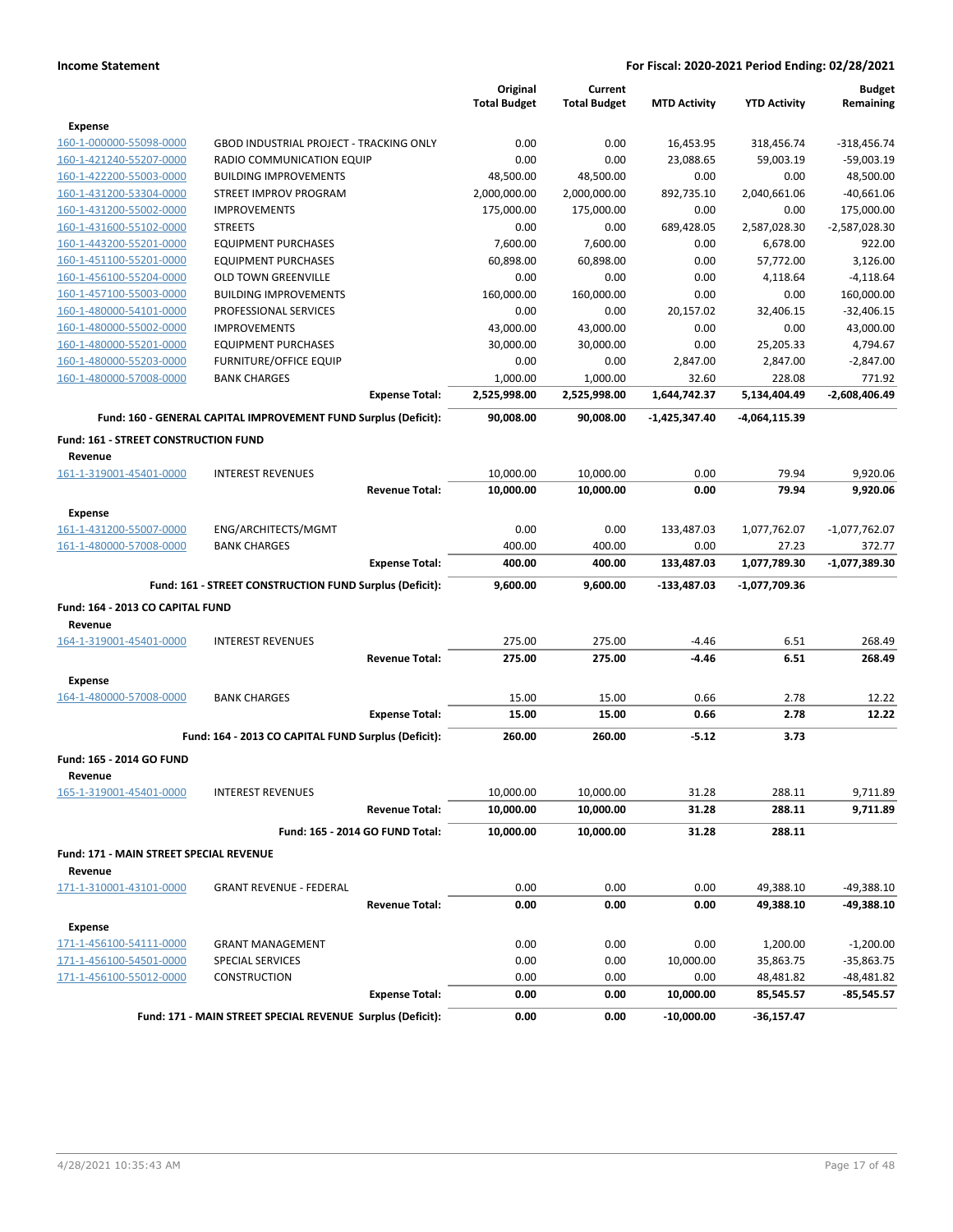|                                         |                                                                 | Original<br><b>Total Budget</b> | Current<br><b>Total Budget</b> | <b>MTD Activity</b> | <b>YTD Activity</b> | <b>Budget</b><br>Remaining |
|-----------------------------------------|-----------------------------------------------------------------|---------------------------------|--------------------------------|---------------------|---------------------|----------------------------|
| <b>Expense</b>                          |                                                                 |                                 |                                |                     |                     |                            |
| 160-1-000000-55098-0000                 | <b>GBOD INDUSTRIAL PROJECT - TRACKING ONLY</b>                  | 0.00                            | 0.00                           | 16,453.95           | 318,456.74          | -318,456.74                |
| 160-1-421240-55207-0000                 | RADIO COMMUNICATION EQUIP                                       | 0.00                            | 0.00                           | 23,088.65           | 59,003.19           | $-59,003.19$               |
| 160-1-422200-55003-0000                 | <b>BUILDING IMPROVEMENTS</b>                                    | 48,500.00                       | 48,500.00                      | 0.00                | 0.00                | 48,500.00                  |
| 160-1-431200-53304-0000                 | STREET IMPROV PROGRAM                                           | 2,000,000.00                    | 2,000,000.00                   | 892,735.10          | 2,040,661.06        | $-40,661.06$               |
| 160-1-431200-55002-0000                 | <b>IMPROVEMENTS</b>                                             | 175,000.00                      | 175,000.00                     | 0.00                | 0.00                | 175,000.00                 |
| 160-1-431600-55102-0000                 | <b>STREETS</b>                                                  | 0.00                            | 0.00                           | 689,428.05          | 2,587,028.30        | $-2,587,028.30$            |
| 160-1-443200-55201-0000                 | <b>EQUIPMENT PURCHASES</b>                                      | 7,600.00                        | 7,600.00                       | 0.00                | 6,678.00            | 922.00                     |
| 160-1-451100-55201-0000                 | <b>EQUIPMENT PURCHASES</b>                                      | 60,898.00                       | 60,898.00                      | 0.00                | 57,772.00           | 3,126.00                   |
| 160-1-456100-55204-0000                 | <b>OLD TOWN GREENVILLE</b>                                      | 0.00                            | 0.00                           | 0.00                | 4,118.64            | $-4,118.64$                |
| 160-1-457100-55003-0000                 | <b>BUILDING IMPROVEMENTS</b>                                    | 160,000.00                      | 160,000.00                     | 0.00                | 0.00                | 160,000.00                 |
| 160-1-480000-54101-0000                 | PROFESSIONAL SERVICES                                           | 0.00                            | 0.00                           | 20,157.02           | 32,406.15           | $-32,406.15$               |
| 160-1-480000-55002-0000                 | <b>IMPROVEMENTS</b>                                             | 43,000.00                       | 43,000.00                      | 0.00                | 0.00                | 43,000.00                  |
| 160-1-480000-55201-0000                 | <b>EQUIPMENT PURCHASES</b>                                      | 30,000.00                       | 30,000.00                      | 0.00                | 25,205.33           | 4,794.67                   |
| 160-1-480000-55203-0000                 | FURNITURE/OFFICE EQUIP                                          | 0.00                            | 0.00                           | 2,847.00            | 2,847.00            | $-2,847.00$                |
| 160-1-480000-57008-0000                 | <b>BANK CHARGES</b>                                             | 1,000.00                        | 1,000.00                       | 32.60               | 228.08              | 771.92                     |
|                                         | <b>Expense Total:</b>                                           | 2,525,998.00                    | 2,525,998.00                   | 1,644,742.37        | 5,134,404.49        | -2,608,406.49              |
|                                         | Fund: 160 - GENERAL CAPITAL IMPROVEMENT FUND Surplus (Deficit): | 90,008.00                       | 90,008.00                      | -1,425,347.40       | -4,064,115.39       |                            |
| Fund: 161 - STREET CONSTRUCTION FUND    |                                                                 |                                 |                                |                     |                     |                            |
| Revenue                                 |                                                                 |                                 |                                |                     |                     |                            |
| 161-1-319001-45401-0000                 | <b>INTEREST REVENUES</b>                                        | 10,000.00                       | 10,000.00                      | 0.00                | 79.94               | 9,920.06                   |
| <b>Expense</b>                          | <b>Revenue Total:</b>                                           | 10,000.00                       | 10,000.00                      | 0.00                | 79.94               | 9,920.06                   |
| 161-1-431200-55007-0000                 | ENG/ARCHITECTS/MGMT                                             | 0.00                            | 0.00                           | 133,487.03          | 1,077,762.07        | $-1,077,762.07$            |
| 161-1-480000-57008-0000                 | <b>BANK CHARGES</b>                                             | 400.00                          | 400.00                         | 0.00                | 27.23               | 372.77                     |
|                                         | <b>Expense Total:</b>                                           | 400.00                          | 400.00                         | 133,487.03          | 1,077,789.30        | -1,077,389.30              |
|                                         | Fund: 161 - STREET CONSTRUCTION FUND Surplus (Deficit):         | 9,600.00                        | 9,600.00                       | $-133,487.03$       | -1,077,709.36       |                            |
| Fund: 164 - 2013 CO CAPITAL FUND        |                                                                 |                                 |                                |                     |                     |                            |
| Revenue                                 |                                                                 |                                 |                                |                     |                     |                            |
| 164-1-319001-45401-0000                 | <b>INTEREST REVENUES</b>                                        | 275.00                          | 275.00                         | $-4.46$             | 6.51                | 268.49                     |
|                                         | <b>Revenue Total:</b>                                           | 275.00                          | 275.00                         | $-4.46$             | 6.51                | 268.49                     |
| <b>Expense</b>                          |                                                                 |                                 |                                |                     |                     |                            |
| 164-1-480000-57008-0000                 | <b>BANK CHARGES</b>                                             | 15.00                           | 15.00                          | 0.66                | 2.78                | 12.22                      |
|                                         | <b>Expense Total:</b>                                           | 15.00                           | 15.00                          | 0.66                | 2.78                | 12.22                      |
|                                         | Fund: 164 - 2013 CO CAPITAL FUND Surplus (Deficit):             | 260.00                          | 260.00                         | $-5.12$             | 3.73                |                            |
| Fund: 165 - 2014 GO FUND                |                                                                 |                                 |                                |                     |                     |                            |
| Revenue                                 |                                                                 |                                 |                                |                     |                     |                            |
| 165-1-319001-45401-0000                 | <b>INTEREST REVENUES</b>                                        | 10,000.00                       | 10,000.00                      | 31.28               | 288.11              | 9,711.89                   |
|                                         | <b>Revenue Total:</b>                                           | 10,000.00                       | 10,000.00                      | 31.28               | 288.11              | 9,711.89                   |
|                                         | Fund: 165 - 2014 GO FUND Total:                                 | 10,000.00                       | 10,000.00                      | 31.28               | 288.11              |                            |
| Fund: 171 - MAIN STREET SPECIAL REVENUE |                                                                 |                                 |                                |                     |                     |                            |
| Revenue                                 |                                                                 |                                 |                                |                     |                     |                            |
| 171-1-310001-43101-0000                 | <b>GRANT REVENUE - FEDERAL</b>                                  | 0.00                            | 0.00                           | 0.00                | 49,388.10           | $-49,388.10$               |
|                                         | <b>Revenue Total:</b>                                           | 0.00                            | 0.00                           | 0.00                | 49,388.10           | -49,388.10                 |
| <b>Expense</b>                          |                                                                 |                                 |                                |                     |                     |                            |
| 171-1-456100-54111-0000                 | <b>GRANT MANAGEMENT</b>                                         | 0.00                            | 0.00                           | 0.00                | 1,200.00            | $-1,200.00$                |
| 171-1-456100-54501-0000                 | SPECIAL SERVICES                                                | 0.00                            | 0.00                           | 10,000.00           | 35,863.75           | $-35,863.75$               |
| 171-1-456100-55012-0000                 | <b>CONSTRUCTION</b>                                             | 0.00                            | 0.00                           | 0.00                | 48,481.82           | $-48,481.82$               |
|                                         | <b>Expense Total:</b>                                           | 0.00                            | 0.00                           | 10,000.00           | 85,545.57           | $-85,545.57$               |
|                                         | Fund: 171 - MAIN STREET SPECIAL REVENUE Surplus (Deficit):      | 0.00                            | 0.00                           | $-10,000.00$        | $-36,157.47$        |                            |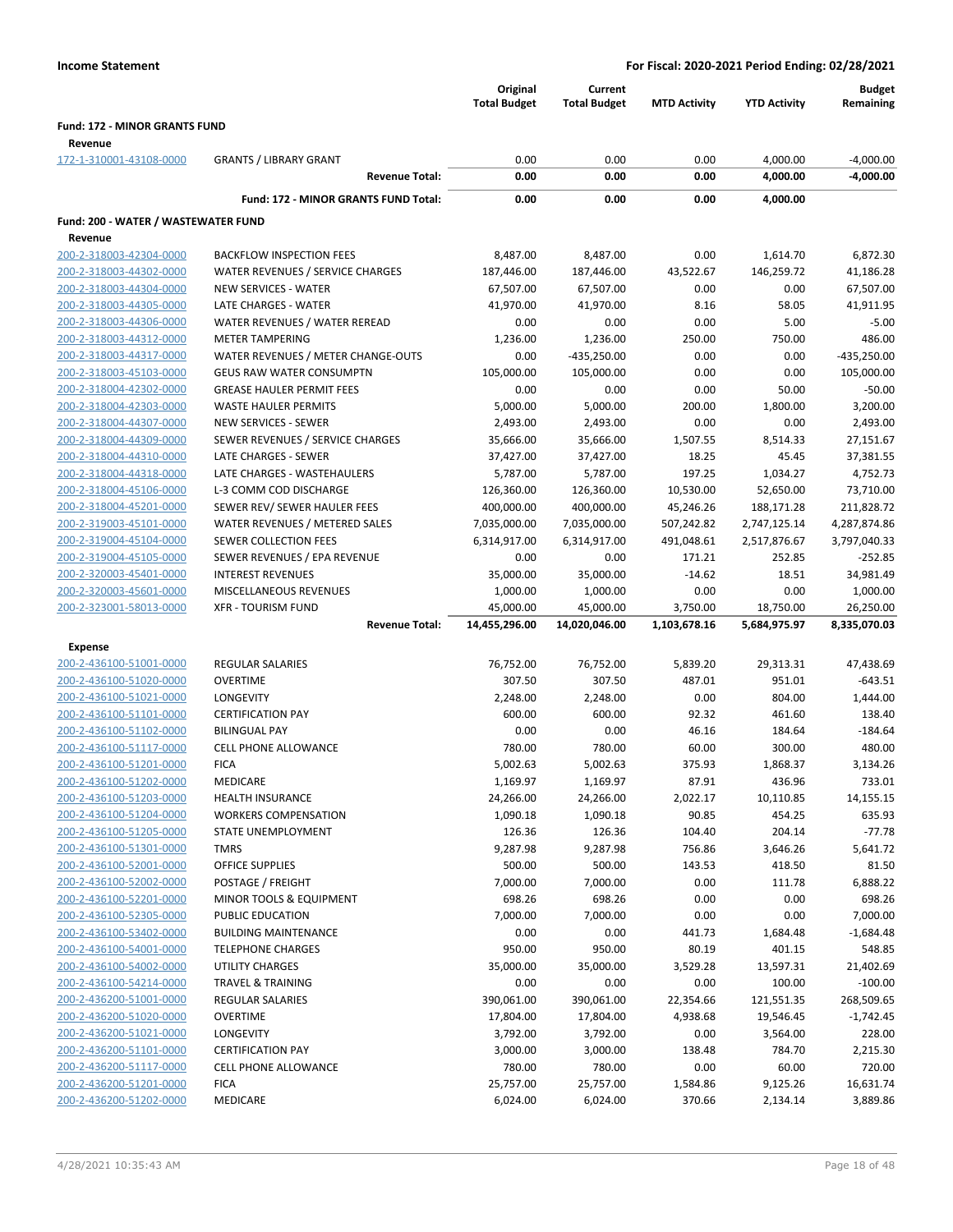|                                                    |                                                     | Original<br><b>Total Budget</b> | Current<br><b>Total Budget</b> | <b>MTD Activity</b> | <b>YTD Activity</b>     | Budget<br>Remaining     |
|----------------------------------------------------|-----------------------------------------------------|---------------------------------|--------------------------------|---------------------|-------------------------|-------------------------|
| <b>Fund: 172 - MINOR GRANTS FUND</b><br>Revenue    |                                                     |                                 |                                |                     |                         |                         |
| 172-1-310001-43108-0000                            | <b>GRANTS / LIBRARY GRANT</b>                       | 0.00                            | 0.00                           | 0.00                | 4,000.00                | $-4,000.00$             |
|                                                    | <b>Revenue Total:</b>                               | 0.00                            | 0.00                           | 0.00                | 4,000.00                | -4,000.00               |
|                                                    | Fund: 172 - MINOR GRANTS FUND Total:                | 0.00                            | 0.00                           | 0.00                | 4,000.00                |                         |
| Fund: 200 - WATER / WASTEWATER FUND                |                                                     |                                 |                                |                     |                         |                         |
| Revenue                                            |                                                     |                                 |                                |                     |                         |                         |
| 200-2-318003-42304-0000                            | <b>BACKFLOW INSPECTION FEES</b>                     | 8,487.00                        | 8,487.00                       | 0.00                | 1,614.70                | 6,872.30                |
| 200-2-318003-44302-0000                            | WATER REVENUES / SERVICE CHARGES                    | 187,446.00                      | 187,446.00                     | 43,522.67           | 146,259.72              | 41,186.28               |
| 200-2-318003-44304-0000                            | <b>NEW SERVICES - WATER</b>                         | 67,507.00                       | 67,507.00                      | 0.00                | 0.00                    | 67,507.00               |
| 200-2-318003-44305-0000                            | LATE CHARGES - WATER                                | 41,970.00                       | 41,970.00                      | 8.16                | 58.05                   | 41,911.95               |
| 200-2-318003-44306-0000                            | WATER REVENUES / WATER REREAD                       | 0.00                            | 0.00                           | 0.00                | 5.00                    | $-5.00$                 |
| 200-2-318003-44312-0000                            | <b>METER TAMPERING</b>                              | 1,236.00                        | 1,236.00                       | 250.00              | 750.00                  | 486.00                  |
| 200-2-318003-44317-0000                            | WATER REVENUES / METER CHANGE-OUTS                  | 0.00                            | $-435,250.00$                  | 0.00                | 0.00                    | $-435,250.00$           |
| 200-2-318003-45103-0000                            | <b>GEUS RAW WATER CONSUMPTN</b>                     | 105,000.00                      | 105,000.00                     | 0.00                | 0.00                    | 105,000.00              |
| 200-2-318004-42302-0000                            | <b>GREASE HAULER PERMIT FEES</b>                    | 0.00                            | 0.00                           | 0.00                | 50.00                   | $-50.00$                |
| 200-2-318004-42303-0000                            | WASTE HAULER PERMITS                                | 5,000.00                        | 5,000.00                       | 200.00              | 1,800.00                | 3,200.00                |
| 200-2-318004-44307-0000                            | NEW SERVICES - SEWER                                | 2,493.00                        | 2,493.00                       | 0.00                | 0.00                    | 2,493.00                |
| 200-2-318004-44309-0000                            | SEWER REVENUES / SERVICE CHARGES                    | 35,666.00                       | 35,666.00                      | 1,507.55            | 8,514.33                | 27,151.67               |
| 200-2-318004-44310-0000<br>200-2-318004-44318-0000 | LATE CHARGES - SEWER<br>LATE CHARGES - WASTEHAULERS | 37,427.00                       | 37,427.00                      | 18.25               | 45.45<br>1,034.27       | 37,381.55<br>4,752.73   |
| 200-2-318004-45106-0000                            | L-3 COMM COD DISCHARGE                              | 5,787.00<br>126,360.00          | 5,787.00                       | 197.25<br>10,530.00 |                         |                         |
| 200-2-318004-45201-0000                            | SEWER REV/ SEWER HAULER FEES                        | 400,000.00                      | 126,360.00<br>400,000.00       | 45,246.26           | 52,650.00<br>188,171.28 | 73,710.00<br>211,828.72 |
| 200-2-319003-45101-0000                            | WATER REVENUES / METERED SALES                      | 7,035,000.00                    | 7,035,000.00                   | 507,242.82          | 2,747,125.14            | 4,287,874.86            |
| 200-2-319004-45104-0000                            | <b>SEWER COLLECTION FEES</b>                        | 6,314,917.00                    | 6,314,917.00                   | 491,048.61          | 2,517,876.67            | 3,797,040.33            |
| 200-2-319004-45105-0000                            | SEWER REVENUES / EPA REVENUE                        | 0.00                            | 0.00                           | 171.21              | 252.85                  | $-252.85$               |
| 200-2-320003-45401-0000                            | <b>INTEREST REVENUES</b>                            | 35,000.00                       | 35,000.00                      | $-14.62$            | 18.51                   | 34,981.49               |
| 200-2-320003-45601-0000                            | MISCELLANEOUS REVENUES                              | 1,000.00                        | 1,000.00                       | 0.00                | 0.00                    | 1,000.00                |
| 200-2-323001-58013-0000                            | <b>XFR - TOURISM FUND</b>                           | 45,000.00                       | 45,000.00                      | 3,750.00            | 18,750.00               | 26,250.00               |
|                                                    | <b>Revenue Total:</b>                               | 14,455,296.00                   | 14,020,046.00                  | 1,103,678.16        | 5,684,975.97            | 8,335,070.03            |
| <b>Expense</b>                                     |                                                     |                                 |                                |                     |                         |                         |
| 200-2-436100-51001-0000                            | <b>REGULAR SALARIES</b>                             | 76,752.00                       | 76,752.00                      | 5,839.20            | 29,313.31               | 47,438.69               |
| 200-2-436100-51020-0000                            | <b>OVERTIME</b>                                     | 307.50                          | 307.50                         | 487.01              | 951.01                  | $-643.51$               |
| 200-2-436100-51021-0000                            | LONGEVITY                                           | 2,248.00                        | 2,248.00                       | 0.00                | 804.00                  | 1,444.00                |
| 200-2-436100-51101-0000                            | <b>CERTIFICATION PAY</b>                            | 600.00                          | 600.00                         | 92.32               | 461.60                  | 138.40                  |
| 200-2-436100-51102-0000                            | <b>BILINGUAL PAY</b>                                | 0.00                            | 0.00                           | 46.16               | 184.64                  | $-184.64$               |
| 200-2-436100-51117-0000                            | <b>CELL PHONE ALLOWANCE</b>                         | 780.00                          | 780.00                         | 60.00               | 300.00                  | 480.00                  |
| 200-2-436100-51201-0000                            | <b>FICA</b>                                         | 5,002.63                        | 5,002.63                       | 375.93              | 1,868.37                | 3,134.26                |
| 200-2-436100-51202-0000                            | MEDICARE                                            | 1,169.97                        | 1,169.97                       | 87.91               | 436.96                  | 733.01                  |
| 200-2-436100-51203-0000                            | <b>HEALTH INSURANCE</b>                             | 24,266.00                       | 24,266.00                      | 2,022.17            | 10,110.85               | 14,155.15               |
| 200-2-436100-51204-0000                            | <b>WORKERS COMPENSATION</b>                         | 1,090.18                        | 1,090.18                       | 90.85               | 454.25                  | 635.93                  |
| 200-2-436100-51205-0000                            | STATE UNEMPLOYMENT                                  | 126.36                          | 126.36                         | 104.40              | 204.14                  | $-77.78$                |
| 200-2-436100-51301-0000                            | <b>TMRS</b>                                         | 9,287.98                        | 9,287.98                       | 756.86              | 3,646.26                | 5,641.72                |
| 200-2-436100-52001-0000                            | <b>OFFICE SUPPLIES</b>                              | 500.00                          | 500.00                         | 143.53              | 418.50                  | 81.50                   |
| 200-2-436100-52002-0000                            | POSTAGE / FREIGHT                                   | 7,000.00                        | 7,000.00                       | 0.00                | 111.78                  | 6,888.22                |
| 200-2-436100-52201-0000                            | MINOR TOOLS & EQUIPMENT                             | 698.26                          | 698.26                         | 0.00                | 0.00                    | 698.26                  |
| 200-2-436100-52305-0000                            | PUBLIC EDUCATION                                    | 7,000.00                        | 7,000.00                       | 0.00                | 0.00                    | 7,000.00                |
| 200-2-436100-53402-0000                            | <b>BUILDING MAINTENANCE</b>                         | 0.00                            | 0.00                           | 441.73              | 1,684.48                | $-1,684.48$             |
| 200-2-436100-54001-0000                            | <b>TELEPHONE CHARGES</b>                            | 950.00                          | 950.00                         | 80.19               | 401.15                  | 548.85                  |
| 200-2-436100-54002-0000                            | <b>UTILITY CHARGES</b>                              | 35,000.00                       | 35,000.00                      | 3,529.28            | 13,597.31               | 21,402.69               |
| 200-2-436100-54214-0000                            | <b>TRAVEL &amp; TRAINING</b>                        | 0.00                            | 0.00                           | 0.00                | 100.00                  | $-100.00$               |
| 200-2-436200-51001-0000                            | <b>REGULAR SALARIES</b>                             | 390,061.00                      | 390,061.00                     | 22,354.66           | 121,551.35              | 268,509.65              |
| 200-2-436200-51020-0000                            | <b>OVERTIME</b>                                     | 17,804.00                       | 17,804.00                      | 4,938.68            | 19,546.45               | $-1,742.45$             |
| 200-2-436200-51021-0000                            | LONGEVITY                                           | 3,792.00                        | 3,792.00                       | 0.00                | 3,564.00                | 228.00                  |
| 200-2-436200-51101-0000                            | <b>CERTIFICATION PAY</b>                            | 3,000.00                        | 3,000.00                       | 138.48              | 784.70                  | 2,215.30                |
| 200-2-436200-51117-0000                            | <b>CELL PHONE ALLOWANCE</b>                         | 780.00                          | 780.00                         | 0.00                | 60.00                   | 720.00                  |
| 200-2-436200-51201-0000                            | <b>FICA</b>                                         | 25,757.00                       | 25,757.00                      | 1,584.86            | 9,125.26                | 16,631.74               |
| 200-2-436200-51202-0000                            | MEDICARE                                            | 6,024.00                        | 6,024.00                       | 370.66              | 2,134.14                | 3,889.86                |
|                                                    |                                                     |                                 |                                |                     |                         |                         |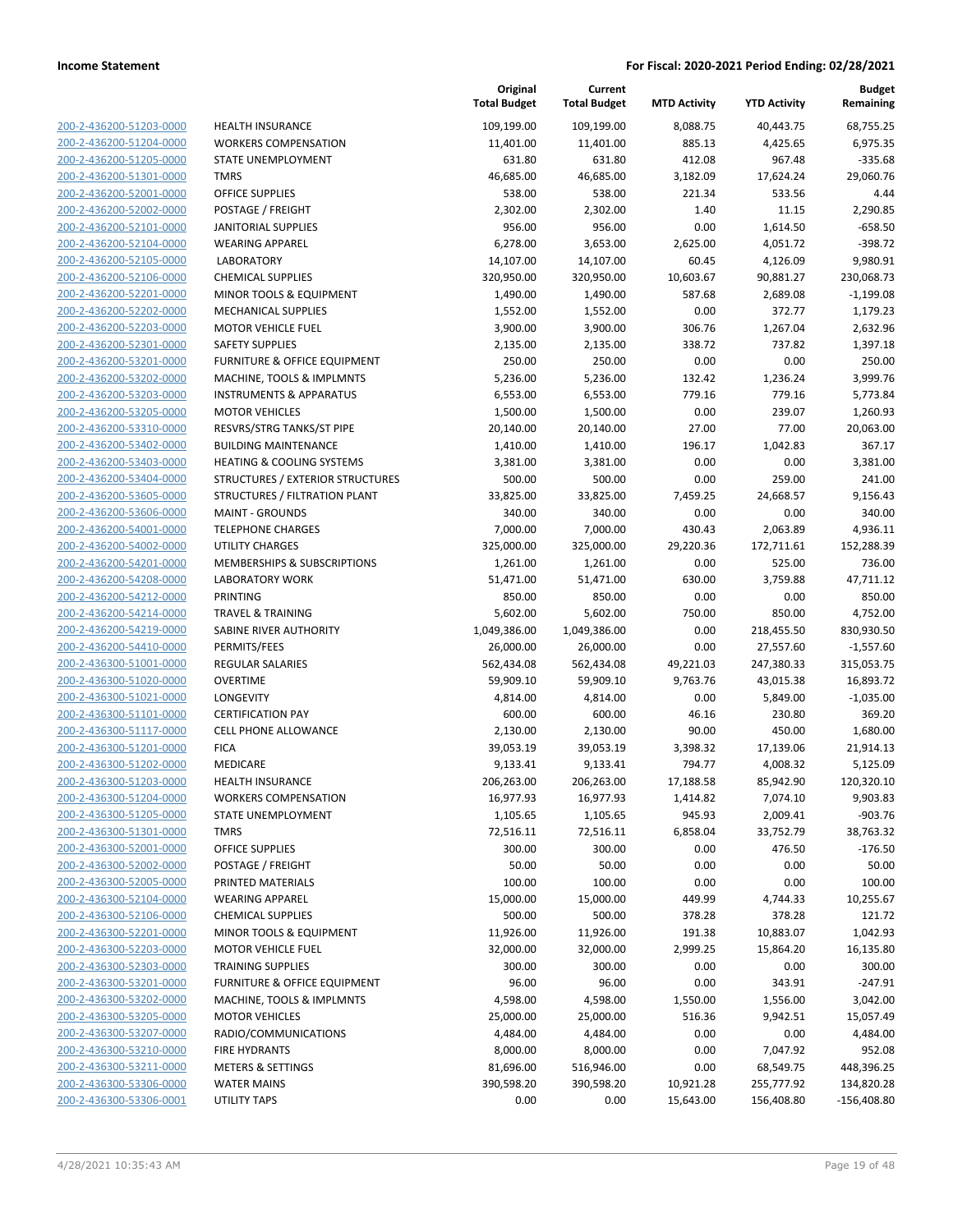| 200-2-436200-51203-0000                            |
|----------------------------------------------------|
| 200-2-436200-51204-0000                            |
| 200-2-436200-51205-0000                            |
| 200-2-436200-51301-0000                            |
| <u>200-2-436200-52001-0000</u>                     |
| <u>200-2-436200-52002-0000</u>                     |
| 200-2-436200-52101-0000                            |
| 200-2-436200-52104-0000                            |
| 200-2-436200-52105-0000                            |
| 200-2-436200-52106-0000                            |
| <u>200-2-436200-52201-0000</u>                     |
| 200-2-436200-52202-0000                            |
| 200-2-436200-52203-0000                            |
| 200-2-436200-52301-0000                            |
| 200-2-436200-53201-0000                            |
| 200-2-436200-53202-0000                            |
| 200-2-436200-53203-0000                            |
| 200-2-436200-53205-0000                            |
| 200-2-436200-53310-0000                            |
| 200-2-436200-53402-0000                            |
| 200-2-436200-53403-0000                            |
| 200-2-436200-53404-0000                            |
| 200-2-436200-53605-0000                            |
| 200-2-436200-53606-0000                            |
| 200-2-436200-54001-0000                            |
| 200-2-436200-54002-0000                            |
| 200-2-436200-54201-0000                            |
| 200-2-436200-54208-0000                            |
| 200-2-436200-54212-0000                            |
| 200-2-436200-54214-0000                            |
| 200-2-436200-54219-0000                            |
| 200-2-436200-54410-0000<br>200-2-436300-51001-0000 |
| 200-2-436300-51020-0000                            |
| <u>200-2-436300-51021-0000</u>                     |
| 200-2-436300-51101-0000                            |
| 200-2-436300-51117-0000                            |
| 200-2-436300-51201-0000                            |
| 200-2-436300-51202-0000                            |
| 200-2-436300-51203-0000                            |
| 200-2-436300-51204-0000                            |
| 200-2-436300-51205-0000                            |
| 200-2-436300-51301-0000                            |
| 200-2-436300-52001-0000                            |
| <u>200-2-436300-52002-0000</u>                     |
| <u>200-2-436300-52005-0000</u>                     |
| 200-2-436300-52104-0000                            |
| 200-2-436300-52106-0000                            |
| <u>200-2-436300-52201-0000</u>                     |
| <u>200-2-436300-52203-0000</u>                     |
| <u>200-2-436300-52303-0000</u>                     |
| 200-2-436300-53201-0000                            |
| 200-2-436300-53202-0000                            |
| 200-2-436300-53205-0000                            |
| <u>200-2-436300-53207-0000</u>                     |
| <u>200-2-436300-53210-0000</u>                     |
| 200-2-436300-53211-0000                            |
| 200-2-436300-53306-0000                            |
| 200-2-436300-53306-0001                            |

| HEALTH INSURANCE                     |
|--------------------------------------|
| WORKERS COMPENSATION                 |
| STATE UNEMPLOYMENT                   |
| TMRS                                 |
| <b>DFFICE SUPPLIES</b>               |
| POSTAGE / FREIGHT                    |
| ANITORIAL SUPPLIES                   |
| WEARING APPAREL                      |
| <b>LABORATORY</b>                    |
| CHEMICAL SUPPLIES                    |
| MINOR TOOLS & EQUIPMENT              |
| MECHANICAL SUPPLIES                  |
| MOTOR VEHICLE FUEL                   |
| SAFETY SUPPLIES                      |
| URNITURE & OFFICE EQUIPMENT          |
| <b>MACHINE, TOOLS &amp; IMPLMNTS</b> |
| <b>NSTRUMENTS &amp; APPARATUS</b>    |
| <b>MOTOR VEHICLES</b>                |
| RESVRS/STRG TANKS/ST PIPE            |
| <b>BUILDING MAINTENANCE</b>          |
| HEATING & COOLING SYSTEMS            |
| STRUCTURES / EXTERIOR STRUCTURES     |
| <b>STRUCTURES / FILTRATION PLANT</b> |
| <b>MAINT - GROUNDS</b>               |
| <b><i>TELEPHONE CHARGES</i></b>      |
| <b>JTILITY CHARGES</b>               |
| MEMBERSHIPS & SUBSCRIPTIONS          |
| <b>ABORATORY WORK</b>                |
| <b>PRINTING</b>                      |
| <b>FRAVEL &amp; TRAINING</b>         |
| SABINE RIVER AUTHORITY               |
| PERMITS/FEES                         |
| REGULAR SALARIES                     |
| OVERTIME                             |
| <b>ONGEVITY</b>                      |
| CERTIFICATION PAY                    |
| CELL PHONE ALLOWANCE                 |
| FICA                                 |
| <b>MEDICARE</b>                      |
| HEALTH INSURANCE                     |
| <b><i>NORKERS COMPENSATION</i></b>   |
| STATE UNEMPLOYMENT                   |
| <b>TMRS</b>                          |
| <b><i>OFFICE SUPPLIES</i></b>        |
| <b>POSTAGE / FREIGHT</b>             |
| PRINTED MATERIALS                    |
| WEARING APPAREL                      |
| CHEMICAL SUPPLIES                    |
| MINOR TOOLS & EQUIPMENT              |
| <b>MOTOR VEHICLE FUEL</b>            |
| <b>FRAINING SUPPLIES</b>             |
| URNITURE & OFFICE EQUIPMENT          |
| <b>MACHINE, TOOLS &amp; IMPLMNTS</b> |
| <b>MOTOR VEHICLES</b>                |
| RADIO/COMMUNICATIONS                 |
| <b>IRE HYDRANTS</b>                  |
| METERS & SETTINGS                    |
| WATER MAINS                          |

|                         |                                                                     | Original<br><b>Total Budget</b> | Current<br><b>Total Budget</b> | <b>MTD Activity</b> | <b>YTD Activity</b> | <b>Budget</b><br>Remaining |
|-------------------------|---------------------------------------------------------------------|---------------------------------|--------------------------------|---------------------|---------------------|----------------------------|
| 200-2-436200-51203-0000 | <b>HEALTH INSURANCE</b>                                             | 109,199.00                      | 109,199.00                     | 8,088.75            | 40,443.75           | 68,755.25                  |
| 200-2-436200-51204-0000 | <b>WORKERS COMPENSATION</b>                                         | 11,401.00                       | 11,401.00                      | 885.13              | 4,425.65            | 6,975.35                   |
| 200-2-436200-51205-0000 | STATE UNEMPLOYMENT                                                  | 631.80                          | 631.80                         | 412.08              | 967.48              | $-335.68$                  |
| 200-2-436200-51301-0000 | <b>TMRS</b>                                                         | 46,685.00                       | 46,685.00                      | 3,182.09            | 17,624.24           | 29.060.76                  |
| 200-2-436200-52001-0000 | <b>OFFICE SUPPLIES</b>                                              | 538.00                          | 538.00                         | 221.34              | 533.56              | 4.44                       |
| 200-2-436200-52002-0000 | POSTAGE / FREIGHT                                                   | 2,302.00                        | 2,302.00                       | 1.40                | 11.15               | 2,290.85                   |
| 200-2-436200-52101-0000 | <b>JANITORIAL SUPPLIES</b>                                          | 956.00                          | 956.00                         | 0.00                | 1,614.50            | $-658.50$                  |
| 200-2-436200-52104-0000 | <b>WEARING APPAREL</b>                                              | 6,278.00                        | 3,653.00                       | 2,625.00            | 4,051.72            | $-398.72$                  |
| 200-2-436200-52105-0000 | <b>LABORATORY</b>                                                   | 14,107.00                       | 14,107.00                      | 60.45               | 4,126.09            | 9,980.91                   |
| 200-2-436200-52106-0000 | <b>CHEMICAL SUPPLIES</b>                                            | 320,950.00                      | 320,950.00                     | 10,603.67           | 90,881.27           | 230,068.73                 |
| 200-2-436200-52201-0000 | MINOR TOOLS & EQUIPMENT                                             | 1,490.00                        | 1,490.00                       | 587.68              | 2,689.08            | $-1,199.08$                |
| 200-2-436200-52202-0000 | MECHANICAL SUPPLIES                                                 | 1,552.00                        | 1,552.00                       | 0.00                | 372.77              | 1,179.23                   |
| 200-2-436200-52203-0000 | <b>MOTOR VEHICLE FUEL</b>                                           | 3,900.00                        | 3,900.00                       | 306.76              | 1,267.04            | 2,632.96                   |
| 200-2-436200-52301-0000 | <b>SAFETY SUPPLIES</b>                                              | 2,135.00                        | 2,135.00                       | 338.72              | 737.82              | 1,397.18                   |
| 200-2-436200-53201-0000 | FURNITURE & OFFICE EQUIPMENT                                        | 250.00                          | 250.00                         | 0.00                | 0.00                | 250.00                     |
| 200-2-436200-53202-0000 | MACHINE, TOOLS & IMPLMNTS                                           | 5,236.00                        | 5,236.00                       | 132.42              | 1,236.24            | 3,999.76                   |
| 200-2-436200-53203-0000 | <b>INSTRUMENTS &amp; APPARATUS</b>                                  | 6,553.00                        | 6,553.00                       | 779.16              | 779.16              | 5,773.84                   |
| 200-2-436200-53205-0000 | <b>MOTOR VEHICLES</b>                                               | 1,500.00                        | 1,500.00                       | 0.00                | 239.07              | 1,260.93                   |
| 200-2-436200-53310-0000 | RESVRS/STRG TANKS/ST PIPE                                           | 20,140.00                       | 20,140.00                      | 27.00               | 77.00               | 20,063.00                  |
| 200-2-436200-53402-0000 | <b>BUILDING MAINTENANCE</b>                                         | 1,410.00                        | 1,410.00                       | 196.17              | 1,042.83            | 367.17                     |
| 200-2-436200-53403-0000 | <b>HEATING &amp; COOLING SYSTEMS</b>                                | 3,381.00                        | 3,381.00                       | 0.00                | 0.00                | 3,381.00                   |
| 200-2-436200-53404-0000 | STRUCTURES / EXTERIOR STRUCTURES                                    | 500.00                          | 500.00                         | 0.00                | 259.00              | 241.00                     |
| 200-2-436200-53605-0000 | STRUCTURES / FILTRATION PLANT                                       | 33,825.00                       | 33,825.00                      | 7,459.25            | 24,668.57           | 9,156.43                   |
| 200-2-436200-53606-0000 | <b>MAINT - GROUNDS</b>                                              | 340.00                          | 340.00                         | 0.00                | 0.00                | 340.00                     |
| 200-2-436200-54001-0000 | <b>TELEPHONE CHARGES</b>                                            | 7,000.00                        | 7,000.00                       | 430.43              | 2,063.89            | 4,936.11                   |
| 200-2-436200-54002-0000 | UTILITY CHARGES                                                     | 325,000.00                      | 325,000.00                     | 29,220.36           | 172,711.61          | 152,288.39                 |
| 200-2-436200-54201-0000 | MEMBERSHIPS & SUBSCRIPTIONS                                         | 1,261.00                        | 1,261.00                       | 0.00                | 525.00              | 736.00                     |
| 200-2-436200-54208-0000 | <b>LABORATORY WORK</b>                                              | 51,471.00                       | 51,471.00                      | 630.00              | 3,759.88            | 47,711.12                  |
| 200-2-436200-54212-0000 | <b>PRINTING</b>                                                     | 850.00                          | 850.00                         | 0.00                | 0.00                | 850.00                     |
| 200-2-436200-54214-0000 | <b>TRAVEL &amp; TRAINING</b>                                        | 5,602.00                        | 5,602.00                       | 750.00              | 850.00              | 4,752.00                   |
| 200-2-436200-54219-0000 | SABINE RIVER AUTHORITY                                              | 1,049,386.00                    | 1,049,386.00                   | 0.00                | 218,455.50          | 830,930.50                 |
| 200-2-436200-54410-0000 | PERMITS/FEES                                                        | 26,000.00                       | 26,000.00                      | 0.00                | 27,557.60           | $-1,557.60$                |
| 200-2-436300-51001-0000 | REGULAR SALARIES                                                    | 562,434.08                      | 562,434.08                     | 49,221.03           | 247,380.33          | 315,053.75                 |
| 200-2-436300-51020-0000 | <b>OVERTIME</b>                                                     | 59,909.10                       | 59,909.10                      | 9,763.76            | 43,015.38           | 16,893.72                  |
| 200-2-436300-51021-0000 | LONGEVITY                                                           | 4,814.00                        | 4,814.00                       | 0.00                | 5,849.00            | $-1,035.00$                |
| 200-2-436300-51101-0000 | <b>CERTIFICATION PAY</b>                                            | 600.00                          | 600.00                         | 46.16               | 230.80              | 369.20                     |
| 200-2-436300-51117-0000 | CELL PHONE ALLOWANCE                                                | 2,130.00                        | 2,130.00                       | 90.00               | 450.00              | 1,680.00                   |
| 200-2-436300-51201-0000 | <b>FICA</b>                                                         | 39,053.19                       | 39,053.19                      | 3,398.32            | 17,139.06           | 21,914.13                  |
| 200-2-436300-51202-0000 | MEDICARE                                                            | 9,133.41                        | 9,133.41                       | 794.77              | 4,008.32            | 5,125.09                   |
| 200-2-436300-51203-0000 | <b>HEALTH INSURANCE</b>                                             | 206,263.00                      | 206,263.00                     | 17,188.58           | 85,942.90           | 120,320.10                 |
| 200-2-436300-51204-0000 | <b>WORKERS COMPENSATION</b>                                         | 16,977.93                       | 16,977.93                      | 1,414.82            | 7,074.10            | 9,903.83                   |
| 200-2-436300-51205-0000 | STATE UNEMPLOYMENT                                                  | 1,105.65                        | 1,105.65                       | 945.93              | 2,009.41            | $-903.76$                  |
| 200-2-436300-51301-0000 | <b>TMRS</b>                                                         | 72,516.11                       | 72,516.11                      | 6,858.04            | 33,752.79           | 38,763.32                  |
| 200-2-436300-52001-0000 | <b>OFFICE SUPPLIES</b>                                              | 300.00                          | 300.00                         | 0.00                | 476.50              | $-176.50$                  |
| 200-2-436300-52002-0000 | POSTAGE / FREIGHT                                                   | 50.00                           | 50.00                          | 0.00                | 0.00                | 50.00                      |
| 200-2-436300-52005-0000 | PRINTED MATERIALS                                                   | 100.00                          | 100.00                         | 0.00                | 0.00                | 100.00                     |
| 200-2-436300-52104-0000 | <b>WEARING APPAREL</b>                                              | 15,000.00                       | 15,000.00                      | 449.99              | 4,744.33            | 10,255.67                  |
| 200-2-436300-52106-0000 | <b>CHEMICAL SUPPLIES</b>                                            | 500.00                          | 500.00                         | 378.28              | 378.28              | 121.72                     |
| 200-2-436300-52201-0000 | MINOR TOOLS & EQUIPMENT                                             | 11,926.00                       | 11,926.00                      | 191.38              | 10,883.07           | 1,042.93                   |
| 200-2-436300-52203-0000 | <b>MOTOR VEHICLE FUEL</b>                                           | 32,000.00                       | 32,000.00                      | 2,999.25            | 15,864.20           | 16,135.80                  |
| 200-2-436300-52303-0000 | <b>TRAINING SUPPLIES</b><br><b>FURNITURE &amp; OFFICE EQUIPMENT</b> | 300.00                          | 300.00                         | 0.00                | 0.00                | 300.00                     |
| 200-2-436300-53201-0000 |                                                                     | 96.00                           | 96.00                          | 0.00                | 343.91              | $-247.91$                  |
| 200-2-436300-53202-0000 | MACHINE, TOOLS & IMPLMNTS                                           | 4,598.00                        | 4,598.00                       | 1,550.00            | 1,556.00            | 3,042.00                   |
| 200-2-436300-53205-0000 | <b>MOTOR VEHICLES</b>                                               | 25,000.00                       | 25,000.00                      | 516.36              | 9,942.51            | 15,057.49                  |
| 200-2-436300-53207-0000 | RADIO/COMMUNICATIONS                                                | 4,484.00                        | 4,484.00                       | 0.00                | 0.00                | 4,484.00                   |
| 200-2-436300-53210-0000 | <b>FIRE HYDRANTS</b>                                                | 8,000.00                        | 8,000.00                       | 0.00                | 7,047.92            | 952.08                     |
| 200-2-436300-53211-0000 | <b>METERS &amp; SETTINGS</b>                                        | 81,696.00                       | 516,946.00                     | 0.00                | 68,549.75           | 448,396.25                 |
| 200-2-436300-53306-0000 | <b>WATER MAINS</b>                                                  | 390,598.20                      | 390,598.20                     | 10,921.28           | 255,777.92          | 134,820.28                 |
| 200-2-436300-53306-0001 | <b>UTILITY TAPS</b>                                                 | 0.00                            | 0.00                           | 15,643.00           | 156,408.80          | $-156,408.80$              |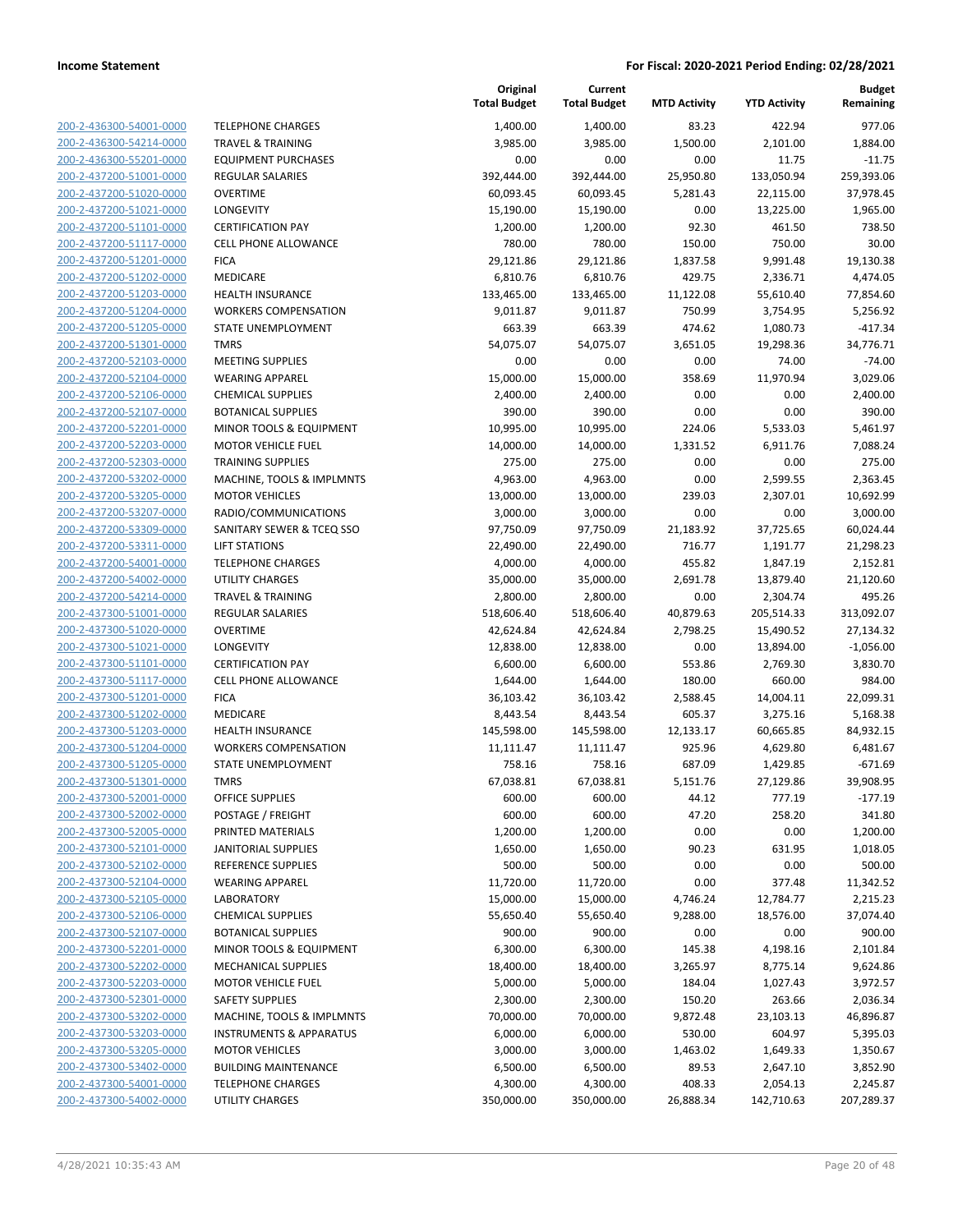| 200-2-436300-54001-0000        |
|--------------------------------|
| 200-2-436300-54214-0000        |
| 200-2-436300-55201-0000        |
| 200-2-437200-51001-0000        |
| <u>200-2-437200-51020-0000</u> |
| 200-2-437200-51021-0000        |
| 200-2-437200-51101-0000        |
| 200-2-437200-51117-0000        |
| 200-2-437200-51201-0000        |
| 200-2-437200-51202-0000        |
| 200-2-437200-51203-0000        |
|                                |
| 200-2-437200-51204-0000        |
| 200-2-437200-51205-0000        |
| 200-2-437200-51301-0000        |
| <u>200-2-437200-52103-0000</u> |
| <u>200-2-437200-52104-0000</u> |
| 200-2-437200-52106-0000        |
| 200-2-437200-52107-0000        |
| 200-2-437200-52201-0000        |
| 200-2-437200-52203-0000        |
| 200-2-437200-52303-0000        |
| 200-2-437200-53202-0000        |
| 200-2-437200-53205-0000        |
| 200-2-437200-53207-0000        |
| 200-2-437200-53309-0000        |
| <u>200-2-437200-53311-0000</u> |
| 200-2-437200-54001-0000        |
|                                |
| 200-2-437200-54002-0000        |
| 200-2-437200-54214-0000        |
| 200-2-437300-51001-0000        |
| 200-2-437300-51020-0000        |
| 200-2-437300-51021-0000        |
| 200-2-437300-51101-0000        |
| 200-2-437300-51117-0000        |
| 200-2-437300-51201-0000        |
| 200-2-437300-51202-0000        |
| 200-2-437300-51203-0000        |
| 200-2-437300-51204-0000        |
| 200-2-437300-51205-0000        |
| 200-2-437300-51301-0000        |
| 200-2-437300-52001-0000        |
| <u>200-2-437300-52002-0000</u> |
| 200-2-437300-52005-0000        |
| 200-2-437300-52101-0000        |
|                                |
| <u>200-2-437300-52102-0000</u> |
| <u>200-2-437300-52104-0000</u> |
| <u>200-2-437300-52105-0000</u> |
| 200-2-437300-52106-0000        |
| 200-2-437300-52107-0000        |
| <u>200-2-437300-52201-0000</u> |
| <u>200-2-437300-52202-0000</u> |
| 200-2-437300-52203-0000        |
| 200-2-437300-52301-0000        |
| 200-2-437300-53202-0000        |
| <u>200-2-437300-53203-0000</u> |
| <u>200-2-437300-53205-0000</u> |
| 200-2-437300-53402-0000        |
| 200-2-437300-54001-0000        |
| 200-2-437300-54002-0000        |
|                                |

| <b>ELEPHONE CHARGES</b>              |
|--------------------------------------|
| <b>RAVEL &amp; TRAINING</b>          |
| :QUIPMENT PURCHASES                  |
| <b>REGULAR SALARIES</b>              |
| <b>DVERTIME</b>                      |
| <b>ONGEVITY</b>                      |
| <b>CERTIFICATION PAY</b>             |
| CELL PHONE ALLOWANCE                 |
| <b>ICA</b>                           |
| <b>MEDICARE</b>                      |
| <b>IEALTH INSURANCE</b>              |
| WORKERS COMPENSATION                 |
| STATE UNEMPLOYMENT                   |
| <b>MRS</b>                           |
| MEETING SUPPLIES                     |
| VEARING APPAREL                      |
| CHEMICAL SUPPLIES                    |
| <b>BOTANICAL SUPPLIES</b>            |
| MINOR TOOLS & EQUIPMENT              |
| MOTOR VEHICLE FUEL                   |
| <b>RAINING SUPPLIES</b>              |
| <b>MACHINE, TOOLS &amp; IMPLMNTS</b> |
| <b>MOTOR VEHICLES</b>                |
| RADIO/COMMUNICATIONS                 |
| ANITARY SEWER & TCEQ SSO             |
| <b>IFT STATIONS</b>                  |
| ELEPHONE CHARGES                     |
| JTILITY CHARGES                      |
| <b>RAVEL &amp; TRAINING</b>          |
| REGULAR SALARIES                     |
| <b>DVERTIME</b>                      |
| ONGEVITY.                            |
| <b>CERTIFICATION PAY</b>             |
| CELL PHONE ALLOWANCE                 |
| <b>ICA</b>                           |
| <b>MEDICARE</b>                      |
| HEALTH INSURANCE                     |
| <b><i>NORKERS COMPENSATION</i></b>   |
| <b>TATE UNEMPLOYMENT</b>             |
| MRS <sup>.</sup>                     |
| <b>DFFICE SUPPLIES</b>               |
| OSTAGE / FREIGHT                     |
| <b>PRINTED MATERIALS</b>             |
| <b>ANITORIAL SUPPLIES</b>            |
| REFERENCE SUPPLIES                   |
| VEARING APPAREL                      |
| ABORATORY                            |
| <b>CHEMICAL SUPPLIES</b>             |
| <b>BOTANICAL SUPPLIES</b>            |
| <b>MINOR TOOLS &amp; EQUIPMENT</b>   |
| <b>MECHANICAL SUPPLIES</b>           |
| <b>MOTOR VEHICLE FUEL</b>            |
| <b>AFETY SUPPLIES</b>                |
| <b>MACHINE, TOOLS &amp; IMPLMNTS</b> |
| NSTRUMENTS & APPARATUS               |
| <b>MOTOR VEHICLES</b>                |
| <b>BUILDING MAINTENANCE</b>          |
| <b>ELEPHONE CHARGES</b>              |

|                                                    |                                                        | Original<br><b>Total Budget</b> | Current<br><b>Total Budget</b> | <b>MTD Activity</b> | <b>YTD Activity</b>    | <b>Budget</b><br>Remaining |
|----------------------------------------------------|--------------------------------------------------------|---------------------------------|--------------------------------|---------------------|------------------------|----------------------------|
| 200-2-436300-54001-0000                            | <b>TELEPHONE CHARGES</b>                               | 1,400.00                        | 1,400.00                       | 83.23               | 422.94                 | 977.06                     |
| 200-2-436300-54214-0000                            | <b>TRAVEL &amp; TRAINING</b>                           | 3,985.00                        | 3,985.00                       | 1,500.00            | 2,101.00               | 1,884.00                   |
| 200-2-436300-55201-0000                            | <b>EQUIPMENT PURCHASES</b>                             | 0.00                            | 0.00                           | 0.00                | 11.75                  | $-11.75$                   |
| 200-2-437200-51001-0000                            | <b>REGULAR SALARIES</b>                                | 392,444.00                      | 392,444.00                     | 25,950.80           | 133,050.94             | 259,393.06                 |
| 200-2-437200-51020-0000                            | <b>OVERTIME</b>                                        | 60,093.45                       | 60,093.45                      | 5,281.43            | 22,115.00              | 37,978.45                  |
| 200-2-437200-51021-0000                            | LONGEVITY                                              | 15,190.00                       | 15,190.00                      | 0.00                | 13,225.00              | 1,965.00                   |
| 200-2-437200-51101-0000                            | <b>CERTIFICATION PAY</b>                               | 1,200.00                        | 1,200.00                       | 92.30               | 461.50                 | 738.50                     |
| 200-2-437200-51117-0000                            | <b>CELL PHONE ALLOWANCE</b>                            | 780.00                          | 780.00                         | 150.00              | 750.00                 | 30.00                      |
| 200-2-437200-51201-0000                            | <b>FICA</b>                                            | 29,121.86                       | 29,121.86                      | 1,837.58            | 9,991.48               | 19,130.38                  |
| 200-2-437200-51202-0000                            | MEDICARE                                               | 6,810.76                        | 6,810.76                       | 429.75              | 2,336.71               | 4,474.05                   |
| 200-2-437200-51203-0000                            | HEALTH INSURANCE                                       | 133,465.00                      | 133,465.00                     | 11,122.08           | 55,610.40              | 77,854.60                  |
| 200-2-437200-51204-0000                            | <b>WORKERS COMPENSATION</b>                            | 9,011.87                        | 9,011.87                       | 750.99              | 3,754.95               | 5,256.92                   |
| 200-2-437200-51205-0000                            | <b>STATE UNEMPLOYMENT</b>                              | 663.39                          | 663.39                         | 474.62              | 1,080.73               | $-417.34$                  |
| 200-2-437200-51301-0000                            | <b>TMRS</b>                                            | 54,075.07                       | 54,075.07                      | 3,651.05            | 19,298.36              | 34,776.71                  |
| 200-2-437200-52103-0000                            | <b>MEETING SUPPLIES</b>                                | 0.00                            | 0.00                           | 0.00                | 74.00                  | $-74.00$                   |
| 200-2-437200-52104-0000                            | <b>WEARING APPAREL</b>                                 | 15,000.00                       | 15,000.00                      | 358.69              | 11,970.94              | 3,029.06                   |
| 200-2-437200-52106-0000                            | <b>CHEMICAL SUPPLIES</b>                               | 2,400.00                        | 2,400.00                       | 0.00                | 0.00                   | 2,400.00                   |
| 200-2-437200-52107-0000                            | <b>BOTANICAL SUPPLIES</b>                              | 390.00                          | 390.00                         | 0.00                | 0.00                   | 390.00                     |
| 200-2-437200-52201-0000                            | <b>MINOR TOOLS &amp; EQUIPMENT</b>                     | 10,995.00                       | 10,995.00                      | 224.06              | 5,533.03               | 5,461.97                   |
| 200-2-437200-52203-0000                            | <b>MOTOR VEHICLE FUEL</b>                              | 14,000.00                       | 14,000.00                      | 1,331.52            | 6,911.76               | 7,088.24                   |
| 200-2-437200-52303-0000                            | <b>TRAINING SUPPLIES</b>                               | 275.00                          | 275.00                         | 0.00                | 0.00                   | 275.00                     |
| 200-2-437200-53202-0000                            | MACHINE, TOOLS & IMPLMNTS                              | 4,963.00                        | 4,963.00                       | 0.00                | 2,599.55               | 2,363.45                   |
| 200-2-437200-53205-0000                            | <b>MOTOR VEHICLES</b>                                  | 13,000.00                       | 13,000.00                      | 239.03              | 2,307.01               | 10,692.99                  |
| 200-2-437200-53207-0000                            | RADIO/COMMUNICATIONS                                   | 3,000.00                        | 3,000.00                       | 0.00                | 0.00                   | 3.000.00                   |
| 200-2-437200-53309-0000                            | SANITARY SEWER & TCEQ SSO                              | 97,750.09                       | 97,750.09                      | 21,183.92           | 37,725.65              | 60,024.44                  |
| 200-2-437200-53311-0000                            | <b>LIFT STATIONS</b>                                   | 22,490.00                       | 22,490.00                      | 716.77              | 1,191.77               | 21,298.23                  |
| 200-2-437200-54001-0000                            | <b>TELEPHONE CHARGES</b>                               | 4,000.00                        | 4,000.00                       | 455.82              | 1,847.19               | 2,152.81                   |
| 200-2-437200-54002-0000<br>200-2-437200-54214-0000 | <b>UTILITY CHARGES</b><br><b>TRAVEL &amp; TRAINING</b> | 35,000.00                       | 35,000.00                      | 2,691.78<br>0.00    | 13,879.40              | 21,120.60                  |
| 200-2-437300-51001-0000                            | REGULAR SALARIES                                       | 2,800.00<br>518,606.40          | 2,800.00<br>518,606.40         | 40,879.63           | 2,304.74<br>205,514.33 | 495.26<br>313,092.07       |
| 200-2-437300-51020-0000                            | <b>OVERTIME</b>                                        | 42,624.84                       | 42,624.84                      | 2,798.25            | 15,490.52              | 27,134.32                  |
| 200-2-437300-51021-0000                            | <b>LONGEVITY</b>                                       | 12,838.00                       | 12,838.00                      | 0.00                | 13,894.00              | $-1,056.00$                |
| 200-2-437300-51101-0000                            | <b>CERTIFICATION PAY</b>                               | 6,600.00                        | 6,600.00                       | 553.86              | 2,769.30               | 3,830.70                   |
| 200-2-437300-51117-0000                            | <b>CELL PHONE ALLOWANCE</b>                            | 1,644.00                        | 1,644.00                       | 180.00              | 660.00                 | 984.00                     |
| 200-2-437300-51201-0000                            | <b>FICA</b>                                            | 36,103.42                       | 36,103.42                      | 2,588.45            | 14,004.11              | 22,099.31                  |
| 200-2-437300-51202-0000                            | MEDICARE                                               | 8,443.54                        | 8,443.54                       | 605.37              | 3,275.16               | 5,168.38                   |
| 200-2-437300-51203-0000                            | <b>HEALTH INSURANCE</b>                                | 145,598.00                      | 145,598.00                     | 12,133.17           | 60,665.85              | 84,932.15                  |
| 200-2-437300-51204-0000                            | <b>WORKERS COMPENSATION</b>                            | 11,111.47                       | 11,111.47                      | 925.96              | 4,629.80               | 6,481.67                   |
| 200-2-437300-51205-0000                            | STATE UNEMPLOYMENT                                     | 758.16                          | 758.16                         | 687.09              | 1,429.85               | $-671.69$                  |
| 200-2-437300-51301-0000                            | TMRS                                                   | 67,038.81                       | 67,038.81                      | 5,151.76            | 27,129.86              | 39,908.95                  |
| 200-2-437300-52001-0000                            | OFFICE SUPPLIES                                        | 600.00                          | 600.00                         | 44.12               | 777.19                 | $-177.19$                  |
| 200-2-437300-52002-0000                            | POSTAGE / FREIGHT                                      | 600.00                          | 600.00                         | 47.20               | 258.20                 | 341.80                     |
| 200-2-437300-52005-0000                            | PRINTED MATERIALS                                      | 1,200.00                        | 1,200.00                       | 0.00                | 0.00                   | 1,200.00                   |
| 200-2-437300-52101-0000                            | <b>JANITORIAL SUPPLIES</b>                             | 1,650.00                        | 1,650.00                       | 90.23               | 631.95                 | 1,018.05                   |
| 200-2-437300-52102-0000                            | <b>REFERENCE SUPPLIES</b>                              | 500.00                          | 500.00                         | 0.00                | 0.00                   | 500.00                     |
| 200-2-437300-52104-0000                            | <b>WEARING APPAREL</b>                                 | 11,720.00                       | 11,720.00                      | 0.00                | 377.48                 | 11,342.52                  |
| 200-2-437300-52105-0000                            | LABORATORY                                             | 15,000.00                       | 15,000.00                      | 4,746.24            | 12,784.77              | 2,215.23                   |
| 200-2-437300-52106-0000                            | <b>CHEMICAL SUPPLIES</b>                               | 55,650.40                       | 55,650.40                      | 9,288.00            | 18,576.00              | 37,074.40                  |
| 200-2-437300-52107-0000                            | <b>BOTANICAL SUPPLIES</b>                              | 900.00                          | 900.00                         | 0.00                | 0.00                   | 900.00                     |
| 200-2-437300-52201-0000                            | MINOR TOOLS & EQUIPMENT                                | 6,300.00                        | 6,300.00                       | 145.38              | 4,198.16               | 2,101.84                   |
| 200-2-437300-52202-0000                            | <b>MECHANICAL SUPPLIES</b>                             | 18,400.00                       | 18,400.00                      | 3,265.97            | 8,775.14               | 9,624.86                   |
| 200-2-437300-52203-0000                            | <b>MOTOR VEHICLE FUEL</b>                              | 5,000.00                        | 5,000.00                       | 184.04              | 1,027.43               | 3,972.57                   |
| 200-2-437300-52301-0000                            | <b>SAFETY SUPPLIES</b>                                 | 2,300.00                        | 2,300.00                       | 150.20              | 263.66                 | 2,036.34                   |
| 200-2-437300-53202-0000                            | MACHINE, TOOLS & IMPLMNTS                              | 70,000.00                       | 70,000.00                      | 9,872.48            | 23,103.13              | 46,896.87                  |
| 200-2-437300-53203-0000                            | <b>INSTRUMENTS &amp; APPARATUS</b>                     | 6,000.00                        | 6,000.00                       | 530.00              | 604.97                 | 5,395.03                   |
| 200-2-437300-53205-0000                            | <b>MOTOR VEHICLES</b>                                  | 3,000.00                        | 3,000.00                       | 1,463.02            | 1,649.33               | 1,350.67                   |
| 200-2-437300-53402-0000                            | <b>BUILDING MAINTENANCE</b>                            | 6,500.00                        | 6,500.00                       | 89.53               | 2,647.10               | 3,852.90                   |
| 200-2-437300-54001-0000                            | <b>TELEPHONE CHARGES</b>                               | 4,300.00                        | 4,300.00                       | 408.33              | 2,054.13               | 2,245.87                   |
| 200-2-437300-54002-0000                            | UTILITY CHARGES                                        | 350,000.00                      | 350,000.00                     | 26,888.34           | 142,710.63             | 207,289.37                 |
|                                                    |                                                        |                                 |                                |                     |                        |                            |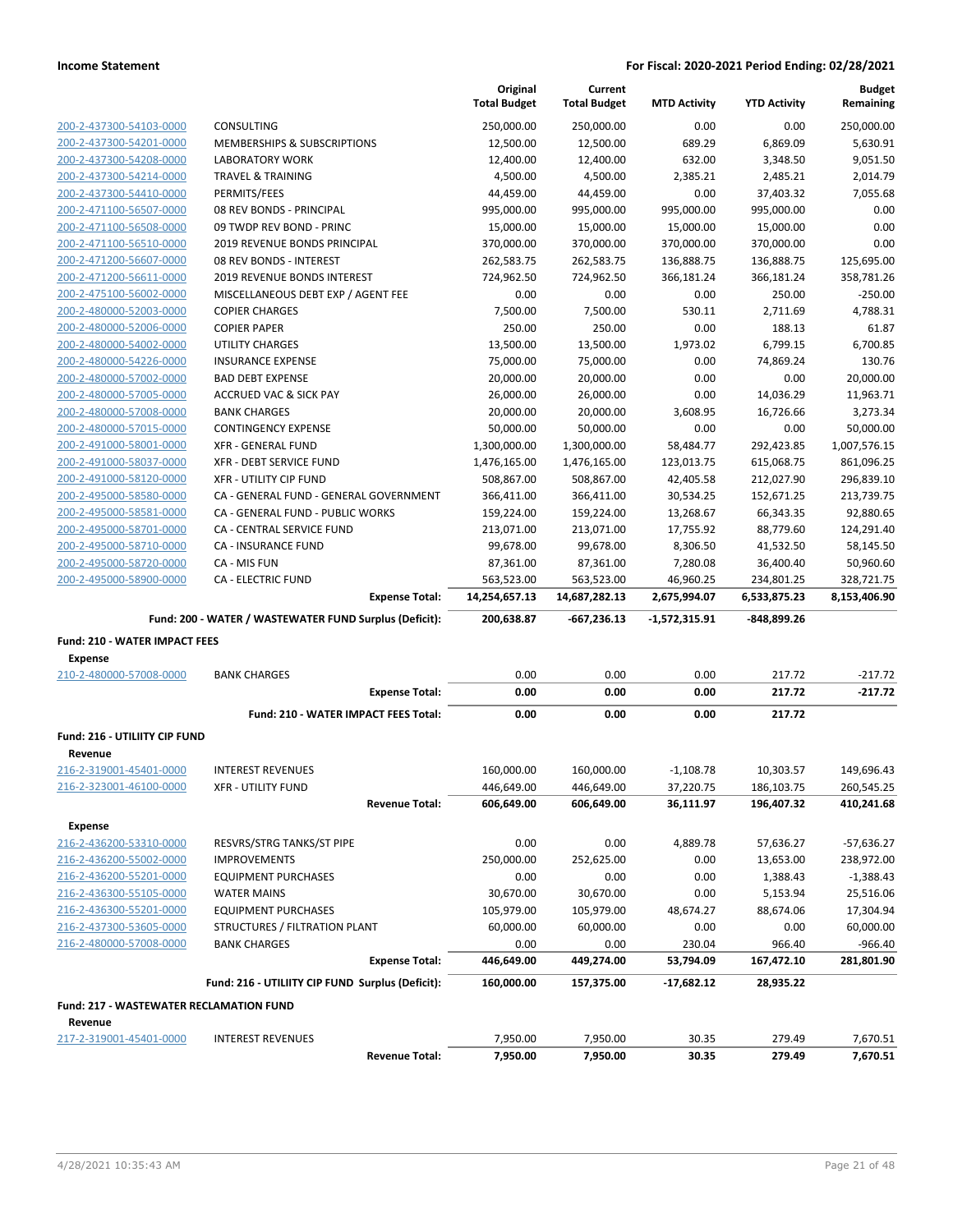|                                                        |                                                        | Original<br><b>Total Budget</b> | Current<br><b>Total Budget</b> | <b>MTD Activity</b> | <b>YTD Activity</b> | <b>Budget</b><br>Remaining |
|--------------------------------------------------------|--------------------------------------------------------|---------------------------------|--------------------------------|---------------------|---------------------|----------------------------|
| 200-2-437300-54103-0000                                | <b>CONSULTING</b>                                      | 250,000.00                      | 250,000.00                     | 0.00                | 0.00                | 250,000.00                 |
| 200-2-437300-54201-0000                                | MEMBERSHIPS & SUBSCRIPTIONS                            | 12,500.00                       | 12,500.00                      | 689.29              | 6,869.09            | 5,630.91                   |
| 200-2-437300-54208-0000                                | <b>LABORATORY WORK</b>                                 | 12,400.00                       | 12,400.00                      | 632.00              | 3,348.50            | 9,051.50                   |
| 200-2-437300-54214-0000                                | <b>TRAVEL &amp; TRAINING</b>                           | 4,500.00                        | 4,500.00                       | 2,385.21            | 2,485.21            | 2,014.79                   |
| 200-2-437300-54410-0000                                | PERMITS/FEES                                           | 44,459.00                       | 44,459.00                      | 0.00                | 37,403.32           | 7,055.68                   |
| 200-2-471100-56507-0000                                | 08 REV BONDS - PRINCIPAL                               | 995,000.00                      | 995,000.00                     | 995,000.00          | 995,000.00          | 0.00                       |
| 200-2-471100-56508-0000                                | 09 TWDP REV BOND - PRINC                               | 15,000.00                       | 15,000.00                      | 15,000.00           | 15,000.00           | 0.00                       |
| 200-2-471100-56510-0000                                | 2019 REVENUE BONDS PRINCIPAL                           | 370,000.00                      | 370,000.00                     | 370,000.00          | 370,000.00          | 0.00                       |
| 200-2-471200-56607-0000                                | 08 REV BONDS - INTEREST                                | 262,583.75                      | 262,583.75                     | 136,888.75          | 136,888.75          | 125,695.00                 |
| 200-2-471200-56611-0000                                | 2019 REVENUE BONDS INTEREST                            | 724,962.50                      | 724,962.50                     | 366,181.24          | 366,181.24          | 358,781.26                 |
| 200-2-475100-56002-0000                                | MISCELLANEOUS DEBT EXP / AGENT FEE                     | 0.00                            | 0.00                           | 0.00                | 250.00              | $-250.00$                  |
| 200-2-480000-52003-0000                                | <b>COPIER CHARGES</b>                                  | 7,500.00                        | 7,500.00                       | 530.11              | 2,711.69            | 4,788.31                   |
| 200-2-480000-52006-0000                                | <b>COPIER PAPER</b>                                    | 250.00                          | 250.00                         | 0.00                | 188.13              | 61.87                      |
| 200-2-480000-54002-0000                                | <b>UTILITY CHARGES</b>                                 | 13,500.00                       | 13,500.00                      | 1,973.02            | 6,799.15            | 6,700.85                   |
| 200-2-480000-54226-0000                                | <b>INSURANCE EXPENSE</b>                               | 75,000.00                       | 75,000.00                      | 0.00                | 74,869.24           | 130.76                     |
| 200-2-480000-57002-0000                                | <b>BAD DEBT EXPENSE</b>                                | 20,000.00                       | 20,000.00                      | 0.00                | 0.00                | 20,000.00                  |
| 200-2-480000-57005-0000                                | <b>ACCRUED VAC &amp; SICK PAY</b>                      | 26,000.00                       | 26,000.00                      | 0.00                | 14,036.29           | 11,963.71                  |
| 200-2-480000-57008-0000                                | <b>BANK CHARGES</b>                                    | 20,000.00                       | 20,000.00                      | 3,608.95            | 16,726.66           | 3,273.34                   |
| 200-2-480000-57015-0000                                | <b>CONTINGENCY EXPENSE</b>                             | 50,000.00                       | 50,000.00                      | 0.00                | 0.00                | 50,000.00                  |
| 200-2-491000-58001-0000                                | <b>XFR - GENERAL FUND</b>                              | 1,300,000.00                    | 1,300,000.00                   | 58,484.77           | 292,423.85          | 1,007,576.15               |
| 200-2-491000-58037-0000                                | XFR - DEBT SERVICE FUND                                | 1,476,165.00                    | 1,476,165.00                   | 123,013.75          | 615,068.75          | 861,096.25                 |
| 200-2-491000-58120-0000                                | <b>XFR - UTILITY CIP FUND</b>                          | 508,867.00                      | 508,867.00                     | 42,405.58           | 212,027.90          | 296,839.10                 |
| 200-2-495000-58580-0000                                | CA - GENERAL FUND - GENERAL GOVERNMENT                 | 366,411.00                      | 366,411.00                     | 30,534.25           | 152,671.25          | 213,739.75                 |
| 200-2-495000-58581-0000                                | CA - GENERAL FUND - PUBLIC WORKS                       | 159,224.00                      | 159,224.00                     | 13,268.67           | 66,343.35           | 92,880.65                  |
| 200-2-495000-58701-0000                                | CA - CENTRAL SERVICE FUND                              | 213,071.00                      | 213,071.00                     | 17,755.92           | 88,779.60           | 124,291.40                 |
| 200-2-495000-58710-0000                                | CA - INSURANCE FUND                                    | 99,678.00                       | 99,678.00                      | 8,306.50            | 41,532.50           | 58,145.50                  |
| 200-2-495000-58720-0000                                | CA - MIS FUN                                           | 87,361.00                       | 87,361.00                      | 7,280.08            | 36,400.40           | 50,960.60                  |
| 200-2-495000-58900-0000                                | <b>CA - ELECTRIC FUND</b>                              | 563,523.00                      | 563,523.00                     | 46,960.25           | 234,801.25          | 328,721.75                 |
|                                                        | <b>Expense Total:</b>                                  | 14,254,657.13                   | 14,687,282.13                  | 2,675,994.07        | 6,533,875.23        | 8,153,406.90               |
|                                                        | Fund: 200 - WATER / WASTEWATER FUND Surplus (Deficit): | 200,638.87                      | -667,236.13                    | $-1,572,315.91$     | -848,899.26         |                            |
|                                                        |                                                        |                                 |                                |                     |                     |                            |
| <b>Fund: 210 - WATER IMPACT FEES</b><br><b>Expense</b> |                                                        |                                 |                                |                     |                     |                            |
| 210-2-480000-57008-0000                                | <b>BANK CHARGES</b>                                    | 0.00                            | 0.00                           | 0.00                | 217.72              | $-217.72$                  |
|                                                        | <b>Expense Total:</b>                                  | 0.00                            | 0.00                           | 0.00                | 217.72              | $-217.72$                  |
|                                                        | Fund: 210 - WATER IMPACT FEES Total:                   | 0.00                            | 0.00                           | 0.00                | 217.72              |                            |
| Fund: 216 - UTILIITY CIP FUND                          |                                                        |                                 |                                |                     |                     |                            |
| Revenue                                                |                                                        |                                 |                                |                     |                     |                            |
| 216-2-319001-45401-0000                                | <b>INTEREST REVENUES</b>                               | 160,000.00                      | 160,000.00                     | $-1,108.78$         | 10,303.57           | 149,696.43                 |
| 216-2-323001-46100-0000                                | <b>XFR - UTILITY FUND</b>                              | 446,649.00                      | 446,649.00                     | 37,220.75           | 186,103.75          | 260,545.25                 |
|                                                        | <b>Revenue Total:</b>                                  | 606,649.00                      | 606,649.00                     | 36,111.97           | 196,407.32          | 410,241.68                 |
|                                                        |                                                        |                                 |                                |                     |                     |                            |
| <b>Expense</b>                                         |                                                        |                                 |                                |                     |                     |                            |
| 216-2-436200-53310-0000                                | RESVRS/STRG TANKS/ST PIPE                              | 0.00                            | 0.00                           | 4,889.78            | 57,636.27           | $-57,636.27$               |
| 216-2-436200-55002-0000                                | <b>IMPROVEMENTS</b>                                    | 250,000.00                      | 252,625.00                     | 0.00                | 13,653.00           | 238,972.00                 |
| 216-2-436200-55201-0000                                | <b>EQUIPMENT PURCHASES</b>                             | 0.00                            | 0.00                           | 0.00                | 1,388.43            | $-1,388.43$                |
| 216-2-436300-55105-0000                                | <b>WATER MAINS</b>                                     | 30,670.00                       | 30,670.00                      | 0.00                | 5,153.94            | 25,516.06                  |
| 216-2-436300-55201-0000                                | <b>EQUIPMENT PURCHASES</b>                             | 105,979.00                      | 105,979.00                     | 48,674.27           | 88,674.06           | 17,304.94                  |
| 216-2-437300-53605-0000                                | STRUCTURES / FILTRATION PLANT                          | 60,000.00                       | 60,000.00                      | 0.00                | 0.00                | 60,000.00                  |
| 216-2-480000-57008-0000                                | <b>BANK CHARGES</b>                                    | 0.00                            | 0.00                           | 230.04              | 966.40              | $-966.40$                  |
|                                                        | <b>Expense Total:</b>                                  | 446,649.00                      | 449,274.00                     | 53,794.09           | 167,472.10          | 281,801.90                 |
|                                                        | Fund: 216 - UTILIITY CIP FUND Surplus (Deficit):       | 160,000.00                      | 157,375.00                     | -17,682.12          | 28,935.22           |                            |
| <b>Fund: 217 - WASTEWATER RECLAMATION FUND</b>         |                                                        |                                 |                                |                     |                     |                            |
| Revenue<br>217-2-319001-45401-0000                     | <b>INTEREST REVENUES</b>                               | 7,950.00                        | 7,950.00                       | 30.35               | 279.49              | 7,670.51                   |
|                                                        | <b>Revenue Total:</b>                                  | 7,950.00                        | 7,950.00                       | 30.35               | 279.49              | 7,670.51                   |
|                                                        |                                                        |                                 |                                |                     |                     |                            |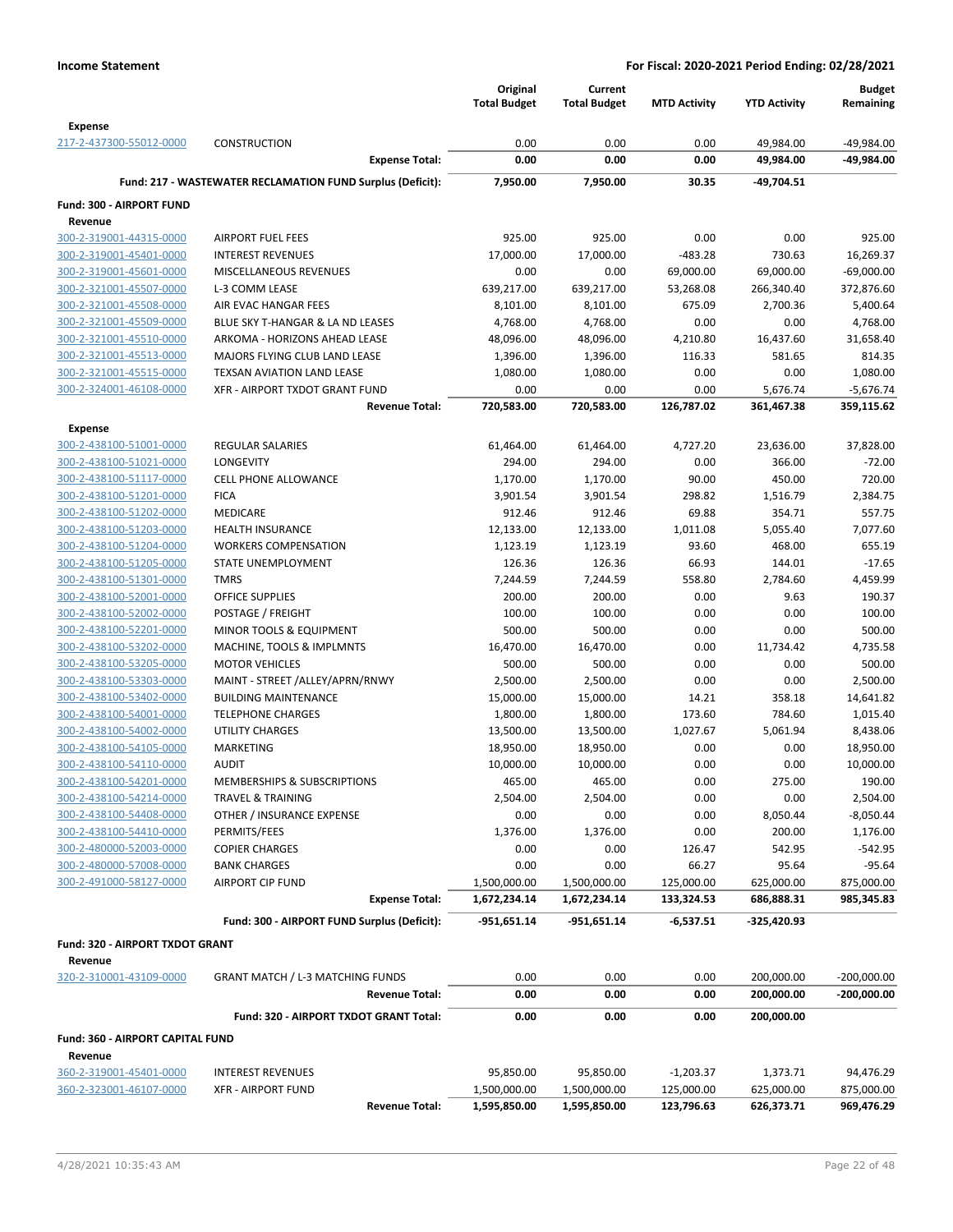|                                                    |                                                            | Original             | Current              |                     |                        | <b>Budget</b>          |
|----------------------------------------------------|------------------------------------------------------------|----------------------|----------------------|---------------------|------------------------|------------------------|
|                                                    |                                                            | <b>Total Budget</b>  | <b>Total Budget</b>  | <b>MTD Activity</b> | <b>YTD Activity</b>    | Remaining              |
| <b>Expense</b>                                     |                                                            |                      |                      |                     |                        |                        |
| 217-2-437300-55012-0000                            | <b>CONSTRUCTION</b>                                        | 0.00                 | 0.00                 | 0.00                | 49,984.00              | -49,984.00             |
|                                                    | <b>Expense Total:</b>                                      | 0.00                 | 0.00                 | 0.00                | 49,984.00              | -49,984.00             |
|                                                    | Fund: 217 - WASTEWATER RECLAMATION FUND Surplus (Deficit): | 7.950.00             | 7,950.00             | 30.35               | -49,704.51             |                        |
| Fund: 300 - AIRPORT FUND                           |                                                            |                      |                      |                     |                        |                        |
| Revenue                                            |                                                            |                      |                      |                     |                        |                        |
| 300-2-319001-44315-0000                            | <b>AIRPORT FUEL FEES</b>                                   | 925.00               | 925.00               | 0.00                | 0.00                   | 925.00                 |
| 300-2-319001-45401-0000                            | <b>INTEREST REVENUES</b>                                   | 17,000.00            | 17,000.00            | $-483.28$           | 730.63                 | 16,269.37              |
| 300-2-319001-45601-0000                            | MISCELLANEOUS REVENUES                                     | 0.00                 | 0.00                 | 69,000.00           | 69,000.00              | $-69,000.00$           |
| 300-2-321001-45507-0000                            | L-3 COMM LEASE                                             | 639,217.00           | 639,217.00           | 53,268.08           | 266,340.40             | 372,876.60             |
| 300-2-321001-45508-0000                            | AIR EVAC HANGAR FEES                                       | 8,101.00             | 8,101.00             | 675.09              | 2,700.36               | 5,400.64               |
| 300-2-321001-45509-0000                            | BLUE SKY T-HANGAR & LA ND LEASES                           | 4,768.00             | 4,768.00             | 0.00                | 0.00                   | 4,768.00               |
| 300-2-321001-45510-0000                            | ARKOMA - HORIZONS AHEAD LEASE                              | 48,096.00            | 48,096.00            | 4,210.80            | 16,437.60              | 31,658.40              |
| 300-2-321001-45513-0000                            | MAJORS FLYING CLUB LAND LEASE                              | 1,396.00             | 1,396.00             | 116.33              | 581.65                 | 814.35                 |
| 300-2-321001-45515-0000                            | TEXSAN AVIATION LAND LEASE                                 | 1,080.00             | 1,080.00             | 0.00                | 0.00                   | 1,080.00               |
| 300-2-324001-46108-0000                            | XFR - AIRPORT TXDOT GRANT FUND<br><b>Revenue Total:</b>    | 0.00<br>720,583.00   | 0.00<br>720,583.00   | 0.00<br>126,787.02  | 5,676.74<br>361,467.38 | $-5,676.74$            |
|                                                    |                                                            |                      |                      |                     |                        | 359,115.62             |
| <b>Expense</b>                                     |                                                            |                      |                      |                     |                        |                        |
| 300-2-438100-51001-0000                            | <b>REGULAR SALARIES</b>                                    | 61,464.00            | 61,464.00            | 4,727.20            | 23,636.00              | 37,828.00              |
| 300-2-438100-51021-0000                            | <b>LONGEVITY</b>                                           | 294.00               | 294.00               | 0.00                | 366.00                 | $-72.00$               |
| 300-2-438100-51117-0000                            | <b>CELL PHONE ALLOWANCE</b><br><b>FICA</b>                 | 1,170.00             | 1,170.00             | 90.00               | 450.00                 | 720.00                 |
| 300-2-438100-51201-0000<br>300-2-438100-51202-0000 | MEDICARE                                                   | 3,901.54<br>912.46   | 3,901.54<br>912.46   | 298.82<br>69.88     | 1,516.79<br>354.71     | 2,384.75<br>557.75     |
| 300-2-438100-51203-0000                            | <b>HEALTH INSURANCE</b>                                    | 12,133.00            | 12,133.00            | 1,011.08            | 5,055.40               | 7,077.60               |
| 300-2-438100-51204-0000                            | <b>WORKERS COMPENSATION</b>                                | 1,123.19             | 1,123.19             | 93.60               | 468.00                 | 655.19                 |
| 300-2-438100-51205-0000                            | STATE UNEMPLOYMENT                                         | 126.36               | 126.36               | 66.93               | 144.01                 | $-17.65$               |
| 300-2-438100-51301-0000                            | <b>TMRS</b>                                                | 7,244.59             | 7,244.59             | 558.80              | 2,784.60               | 4,459.99               |
| 300-2-438100-52001-0000                            | <b>OFFICE SUPPLIES</b>                                     | 200.00               | 200.00               | 0.00                | 9.63                   | 190.37                 |
| 300-2-438100-52002-0000                            | POSTAGE / FREIGHT                                          | 100.00               | 100.00               | 0.00                | 0.00                   | 100.00                 |
| 300-2-438100-52201-0000                            | MINOR TOOLS & EQUIPMENT                                    | 500.00               | 500.00               | 0.00                | 0.00                   | 500.00                 |
| 300-2-438100-53202-0000                            | MACHINE, TOOLS & IMPLMNTS                                  | 16,470.00            | 16,470.00            | 0.00                | 11,734.42              | 4,735.58               |
| 300-2-438100-53205-0000                            | <b>MOTOR VEHICLES</b>                                      | 500.00               | 500.00               | 0.00                | 0.00                   | 500.00                 |
| 300-2-438100-53303-0000                            | MAINT - STREET /ALLEY/APRN/RNWY                            | 2,500.00             | 2,500.00             | 0.00                | 0.00                   | 2,500.00               |
| 300-2-438100-53402-0000                            | <b>BUILDING MAINTENANCE</b>                                | 15,000.00            | 15,000.00            | 14.21               | 358.18                 | 14,641.82              |
| 300-2-438100-54001-0000                            | <b>TELEPHONE CHARGES</b>                                   | 1,800.00             | 1,800.00             | 173.60              | 784.60                 | 1,015.40               |
| 300-2-438100-54002-0000                            | <b>UTILITY CHARGES</b>                                     | 13,500.00            | 13,500.00            | 1,027.67            | 5,061.94               | 8,438.06               |
| 300-2-438100-54105-0000                            | MARKETING                                                  | 18,950.00            | 18,950.00            | 0.00                | 0.00                   | 18,950.00              |
| 300-2-438100-54110-0000                            | <b>AUDIT</b>                                               | 10,000.00            | 10,000.00            | 0.00                | 0.00                   | 10,000.00              |
| 300-2-438100-54201-0000                            | MEMBERSHIPS & SUBSCRIPTIONS                                | 465.00               | 465.00               | 0.00                | 275.00                 | 190.00                 |
| 300-2-438100-54214-0000                            | <b>TRAVEL &amp; TRAINING</b>                               | 2,504.00             | 2,504.00             | 0.00                | 0.00                   | 2,504.00               |
| 300-2-438100-54408-0000                            | OTHER / INSURANCE EXPENSE                                  | 0.00                 | 0.00                 | 0.00                | 8,050.44               | $-8,050.44$            |
| 300-2-438100-54410-0000                            | PERMITS/FEES                                               | 1,376.00             | 1,376.00             | 0.00                | 200.00                 | 1,176.00               |
| 300-2-480000-52003-0000<br>300-2-480000-57008-0000 | <b>COPIER CHARGES</b><br><b>BANK CHARGES</b>               | 0.00                 | 0.00                 | 126.47              | 542.95                 | $-542.95$              |
| 300-2-491000-58127-0000                            | <b>AIRPORT CIP FUND</b>                                    | 0.00<br>1,500,000.00 | 0.00<br>1,500,000.00 | 66.27<br>125,000.00 | 95.64<br>625,000.00    | $-95.64$<br>875,000.00 |
|                                                    | <b>Expense Total:</b>                                      | 1,672,234.14         | 1,672,234.14         | 133,324.53          | 686,888.31             | 985,345.83             |
|                                                    |                                                            |                      |                      |                     |                        |                        |
|                                                    | Fund: 300 - AIRPORT FUND Surplus (Deficit):                | $-951,651.14$        | -951,651.14          | $-6,537.51$         | -325,420.93            |                        |
| Fund: 320 - AIRPORT TXDOT GRANT                    |                                                            |                      |                      |                     |                        |                        |
| Revenue                                            |                                                            |                      |                      |                     |                        |                        |
| 320-2-310001-43109-0000                            | <b>GRANT MATCH / L-3 MATCHING FUNDS</b>                    | 0.00                 | 0.00                 | 0.00                | 200,000.00             | $-200,000.00$          |
|                                                    | <b>Revenue Total:</b>                                      | 0.00                 | 0.00                 | 0.00                | 200,000.00             | -200,000.00            |
|                                                    | Fund: 320 - AIRPORT TXDOT GRANT Total:                     | 0.00                 | 0.00                 | 0.00                | 200,000.00             |                        |
| <b>Fund: 360 - AIRPORT CAPITAL FUND</b>            |                                                            |                      |                      |                     |                        |                        |
| Revenue                                            |                                                            |                      |                      |                     |                        |                        |
| 360-2-319001-45401-0000                            | <b>INTEREST REVENUES</b>                                   | 95,850.00            | 95,850.00            | $-1,203.37$         | 1,373.71               | 94,476.29              |
| 360-2-323001-46107-0000                            | <b>XFR - AIRPORT FUND</b>                                  | 1,500,000.00         | 1,500,000.00         | 125,000.00          | 625,000.00             | 875,000.00             |
|                                                    | <b>Revenue Total:</b>                                      | 1,595,850.00         | 1,595,850.00         | 123,796.63          | 626,373.71             | 969,476.29             |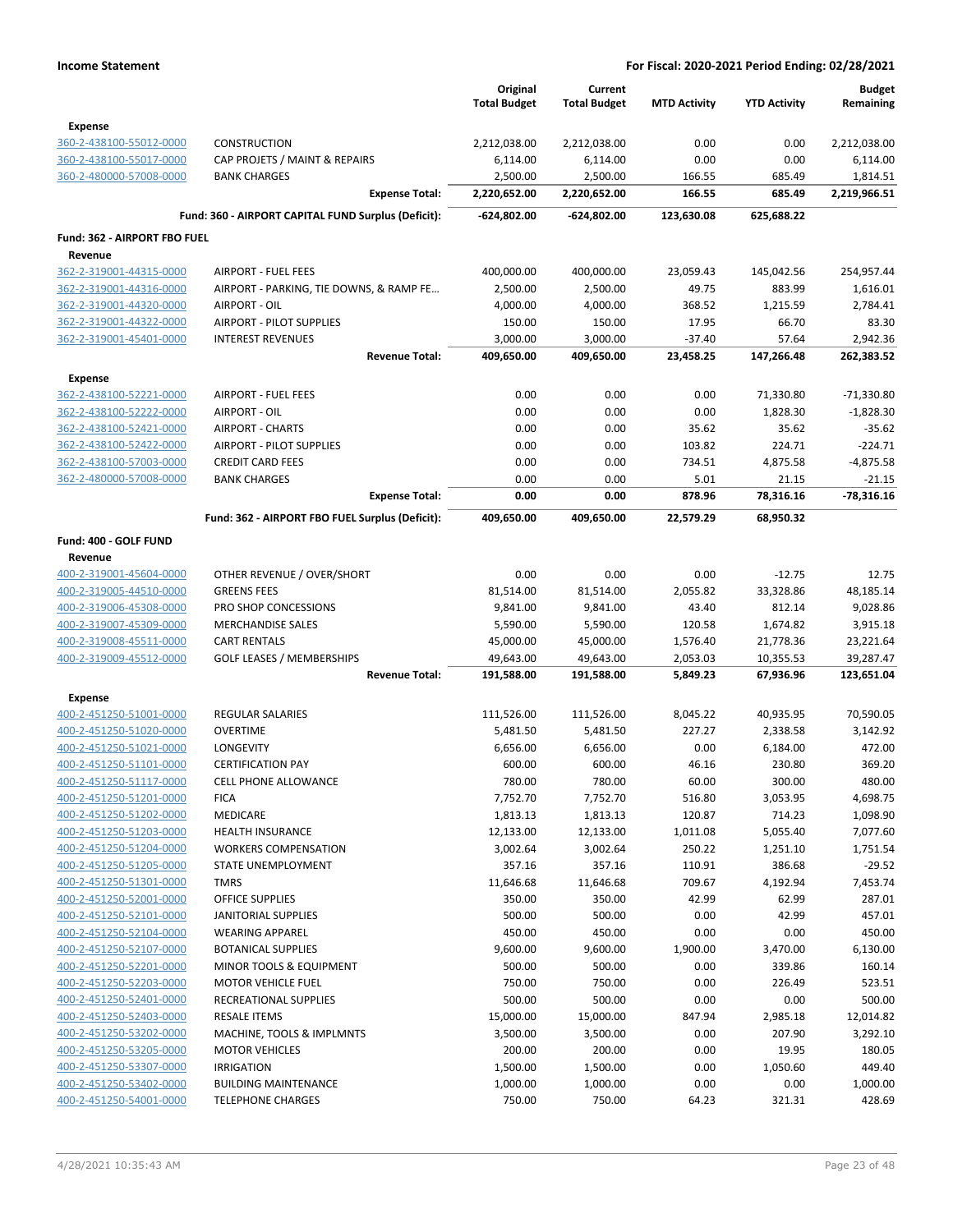|                              |                                                     | Original<br><b>Total Budget</b> | Current<br><b>Total Budget</b> | <b>MTD Activity</b> | <b>YTD Activity</b> | <b>Budget</b><br>Remaining |
|------------------------------|-----------------------------------------------------|---------------------------------|--------------------------------|---------------------|---------------------|----------------------------|
| <b>Expense</b>               |                                                     |                                 |                                |                     |                     |                            |
| 360-2-438100-55012-0000      | <b>CONSTRUCTION</b>                                 | 2,212,038.00                    | 2,212,038.00                   | 0.00                | 0.00                | 2,212,038.00               |
| 360-2-438100-55017-0000      | CAP PROJETS / MAINT & REPAIRS                       | 6,114.00                        | 6,114.00                       | 0.00                | 0.00                | 6,114.00                   |
| 360-2-480000-57008-0000      | <b>BANK CHARGES</b>                                 | 2,500.00                        | 2,500.00                       | 166.55              | 685.49              | 1,814.51                   |
|                              | <b>Expense Total:</b>                               | 2,220,652.00                    | 2,220,652.00                   | 166.55              | 685.49              | 2,219,966.51               |
|                              | Fund: 360 - AIRPORT CAPITAL FUND Surplus (Deficit): | -624,802.00                     | -624,802.00                    | 123,630.08          | 625,688.22          |                            |
| Fund: 362 - AIRPORT FBO FUEL |                                                     |                                 |                                |                     |                     |                            |
| Revenue                      |                                                     |                                 |                                |                     |                     |                            |
| 362-2-319001-44315-0000      | <b>AIRPORT - FUEL FEES</b>                          | 400,000.00                      | 400,000.00                     | 23,059.43           | 145,042.56          | 254,957.44                 |
| 362-2-319001-44316-0000      | AIRPORT - PARKING, TIE DOWNS, & RAMP FE             | 2,500.00                        | 2,500.00                       | 49.75               | 883.99              | 1,616.01                   |
| 362-2-319001-44320-0000      | AIRPORT - OIL                                       | 4,000.00                        | 4,000.00                       | 368.52              | 1,215.59            | 2,784.41                   |
| 362-2-319001-44322-0000      | <b>AIRPORT - PILOT SUPPLIES</b>                     | 150.00                          | 150.00                         | 17.95               | 66.70               | 83.30                      |
| 362-2-319001-45401-0000      | <b>INTEREST REVENUES</b>                            | 3,000.00                        | 3,000.00                       | $-37.40$            | 57.64               | 2,942.36                   |
|                              | <b>Revenue Total:</b>                               | 409,650.00                      | 409,650.00                     | 23,458.25           | 147,266.48          | 262,383.52                 |
| Expense                      |                                                     |                                 |                                |                     |                     |                            |
| 362-2-438100-52221-0000      | <b>AIRPORT - FUEL FEES</b>                          | 0.00                            | 0.00                           | 0.00                | 71,330.80           | $-71,330.80$               |
| 362-2-438100-52222-0000      | AIRPORT - OIL                                       | 0.00                            | 0.00                           | 0.00                | 1,828.30            | $-1,828.30$                |
| 362-2-438100-52421-0000      | <b>AIRPORT - CHARTS</b>                             | 0.00                            | 0.00                           | 35.62               | 35.62               | $-35.62$                   |
| 362-2-438100-52422-0000      | <b>AIRPORT - PILOT SUPPLIES</b>                     | 0.00                            | 0.00                           | 103.82              | 224.71              | $-224.71$                  |
| 362-2-438100-57003-0000      | <b>CREDIT CARD FEES</b>                             | 0.00                            | 0.00                           | 734.51              | 4,875.58            | $-4,875.58$                |
| 362-2-480000-57008-0000      | <b>BANK CHARGES</b>                                 | 0.00                            | 0.00                           | 5.01                | 21.15               | $-21.15$                   |
|                              | <b>Expense Total:</b>                               | 0.00                            | 0.00                           | 878.96              | 78,316.16           | $-78,316.16$               |
|                              | Fund: 362 - AIRPORT FBO FUEL Surplus (Deficit):     | 409,650.00                      | 409,650.00                     | 22,579.29           | 68,950.32           |                            |
| Fund: 400 - GOLF FUND        |                                                     |                                 |                                |                     |                     |                            |
| Revenue                      |                                                     |                                 |                                |                     |                     |                            |
| 400-2-319001-45604-0000      | OTHER REVENUE / OVER/SHORT                          | 0.00                            | 0.00                           | 0.00                | $-12.75$            | 12.75                      |
| 400-2-319005-44510-0000      | <b>GREENS FEES</b>                                  | 81,514.00                       | 81,514.00                      | 2,055.82            | 33,328.86           | 48,185.14                  |
| 400-2-319006-45308-0000      | PRO SHOP CONCESSIONS                                | 9,841.00                        | 9,841.00                       | 43.40               | 812.14              | 9,028.86                   |
| 400-2-319007-45309-0000      | <b>MERCHANDISE SALES</b>                            | 5,590.00                        | 5,590.00                       | 120.58              | 1,674.82            | 3,915.18                   |
| 400-2-319008-45511-0000      | <b>CART RENTALS</b>                                 | 45,000.00                       | 45,000.00                      | 1,576.40            | 21,778.36           | 23,221.64                  |
| 400-2-319009-45512-0000      | <b>GOLF LEASES / MEMBERSHIPS</b>                    | 49,643.00                       | 49,643.00                      | 2,053.03            | 10,355.53           | 39,287.47                  |
|                              | <b>Revenue Total:</b>                               | 191,588.00                      | 191,588.00                     | 5,849.23            | 67,936.96           | 123,651.04                 |
| <b>Expense</b>               |                                                     |                                 |                                |                     |                     |                            |
| 400-2-451250-51001-0000      | <b>REGULAR SALARIES</b>                             | 111,526.00                      | 111,526.00                     | 8,045.22            | 40,935.95           | 70,590.05                  |
| 400-2-451250-51020-0000      | <b>OVERTIME</b>                                     | 5,481.50                        | 5,481.50                       | 227.27              | 2,338.58            | 3,142.92                   |
| 400-2-451250-51021-0000      | LONGEVITY                                           | 6,656.00                        | 6,656.00                       | 0.00                | 6,184.00            | 472.00                     |
| 400-2-451250-51101-0000      | <b>CERTIFICATION PAY</b>                            | 600.00                          | 600.00                         | 46.16               | 230.80              | 369.20                     |
| 400-2-451250-51117-0000      | CELL PHONE ALLOWANCE                                | 780.00                          | 780.00                         | 60.00               | 300.00              | 480.00                     |
| 400-2-451250-51201-0000      | <b>FICA</b>                                         | 7,752.70                        | 7,752.70                       | 516.80              | 3,053.95            | 4,698.75                   |
| 400-2-451250-51202-0000      | <b>MEDICARE</b>                                     | 1,813.13                        | 1,813.13                       | 120.87              | 714.23              | 1,098.90                   |
| 400-2-451250-51203-0000      | <b>HEALTH INSURANCE</b>                             | 12,133.00                       | 12,133.00                      | 1,011.08            | 5,055.40            | 7,077.60                   |
| 400-2-451250-51204-0000      | <b>WORKERS COMPENSATION</b>                         | 3,002.64                        | 3,002.64                       | 250.22              | 1,251.10            | 1,751.54                   |
| 400-2-451250-51205-0000      | STATE UNEMPLOYMENT                                  | 357.16                          | 357.16                         | 110.91              | 386.68              | $-29.52$                   |
| 400-2-451250-51301-0000      | <b>TMRS</b>                                         | 11,646.68                       | 11,646.68                      | 709.67              | 4,192.94            | 7,453.74                   |
| 400-2-451250-52001-0000      | OFFICE SUPPLIES                                     | 350.00                          | 350.00                         | 42.99               | 62.99               | 287.01                     |
| 400-2-451250-52101-0000      | <b>JANITORIAL SUPPLIES</b>                          | 500.00                          | 500.00                         | 0.00                | 42.99               | 457.01                     |
| 400-2-451250-52104-0000      | <b>WEARING APPAREL</b>                              | 450.00                          | 450.00                         | 0.00                | 0.00                | 450.00                     |
| 400-2-451250-52107-0000      | <b>BOTANICAL SUPPLIES</b>                           | 9,600.00                        | 9,600.00                       | 1,900.00            | 3,470.00            | 6,130.00                   |
| 400-2-451250-52201-0000      | MINOR TOOLS & EQUIPMENT                             | 500.00                          | 500.00                         | 0.00                | 339.86              | 160.14                     |
| 400-2-451250-52203-0000      | <b>MOTOR VEHICLE FUEL</b>                           | 750.00                          | 750.00                         | 0.00                | 226.49              | 523.51                     |
| 400-2-451250-52401-0000      | RECREATIONAL SUPPLIES                               | 500.00                          | 500.00                         | 0.00                | 0.00                | 500.00                     |
| 400-2-451250-52403-0000      | <b>RESALE ITEMS</b>                                 | 15,000.00                       | 15,000.00                      | 847.94              | 2,985.18            | 12,014.82                  |
| 400-2-451250-53202-0000      | MACHINE, TOOLS & IMPLMNTS                           | 3,500.00                        | 3,500.00                       | 0.00                | 207.90              | 3,292.10                   |
| 400-2-451250-53205-0000      | <b>MOTOR VEHICLES</b>                               | 200.00                          | 200.00                         | 0.00                | 19.95               | 180.05                     |
| 400-2-451250-53307-0000      | <b>IRRIGATION</b>                                   | 1,500.00                        | 1,500.00                       | 0.00                | 1,050.60            | 449.40                     |
| 400-2-451250-53402-0000      | <b>BUILDING MAINTENANCE</b>                         | 1,000.00                        | 1,000.00                       | 0.00                | 0.00                | 1,000.00                   |
| 400-2-451250-54001-0000      | <b>TELEPHONE CHARGES</b>                            | 750.00                          | 750.00                         | 64.23               | 321.31              | 428.69                     |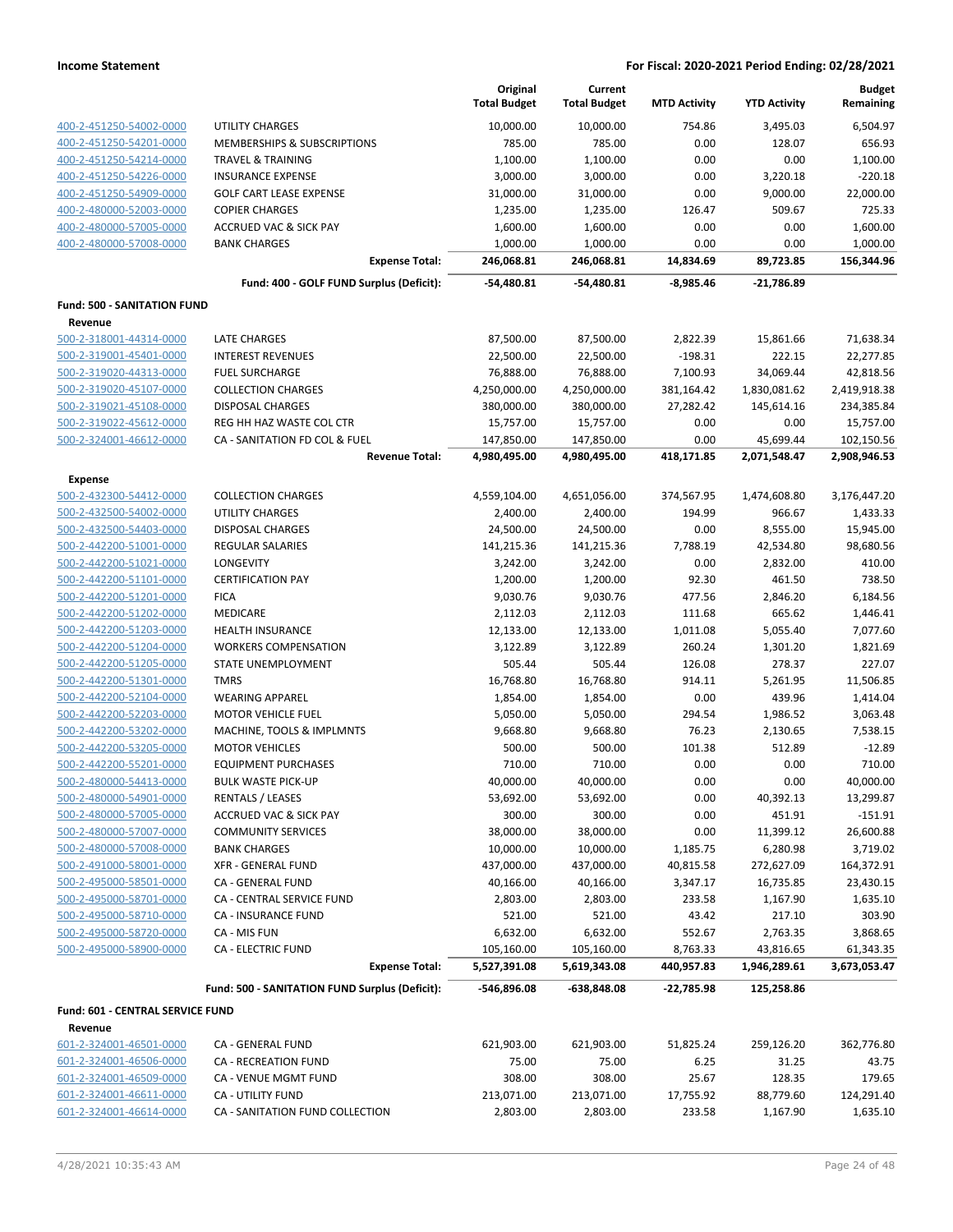|                                                    |                                                | Original<br><b>Total Budget</b> | Current<br><b>Total Budget</b> | <b>MTD Activity</b> | <b>YTD Activity</b> | <b>Budget</b><br>Remaining |
|----------------------------------------------------|------------------------------------------------|---------------------------------|--------------------------------|---------------------|---------------------|----------------------------|
|                                                    | <b>UTILITY CHARGES</b>                         |                                 |                                | 754.86              |                     |                            |
| 400-2-451250-54002-0000<br>400-2-451250-54201-0000 | MEMBERSHIPS & SUBSCRIPTIONS                    | 10,000.00<br>785.00             | 10,000.00<br>785.00            | 0.00                | 3,495.03<br>128.07  | 6,504.97<br>656.93         |
| 400-2-451250-54214-0000                            | <b>TRAVEL &amp; TRAINING</b>                   | 1,100.00                        | 1,100.00                       | 0.00                | 0.00                | 1,100.00                   |
| 400-2-451250-54226-0000                            | <b>INSURANCE EXPENSE</b>                       | 3,000.00                        | 3,000.00                       | 0.00                | 3,220.18            | $-220.18$                  |
| 400-2-451250-54909-0000                            | <b>GOLF CART LEASE EXPENSE</b>                 | 31,000.00                       | 31,000.00                      | 0.00                | 9,000.00            | 22,000.00                  |
| 400-2-480000-52003-0000                            | <b>COPIER CHARGES</b>                          | 1,235.00                        | 1,235.00                       | 126.47              | 509.67              | 725.33                     |
| 400-2-480000-57005-0000                            | <b>ACCRUED VAC &amp; SICK PAY</b>              | 1,600.00                        | 1,600.00                       | 0.00                | 0.00                | 1,600.00                   |
| 400-2-480000-57008-0000                            | <b>BANK CHARGES</b>                            | 1,000.00                        | 1,000.00                       | 0.00                | 0.00                | 1,000.00                   |
|                                                    | <b>Expense Total:</b>                          | 246,068.81                      | 246,068.81                     | 14,834.69           | 89,723.85           | 156,344.96                 |
|                                                    | Fund: 400 - GOLF FUND Surplus (Deficit):       | -54,480.81                      | -54,480.81                     | $-8,985.46$         | $-21,786.89$        |                            |
| <b>Fund: 500 - SANITATION FUND</b>                 |                                                |                                 |                                |                     |                     |                            |
| Revenue                                            |                                                |                                 |                                |                     |                     |                            |
| 500-2-318001-44314-0000                            | <b>LATE CHARGES</b>                            | 87,500.00                       | 87,500.00                      | 2,822.39            | 15,861.66           | 71,638.34                  |
| 500-2-319001-45401-0000                            | <b>INTEREST REVENUES</b>                       | 22,500.00                       | 22,500.00                      | $-198.31$           | 222.15              | 22,277.85                  |
| 500-2-319020-44313-0000                            | <b>FUEL SURCHARGE</b>                          | 76,888.00                       | 76,888.00                      | 7,100.93            | 34,069.44           | 42,818.56                  |
| 500-2-319020-45107-0000                            | <b>COLLECTION CHARGES</b>                      | 4,250,000.00                    | 4,250,000.00                   | 381,164.42          | 1,830,081.62        | 2,419,918.38               |
| 500-2-319021-45108-0000                            | <b>DISPOSAL CHARGES</b>                        | 380,000.00                      | 380,000.00                     | 27,282.42           | 145,614.16          | 234,385.84                 |
| 500-2-319022-45612-0000                            | REG HH HAZ WASTE COL CTR                       | 15,757.00                       | 15,757.00                      | 0.00                | 0.00                | 15,757.00                  |
| 500-2-324001-46612-0000                            | CA - SANITATION FD COL & FUEL                  | 147,850.00                      | 147,850.00                     | 0.00                | 45,699.44           | 102,150.56                 |
|                                                    | <b>Revenue Total:</b>                          | 4,980,495.00                    | 4,980,495.00                   | 418,171.85          | 2,071,548.47        | 2,908,946.53               |
| <b>Expense</b>                                     |                                                |                                 |                                |                     |                     |                            |
| 500-2-432300-54412-0000                            | <b>COLLECTION CHARGES</b>                      | 4,559,104.00                    | 4,651,056.00                   | 374,567.95          | 1,474,608.80        | 3,176,447.20               |
| 500-2-432500-54002-0000                            | UTILITY CHARGES                                | 2,400.00                        | 2,400.00                       | 194.99              | 966.67              | 1,433.33                   |
| 500-2-432500-54403-0000                            | <b>DISPOSAL CHARGES</b>                        | 24,500.00                       | 24,500.00                      | 0.00                | 8,555.00            | 15,945.00                  |
| 500-2-442200-51001-0000                            | REGULAR SALARIES                               | 141,215.36                      | 141,215.36                     | 7,788.19            | 42,534.80           | 98,680.56                  |
| 500-2-442200-51021-0000                            | LONGEVITY                                      | 3,242.00                        | 3,242.00                       | 0.00                | 2,832.00            | 410.00                     |
| 500-2-442200-51101-0000                            | <b>CERTIFICATION PAY</b>                       | 1,200.00                        | 1,200.00                       | 92.30               | 461.50              | 738.50                     |
| 500-2-442200-51201-0000                            | <b>FICA</b>                                    | 9,030.76                        | 9,030.76                       | 477.56              | 2,846.20            | 6,184.56                   |
| 500-2-442200-51202-0000                            | <b>MEDICARE</b>                                | 2,112.03                        | 2,112.03                       | 111.68              | 665.62              | 1,446.41                   |
| 500-2-442200-51203-0000                            | <b>HEALTH INSURANCE</b>                        | 12,133.00                       | 12,133.00                      | 1,011.08            | 5,055.40            | 7,077.60                   |
| 500-2-442200-51204-0000                            | <b>WORKERS COMPENSATION</b>                    | 3,122.89                        | 3,122.89                       | 260.24              | 1,301.20            | 1,821.69                   |
| 500-2-442200-51205-0000                            | STATE UNEMPLOYMENT                             | 505.44                          | 505.44                         | 126.08              | 278.37              | 227.07                     |
| 500-2-442200-51301-0000                            | <b>TMRS</b>                                    | 16,768.80                       | 16,768.80                      | 914.11              | 5,261.95            | 11,506.85                  |
| 500-2-442200-52104-0000                            | <b>WEARING APPAREL</b>                         | 1,854.00                        | 1,854.00                       | 0.00                | 439.96              | 1,414.04                   |
| 500-2-442200-52203-0000                            | <b>MOTOR VEHICLE FUEL</b>                      | 5,050.00                        | 5,050.00                       | 294.54              | 1,986.52            | 3,063.48                   |
| 500-2-442200-53202-0000                            | MACHINE, TOOLS & IMPLMNTS                      | 9,668.80                        | 9,668.80                       | 76.23               | 2,130.65            | 7,538.15                   |
| 500-2-442200-53205-0000                            | <b>MOTOR VEHICLES</b>                          | 500.00                          | 500.00                         | 101.38              | 512.89              | $-12.89$                   |
| 500-2-442200-55201-0000                            | <b>EQUIPMENT PURCHASES</b>                     | 710.00                          | 710.00                         | 0.00                | 0.00                | 710.00                     |
| 500-2-480000-54413-0000                            | <b>BULK WASTE PICK-UP</b>                      | 40,000.00                       | 40,000.00                      | 0.00                | 0.00                | 40,000.00                  |
| 500-2-480000-54901-0000                            | <b>RENTALS / LEASES</b>                        | 53,692.00                       | 53,692.00                      | 0.00                | 40,392.13           | 13,299.87                  |
| 500-2-480000-57005-0000                            | <b>ACCRUED VAC &amp; SICK PAY</b>              | 300.00                          | 300.00                         | 0.00                | 451.91              | $-151.91$                  |
| 500-2-480000-57007-0000                            | <b>COMMUNITY SERVICES</b>                      | 38,000.00                       | 38,000.00                      | 0.00                | 11,399.12           | 26,600.88                  |
| 500-2-480000-57008-0000                            | <b>BANK CHARGES</b>                            | 10,000.00                       | 10,000.00                      | 1,185.75            | 6,280.98            | 3,719.02                   |
| 500-2-491000-58001-0000                            | <b>XFR - GENERAL FUND</b>                      | 437,000.00                      | 437,000.00                     | 40,815.58           | 272,627.09          | 164,372.91                 |
| 500-2-495000-58501-0000                            | CA - GENERAL FUND                              | 40,166.00                       | 40,166.00                      | 3,347.17            | 16,735.85           | 23,430.15                  |
| 500-2-495000-58701-0000                            | CA - CENTRAL SERVICE FUND                      | 2,803.00                        | 2,803.00                       | 233.58              | 1,167.90            | 1,635.10                   |
| 500-2-495000-58710-0000                            | <b>CA - INSURANCE FUND</b>                     | 521.00                          | 521.00                         | 43.42               | 217.10              | 303.90                     |
| 500-2-495000-58720-0000                            | CA - MIS FUN                                   | 6,632.00                        | 6,632.00                       | 552.67              | 2,763.35            | 3,868.65                   |
| 500-2-495000-58900-0000                            | <b>CA - ELECTRIC FUND</b>                      | 105,160.00                      | 105,160.00                     | 8,763.33            | 43,816.65           | 61,343.35                  |
|                                                    | <b>Expense Total:</b>                          | 5,527,391.08                    | 5,619,343.08                   | 440,957.83          | 1,946,289.61        | 3,673,053.47               |
|                                                    | Fund: 500 - SANITATION FUND Surplus (Deficit): | -546,896.08                     | -638,848.08                    | $-22,785.98$        | 125,258.86          |                            |
| Fund: 601 - CENTRAL SERVICE FUND                   |                                                |                                 |                                |                     |                     |                            |
| Revenue                                            |                                                |                                 |                                |                     |                     |                            |
| 601-2-324001-46501-0000                            | CA - GENERAL FUND                              | 621,903.00                      | 621,903.00                     | 51,825.24           | 259,126.20          | 362,776.80                 |
| 601-2-324001-46506-0000                            | CA - RECREATION FUND                           | 75.00                           | 75.00                          | 6.25                | 31.25               | 43.75                      |
| 601-2-324001-46509-0000                            | CA - VENUE MGMT FUND                           | 308.00                          | 308.00                         | 25.67               | 128.35              | 179.65                     |
| 601-2-324001-46611-0000                            | CA - UTILITY FUND                              | 213,071.00                      | 213,071.00                     | 17,755.92           | 88,779.60           | 124,291.40                 |
| 601-2-324001-46614-0000                            | CA - SANITATION FUND COLLECTION                | 2,803.00                        | 2,803.00                       | 233.58              | 1,167.90            | 1,635.10                   |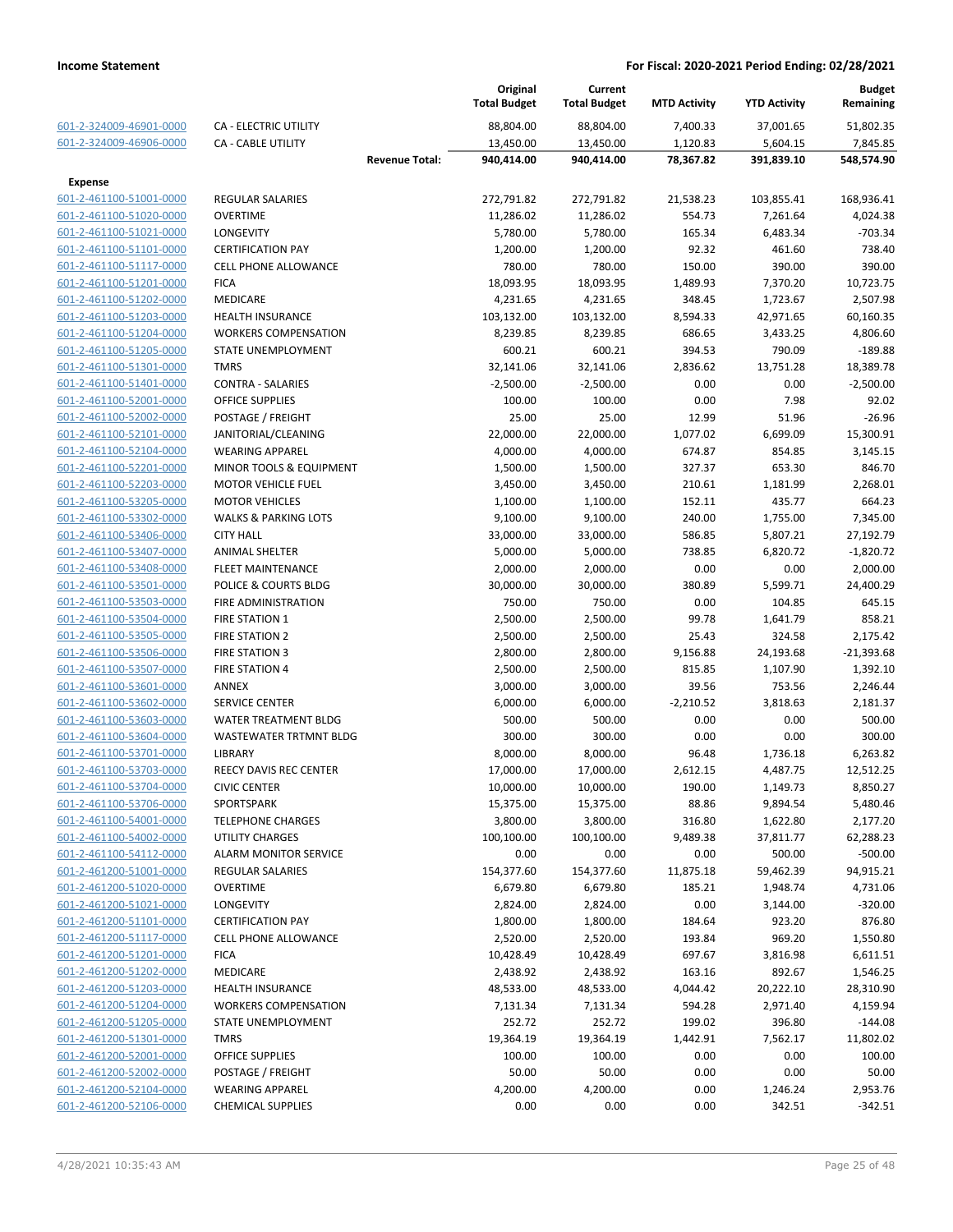|                         |                                 |                       | Original<br><b>Total Budget</b> | Current<br><b>Total Budget</b> | <b>MTD Activity</b> | <b>YTD Activity</b> | Budget<br>Remaining |
|-------------------------|---------------------------------|-----------------------|---------------------------------|--------------------------------|---------------------|---------------------|---------------------|
| 601-2-324009-46901-0000 | CA - ELECTRIC UTILITY           |                       | 88,804.00                       | 88,804.00                      | 7,400.33            | 37,001.65           | 51,802.35           |
| 601-2-324009-46906-0000 | <b>CA - CABLE UTILITY</b>       |                       | 13,450.00                       | 13,450.00                      | 1,120.83            | 5,604.15            | 7,845.85            |
|                         |                                 | <b>Revenue Total:</b> | 940,414.00                      | 940,414.00                     | 78,367.82           | 391,839.10          | 548,574.90          |
| <b>Expense</b>          |                                 |                       |                                 |                                |                     |                     |                     |
| 601-2-461100-51001-0000 | <b>REGULAR SALARIES</b>         |                       | 272,791.82                      | 272,791.82                     | 21,538.23           | 103,855.41          | 168,936.41          |
| 601-2-461100-51020-0000 | <b>OVERTIME</b>                 |                       | 11,286.02                       | 11,286.02                      | 554.73              | 7,261.64            | 4,024.38            |
| 601-2-461100-51021-0000 | LONGEVITY                       |                       | 5,780.00                        | 5,780.00                       | 165.34              | 6,483.34            | $-703.34$           |
| 601-2-461100-51101-0000 | <b>CERTIFICATION PAY</b>        |                       | 1,200.00                        | 1,200.00                       | 92.32               | 461.60              | 738.40              |
| 601-2-461100-51117-0000 | <b>CELL PHONE ALLOWANCE</b>     |                       | 780.00                          | 780.00                         | 150.00              | 390.00              | 390.00              |
| 601-2-461100-51201-0000 | <b>FICA</b>                     |                       | 18,093.95                       | 18,093.95                      | 1,489.93            | 7,370.20            | 10,723.75           |
| 601-2-461100-51202-0000 | <b>MEDICARE</b>                 |                       | 4,231.65                        | 4,231.65                       | 348.45              | 1,723.67            | 2,507.98            |
| 601-2-461100-51203-0000 | <b>HEALTH INSURANCE</b>         |                       | 103,132.00                      | 103,132.00                     | 8,594.33            | 42,971.65           | 60,160.35           |
| 601-2-461100-51204-0000 | <b>WORKERS COMPENSATION</b>     |                       | 8,239.85                        | 8,239.85                       | 686.65              | 3,433.25            | 4,806.60            |
| 601-2-461100-51205-0000 | STATE UNEMPLOYMENT              |                       | 600.21                          | 600.21                         | 394.53              | 790.09              | $-189.88$           |
| 601-2-461100-51301-0000 | <b>TMRS</b>                     |                       | 32,141.06                       | 32,141.06                      | 2,836.62            | 13,751.28           | 18,389.78           |
| 601-2-461100-51401-0000 | <b>CONTRA - SALARIES</b>        |                       | $-2,500.00$                     | $-2,500.00$                    | 0.00                | 0.00                | $-2,500.00$         |
| 601-2-461100-52001-0000 | <b>OFFICE SUPPLIES</b>          |                       | 100.00                          | 100.00                         | 0.00                | 7.98                | 92.02               |
| 601-2-461100-52002-0000 | POSTAGE / FREIGHT               |                       | 25.00                           | 25.00                          | 12.99               | 51.96               | $-26.96$            |
| 601-2-461100-52101-0000 | JANITORIAL/CLEANING             |                       | 22,000.00                       | 22,000.00                      | 1,077.02            | 6,699.09            | 15,300.91           |
| 601-2-461100-52104-0000 | <b>WEARING APPAREL</b>          |                       | 4,000.00                        | 4,000.00                       | 674.87              | 854.85              | 3,145.15            |
| 601-2-461100-52201-0000 | MINOR TOOLS & EQUIPMENT         |                       | 1,500.00                        | 1,500.00                       | 327.37              | 653.30              | 846.70              |
| 601-2-461100-52203-0000 | <b>MOTOR VEHICLE FUEL</b>       |                       | 3,450.00                        | 3,450.00                       | 210.61              | 1,181.99            | 2,268.01            |
| 601-2-461100-53205-0000 | <b>MOTOR VEHICLES</b>           |                       | 1,100.00                        | 1,100.00                       | 152.11              | 435.77              | 664.23              |
| 601-2-461100-53302-0000 | <b>WALKS &amp; PARKING LOTS</b> |                       | 9,100.00                        | 9,100.00                       | 240.00              | 1,755.00            | 7,345.00            |
| 601-2-461100-53406-0000 | <b>CITY HALL</b>                |                       | 33,000.00                       | 33,000.00                      | 586.85              | 5,807.21            | 27,192.79           |
| 601-2-461100-53407-0000 | <b>ANIMAL SHELTER</b>           |                       | 5,000.00                        | 5,000.00                       | 738.85              | 6,820.72            | $-1,820.72$         |
| 601-2-461100-53408-0000 | <b>FLEET MAINTENANCE</b>        |                       | 2,000.00                        | 2,000.00                       | 0.00                | 0.00                | 2,000.00            |
| 601-2-461100-53501-0000 | POLICE & COURTS BLDG            |                       | 30,000.00                       | 30,000.00                      | 380.89              | 5,599.71            | 24,400.29           |
| 601-2-461100-53503-0000 | <b>FIRE ADMINISTRATION</b>      |                       | 750.00                          | 750.00                         | 0.00                | 104.85              | 645.15              |
| 601-2-461100-53504-0000 | <b>FIRE STATION 1</b>           |                       | 2,500.00                        | 2,500.00                       | 99.78               | 1,641.79            | 858.21              |
| 601-2-461100-53505-0000 | <b>FIRE STATION 2</b>           |                       | 2,500.00                        | 2,500.00                       | 25.43               | 324.58              | 2,175.42            |
| 601-2-461100-53506-0000 | <b>FIRE STATION 3</b>           |                       | 2,800.00                        | 2,800.00                       | 9,156.88            | 24,193.68           | $-21,393.68$        |
| 601-2-461100-53507-0000 | <b>FIRE STATION 4</b>           |                       | 2,500.00                        | 2,500.00                       | 815.85              | 1,107.90            | 1,392.10            |
| 601-2-461100-53601-0000 | <b>ANNEX</b>                    |                       | 3,000.00                        | 3,000.00                       | 39.56               | 753.56              | 2,246.44            |
| 601-2-461100-53602-0000 | <b>SERVICE CENTER</b>           |                       | 6,000.00                        | 6,000.00                       | $-2,210.52$         | 3,818.63            | 2,181.37            |
| 601-2-461100-53603-0000 | <b>WATER TREATMENT BLDG</b>     |                       | 500.00                          | 500.00                         | 0.00                | 0.00                | 500.00              |
| 601-2-461100-53604-0000 | WASTEWATER TRTMNT BLDG          |                       | 300.00                          | 300.00                         | 0.00                | 0.00                | 300.00              |
| 601-2-461100-53701-0000 | LIBRARY                         |                       | 8,000.00                        | 8,000.00                       | 96.48               | 1,736.18            | 6,263.82            |
| 601-2-461100-53703-0000 | <b>REECY DAVIS REC CENTER</b>   |                       | 17,000.00                       | 17,000.00                      | 2,612.15            | 4,487.75            | 12,512.25           |
| 601-2-461100-53704-0000 | <b>CIVIC CENTER</b>             |                       | 10,000.00                       | 10,000.00                      | 190.00              | 1,149.73            | 8,850.27            |
| 601-2-461100-53706-0000 | SPORTSPARK                      |                       | 15,375.00                       | 15,375.00                      | 88.86               | 9,894.54            | 5,480.46            |
| 601-2-461100-54001-0000 | <b>TELEPHONE CHARGES</b>        |                       | 3,800.00                        | 3,800.00                       | 316.80              | 1,622.80            | 2,177.20            |
| 601-2-461100-54002-0000 | UTILITY CHARGES                 |                       | 100,100.00                      | 100,100.00                     | 9,489.38            | 37,811.77           | 62,288.23           |
| 601-2-461100-54112-0000 | <b>ALARM MONITOR SERVICE</b>    |                       | 0.00                            | 0.00                           | 0.00                | 500.00              | $-500.00$           |
| 601-2-461200-51001-0000 | <b>REGULAR SALARIES</b>         |                       | 154,377.60                      | 154,377.60                     | 11,875.18           | 59,462.39           | 94,915.21           |
| 601-2-461200-51020-0000 | <b>OVERTIME</b>                 |                       | 6,679.80                        | 6,679.80                       | 185.21              | 1,948.74            | 4,731.06            |
| 601-2-461200-51021-0000 | LONGEVITY                       |                       | 2,824.00                        | 2,824.00                       | 0.00                | 3,144.00            | $-320.00$           |
| 601-2-461200-51101-0000 | <b>CERTIFICATION PAY</b>        |                       | 1,800.00                        | 1,800.00                       | 184.64              | 923.20              | 876.80              |
| 601-2-461200-51117-0000 | <b>CELL PHONE ALLOWANCE</b>     |                       | 2,520.00                        | 2,520.00                       | 193.84              | 969.20              | 1,550.80            |
| 601-2-461200-51201-0000 | <b>FICA</b>                     |                       | 10,428.49                       | 10,428.49                      | 697.67              | 3,816.98            | 6,611.51            |
| 601-2-461200-51202-0000 | MEDICARE                        |                       | 2,438.92                        | 2,438.92                       | 163.16              | 892.67              | 1,546.25            |
| 601-2-461200-51203-0000 | <b>HEALTH INSURANCE</b>         |                       | 48,533.00                       | 48,533.00                      | 4,044.42            | 20,222.10           | 28,310.90           |
| 601-2-461200-51204-0000 | <b>WORKERS COMPENSATION</b>     |                       | 7,131.34                        | 7,131.34                       | 594.28              | 2,971.40            | 4,159.94            |
| 601-2-461200-51205-0000 | STATE UNEMPLOYMENT              |                       | 252.72                          | 252.72                         | 199.02              | 396.80              | $-144.08$           |
| 601-2-461200-51301-0000 | TMRS                            |                       | 19,364.19                       | 19,364.19                      | 1,442.91            | 7,562.17            | 11,802.02           |
| 601-2-461200-52001-0000 | OFFICE SUPPLIES                 |                       | 100.00                          | 100.00                         | 0.00                | 0.00                | 100.00              |
| 601-2-461200-52002-0000 | POSTAGE / FREIGHT               |                       | 50.00                           | 50.00                          | 0.00                | 0.00                | 50.00               |
| 601-2-461200-52104-0000 | <b>WEARING APPAREL</b>          |                       | 4,200.00                        | 4,200.00                       | 0.00                | 1,246.24            | 2,953.76            |
| 601-2-461200-52106-0000 | <b>CHEMICAL SUPPLIES</b>        |                       | 0.00                            | 0.00                           | 0.00                | 342.51              | $-342.51$           |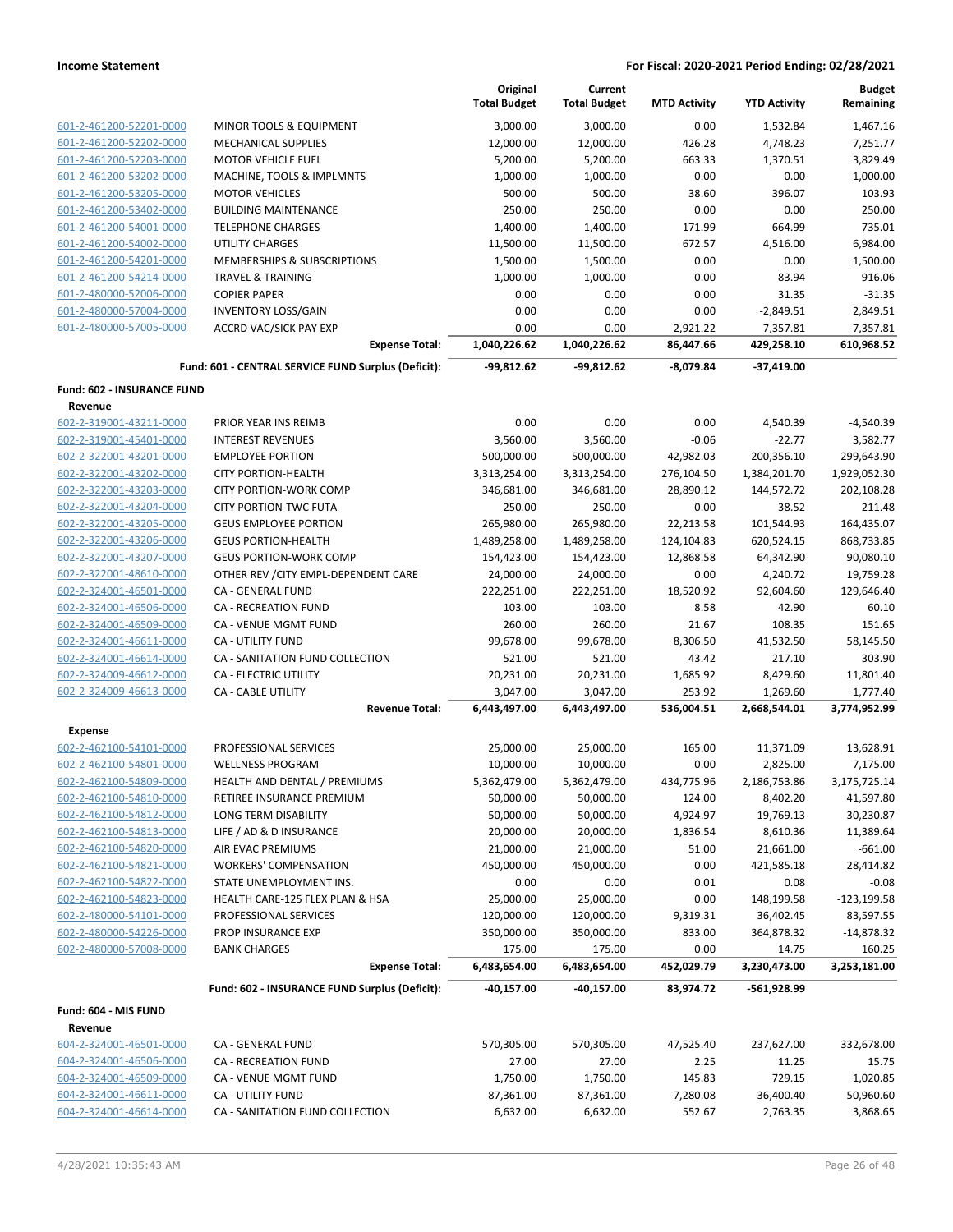|                                                    |                                                     | Original<br><b>Total Budget</b> | Current<br><b>Total Budget</b> | <b>MTD Activity</b>     | <b>YTD Activity</b>  | <b>Budget</b><br>Remaining |
|----------------------------------------------------|-----------------------------------------------------|---------------------------------|--------------------------------|-------------------------|----------------------|----------------------------|
| 601-2-461200-52201-0000                            | MINOR TOOLS & EQUIPMENT                             | 3,000.00                        | 3,000.00                       | 0.00                    | 1,532.84             | 1,467.16                   |
| 601-2-461200-52202-0000                            | <b>MECHANICAL SUPPLIES</b>                          | 12,000.00                       | 12,000.00                      | 426.28                  | 4,748.23             | 7,251.77                   |
| 601-2-461200-52203-0000                            | <b>MOTOR VEHICLE FUEL</b>                           | 5,200.00                        | 5,200.00                       | 663.33                  | 1,370.51             | 3,829.49                   |
| 601-2-461200-53202-0000                            | MACHINE, TOOLS & IMPLMNTS                           | 1,000.00                        | 1,000.00                       | 0.00                    | 0.00                 | 1,000.00                   |
| 601-2-461200-53205-0000                            | <b>MOTOR VEHICLES</b>                               | 500.00                          | 500.00                         | 38.60                   | 396.07               | 103.93                     |
| 601-2-461200-53402-0000                            | <b>BUILDING MAINTENANCE</b>                         | 250.00                          | 250.00                         | 0.00                    | 0.00                 | 250.00                     |
| 601-2-461200-54001-0000                            | <b>TELEPHONE CHARGES</b>                            | 1,400.00                        | 1,400.00                       | 171.99                  | 664.99               | 735.01                     |
| 601-2-461200-54002-0000                            | <b>UTILITY CHARGES</b>                              | 11,500.00                       | 11,500.00                      | 672.57                  | 4,516.00             | 6,984.00                   |
| 601-2-461200-54201-0000                            | MEMBERSHIPS & SUBSCRIPTIONS                         | 1,500.00                        | 1,500.00                       | 0.00                    | 0.00                 | 1,500.00                   |
| 601-2-461200-54214-0000                            | <b>TRAVEL &amp; TRAINING</b>                        | 1,000.00                        | 1,000.00                       | 0.00                    | 83.94                | 916.06                     |
| 601-2-480000-52006-0000                            | <b>COPIER PAPER</b>                                 | 0.00                            | 0.00                           | 0.00                    | 31.35                | $-31.35$                   |
| 601-2-480000-57004-0000                            | <b>INVENTORY LOSS/GAIN</b>                          | 0.00                            | 0.00                           | 0.00                    | $-2,849.51$          | 2,849.51                   |
| 601-2-480000-57005-0000                            | <b>ACCRD VAC/SICK PAY EXP</b>                       | 0.00                            | 0.00                           | 2,921.22                | 7,357.81             | $-7,357.81$                |
|                                                    | <b>Expense Total:</b>                               | 1,040,226.62                    | 1,040,226.62                   | 86,447.66               | 429,258.10           | 610,968.52                 |
|                                                    | Fund: 601 - CENTRAL SERVICE FUND Surplus (Deficit): | $-99,812.62$                    | -99,812.62                     | $-8,079.84$             | $-37,419.00$         |                            |
| Fund: 602 - INSURANCE FUND                         |                                                     |                                 |                                |                         |                      |                            |
| Revenue<br>602-2-319001-43211-0000                 | PRIOR YEAR INS REIMB                                |                                 | 0.00                           | 0.00                    |                      | $-4,540.39$                |
|                                                    | <b>INTEREST REVENUES</b>                            | 0.00                            |                                | $-0.06$                 | 4,540.39<br>$-22.77$ | 3,582.77                   |
| 602-2-319001-45401-0000<br>602-2-322001-43201-0000 | <b>EMPLOYEE PORTION</b>                             | 3,560.00<br>500,000.00          | 3,560.00                       |                         | 200,356.10           | 299,643.90                 |
| 602-2-322001-43202-0000                            | <b>CITY PORTION-HEALTH</b>                          | 3,313,254.00                    | 500,000.00                     | 42,982.03               | 1,384,201.70         | 1,929,052.30               |
| 602-2-322001-43203-0000                            | <b>CITY PORTION-WORK COMP</b>                       | 346,681.00                      | 3,313,254.00<br>346,681.00     | 276,104.50<br>28,890.12 | 144,572.72           | 202,108.28                 |
| 602-2-322001-43204-0000                            | <b>CITY PORTION-TWC FUTA</b>                        | 250.00                          | 250.00                         | 0.00                    | 38.52                | 211.48                     |
| 602-2-322001-43205-0000                            | <b>GEUS EMPLOYEE PORTION</b>                        | 265,980.00                      | 265,980.00                     | 22,213.58               | 101,544.93           | 164,435.07                 |
| 602-2-322001-43206-0000                            | <b>GEUS PORTION-HEALTH</b>                          | 1,489,258.00                    | 1,489,258.00                   | 124,104.83              | 620,524.15           | 868,733.85                 |
| 602-2-322001-43207-0000                            | <b>GEUS PORTION-WORK COMP</b>                       | 154,423.00                      | 154,423.00                     | 12,868.58               | 64,342.90            | 90,080.10                  |
| 602-2-322001-48610-0000                            | OTHER REV / CITY EMPL-DEPENDENT CARE                | 24,000.00                       | 24,000.00                      | 0.00                    | 4,240.72             | 19,759.28                  |
| 602-2-324001-46501-0000                            | CA - GENERAL FUND                                   | 222,251.00                      | 222,251.00                     | 18,520.92               | 92,604.60            | 129,646.40                 |
| 602-2-324001-46506-0000                            | <b>CA - RECREATION FUND</b>                         | 103.00                          | 103.00                         | 8.58                    | 42.90                | 60.10                      |
| 602-2-324001-46509-0000                            | CA - VENUE MGMT FUND                                | 260.00                          | 260.00                         | 21.67                   | 108.35               | 151.65                     |
| 602-2-324001-46611-0000                            | CA - UTILITY FUND                                   | 99,678.00                       | 99,678.00                      | 8,306.50                | 41,532.50            | 58,145.50                  |
| 602-2-324001-46614-0000                            | CA - SANITATION FUND COLLECTION                     | 521.00                          | 521.00                         | 43.42                   | 217.10               | 303.90                     |
| 602-2-324009-46612-0000                            | <b>CA - ELECTRIC UTILITY</b>                        | 20,231.00                       | 20,231.00                      | 1,685.92                | 8,429.60             | 11,801.40                  |
| 602-2-324009-46613-0000                            | <b>CA - CABLE UTILITY</b>                           | 3,047.00                        | 3,047.00                       | 253.92                  | 1,269.60             | 1,777.40                   |
|                                                    | <b>Revenue Total:</b>                               | 6,443,497.00                    | 6,443,497.00                   | 536,004.51              | 2,668,544.01         | 3,774,952.99               |
| <b>Expense</b>                                     |                                                     |                                 |                                |                         |                      |                            |
| 602-2-462100-54101-0000                            | PROFESSIONAL SERVICES                               | 25,000.00                       | 25,000.00                      | 165.00                  | 11,371.09            | 13,628.91                  |
| 602-2-462100-54801-0000                            | <b>WELLNESS PROGRAM</b>                             | 10,000.00                       | 10,000.00                      | 0.00                    | 2,825.00             | 7,175.00                   |
| 602-2-462100-54809-0000                            | HEALTH AND DENTAL / PREMIUMS                        | 5,362,479.00                    | 5,362,479.00                   | 434,775.96              | 2,186,753.86         | 3,175,725.14               |
| 602-2-462100-54810-0000                            | RETIREE INSURANCE PREMIUM                           | 50,000.00                       | 50,000.00                      | 124.00                  | 8,402.20             | 41,597.80                  |
| 602-2-462100-54812-0000                            | LONG TERM DISABILITY                                | 50,000.00                       | 50,000.00                      | 4,924.97                | 19,769.13            | 30,230.87                  |
| 602-2-462100-54813-0000                            | LIFE / AD & D INSURANCE                             | 20,000.00                       | 20,000.00                      | 1,836.54                | 8,610.36             | 11,389.64                  |
| 602-2-462100-54820-0000                            | AIR EVAC PREMIUMS                                   | 21,000.00                       | 21,000.00                      | 51.00                   | 21,661.00            | $-661.00$                  |
| 602-2-462100-54821-0000                            | <b>WORKERS' COMPENSATION</b>                        | 450,000.00                      | 450,000.00                     | 0.00                    | 421,585.18           | 28,414.82                  |
| 602-2-462100-54822-0000                            | STATE UNEMPLOYMENT INS.                             | 0.00                            | 0.00                           | 0.01                    | 0.08                 | $-0.08$                    |
| 602-2-462100-54823-0000                            | HEALTH CARE-125 FLEX PLAN & HSA                     | 25,000.00                       | 25,000.00                      | 0.00                    | 148,199.58           | $-123, 199.58$             |
| 602-2-480000-54101-0000                            | PROFESSIONAL SERVICES                               | 120,000.00                      | 120,000.00                     | 9,319.31                | 36,402.45            | 83,597.55                  |
| 602-2-480000-54226-0000                            | PROP INSURANCE EXP                                  | 350,000.00                      | 350,000.00                     | 833.00                  | 364,878.32           | $-14,878.32$               |
| 602-2-480000-57008-0000                            | <b>BANK CHARGES</b>                                 | 175.00                          | 175.00                         | 0.00                    | 14.75                | 160.25                     |
|                                                    | <b>Expense Total:</b>                               | 6,483,654.00                    | 6,483,654.00                   | 452,029.79              | 3,230,473.00         | 3,253,181.00               |
|                                                    | Fund: 602 - INSURANCE FUND Surplus (Deficit):       | $-40,157.00$                    | $-40,157.00$                   | 83,974.72               | -561,928.99          |                            |
| Fund: 604 - MIS FUND                               |                                                     |                                 |                                |                         |                      |                            |
| Revenue                                            |                                                     |                                 |                                |                         |                      |                            |
| 604-2-324001-46501-0000                            | CA - GENERAL FUND                                   | 570,305.00                      | 570,305.00                     | 47,525.40               | 237,627.00           | 332,678.00                 |
| 604-2-324001-46506-0000                            | CA - RECREATION FUND                                | 27.00                           | 27.00                          | 2.25                    | 11.25                | 15.75                      |
| 604-2-324001-46509-0000                            | CA - VENUE MGMT FUND                                | 1,750.00                        | 1,750.00                       | 145.83                  | 729.15               | 1,020.85                   |
| 604-2-324001-46611-0000                            | CA - UTILITY FUND                                   | 87,361.00                       | 87,361.00                      | 7,280.08                | 36,400.40            | 50,960.60                  |
| 604-2-324001-46614-0000                            | CA - SANITATION FUND COLLECTION                     | 6,632.00                        | 6,632.00                       | 552.67                  | 2,763.35             | 3,868.65                   |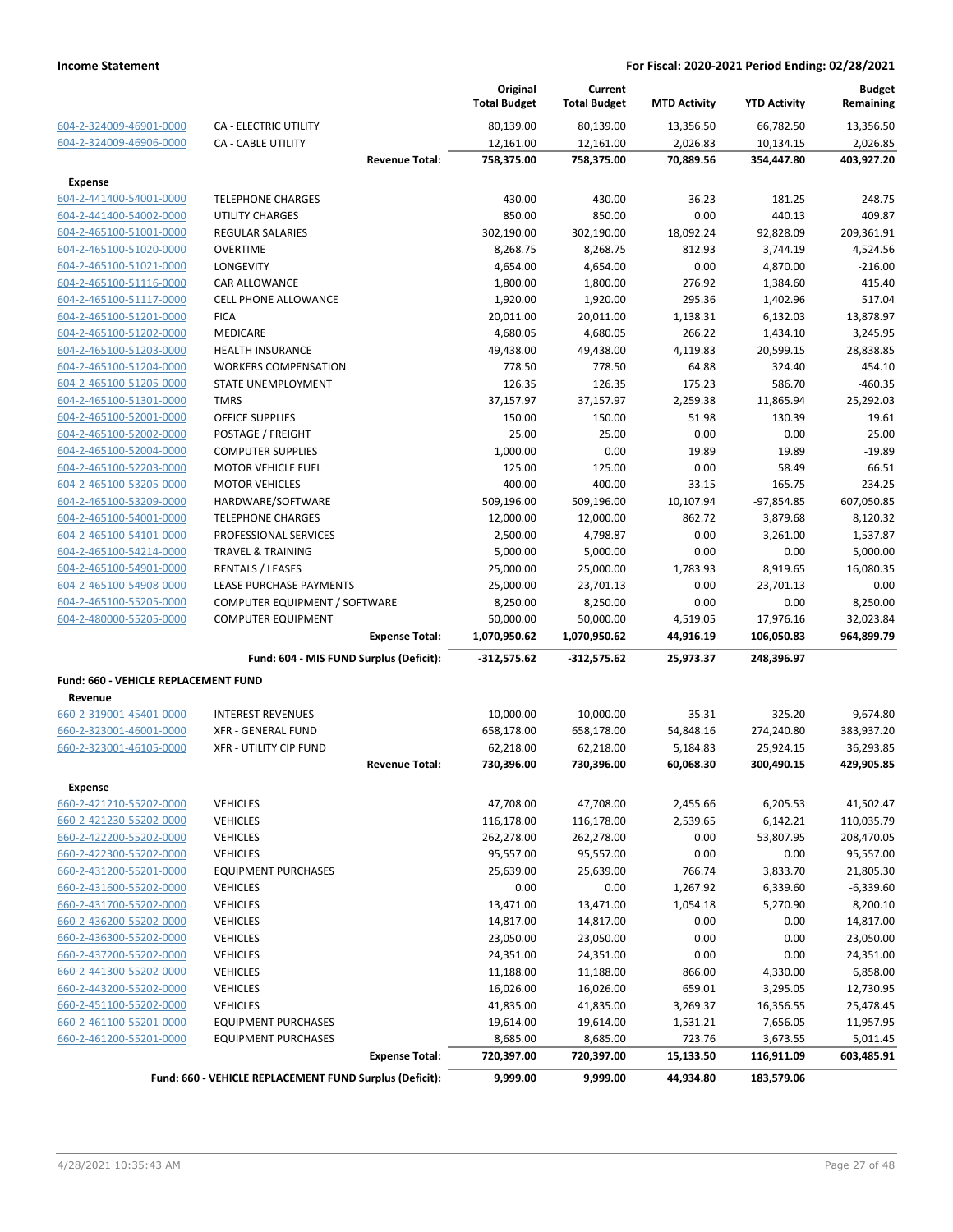|                                                    |                                                          |                       | Original<br><b>Total Budget</b> | Current<br><b>Total Budget</b> | <b>MTD Activity</b> | <b>YTD Activity</b> | <b>Budget</b><br>Remaining |
|----------------------------------------------------|----------------------------------------------------------|-----------------------|---------------------------------|--------------------------------|---------------------|---------------------|----------------------------|
| 604-2-324009-46901-0000                            | <b>CA - ELECTRIC UTILITY</b>                             |                       | 80,139.00                       | 80,139.00                      | 13,356.50           | 66,782.50           | 13,356.50                  |
| 604-2-324009-46906-0000                            | <b>CA - CABLE UTILITY</b>                                |                       | 12,161.00                       | 12,161.00                      | 2,026.83            | 10,134.15           | 2,026.85                   |
|                                                    |                                                          | <b>Revenue Total:</b> | 758,375.00                      | 758,375.00                     | 70,889.56           | 354,447.80          | 403,927.20                 |
| <b>Expense</b>                                     |                                                          |                       |                                 |                                |                     |                     |                            |
| 604-2-441400-54001-0000                            | <b>TELEPHONE CHARGES</b>                                 |                       | 430.00                          | 430.00                         | 36.23               | 181.25              | 248.75                     |
| 604-2-441400-54002-0000                            | <b>UTILITY CHARGES</b>                                   |                       | 850.00                          | 850.00                         | 0.00                | 440.13              | 409.87                     |
| 604-2-465100-51001-0000                            | <b>REGULAR SALARIES</b>                                  |                       | 302,190.00                      | 302,190.00                     | 18,092.24           | 92,828.09           | 209,361.91                 |
| 604-2-465100-51020-0000                            | <b>OVERTIME</b>                                          |                       | 8,268.75                        | 8,268.75                       | 812.93              | 3,744.19            | 4,524.56                   |
| 604-2-465100-51021-0000                            | LONGEVITY                                                |                       | 4,654.00                        | 4,654.00                       | 0.00                | 4,870.00            | $-216.00$                  |
| 604-2-465100-51116-0000                            | CAR ALLOWANCE                                            |                       | 1,800.00                        | 1,800.00                       | 276.92              | 1,384.60            | 415.40                     |
| 604-2-465100-51117-0000                            | <b>CELL PHONE ALLOWANCE</b>                              |                       | 1,920.00                        | 1,920.00                       | 295.36              | 1,402.96            | 517.04                     |
| 604-2-465100-51201-0000                            | <b>FICA</b>                                              |                       | 20,011.00                       | 20,011.00                      | 1,138.31            | 6,132.03            | 13,878.97                  |
| 604-2-465100-51202-0000                            | MEDICARE                                                 |                       | 4,680.05                        | 4,680.05                       | 266.22              | 1,434.10            | 3,245.95                   |
| 604-2-465100-51203-0000                            | <b>HEALTH INSURANCE</b>                                  |                       | 49,438.00                       | 49,438.00                      | 4,119.83            | 20,599.15           | 28,838.85                  |
| 604-2-465100-51204-0000                            | <b>WORKERS COMPENSATION</b>                              |                       | 778.50                          | 778.50                         | 64.88               | 324.40              | 454.10                     |
| 604-2-465100-51205-0000                            | STATE UNEMPLOYMENT                                       |                       | 126.35                          | 126.35                         | 175.23              | 586.70              | -460.35                    |
| 604-2-465100-51301-0000                            | <b>TMRS</b>                                              |                       | 37,157.97                       | 37,157.97                      | 2,259.38            | 11,865.94           | 25,292.03                  |
| 604-2-465100-52001-0000                            | <b>OFFICE SUPPLIES</b>                                   |                       | 150.00                          | 150.00                         | 51.98               | 130.39              | 19.61                      |
| 604-2-465100-52002-0000                            | POSTAGE / FREIGHT                                        |                       | 25.00                           | 25.00                          | 0.00                | 0.00                | 25.00                      |
| 604-2-465100-52004-0000                            | <b>COMPUTER SUPPLIES</b>                                 |                       | 1,000.00                        | 0.00                           | 19.89               | 19.89               | $-19.89$                   |
| 604-2-465100-52203-0000                            | <b>MOTOR VEHICLE FUEL</b>                                |                       | 125.00                          | 125.00                         | 0.00                | 58.49               | 66.51                      |
| 604-2-465100-53205-0000                            | <b>MOTOR VEHICLES</b>                                    |                       | 400.00                          | 400.00                         | 33.15               | 165.75              | 234.25                     |
| 604-2-465100-53209-0000                            | HARDWARE/SOFTWARE                                        |                       | 509,196.00                      | 509,196.00                     | 10,107.94           | $-97,854.85$        | 607,050.85                 |
| 604-2-465100-54001-0000                            | <b>TELEPHONE CHARGES</b>                                 |                       | 12,000.00                       | 12,000.00                      | 862.72              | 3,879.68            | 8,120.32                   |
| 604-2-465100-54101-0000                            | PROFESSIONAL SERVICES                                    |                       | 2,500.00                        | 4,798.87                       | 0.00                | 3,261.00            | 1,537.87                   |
| 604-2-465100-54214-0000                            | <b>TRAVEL &amp; TRAINING</b>                             |                       | 5,000.00                        | 5,000.00                       | 0.00                | 0.00                | 5,000.00                   |
| 604-2-465100-54901-0000                            | <b>RENTALS / LEASES</b>                                  |                       | 25,000.00                       | 25,000.00                      | 1,783.93            | 8,919.65            | 16,080.35<br>0.00          |
| 604-2-465100-54908-0000<br>604-2-465100-55205-0000 | LEASE PURCHASE PAYMENTS<br>COMPUTER EQUIPMENT / SOFTWARE |                       | 25,000.00<br>8,250.00           | 23,701.13<br>8,250.00          | 0.00<br>0.00        | 23,701.13<br>0.00   | 8,250.00                   |
| 604-2-480000-55205-0000                            | <b>COMPUTER EQUIPMENT</b>                                |                       | 50,000.00                       | 50,000.00                      | 4,519.05            | 17,976.16           | 32,023.84                  |
|                                                    |                                                          | <b>Expense Total:</b> | 1,070,950.62                    | 1,070,950.62                   | 44,916.19           | 106,050.83          | 964,899.79                 |
|                                                    | Fund: 604 - MIS FUND Surplus (Deficit):                  |                       | $-312,575.62$                   | $-312,575.62$                  | 25,973.37           | 248,396.97          |                            |
|                                                    |                                                          |                       |                                 |                                |                     |                     |                            |
| Fund: 660 - VEHICLE REPLACEMENT FUND<br>Revenue    |                                                          |                       |                                 |                                |                     |                     |                            |
| 660-2-319001-45401-0000                            | <b>INTEREST REVENUES</b>                                 |                       | 10,000.00                       | 10,000.00                      | 35.31               | 325.20              | 9,674.80                   |
| 660-2-323001-46001-0000                            | <b>XFR - GENERAL FUND</b>                                |                       | 658,178.00                      | 658,178.00                     | 54,848.16           | 274,240.80          | 383,937.20                 |
| 660-2-323001-46105-0000                            | <b>XFR - UTILITY CIP FUND</b>                            |                       | 62,218.00                       | 62,218.00                      | 5,184.83            | 25,924.15           | 36,293.85                  |
|                                                    |                                                          | <b>Revenue Total:</b> | 730,396.00                      | 730,396.00                     | 60,068.30           | 300,490.15          | 429,905.85                 |
| Expense                                            |                                                          |                       |                                 |                                |                     |                     |                            |
| 660-2-421210-55202-0000                            | <b>VEHICLES</b>                                          |                       | 47,708.00                       | 47,708.00                      | 2,455.66            | 6,205.53            | 41,502.47                  |
| 660-2-421230-55202-0000                            | <b>VEHICLES</b>                                          |                       | 116,178.00                      | 116,178.00                     | 2,539.65            | 6,142.21            | 110,035.79                 |
| 660-2-422200-55202-0000                            | <b>VEHICLES</b>                                          |                       | 262,278.00                      | 262,278.00                     | 0.00                | 53,807.95           | 208,470.05                 |
| 660-2-422300-55202-0000                            | <b>VEHICLES</b>                                          |                       | 95,557.00                       | 95,557.00                      | 0.00                | 0.00                | 95,557.00                  |
| 660-2-431200-55201-0000                            | <b>EQUIPMENT PURCHASES</b>                               |                       | 25,639.00                       | 25,639.00                      | 766.74              | 3,833.70            | 21,805.30                  |
| 660-2-431600-55202-0000                            | <b>VEHICLES</b>                                          |                       | 0.00                            | 0.00                           | 1,267.92            | 6,339.60            | $-6,339.60$                |
| 660-2-431700-55202-0000                            | <b>VEHICLES</b>                                          |                       | 13,471.00                       | 13,471.00                      | 1,054.18            | 5,270.90            | 8,200.10                   |
| 660-2-436200-55202-0000                            | <b>VEHICLES</b>                                          |                       | 14,817.00                       | 14,817.00                      | 0.00                | 0.00                | 14,817.00                  |
| 660-2-436300-55202-0000                            | <b>VEHICLES</b>                                          |                       | 23,050.00                       | 23,050.00                      | 0.00                | 0.00                | 23,050.00                  |
| 660-2-437200-55202-0000                            | <b>VEHICLES</b>                                          |                       | 24,351.00                       | 24,351.00                      | 0.00                | 0.00                | 24,351.00                  |
| 660-2-441300-55202-0000                            | <b>VEHICLES</b>                                          |                       | 11,188.00                       | 11,188.00                      | 866.00              | 4,330.00            | 6,858.00                   |
| 660-2-443200-55202-0000                            | <b>VEHICLES</b>                                          |                       | 16,026.00                       | 16,026.00                      | 659.01              | 3,295.05            | 12,730.95                  |
| 660-2-451100-55202-0000                            | <b>VEHICLES</b>                                          |                       | 41,835.00                       | 41,835.00                      | 3,269.37            | 16,356.55           | 25,478.45                  |
| 660-2-461100-55201-0000                            | <b>EQUIPMENT PURCHASES</b>                               |                       | 19,614.00                       | 19,614.00                      | 1,531.21            | 7,656.05            | 11,957.95                  |
| 660-2-461200-55201-0000                            | <b>EQUIPMENT PURCHASES</b>                               |                       | 8,685.00                        | 8,685.00                       | 723.76              | 3,673.55            | 5,011.45                   |
|                                                    |                                                          | <b>Expense Total:</b> | 720,397.00                      | 720,397.00                     | 15,133.50           | 116,911.09          | 603,485.91                 |
|                                                    | Fund: 660 - VEHICLE REPLACEMENT FUND Surplus (Deficit):  |                       | 9,999.00                        | 9,999.00                       | 44,934.80           | 183,579.06          |                            |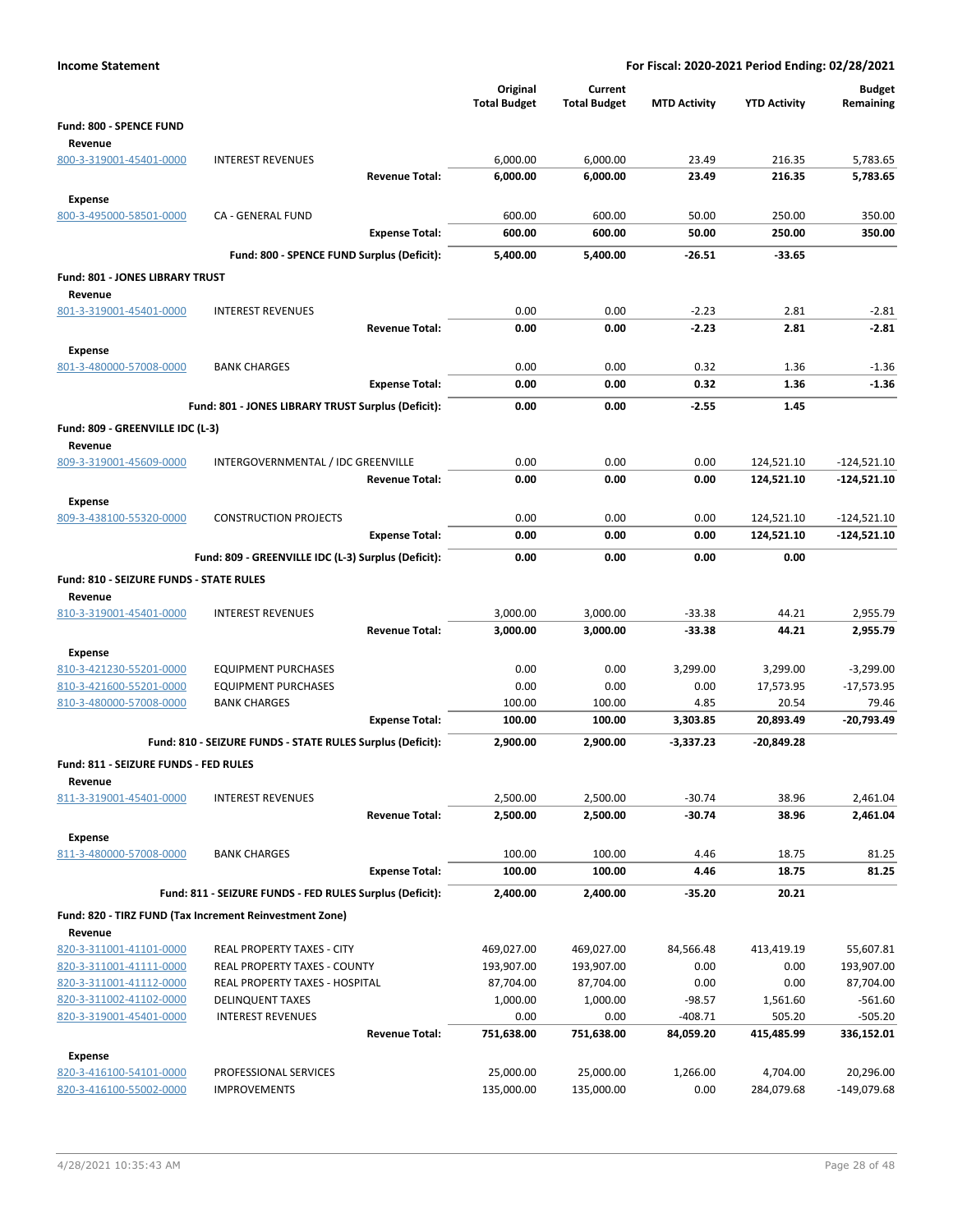| <b>Income Statement</b>                            |                                                            | For Fiscal: 2020-2021 Period Ending: 02/28/2021 |                                |                        |                        |                            |  |
|----------------------------------------------------|------------------------------------------------------------|-------------------------------------------------|--------------------------------|------------------------|------------------------|----------------------------|--|
|                                                    |                                                            | Original<br><b>Total Budget</b>                 | Current<br><b>Total Budget</b> | <b>MTD Activity</b>    | <b>YTD Activity</b>    | <b>Budget</b><br>Remaining |  |
| Fund: 800 - SPENCE FUND                            |                                                            |                                                 |                                |                        |                        |                            |  |
| Revenue<br>800-3-319001-45401-0000                 | <b>INTEREST REVENUES</b>                                   | 6,000.00                                        | 6,000.00                       | 23.49                  | 216.35                 | 5,783.65                   |  |
|                                                    | <b>Revenue Total:</b>                                      | 6,000.00                                        | 6,000.00                       | 23.49                  | 216.35                 | 5,783.65                   |  |
| Expense                                            |                                                            |                                                 |                                |                        |                        |                            |  |
| 800-3-495000-58501-0000                            | <b>CA - GENERAL FUND</b>                                   | 600.00                                          | 600.00                         | 50.00                  | 250.00                 | 350.00                     |  |
|                                                    | <b>Expense Total:</b>                                      | 600.00                                          | 600.00                         | 50.00                  | 250.00                 | 350.00                     |  |
|                                                    | Fund: 800 - SPENCE FUND Surplus (Deficit):                 | 5,400.00                                        | 5,400.00                       | $-26.51$               | $-33.65$               |                            |  |
| Fund: 801 - JONES LIBRARY TRUST                    |                                                            |                                                 |                                |                        |                        |                            |  |
| Revenue                                            |                                                            |                                                 |                                |                        |                        |                            |  |
| 801-3-319001-45401-0000                            | <b>INTEREST REVENUES</b>                                   | 0.00                                            | 0.00                           | $-2.23$                | 2.81                   | $-2.81$                    |  |
|                                                    | <b>Revenue Total:</b>                                      | 0.00                                            | 0.00                           | $-2.23$                | 2.81                   | $-2.81$                    |  |
| Expense                                            |                                                            |                                                 |                                |                        |                        |                            |  |
| 801-3-480000-57008-0000                            | <b>BANK CHARGES</b>                                        | 0.00                                            | 0.00                           | 0.32                   | 1.36                   | $-1.36$                    |  |
|                                                    | <b>Expense Total:</b>                                      | 0.00                                            | 0.00                           | 0.32                   | 1.36                   | $-1.36$                    |  |
|                                                    | Fund: 801 - JONES LIBRARY TRUST Surplus (Deficit):         | 0.00                                            | 0.00                           | $-2.55$                | 1.45                   |                            |  |
| Fund: 809 - GREENVILLE IDC (L-3)                   |                                                            |                                                 |                                |                        |                        |                            |  |
| Revenue                                            |                                                            |                                                 |                                |                        |                        |                            |  |
| 809-3-319001-45609-0000                            | INTERGOVERNMENTAL / IDC GREENVILLE                         | 0.00                                            | 0.00                           | 0.00                   | 124,521.10             | $-124,521.10$              |  |
|                                                    | <b>Revenue Total:</b>                                      | 0.00                                            | 0.00                           | 0.00                   | 124,521.10             | $-124,521.10$              |  |
| <b>Expense</b>                                     |                                                            |                                                 |                                |                        |                        |                            |  |
| 809-3-438100-55320-0000                            | <b>CONSTRUCTION PROJECTS</b>                               | 0.00                                            | 0.00                           | 0.00                   | 124,521.10             | $-124,521.10$              |  |
|                                                    | <b>Expense Total:</b>                                      | 0.00                                            | 0.00                           | 0.00                   | 124,521.10             | $-124,521.10$              |  |
|                                                    | Fund: 809 - GREENVILLE IDC (L-3) Surplus (Deficit):        | 0.00                                            | 0.00                           | 0.00                   | 0.00                   |                            |  |
| Fund: 810 - SEIZURE FUNDS - STATE RULES            |                                                            |                                                 |                                |                        |                        |                            |  |
| Revenue<br>810-3-319001-45401-0000                 | <b>INTEREST REVENUES</b>                                   | 3,000.00                                        | 3,000.00                       | $-33.38$               | 44.21                  | 2,955.79                   |  |
|                                                    | <b>Revenue Total:</b>                                      | 3,000.00                                        | 3,000.00                       | $-33.38$               | 44.21                  | 2,955.79                   |  |
|                                                    |                                                            |                                                 |                                |                        |                        |                            |  |
| <b>Expense</b><br>810-3-421230-55201-0000          | <b>EQUIPMENT PURCHASES</b>                                 | 0.00                                            | 0.00                           | 3,299.00               | 3,299.00               | $-3,299.00$                |  |
| 810-3-421600-55201-0000                            | <b>EQUIPMENT PURCHASES</b>                                 | 0.00                                            | 0.00                           | 0.00                   | 17,573.95              | $-17,573.95$               |  |
| 810-3-480000-57008-0000                            | <b>BANK CHARGES</b>                                        | 100.00                                          | 100.00                         | 4.85                   | 20.54                  | 79.46                      |  |
|                                                    | <b>Expense Total:</b>                                      | 100.00                                          | 100.00                         | 3,303.85               | 20,893.49              | $-20,793.49$               |  |
|                                                    | Fund: 810 - SEIZURE FUNDS - STATE RULES Surplus (Deficit): | 2,900.00                                        | 2,900.00                       | $-3,337.23$            | -20,849.28             |                            |  |
| Fund: 811 - SEIZURE FUNDS - FED RULES              |                                                            |                                                 |                                |                        |                        |                            |  |
| Revenue                                            |                                                            |                                                 |                                |                        |                        |                            |  |
| 811-3-319001-45401-0000                            | <b>INTEREST REVENUES</b>                                   | 2,500.00                                        | 2,500.00                       | $-30.74$               | 38.96                  | 2,461.04                   |  |
|                                                    | <b>Revenue Total:</b>                                      | 2,500.00                                        | 2,500.00                       | -30.74                 | 38.96                  | 2,461.04                   |  |
| Expense                                            |                                                            |                                                 |                                |                        |                        |                            |  |
| 811-3-480000-57008-0000                            | <b>BANK CHARGES</b>                                        | 100.00                                          | 100.00                         | 4.46                   | 18.75                  | 81.25                      |  |
|                                                    | <b>Expense Total:</b>                                      | 100.00                                          | 100.00                         | 4.46                   | 18.75                  | 81.25                      |  |
|                                                    | Fund: 811 - SEIZURE FUNDS - FED RULES Surplus (Deficit):   | 2,400.00                                        | 2,400.00                       | $-35.20$               | 20.21                  |                            |  |
|                                                    | Fund: 820 - TIRZ FUND (Tax Increment Reinvestment Zone)    |                                                 |                                |                        |                        |                            |  |
| Revenue                                            |                                                            |                                                 |                                |                        |                        |                            |  |
| 820-3-311001-41101-0000                            | REAL PROPERTY TAXES - CITY                                 | 469,027.00                                      | 469,027.00                     | 84,566.48              | 413,419.19             | 55,607.81                  |  |
| 820-3-311001-41111-0000                            | REAL PROPERTY TAXES - COUNTY                               | 193,907.00                                      | 193,907.00                     | 0.00                   | 0.00                   | 193,907.00                 |  |
| 820-3-311001-41112-0000                            | REAL PROPERTY TAXES - HOSPITAL                             | 87,704.00                                       | 87,704.00                      | 0.00                   | 0.00                   | 87,704.00                  |  |
| 820-3-311002-41102-0000                            | <b>DELINQUENT TAXES</b>                                    | 1,000.00                                        | 1,000.00                       | $-98.57$               | 1,561.60               | $-561.60$                  |  |
| 820-3-319001-45401-0000                            | <b>INTEREST REVENUES</b><br><b>Revenue Total:</b>          | 0.00<br>751,638.00                              | 0.00<br>751,638.00             | $-408.71$<br>84,059.20 | 505.20<br>415,485.99   | $-505.20$<br>336,152.01    |  |
|                                                    |                                                            |                                                 |                                |                        |                        |                            |  |
| <b>Expense</b>                                     |                                                            |                                                 |                                |                        |                        |                            |  |
| 820-3-416100-54101-0000<br>820-3-416100-55002-0000 | PROFESSIONAL SERVICES<br><b>IMPROVEMENTS</b>               | 25,000.00<br>135,000.00                         | 25,000.00<br>135,000.00        | 1,266.00<br>0.00       | 4,704.00<br>284,079.68 | 20,296.00<br>-149,079.68   |  |
|                                                    |                                                            |                                                 |                                |                        |                        |                            |  |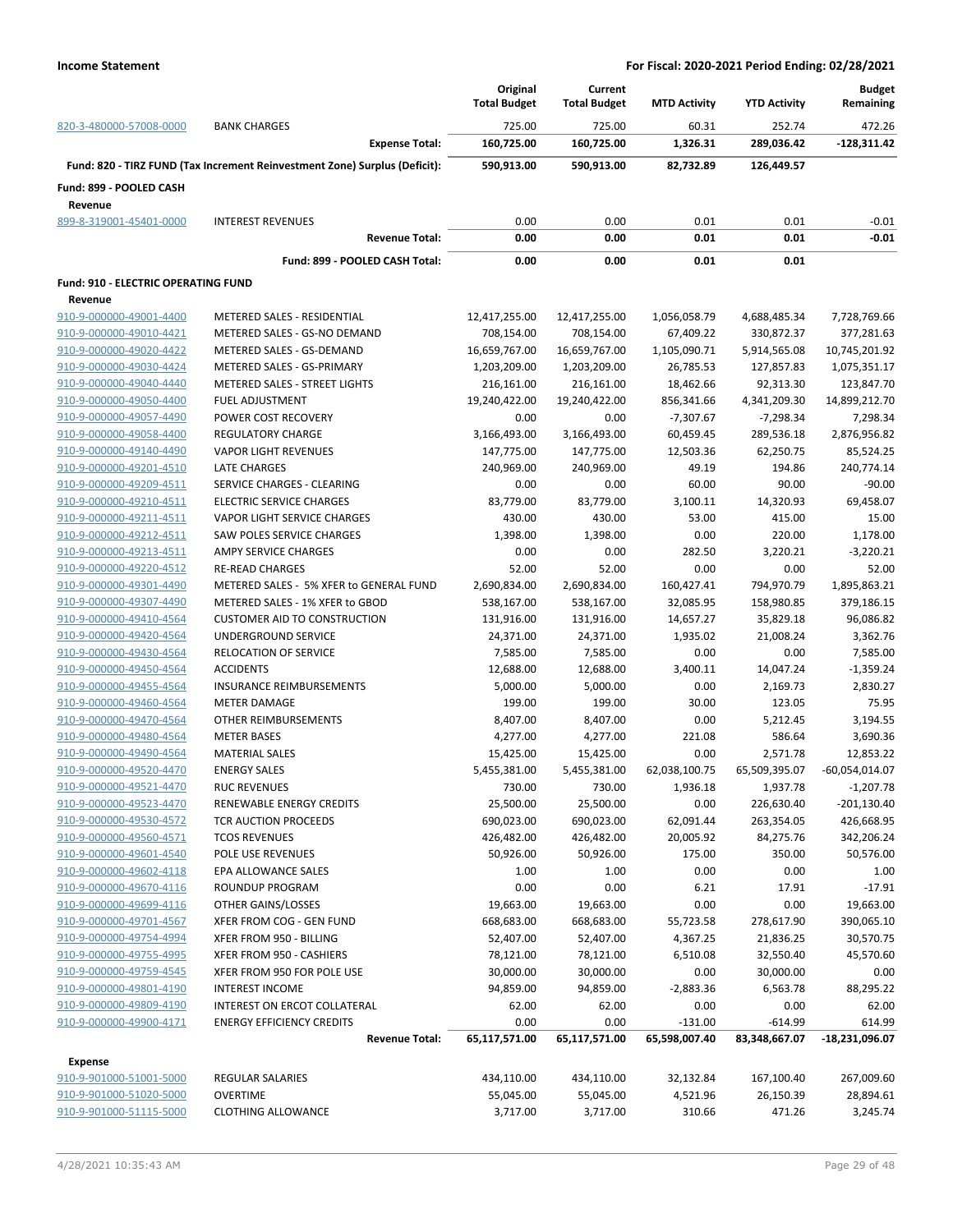|                                                    |                                                                            | Original            | Current             |                     |                     | <b>Budget</b>    |
|----------------------------------------------------|----------------------------------------------------------------------------|---------------------|---------------------|---------------------|---------------------|------------------|
|                                                    |                                                                            | <b>Total Budget</b> | <b>Total Budget</b> | <b>MTD Activity</b> | <b>YTD Activity</b> | Remaining        |
| 820-3-480000-57008-0000                            | <b>BANK CHARGES</b>                                                        | 725.00              | 725.00              | 60.31               | 252.74              | 472.26           |
|                                                    | <b>Expense Total:</b>                                                      | 160,725.00          | 160,725.00          | 1,326.31            | 289,036.42          | $-128,311.42$    |
|                                                    | Fund: 820 - TIRZ FUND (Tax Increment Reinvestment Zone) Surplus (Deficit): | 590,913.00          | 590,913.00          | 82,732.89           | 126,449.57          |                  |
| Fund: 899 - POOLED CASH                            |                                                                            |                     |                     |                     |                     |                  |
| Revenue                                            |                                                                            |                     |                     |                     |                     |                  |
| 899-8-319001-45401-0000                            | <b>INTEREST REVENUES</b>                                                   | 0.00                | 0.00                | 0.01                | 0.01                | $-0.01$          |
|                                                    | <b>Revenue Total:</b>                                                      | 0.00                | 0.00                | 0.01                | 0.01                | $-0.01$          |
|                                                    | Fund: 899 - POOLED CASH Total:                                             | 0.00                | 0.00                | 0.01                | 0.01                |                  |
| <b>Fund: 910 - ELECTRIC OPERATING FUND</b>         |                                                                            |                     |                     |                     |                     |                  |
| Revenue                                            |                                                                            |                     |                     |                     |                     |                  |
| 910-9-000000-49001-4400                            | METERED SALES - RESIDENTIAL                                                | 12,417,255.00       | 12,417,255.00       | 1,056,058.79        | 4,688,485.34        | 7,728,769.66     |
| 910-9-000000-49010-4421                            | METERED SALES - GS-NO DEMAND                                               | 708,154.00          | 708,154.00          | 67,409.22           | 330,872.37          | 377,281.63       |
| 910-9-000000-49020-4422                            | METERED SALES - GS-DEMAND                                                  | 16,659,767.00       | 16,659,767.00       | 1,105,090.71        | 5,914,565.08        | 10,745,201.92    |
| 910-9-000000-49030-4424                            | METERED SALES - GS-PRIMARY                                                 | 1,203,209.00        | 1,203,209.00        | 26,785.53           | 127,857.83          | 1,075,351.17     |
| 910-9-000000-49040-4440                            | METERED SALES - STREET LIGHTS                                              | 216,161.00          | 216,161.00          | 18,462.66           | 92,313.30           | 123,847.70       |
| 910-9-000000-49050-4400                            | <b>FUEL ADJUSTMENT</b>                                                     | 19,240,422.00       | 19,240,422.00       | 856,341.66          | 4,341,209.30        | 14,899,212.70    |
| 910-9-000000-49057-4490                            | POWER COST RECOVERY                                                        | 0.00                | 0.00                | $-7,307.67$         | $-7,298.34$         | 7,298.34         |
| 910-9-000000-49058-4400                            | <b>REGULATORY CHARGE</b>                                                   | 3,166,493.00        | 3,166,493.00        | 60,459.45           | 289,536.18          | 2,876,956.82     |
| 910-9-000000-49140-4490                            | <b>VAPOR LIGHT REVENUES</b>                                                | 147,775.00          | 147,775.00          | 12,503.36           | 62,250.75           | 85,524.25        |
| 910-9-000000-49201-4510                            | <b>LATE CHARGES</b>                                                        | 240,969.00          | 240,969.00          | 49.19               | 194.86              | 240,774.14       |
| 910-9-000000-49209-4511                            | SERVICE CHARGES - CLEARING                                                 | 0.00                | 0.00                | 60.00               | 90.00               | $-90.00$         |
|                                                    | <b>ELECTRIC SERVICE CHARGES</b>                                            |                     |                     | 3,100.11            | 14,320.93           | 69,458.07        |
| 910-9-000000-49210-4511<br>910-9-000000-49211-4511 |                                                                            | 83,779.00           | 83,779.00           |                     |                     |                  |
|                                                    | VAPOR LIGHT SERVICE CHARGES                                                | 430.00              | 430.00              | 53.00               | 415.00              | 15.00            |
| 910-9-000000-49212-4511                            | SAW POLES SERVICE CHARGES                                                  | 1,398.00            | 1,398.00            | 0.00                | 220.00              | 1,178.00         |
| 910-9-000000-49213-4511                            | AMPY SERVICE CHARGES                                                       | 0.00                | 0.00                | 282.50              | 3,220.21            | $-3,220.21$      |
| 910-9-000000-49220-4512                            | <b>RE-READ CHARGES</b>                                                     | 52.00               | 52.00               | 0.00                | 0.00                | 52.00            |
| 910-9-000000-49301-4490                            | METERED SALES - 5% XFER to GENERAL FUND                                    | 2,690,834.00        | 2,690,834.00        | 160,427.41          | 794,970.79          | 1,895,863.21     |
| 910-9-000000-49307-4490                            | METERED SALES - 1% XFER to GBOD                                            | 538,167.00          | 538,167.00          | 32,085.95           | 158,980.85          | 379,186.15       |
| 910-9-000000-49410-4564                            | <b>CUSTOMER AID TO CONSTRUCTION</b>                                        | 131,916.00          | 131,916.00          | 14,657.27           | 35,829.18           | 96,086.82        |
| 910-9-000000-49420-4564                            | UNDERGROUND SERVICE                                                        | 24,371.00           | 24,371.00           | 1,935.02            | 21,008.24           | 3,362.76         |
| 910-9-000000-49430-4564                            | <b>RELOCATION OF SERVICE</b>                                               | 7,585.00            | 7,585.00            | 0.00                | 0.00                | 7,585.00         |
| 910-9-000000-49450-4564                            | <b>ACCIDENTS</b>                                                           | 12,688.00           | 12,688.00           | 3,400.11            | 14,047.24           | -1,359.24        |
| 910-9-000000-49455-4564                            | <b>INSURANCE REIMBURSEMENTS</b>                                            | 5,000.00            | 5,000.00            | 0.00                | 2,169.73            | 2,830.27         |
| 910-9-000000-49460-4564                            | <b>METER DAMAGE</b>                                                        | 199.00              | 199.00              | 30.00               | 123.05              | 75.95            |
| 910-9-000000-49470-4564                            | OTHER REIMBURSEMENTS                                                       | 8,407.00            | 8,407.00            | 0.00                | 5,212.45            | 3,194.55         |
| 910-9-000000-49480-4564                            | <b>METER BASES</b>                                                         | 4,277.00            | 4,277.00            | 221.08              | 586.64              | 3,690.36         |
| 910-9-000000-49490-4564                            | <b>MATERIAL SALES</b>                                                      | 15,425.00           | 15,425.00           | 0.00                | 2,571.78            | 12,853.22        |
| 910-9-000000-49520-4470                            | <b>ENERGY SALES</b>                                                        | 5,455,381.00        | 5,455,381.00        | 62,038,100.75       | 65,509,395.07       | $-60,054,014.07$ |
| 910-9-000000-49521-4470                            | <b>RUC REVENUES</b>                                                        | 730.00              | 730.00              | 1,936.18            | 1,937.78            | $-1,207.78$      |
| 910-9-000000-49523-4470                            | RENEWABLE ENERGY CREDITS                                                   | 25,500.00           | 25,500.00           | 0.00                | 226,630.40          | -201,130.40      |
| 910-9-000000-49530-4572                            | TCR AUCTION PROCEEDS                                                       | 690,023.00          | 690,023.00          | 62,091.44           | 263,354.05          | 426,668.95       |
| 910-9-000000-49560-4571                            | <b>TCOS REVENUES</b>                                                       | 426,482.00          | 426,482.00          | 20,005.92           | 84,275.76           | 342,206.24       |
| 910-9-000000-49601-4540                            | POLE USE REVENUES                                                          | 50,926.00           | 50,926.00           | 175.00              | 350.00              | 50,576.00        |
| 910-9-000000-49602-4118                            | EPA ALLOWANCE SALES                                                        | 1.00                | 1.00                | 0.00                | 0.00                | 1.00             |
| 910-9-000000-49670-4116                            | ROUNDUP PROGRAM                                                            | 0.00                | 0.00                | 6.21                | 17.91               | $-17.91$         |
| 910-9-000000-49699-4116                            | OTHER GAINS/LOSSES                                                         | 19,663.00           | 19,663.00           | 0.00                | 0.00                | 19,663.00        |
| 910-9-000000-49701-4567                            | XFER FROM COG - GEN FUND                                                   | 668,683.00          | 668,683.00          | 55,723.58           | 278,617.90          | 390,065.10       |
| 910-9-000000-49754-4994                            | XFER FROM 950 - BILLING                                                    | 52,407.00           | 52,407.00           | 4,367.25            | 21,836.25           | 30,570.75        |
| 910-9-000000-49755-4995                            | XFER FROM 950 - CASHIERS                                                   | 78,121.00           | 78,121.00           | 6,510.08            | 32,550.40           | 45,570.60        |
| 910-9-000000-49759-4545                            | XFER FROM 950 FOR POLE USE                                                 | 30,000.00           | 30,000.00           | 0.00                | 30,000.00           | 0.00             |
| 910-9-000000-49801-4190                            | <b>INTEREST INCOME</b>                                                     | 94,859.00           | 94,859.00           | $-2,883.36$         | 6,563.78            | 88,295.22        |
| 910-9-000000-49809-4190                            | INTEREST ON ERCOT COLLATERAL                                               | 62.00               | 62.00               | 0.00                | 0.00                | 62.00            |
| 910-9-000000-49900-4171                            | <b>ENERGY EFFICIENCY CREDITS</b>                                           | 0.00                | 0.00                | $-131.00$           | $-614.99$           | 614.99           |
|                                                    | <b>Revenue Total:</b>                                                      | 65,117,571.00       | 65,117,571.00       | 65,598,007.40       | 83,348,667.07       | -18,231,096.07   |
|                                                    |                                                                            |                     |                     |                     |                     |                  |
| <b>Expense</b>                                     |                                                                            |                     |                     |                     |                     |                  |
| 910-9-901000-51001-5000                            | <b>REGULAR SALARIES</b>                                                    | 434,110.00          | 434,110.00          | 32,132.84           | 167,100.40          | 267,009.60       |
| 910-9-901000-51020-5000                            | <b>OVERTIME</b>                                                            | 55,045.00           | 55,045.00           | 4,521.96            | 26,150.39           | 28,894.61        |
| 910-9-901000-51115-5000                            | <b>CLOTHING ALLOWANCE</b>                                                  | 3,717.00            | 3,717.00            | 310.66              | 471.26              | 3,245.74         |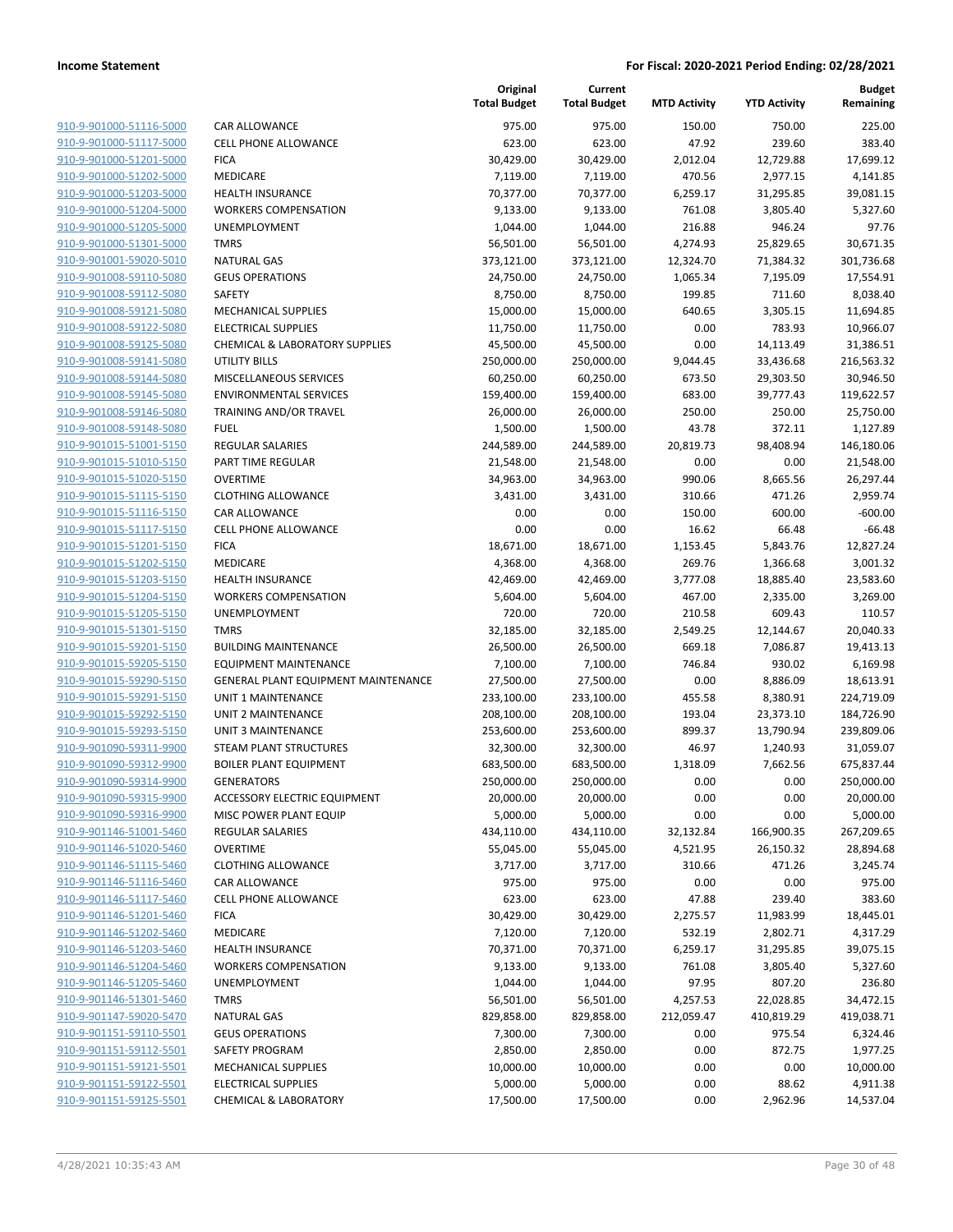| 910-9-901000-51116-5000        |
|--------------------------------|
| 910-9-901000-51117-5000        |
| 910-9-901000-51201-5000        |
| 910-9-901000-51202-5000        |
| <u>910-9-901000-51203-5000</u> |
| <u>910-9-901000-51204-5000</u> |
| 910-9-901000-51205-5000        |
| 910-9-901000-51301-5000        |
| 910-9-901001-59020-5010        |
| <u>910-9-901008-59110-5080</u> |
| 910-9-901008-59112-5080        |
| 910-9-901008-59121-5080        |
| 910-9-901008-59122-5080        |
| 910-9-901008-59125-5080        |
| <u>910-9-901008-59141-5080</u> |
| <u>910-9-901008-59144-5080</u> |
| 910-9-901008-59145-5080        |
| 910-9-901008-59146-5080        |
| 910-9-901008-59148-5080        |
| 910-9-901015-51001-5150        |
| 910-9-901015-51010-5150        |
| 910-9-901015-51020-5150        |
| 910-9-901015-51115-5150        |
| 910-9-901015-51116-5150        |
| <u>910-9-901015-51117-5150</u> |
| <u>910-9-901015-51201-5150</u> |
| 910-9-901015-51202-5150        |
| 910-9-901015-51203-5150        |
| 910-9-901015-51204-5150        |
| <u>910-9-901015-51205-5150</u> |
| 910-9-901015-51301-5150        |
| 910-9-901015-59201-5150        |
| 910-9-901015-59205-5150        |
| 910-9-901015-59290-5150        |
| <u>910-9-901015-59291-5150</u> |
| 910-9-901015-59292-5150        |
| 910-9-901015-59293-5150        |
| 910-9-901090-59311-9900        |
| 910-9-901090-59312-9900        |
| 910-9-901090-59314-9900        |
| <u>910-9-901090-59315-9900</u> |
| 910-9-901090-59316-9900        |
| 910-9-901146-51001-5460        |
| 910-9-901146-51020-5460        |
| <u>910-9-901146-51115-5460</u> |
| 910-9-901146-51116-5460        |
| 910-9-901146-51117-5460        |
| 910-9-901146-51201-5460        |
| 910-9-901146-51202-5460        |
| <u>910-9-901146-51203-5460</u> |
| 910-9-901146-51204-5460        |
| 910-9-901146-51205-5460        |
| 910-9-901146-51301-5460        |
| 910-9-901147-59020-5470        |
| 910-9-901151-59110-5501        |
| 910-9-901151-59112-5501        |
| 910-9-901151-59121-5501        |
| 910-9-901151-59122-5501        |
| 910-9-901151-59125-5501        |

|                         |                                           | Original<br><b>Total Budget</b> | Current<br><b>Total Budget</b> | <b>MTD Activity</b> | <b>YTD Activity</b> | <b>Budget</b><br>Remaining |
|-------------------------|-------------------------------------------|---------------------------------|--------------------------------|---------------------|---------------------|----------------------------|
| 910-9-901000-51116-5000 | CAR ALLOWANCE                             | 975.00                          | 975.00                         | 150.00              | 750.00              | 225.00                     |
| 910-9-901000-51117-5000 | <b>CELL PHONE ALLOWANCE</b>               | 623.00                          | 623.00                         | 47.92               | 239.60              | 383.40                     |
| 910-9-901000-51201-5000 | <b>FICA</b>                               | 30,429.00                       | 30,429.00                      | 2,012.04            | 12,729.88           | 17,699.12                  |
| 910-9-901000-51202-5000 | <b>MEDICARE</b>                           | 7,119.00                        | 7,119.00                       | 470.56              | 2,977.15            | 4,141.85                   |
| 910-9-901000-51203-5000 | <b>HEALTH INSURANCE</b>                   | 70,377.00                       | 70,377.00                      | 6,259.17            | 31,295.85           | 39,081.15                  |
| 910-9-901000-51204-5000 | <b>WORKERS COMPENSATION</b>               | 9,133.00                        | 9,133.00                       | 761.08              | 3,805.40            | 5,327.60                   |
| 910-9-901000-51205-5000 | <b>UNEMPLOYMENT</b>                       | 1,044.00                        | 1,044.00                       | 216.88              | 946.24              | 97.76                      |
| 910-9-901000-51301-5000 | <b>TMRS</b>                               | 56,501.00                       | 56,501.00                      | 4,274.93            | 25,829.65           | 30,671.35                  |
| 910-9-901001-59020-5010 | <b>NATURAL GAS</b>                        | 373,121.00                      | 373,121.00                     | 12,324.70           | 71,384.32           | 301,736.68                 |
| 910-9-901008-59110-5080 | <b>GEUS OPERATIONS</b>                    | 24,750.00                       | 24,750.00                      | 1,065.34            | 7,195.09            | 17,554.91                  |
| 910-9-901008-59112-5080 | SAFETY                                    | 8,750.00                        | 8,750.00                       | 199.85              | 711.60              | 8,038.40                   |
| 910-9-901008-59121-5080 | <b>MECHANICAL SUPPLIES</b>                | 15,000.00                       | 15,000.00                      | 640.65              | 3,305.15            | 11,694.85                  |
| 910-9-901008-59122-5080 | <b>ELECTRICAL SUPPLIES</b>                | 11,750.00                       | 11,750.00                      | 0.00                | 783.93              | 10,966.07                  |
| 910-9-901008-59125-5080 | <b>CHEMICAL &amp; LABORATORY SUPPLIES</b> | 45,500.00                       | 45,500.00                      | 0.00                | 14,113.49           | 31,386.51                  |
| 910-9-901008-59141-5080 | <b>UTILITY BILLS</b>                      | 250,000.00                      | 250,000.00                     | 9,044.45            | 33,436.68           | 216,563.32                 |
| 910-9-901008-59144-5080 | MISCELLANEOUS SERVICES                    | 60,250.00                       | 60,250.00                      | 673.50              | 29,303.50           | 30,946.50                  |
| 910-9-901008-59145-5080 | <b>ENVIRONMENTAL SERVICES</b>             | 159,400.00                      | 159,400.00                     | 683.00              | 39,777.43           | 119,622.57                 |
| 910-9-901008-59146-5080 | TRAINING AND/OR TRAVEL                    | 26,000.00                       | 26,000.00                      | 250.00              | 250.00              | 25,750.00                  |
| 910-9-901008-59148-5080 | <b>FUEL</b>                               | 1,500.00                        | 1,500.00                       | 43.78               | 372.11              | 1,127.89                   |
| 910-9-901015-51001-5150 | <b>REGULAR SALARIES</b>                   | 244,589.00                      | 244,589.00                     | 20,819.73           | 98,408.94           | 146,180.06                 |
| 910-9-901015-51010-5150 | PART TIME REGULAR                         | 21,548.00                       | 21,548.00                      | 0.00                | 0.00                | 21,548.00                  |
| 910-9-901015-51020-5150 | <b>OVERTIME</b>                           | 34,963.00                       | 34,963.00                      | 990.06              | 8,665.56            | 26,297.44                  |
| 910-9-901015-51115-5150 | <b>CLOTHING ALLOWANCE</b>                 | 3,431.00                        | 3,431.00                       | 310.66              | 471.26              | 2,959.74                   |
| 910-9-901015-51116-5150 | CAR ALLOWANCE                             | 0.00                            | 0.00                           | 150.00              | 600.00              | $-600.00$                  |
| 910-9-901015-51117-5150 | <b>CELL PHONE ALLOWANCE</b>               | 0.00                            | 0.00                           | 16.62               | 66.48               | $-66.48$                   |
| 910-9-901015-51201-5150 | <b>FICA</b>                               | 18,671.00                       | 18,671.00                      | 1,153.45            | 5,843.76            | 12,827.24                  |
| 910-9-901015-51202-5150 | MEDICARE                                  | 4,368.00                        | 4,368.00                       | 269.76              | 1,366.68            | 3,001.32                   |
| 910-9-901015-51203-5150 | <b>HEALTH INSURANCE</b>                   | 42,469.00                       | 42,469.00                      | 3,777.08            | 18,885.40           | 23,583.60                  |
| 910-9-901015-51204-5150 | <b>WORKERS COMPENSATION</b>               | 5,604.00                        | 5,604.00                       | 467.00              | 2,335.00            | 3,269.00                   |
| 910-9-901015-51205-5150 | UNEMPLOYMENT                              | 720.00                          | 720.00                         | 210.58              | 609.43              | 110.57                     |
| 910-9-901015-51301-5150 | <b>TMRS</b>                               | 32,185.00                       | 32,185.00                      | 2,549.25            | 12,144.67           | 20,040.33                  |
| 910-9-901015-59201-5150 | <b>BUILDING MAINTENANCE</b>               | 26,500.00                       | 26,500.00                      | 669.18              | 7,086.87            | 19,413.13                  |
| 910-9-901015-59205-5150 | <b>EQUIPMENT MAINTENANCE</b>              | 7,100.00                        | 7,100.00                       | 746.84              | 930.02              | 6,169.98                   |
| 910-9-901015-59290-5150 | GENERAL PLANT EQUIPMENT MAINTENANCE       | 27,500.00                       | 27,500.00                      | 0.00                | 8,886.09            | 18,613.91                  |
| 910-9-901015-59291-5150 | UNIT 1 MAINTENANCE                        | 233,100.00                      | 233,100.00                     | 455.58              | 8,380.91            | 224,719.09                 |
| 910-9-901015-59292-5150 | UNIT 2 MAINTENANCE                        | 208,100.00                      | 208,100.00                     | 193.04              | 23,373.10           | 184,726.90                 |
| 910-9-901015-59293-5150 | UNIT 3 MAINTENANCE                        | 253,600.00                      | 253,600.00                     | 899.37              | 13,790.94           | 239,809.06                 |
| 910-9-901090-59311-9900 | <b>STEAM PLANT STRUCTURES</b>             | 32,300.00                       | 32,300.00                      | 46.97               | 1,240.93            | 31,059.07                  |
| 910-9-901090-59312-9900 | <b>BOILER PLANT EQUIPMENT</b>             | 683,500.00                      | 683,500.00                     | 1,318.09            | 7,662.56            | 675,837.44                 |
| 910-9-901090-59314-9900 | GENERATORS                                | 250,000.00                      | 250,000.00                     | 0.00                | 0.00                | 250,000.00                 |
| 910-9-901090-59315-9900 | ACCESSORY ELECTRIC EQUIPMENT              | 20,000.00                       | 20,000.00                      | 0.00                | 0.00                | 20,000.00                  |
| 910-9-901090-59316-9900 | MISC POWER PLANT EQUIP                    | 5,000.00                        | 5,000.00                       | 0.00                | 0.00                | 5,000.00                   |
| 910-9-901146-51001-5460 | <b>REGULAR SALARIES</b>                   | 434,110.00                      | 434,110.00                     | 32,132.84           | 166,900.35          | 267,209.65                 |
| 910-9-901146-51020-5460 | <b>OVERTIME</b>                           | 55,045.00                       | 55,045.00                      | 4,521.95            | 26,150.32           | 28,894.68                  |
| 910-9-901146-51115-5460 | <b>CLOTHING ALLOWANCE</b>                 | 3,717.00                        | 3,717.00                       | 310.66              | 471.26              | 3,245.74                   |
| 910-9-901146-51116-5460 | CAR ALLOWANCE                             | 975.00                          | 975.00                         | 0.00                | 0.00                | 975.00                     |
| 910-9-901146-51117-5460 | <b>CELL PHONE ALLOWANCE</b>               | 623.00                          | 623.00                         | 47.88               | 239.40              | 383.60                     |
| 910-9-901146-51201-5460 | <b>FICA</b>                               | 30,429.00                       | 30,429.00                      | 2,275.57            | 11,983.99           | 18,445.01                  |
| 910-9-901146-51202-5460 | MEDICARE                                  | 7,120.00                        | 7,120.00                       | 532.19              | 2,802.71            | 4,317.29                   |
| 910-9-901146-51203-5460 | <b>HEALTH INSURANCE</b>                   | 70,371.00                       | 70,371.00                      | 6,259.17            | 31,295.85           | 39,075.15                  |
| 910-9-901146-51204-5460 | <b>WORKERS COMPENSATION</b>               | 9,133.00                        | 9,133.00                       | 761.08              | 3,805.40            | 5,327.60                   |
| 910-9-901146-51205-5460 | <b>UNEMPLOYMENT</b>                       | 1,044.00                        | 1,044.00                       | 97.95               | 807.20              | 236.80                     |
| 910-9-901146-51301-5460 | <b>TMRS</b>                               | 56,501.00                       | 56,501.00                      | 4,257.53            | 22,028.85           | 34,472.15                  |
| 910-9-901147-59020-5470 | <b>NATURAL GAS</b>                        | 829,858.00                      | 829,858.00                     | 212,059.47          | 410,819.29          | 419,038.71                 |
| 910-9-901151-59110-5501 | <b>GEUS OPERATIONS</b>                    | 7,300.00                        | 7,300.00                       | 0.00                | 975.54              | 6,324.46                   |
| 910-9-901151-59112-5501 | SAFETY PROGRAM                            | 2,850.00                        | 2,850.00                       | 0.00                | 872.75              | 1,977.25                   |
| 910-9-901151-59121-5501 | <b>MECHANICAL SUPPLIES</b>                | 10,000.00                       | 10,000.00                      | 0.00                | 0.00                | 10,000.00                  |
| 910-9-901151-59122-5501 | <b>ELECTRICAL SUPPLIES</b>                | 5,000.00                        | 5,000.00                       | 0.00                | 88.62               | 4,911.38                   |
| 910-9-901151-59125-5501 | <b>CHEMICAL &amp; LABORATORY</b>          | 17,500.00                       | 17,500.00                      | 0.00                | 2,962.96            | 14,537.04                  |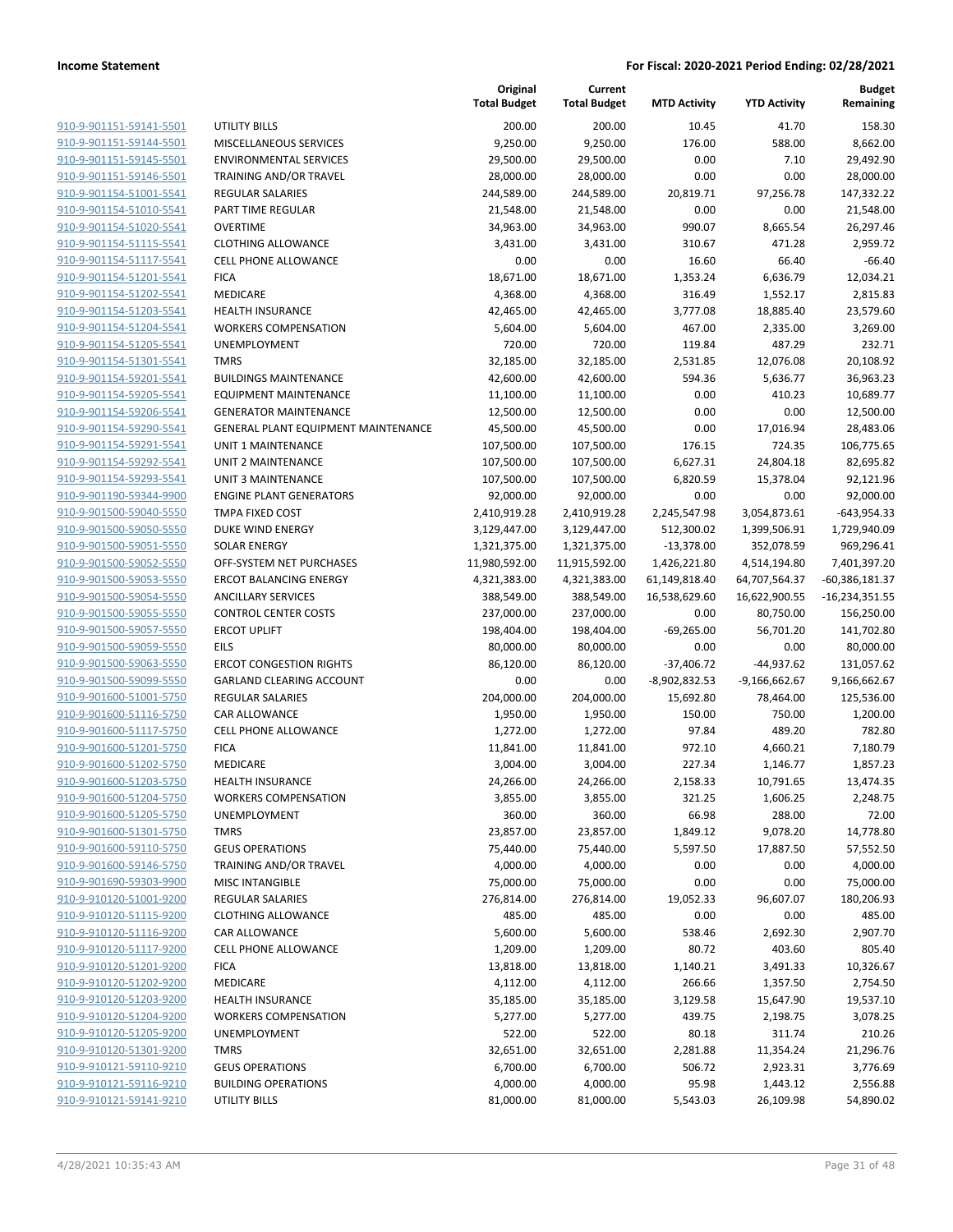|                                                    |                                                        | Original<br><b>Total Budget</b> | Current<br><b>Total Budget</b> | <b>MTD Activity</b>  | <b>YTD Activity</b> | <b>Budget</b><br>Remaining |
|----------------------------------------------------|--------------------------------------------------------|---------------------------------|--------------------------------|----------------------|---------------------|----------------------------|
| 910-9-901151-59141-5501                            | <b>UTILITY BILLS</b>                                   | 200.00                          | 200.00                         | 10.45                | 41.70               | 158.30                     |
| 910-9-901151-59144-5501                            | MISCELLANEOUS SERVICES                                 | 9,250.00                        | 9,250.00                       | 176.00               | 588.00              | 8,662.00                   |
| 910-9-901151-59145-5501                            | <b>ENVIRONMENTAL SERVICES</b>                          | 29,500.00                       | 29,500.00                      | 0.00                 | 7.10                | 29,492.90                  |
| 910-9-901151-59146-5501                            | TRAINING AND/OR TRAVEL                                 | 28,000.00                       | 28,000.00                      | 0.00                 | 0.00                | 28,000.00                  |
| 910-9-901154-51001-5541                            | <b>REGULAR SALARIES</b>                                | 244,589.00                      | 244,589.00                     | 20,819.71            | 97,256.78           | 147,332.22                 |
| 910-9-901154-51010-5541                            | PART TIME REGULAR                                      | 21,548.00                       | 21,548.00                      | 0.00                 | 0.00                | 21,548.00                  |
| 910-9-901154-51020-5541                            | <b>OVERTIME</b>                                        | 34,963.00                       | 34,963.00                      | 990.07               | 8,665.54            | 26,297.46                  |
| 910-9-901154-51115-5541                            | <b>CLOTHING ALLOWANCE</b>                              | 3,431.00                        | 3,431.00                       | 310.67               | 471.28              | 2,959.72                   |
| 910-9-901154-51117-5541                            | <b>CELL PHONE ALLOWANCE</b>                            | 0.00                            | 0.00                           | 16.60                | 66.40               | $-66.40$                   |
| 910-9-901154-51201-5541                            | <b>FICA</b>                                            | 18,671.00                       | 18,671.00                      | 1,353.24             | 6,636.79            | 12,034.21                  |
| 910-9-901154-51202-5541                            | MEDICARE                                               | 4,368.00                        | 4,368.00                       | 316.49               | 1,552.17            | 2,815.83                   |
| 910-9-901154-51203-5541                            | <b>HEALTH INSURANCE</b>                                | 42,465.00                       | 42,465.00                      | 3,777.08             | 18,885.40           | 23,579.60                  |
| 910-9-901154-51204-5541                            | <b>WORKERS COMPENSATION</b>                            | 5,604.00                        | 5,604.00                       | 467.00               | 2,335.00            | 3,269.00                   |
| 910-9-901154-51205-5541                            | UNEMPLOYMENT                                           | 720.00                          | 720.00                         | 119.84               | 487.29              | 232.71                     |
| 910-9-901154-51301-5541                            | <b>TMRS</b>                                            | 32,185.00                       | 32,185.00                      | 2,531.85             | 12,076.08           | 20,108.92                  |
| 910-9-901154-59201-5541                            | <b>BUILDINGS MAINTENANCE</b>                           | 42,600.00                       | 42,600.00                      | 594.36               | 5,636.77            | 36,963.23                  |
| 910-9-901154-59205-5541                            | <b>EQUIPMENT MAINTENANCE</b>                           | 11,100.00                       | 11,100.00                      | 0.00                 | 410.23              | 10,689.77                  |
| 910-9-901154-59206-5541                            | <b>GENERATOR MAINTENANCE</b>                           | 12,500.00                       | 12,500.00                      | 0.00                 | 0.00                | 12,500.00                  |
| 910-9-901154-59290-5541<br>910-9-901154-59291-5541 | <b>GENERAL PLANT EQUIPMENT MAINTENANCE</b>             | 45,500.00                       | 45,500.00                      | 0.00                 | 17,016.94           | 28,483.06                  |
|                                                    | <b>UNIT 1 MAINTENANCE</b><br><b>UNIT 2 MAINTENANCE</b> | 107,500.00                      | 107,500.00                     | 176.15               | 724.35              | 106,775.65                 |
| 910-9-901154-59292-5541                            |                                                        | 107,500.00                      | 107,500.00<br>107,500.00       | 6,627.31             | 24,804.18           | 82,695.82                  |
| 910-9-901154-59293-5541<br>910-9-901190-59344-9900 | UNIT 3 MAINTENANCE<br><b>ENGINE PLANT GENERATORS</b>   | 107,500.00<br>92,000.00         |                                | 6,820.59             | 15,378.04<br>0.00   | 92,121.96                  |
| 910-9-901500-59040-5550                            | <b>TMPA FIXED COST</b>                                 | 2,410,919.28                    | 92,000.00<br>2,410,919.28      | 0.00<br>2,245,547.98 | 3,054,873.61        | 92,000.00<br>$-643,954.33$ |
| 910-9-901500-59050-5550                            | <b>DUKE WIND ENERGY</b>                                | 3,129,447.00                    | 3,129,447.00                   | 512,300.02           | 1,399,506.91        | 1,729,940.09               |
| 910-9-901500-59051-5550                            | <b>SOLAR ENERGY</b>                                    | 1,321,375.00                    | 1,321,375.00                   | $-13,378.00$         | 352,078.59          | 969,296.41                 |
| 910-9-901500-59052-5550                            | OFF-SYSTEM NET PURCHASES                               | 11,980,592.00                   | 11,915,592.00                  | 1,426,221.80         | 4,514,194.80        | 7,401,397.20               |
| 910-9-901500-59053-5550                            | <b>ERCOT BALANCING ENERGY</b>                          | 4,321,383.00                    | 4,321,383.00                   | 61,149,818.40        | 64,707,564.37       | $-60,386,181.37$           |
| 910-9-901500-59054-5550                            | <b>ANCILLARY SERVICES</b>                              | 388,549.00                      | 388,549.00                     | 16,538,629.60        | 16,622,900.55       | $-16,234,351.55$           |
| 910-9-901500-59055-5550                            | <b>CONTROL CENTER COSTS</b>                            | 237,000.00                      | 237,000.00                     | 0.00                 | 80,750.00           | 156,250.00                 |
| 910-9-901500-59057-5550                            | <b>ERCOT UPLIFT</b>                                    | 198,404.00                      | 198,404.00                     | $-69,265.00$         | 56,701.20           | 141,702.80                 |
| 910-9-901500-59059-5550                            | <b>EILS</b>                                            | 80,000.00                       | 80,000.00                      | 0.00                 | 0.00                | 80,000.00                  |
| 910-9-901500-59063-5550                            | <b>ERCOT CONGESTION RIGHTS</b>                         | 86,120.00                       | 86,120.00                      | $-37,406.72$         | -44,937.62          | 131,057.62                 |
| 910-9-901500-59099-5550                            | <b>GARLAND CLEARING ACCOUNT</b>                        | 0.00                            | 0.00                           | $-8,902,832.53$      | $-9,166,662.67$     | 9,166,662.67               |
| 910-9-901600-51001-5750                            | REGULAR SALARIES                                       | 204,000.00                      | 204,000.00                     | 15,692.80            | 78,464.00           | 125,536.00                 |
| 910-9-901600-51116-5750                            | CAR ALLOWANCE                                          | 1,950.00                        | 1,950.00                       | 150.00               | 750.00              | 1,200.00                   |
| 910-9-901600-51117-5750                            | CELL PHONE ALLOWANCE                                   | 1,272.00                        | 1,272.00                       | 97.84                | 489.20              | 782.80                     |
| 910-9-901600-51201-5750                            | <b>FICA</b>                                            | 11,841.00                       | 11,841.00                      | 972.10               | 4,660.21            | 7,180.79                   |
| 910-9-901600-51202-5750                            | MEDICARE                                               | 3,004.00                        | 3,004.00                       | 227.34               | 1,146.77            | 1,857.23                   |
| 910-9-901600-51203-5750                            | <b>HEALTH INSURANCE</b>                                | 24,266.00                       | 24,266.00                      | 2,158.33             | 10,791.65           | 13,474.35                  |
| 910-9-901600-51204-5750                            | <b>WORKERS COMPENSATION</b>                            | 3,855.00                        | 3,855.00                       | 321.25               | 1,606.25            | 2,248.75                   |
| 910-9-901600-51205-5750                            | UNEMPLOYMENT                                           | 360.00                          | 360.00                         | 66.98                | 288.00              | 72.00                      |
| 910-9-901600-51301-5750                            | <b>TMRS</b>                                            | 23,857.00                       | 23,857.00                      | 1,849.12             | 9,078.20            | 14,778.80                  |
| 910-9-901600-59110-5750                            | <b>GEUS OPERATIONS</b>                                 | 75,440.00                       | 75,440.00                      | 5,597.50             | 17,887.50           | 57,552.50                  |
| 910-9-901600-59146-5750                            | TRAINING AND/OR TRAVEL                                 | 4,000.00                        | 4,000.00                       | 0.00                 | 0.00                | 4,000.00                   |
| 910-9-901690-59303-9900                            | <b>MISC INTANGIBLE</b>                                 | 75,000.00                       | 75,000.00                      | 0.00                 | 0.00                | 75,000.00                  |
| 910-9-910120-51001-9200                            | REGULAR SALARIES                                       | 276,814.00                      | 276,814.00                     | 19,052.33            | 96,607.07           | 180,206.93                 |
| 910-9-910120-51115-9200                            | <b>CLOTHING ALLOWANCE</b>                              | 485.00                          | 485.00                         | 0.00                 | 0.00                | 485.00                     |
| 910-9-910120-51116-9200                            | CAR ALLOWANCE                                          | 5,600.00                        | 5,600.00                       | 538.46               | 2,692.30            | 2,907.70                   |
| 910-9-910120-51117-9200                            | CELL PHONE ALLOWANCE                                   | 1,209.00                        | 1,209.00                       | 80.72                | 403.60              | 805.40                     |
| 910-9-910120-51201-9200                            | <b>FICA</b>                                            | 13,818.00                       | 13,818.00                      | 1,140.21             | 3,491.33            | 10,326.67                  |
| 910-9-910120-51202-9200                            | MEDICARE                                               | 4,112.00                        | 4,112.00                       | 266.66               | 1,357.50            | 2,754.50                   |
| 910-9-910120-51203-9200                            | <b>HEALTH INSURANCE</b>                                | 35,185.00                       | 35,185.00                      | 3,129.58             | 15,647.90           | 19,537.10                  |
| 910-9-910120-51204-9200                            | <b>WORKERS COMPENSATION</b>                            | 5,277.00                        | 5,277.00                       | 439.75               | 2,198.75            | 3,078.25                   |
| 910-9-910120-51205-9200                            | <b>UNEMPLOYMENT</b>                                    | 522.00                          | 522.00                         | 80.18                | 311.74              | 210.26                     |
| 910-9-910120-51301-9200                            | <b>TMRS</b>                                            | 32,651.00                       | 32,651.00                      | 2,281.88             | 11,354.24           | 21,296.76                  |
| 910-9-910121-59110-9210                            | <b>GEUS OPERATIONS</b>                                 | 6,700.00                        | 6,700.00                       | 506.72               | 2,923.31            | 3,776.69                   |
| 910-9-910121-59116-9210                            | <b>BUILDING OPERATIONS</b>                             | 4,000.00                        | 4,000.00                       | 95.98                | 1,443.12            | 2,556.88                   |
| 910-9-910121-59141-9210                            | <b>UTILITY BILLS</b>                                   | 81,000.00                       | 81,000.00                      | 5,543.03             | 26,109.98           | 54,890.02                  |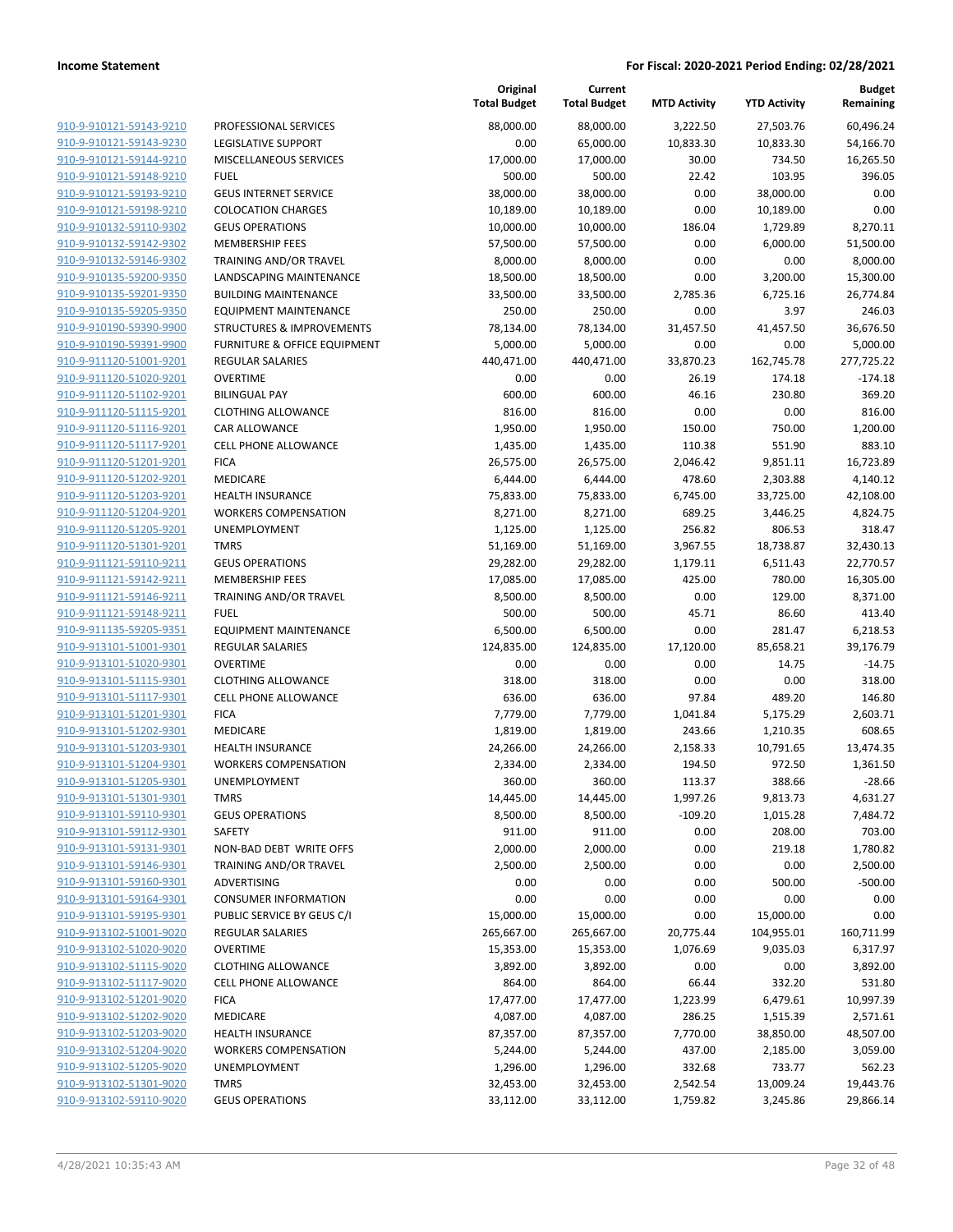| 910-9-910121-59143-9210        |
|--------------------------------|
| 910-9-910121-59143-9230        |
| 910-9-910121-59144-9210        |
| 910-9-910121-59148-9210        |
| 910-9-910121-59193-9210        |
| 910-9-910121-59198-9210        |
| 910-9-910132-59110-9302        |
| 910-9-910132-59142-9302        |
| 910-9-910132-59146-9302        |
| 910-9-910135-59200-9350        |
| 910-9-910135-59201-9350        |
| 910-9-910135-59205-9350        |
| 910-9-910190-59390-9900        |
| 910-9-910190-59391-9900        |
| <u>910-9-911120-51001-9201</u> |
| 910-9-911120-51020-9201        |
| 910-9-911120-51102-9201        |
| 910-9-911120-51115-9201        |
| 910-9-911120-51116-9201        |
| 910-9-911120-51117-9201        |
| 910-9-911120-51201-9201        |
| 910-9-911120-51202-9201        |
| 910-9-911120-51203-9201        |
| 910-9-911120-51204-9201        |
| 910-9-911120-51205-9201        |
| 910-9-911120-51301-9201        |
| 910-9-911121-59110-9211        |
| 910-9-911121-59142-9211        |
| 910-9-911121-59146-9211        |
| 910-9-911121-59148-9211        |
| 910-9-911135-59205-9351        |
| 910-9-913101-51001-9301        |
| 910-9-913101-51020-9301        |
| 910-9-913101-51115-9301        |
| 910-9-913101-51117-9301        |
| 910-9-913101-51201-9301        |
| 910-9-913101-51202-9301        |
| 910-9-913101-51203-9301        |
| 910-9-913101-51204-9301        |
| 910-9-913101-51205-9301        |
| 910-9-913101-51301-9301        |
| 910-9-913101-59110-9301        |
| 910-9-913101-59112-9301        |
| 910-9-913101-59131-9301        |
| 910-9-913101-59146-9301        |
| 910-9-913101-59160-9301        |
| 910-9-913101-59164-9301        |
| 910-9-913101-59195-9301        |
| 910-9-913102-51001-9020        |
| 910-9-913102-51020-9020        |
| 910-9-913102-51115-9020        |
| 910-9-913102-51117-9020        |
| 910-9-913102-51201-9020        |
| 910-9-913102-51202-9020        |
| 910-9-913102-51203-9020        |
| 910-9-913102-51204-9020        |
| 910-9-913102-51205-9020        |
| 910-9-913102-51301-9020        |
| 910-9-913102-59110-9020        |
|                                |

|                                                    |                                      | Original<br><b>Total Budget</b> | Current<br><b>Total Budget</b> | <b>MTD Activity</b>   | <b>YTD Activity</b> | <b>Budget</b><br>Remaining |
|----------------------------------------------------|--------------------------------------|---------------------------------|--------------------------------|-----------------------|---------------------|----------------------------|
| 910-9-910121-59143-9210                            | PROFESSIONAL SERVICES                | 88,000.00                       | 88,000.00                      | 3,222.50              | 27,503.76           | 60,496.24                  |
| 910-9-910121-59143-9230                            | <b>LEGISLATIVE SUPPORT</b>           | 0.00                            | 65,000.00                      | 10,833.30             | 10,833.30           | 54,166.70                  |
| 910-9-910121-59144-9210                            | <b>MISCELLANEOUS SERVICES</b>        | 17,000.00                       | 17,000.00                      | 30.00                 | 734.50              | 16,265.50                  |
| 910-9-910121-59148-9210                            | <b>FUEL</b>                          | 500.00                          | 500.00                         | 22.42                 | 103.95              | 396.05                     |
| 910-9-910121-59193-9210                            | <b>GEUS INTERNET SERVICE</b>         | 38,000.00                       | 38,000.00                      | 0.00                  | 38,000.00           | 0.00                       |
| 910-9-910121-59198-9210                            | <b>COLOCATION CHARGES</b>            | 10,189.00                       | 10,189.00                      | 0.00                  | 10,189.00           | 0.00                       |
| 910-9-910132-59110-9302                            | <b>GEUS OPERATIONS</b>               | 10,000.00                       | 10,000.00                      | 186.04                | 1,729.89            | 8,270.11                   |
| 910-9-910132-59142-9302                            | <b>MEMBERSHIP FEES</b>               | 57,500.00                       | 57,500.00                      | 0.00                  | 6,000.00            | 51,500.00                  |
| 910-9-910132-59146-9302                            | TRAINING AND/OR TRAVEL               | 8,000.00                        | 8,000.00                       | 0.00                  | 0.00                | 8,000.00                   |
| 910-9-910135-59200-9350                            | LANDSCAPING MAINTENANCE              | 18,500.00                       | 18,500.00                      | 0.00                  | 3,200.00            | 15,300.00                  |
| 910-9-910135-59201-9350                            | <b>BUILDING MAINTENANCE</b>          | 33,500.00                       | 33,500.00                      | 2,785.36              | 6,725.16            | 26,774.84                  |
| 910-9-910135-59205-9350                            | <b>EQUIPMENT MAINTENANCE</b>         | 250.00                          | 250.00                         | 0.00                  | 3.97                | 246.03                     |
| 910-9-910190-59390-9900                            | <b>STRUCTURES &amp; IMPROVEMENTS</b> | 78,134.00                       | 78,134.00                      | 31,457.50             | 41,457.50           | 36,676.50                  |
| 910-9-910190-59391-9900                            | FURNITURE & OFFICE EQUIPMENT         | 5,000.00                        | 5,000.00                       | 0.00                  | 0.00                | 5,000.00                   |
| 910-9-911120-51001-9201                            | <b>REGULAR SALARIES</b>              | 440,471.00                      | 440,471.00                     | 33,870.23             | 162,745.78          | 277,725.22                 |
| 910-9-911120-51020-9201                            | <b>OVERTIME</b>                      | 0.00                            | 0.00                           | 26.19                 | 174.18              | $-174.18$                  |
| 910-9-911120-51102-9201                            | <b>BILINGUAL PAY</b>                 | 600.00                          | 600.00                         | 46.16                 | 230.80              | 369.20                     |
| 910-9-911120-51115-9201                            | <b>CLOTHING ALLOWANCE</b>            | 816.00                          | 816.00                         | 0.00                  | 0.00                | 816.00                     |
| 910-9-911120-51116-9201                            | <b>CAR ALLOWANCE</b>                 | 1,950.00                        | 1,950.00                       | 150.00                | 750.00              | 1,200.00                   |
| 910-9-911120-51117-9201                            | CELL PHONE ALLOWANCE                 | 1,435.00                        | 1,435.00                       | 110.38                | 551.90              | 883.10                     |
| 910-9-911120-51201-9201                            | <b>FICA</b>                          | 26,575.00                       | 26,575.00                      | 2,046.42              | 9,851.11            | 16,723.89                  |
| 910-9-911120-51202-9201                            | <b>MEDICARE</b>                      | 6,444.00                        | 6,444.00                       | 478.60                | 2,303.88            | 4,140.12                   |
| 910-9-911120-51203-9201                            | <b>HEALTH INSURANCE</b>              | 75,833.00                       | 75,833.00                      | 6,745.00              | 33,725.00           | 42,108.00                  |
| 910-9-911120-51204-9201                            | <b>WORKERS COMPENSATION</b>          | 8,271.00                        | 8,271.00                       | 689.25                | 3,446.25            | 4,824.75                   |
| 910-9-911120-51205-9201                            | UNEMPLOYMENT                         | 1,125.00                        | 1,125.00                       | 256.82                | 806.53              | 318.47                     |
| 910-9-911120-51301-9201                            | <b>TMRS</b>                          | 51,169.00                       | 51,169.00                      | 3,967.55              | 18,738.87           | 32,430.13                  |
| 910-9-911121-59110-9211                            | <b>GEUS OPERATIONS</b>               | 29,282.00                       | 29,282.00                      | 1,179.11              | 6,511.43            | 22,770.57                  |
| 910-9-911121-59142-9211                            | <b>MEMBERSHIP FEES</b>               | 17,085.00                       | 17,085.00                      | 425.00                | 780.00              | 16,305.00                  |
| 910-9-911121-59146-9211                            | TRAINING AND/OR TRAVEL               | 8,500.00                        | 8,500.00                       | 0.00                  | 129.00              | 8,371.00                   |
| 910-9-911121-59148-9211                            | <b>FUEL</b>                          | 500.00                          | 500.00                         | 45.71                 | 86.60               | 413.40                     |
| 910-9-911135-59205-9351                            | <b>EQUIPMENT MAINTENANCE</b>         | 6,500.00                        | 6,500.00                       | 0.00                  | 281.47              | 6,218.53                   |
| 910-9-913101-51001-9301                            | <b>REGULAR SALARIES</b>              | 124,835.00                      | 124,835.00                     | 17,120.00             | 85,658.21           | 39,176.79                  |
| 910-9-913101-51020-9301                            | <b>OVERTIME</b>                      | 0.00                            | 0.00                           | 0.00                  | 14.75               | $-14.75$                   |
| 910-9-913101-51115-9301                            | <b>CLOTHING ALLOWANCE</b>            | 318.00                          | 318.00                         | 0.00                  | 0.00                | 318.00                     |
| 910-9-913101-51117-9301                            | CELL PHONE ALLOWANCE                 | 636.00                          | 636.00                         | 97.84                 | 489.20              | 146.80                     |
| 910-9-913101-51201-9301                            | <b>FICA</b>                          | 7,779.00                        | 7,779.00                       | 1,041.84              | 5,175.29            | 2,603.71                   |
| 910-9-913101-51202-9301                            | MEDICARE                             | 1,819.00                        | 1,819.00                       | 243.66                | 1,210.35            | 608.65                     |
| 910-9-913101-51203-9301                            | <b>HEALTH INSURANCE</b>              | 24,266.00                       | 24,266.00                      | 2,158.33              | 10,791.65           | 13,474.35                  |
| 910-9-913101-51204-9301                            | <b>WORKERS COMPENSATION</b>          | 2,334.00                        | 2,334.00                       | 194.50                | 972.50              | 1,361.50                   |
| 910-9-913101-51205-9301<br>910-9-913101-51301-9301 | UNEMPLOYMENT<br><b>TMRS</b>          | 360.00                          | 360.00                         | 113.37                | 388.66              | -28.66                     |
| 910-9-913101-59110-9301                            | <b>GEUS OPERATIONS</b>               | 14,445.00<br>8,500.00           | 14,445.00<br>8,500.00          | 1,997.26<br>$-109.20$ | 9,813.73            | 4,631.27<br>7,484.72       |
| 910-9-913101-59112-9301                            | SAFETY                               | 911.00                          |                                | 0.00                  | 1,015.28<br>208.00  | 703.00                     |
| 910-9-913101-59131-9301                            | NON-BAD DEBT WRITE OFFS              | 2,000.00                        | 911.00<br>2,000.00             | 0.00                  | 219.18              | 1,780.82                   |
| 910-9-913101-59146-9301                            | TRAINING AND/OR TRAVEL               | 2,500.00                        | 2,500.00                       | 0.00                  | 0.00                | 2,500.00                   |
| 910-9-913101-59160-9301                            | ADVERTISING                          | 0.00                            | 0.00                           | 0.00                  | 500.00              | $-500.00$                  |
| 910-9-913101-59164-9301                            | <b>CONSUMER INFORMATION</b>          | 0.00                            | 0.00                           | 0.00                  | 0.00                | 0.00                       |
| 910-9-913101-59195-9301                            | PUBLIC SERVICE BY GEUS C/I           | 15,000.00                       | 15,000.00                      | 0.00                  | 15,000.00           | 0.00                       |
| 910-9-913102-51001-9020                            | <b>REGULAR SALARIES</b>              | 265,667.00                      | 265,667.00                     | 20,775.44             | 104,955.01          | 160,711.99                 |
| 910-9-913102-51020-9020                            | <b>OVERTIME</b>                      | 15,353.00                       | 15,353.00                      | 1,076.69              | 9,035.03            | 6,317.97                   |
| 910-9-913102-51115-9020                            | <b>CLOTHING ALLOWANCE</b>            | 3,892.00                        | 3,892.00                       | 0.00                  | 0.00                | 3,892.00                   |
| 910-9-913102-51117-9020                            | CELL PHONE ALLOWANCE                 | 864.00                          | 864.00                         | 66.44                 | 332.20              | 531.80                     |
| 910-9-913102-51201-9020                            | <b>FICA</b>                          | 17,477.00                       | 17,477.00                      | 1,223.99              | 6,479.61            | 10,997.39                  |
| 910-9-913102-51202-9020                            | MEDICARE                             | 4,087.00                        | 4,087.00                       | 286.25                | 1,515.39            | 2,571.61                   |
| 910-9-913102-51203-9020                            | <b>HEALTH INSURANCE</b>              | 87,357.00                       | 87,357.00                      | 7,770.00              | 38,850.00           | 48,507.00                  |
| 910-9-913102-51204-9020                            | <b>WORKERS COMPENSATION</b>          | 5,244.00                        | 5,244.00                       | 437.00                | 2,185.00            | 3,059.00                   |
| 910-9-913102-51205-9020                            | UNEMPLOYMENT                         | 1,296.00                        | 1,296.00                       | 332.68                | 733.77              | 562.23                     |
| 910-9-913102-51301-9020                            | <b>TMRS</b>                          | 32,453.00                       | 32,453.00                      | 2,542.54              | 13,009.24           | 19,443.76                  |
| 910-9-913102-59110-9020                            | <b>GEUS OPERATIONS</b>               | 33,112.00                       | 33,112.00                      | 1,759.82              | 3,245.86            | 29,866.14                  |
|                                                    |                                      |                                 |                                |                       |                     |                            |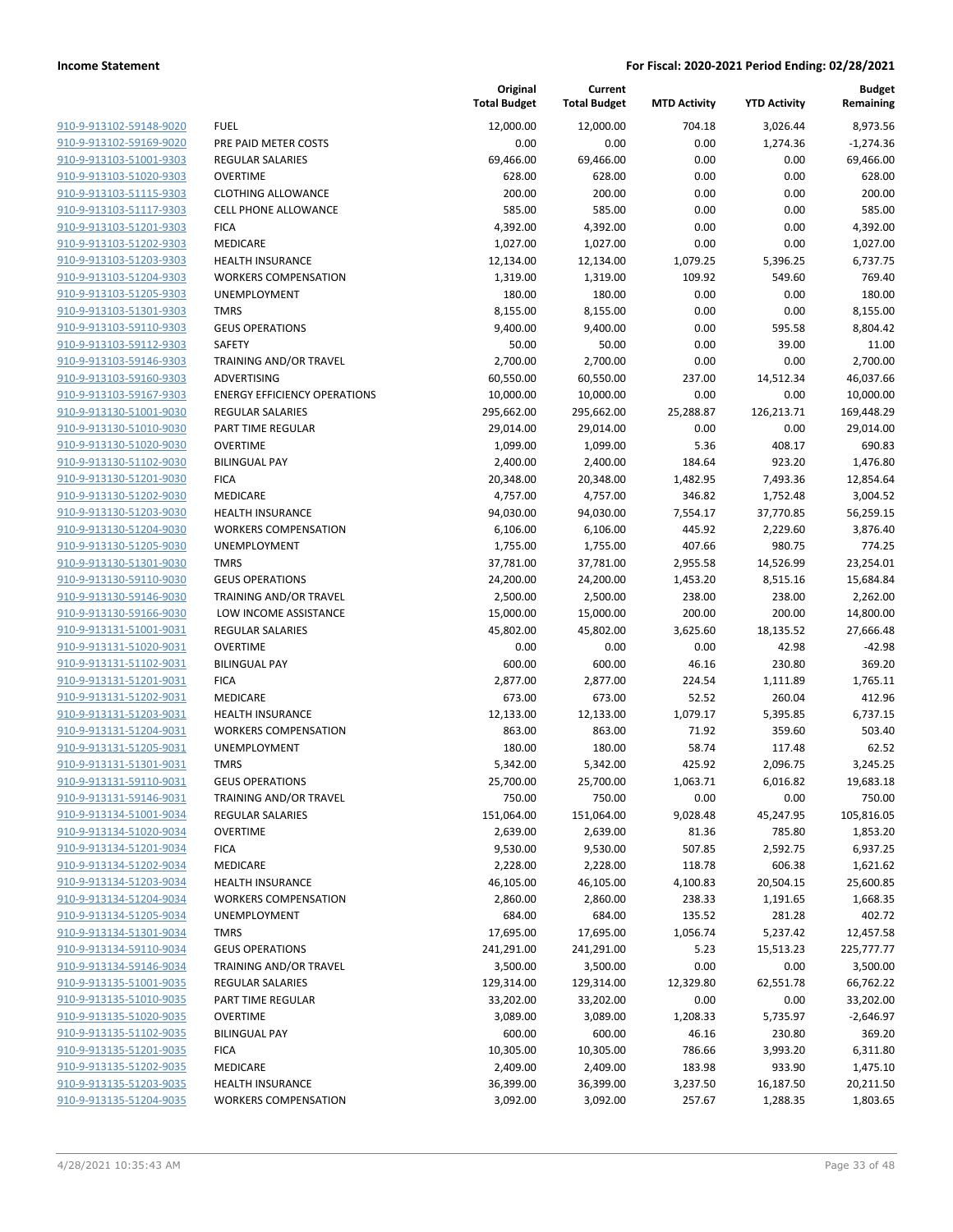| 910-9-913102-59148-9020        |
|--------------------------------|
| 910-9-913102-59169-9020        |
| 910-9-913103-51001-9303        |
| 910-9-913103-51020-9303        |
| 910-9-913103-51115-9303        |
| 910-9-913103-51117-9303        |
| 910-9-913103-51201-9303        |
| 910-9-913103-51202-9303        |
| 910-9-913103-51203-9303        |
| 910-9-913103-51204-9303        |
| 910-9-913103-51205-9303        |
| <u>910-9-913103-51301-9303</u> |
| 910-9-913103-59110-9303        |
| 910-9-913103-59112-9303        |
| 910-9-913103-59146-9303        |
| 910-9-913103-59160-9303        |
| <u>910-9-913103-59167-9303</u> |
| 910-9-913130-51001-9030        |
| 910-9-913130-51010-9030        |
| 910-9-913130-51020-9030        |
| 910-9-913130-51102-9030        |
| 910-9-913130-51201-9030        |
| 910-9-913130-51202-9030        |
| 910-9-913130-51203-9030        |
| 910-9-913130-51204-9030        |
| 910-9-913130-51205-9030        |
| 910-9-913130-51301-9030        |
| 910-9-913130-59110-9030        |
| 910-9-913130-59146-9030        |
| 910-9-913130-59166-9030        |
| 910-9-913131-51001-9031        |
| 910-9-913131-51020-9031        |
| 910-9-913131-51102-9031        |
| 910-9-913131-51201-9031        |
| 910-9-913131-51202-9031        |
| <u>910-9-913131-51203-9031</u> |
| 910-9-913131-51204-9031        |
| 910-9-913131-51205-9031        |
| 910-9-913131-51301-9031        |
| 910-9-913131-59110-9031        |
| 910-9-913131-59146-9031        |
| <u>910-9-913134-51001-9034</u> |
| 910-9-913134-51020-9034        |
| <u>910-9-913134-51201-9034</u> |
| 910-9-913134-51202-9034        |
| <u>910-9-913134-51203-9034</u> |
| 910-9-913134-51204-9034        |
| 910-9-913134-51205-9034        |
| <u>910-9-913134-51301-9034</u> |
| <u>910-9-913134-59110-9034</u> |
| 910-9-913134-59146-9034        |
| 910-9-913135-51001-9035        |
| 910-9-913135-51010-9035        |
| 910-9-913135-51020-9035        |
| 910-9-913135-51102-9035        |
| <u>910-9-913135-51201-9035</u> |
| 910-9-913135-51202-9035        |
| 910-9-913135-51203-9035        |
| 910-9-913135-51204-9035        |
|                                |

|                                                    |                                     | Original<br><b>Total Budget</b> | Current<br><b>Total Budget</b> | <b>MTD Activity</b> | <b>YTD Activity</b>   | <b>Budget</b><br>Remaining |
|----------------------------------------------------|-------------------------------------|---------------------------------|--------------------------------|---------------------|-----------------------|----------------------------|
| 910-9-913102-59148-9020                            | <b>FUEL</b>                         | 12,000.00                       | 12,000.00                      | 704.18              | 3,026.44              | 8,973.56                   |
| 910-9-913102-59169-9020                            | PRE PAID METER COSTS                | 0.00                            | 0.00                           | 0.00                | 1,274.36              | $-1,274.36$                |
| 910-9-913103-51001-9303                            | <b>REGULAR SALARIES</b>             | 69,466.00                       | 69,466.00                      | 0.00                | 0.00                  | 69,466.00                  |
| 910-9-913103-51020-9303                            | <b>OVERTIME</b>                     | 628.00                          | 628.00                         | 0.00                | 0.00                  | 628.00                     |
| 910-9-913103-51115-9303                            | <b>CLOTHING ALLOWANCE</b>           | 200.00                          | 200.00                         | 0.00                | 0.00                  | 200.00                     |
| 910-9-913103-51117-9303                            | <b>CELL PHONE ALLOWANCE</b>         | 585.00                          | 585.00                         | 0.00                | 0.00                  | 585.00                     |
| 910-9-913103-51201-9303                            | <b>FICA</b>                         | 4,392.00                        | 4,392.00                       | 0.00                | 0.00                  | 4,392.00                   |
| 910-9-913103-51202-9303                            | MEDICARE                            | 1,027.00                        | 1,027.00                       | 0.00                | 0.00                  | 1,027.00                   |
| 910-9-913103-51203-9303                            | <b>HEALTH INSURANCE</b>             | 12,134.00                       | 12,134.00                      | 1,079.25            | 5,396.25              | 6,737.75                   |
| 910-9-913103-51204-9303                            | <b>WORKERS COMPENSATION</b>         | 1,319.00                        | 1,319.00                       | 109.92              | 549.60                | 769.40                     |
| 910-9-913103-51205-9303                            | <b>UNEMPLOYMENT</b>                 | 180.00                          | 180.00                         | 0.00                | 0.00                  | 180.00                     |
| 910-9-913103-51301-9303                            | <b>TMRS</b>                         | 8,155.00                        | 8,155.00                       | 0.00                | 0.00                  | 8,155.00                   |
| 910-9-913103-59110-9303                            | <b>GEUS OPERATIONS</b>              | 9,400.00                        | 9,400.00                       | 0.00                | 595.58                | 8,804.42                   |
| 910-9-913103-59112-9303                            | <b>SAFETY</b>                       | 50.00                           | 50.00                          | 0.00                | 39.00                 | 11.00                      |
| 910-9-913103-59146-9303                            | TRAINING AND/OR TRAVEL              | 2,700.00                        | 2,700.00                       | 0.00                | 0.00                  | 2,700.00                   |
| 910-9-913103-59160-9303                            | ADVERTISING                         | 60,550.00                       | 60,550.00                      | 237.00              | 14,512.34             | 46,037.66                  |
| 910-9-913103-59167-9303                            | <b>ENERGY EFFICIENCY OPERATIONS</b> | 10,000.00                       | 10,000.00                      | 0.00                | 0.00                  | 10,000.00                  |
| 910-9-913130-51001-9030                            | <b>REGULAR SALARIES</b>             | 295,662.00                      | 295,662.00                     | 25,288.87           | 126,213.71            | 169,448.29                 |
| 910-9-913130-51010-9030                            | PART TIME REGULAR                   | 29,014.00                       | 29,014.00                      | 0.00                | 0.00                  | 29,014.00                  |
| 910-9-913130-51020-9030                            | <b>OVERTIME</b>                     | 1,099.00                        | 1,099.00                       | 5.36                | 408.17                | 690.83                     |
| 910-9-913130-51102-9030                            | <b>BILINGUAL PAY</b>                | 2,400.00                        | 2,400.00                       | 184.64              | 923.20                | 1,476.80                   |
| 910-9-913130-51201-9030                            | <b>FICA</b>                         | 20,348.00                       | 20,348.00                      | 1,482.95            | 7,493.36              | 12,854.64                  |
| 910-9-913130-51202-9030                            | MEDICARE<br><b>HEALTH INSURANCE</b> | 4,757.00                        | 4,757.00                       | 346.82              | 1,752.48              | 3,004.52                   |
| 910-9-913130-51203-9030<br>910-9-913130-51204-9030 | <b>WORKERS COMPENSATION</b>         | 94,030.00                       | 94,030.00                      | 7,554.17<br>445.92  | 37,770.85<br>2,229.60 | 56,259.15<br>3,876.40      |
| 910-9-913130-51205-9030                            | UNEMPLOYMENT                        | 6,106.00<br>1,755.00            | 6,106.00<br>1,755.00           | 407.66              | 980.75                | 774.25                     |
| 910-9-913130-51301-9030                            | <b>TMRS</b>                         | 37,781.00                       | 37,781.00                      | 2,955.58            | 14,526.99             | 23,254.01                  |
| 910-9-913130-59110-9030                            | <b>GEUS OPERATIONS</b>              | 24,200.00                       | 24,200.00                      | 1,453.20            | 8,515.16              | 15,684.84                  |
| 910-9-913130-59146-9030                            | TRAINING AND/OR TRAVEL              | 2,500.00                        | 2,500.00                       | 238.00              | 238.00                | 2,262.00                   |
| 910-9-913130-59166-9030                            | LOW INCOME ASSISTANCE               | 15,000.00                       | 15,000.00                      | 200.00              | 200.00                | 14,800.00                  |
| 910-9-913131-51001-9031                            | <b>REGULAR SALARIES</b>             | 45,802.00                       | 45,802.00                      | 3,625.60            | 18,135.52             | 27,666.48                  |
| 910-9-913131-51020-9031                            | <b>OVERTIME</b>                     | 0.00                            | 0.00                           | 0.00                | 42.98                 | $-42.98$                   |
| 910-9-913131-51102-9031                            | <b>BILINGUAL PAY</b>                | 600.00                          | 600.00                         | 46.16               | 230.80                | 369.20                     |
| 910-9-913131-51201-9031                            | <b>FICA</b>                         | 2,877.00                        | 2,877.00                       | 224.54              | 1,111.89              | 1,765.11                   |
| 910-9-913131-51202-9031                            | <b>MEDICARE</b>                     | 673.00                          | 673.00                         | 52.52               | 260.04                | 412.96                     |
| 910-9-913131-51203-9031                            | <b>HEALTH INSURANCE</b>             | 12,133.00                       | 12,133.00                      | 1,079.17            | 5,395.85              | 6,737.15                   |
| 910-9-913131-51204-9031                            | <b>WORKERS COMPENSATION</b>         | 863.00                          | 863.00                         | 71.92               | 359.60                | 503.40                     |
| 910-9-913131-51205-9031                            | UNEMPLOYMENT                        | 180.00                          | 180.00                         | 58.74               | 117.48                | 62.52                      |
| 910-9-913131-51301-9031                            | <b>TMRS</b>                         | 5,342.00                        | 5,342.00                       | 425.92              | 2,096.75              | 3,245.25                   |
| 910-9-913131-59110-9031                            | <b>GEUS OPERATIONS</b>              | 25,700.00                       | 25,700.00                      | 1,063.71            | 6,016.82              | 19,683.18                  |
| 910-9-913131-59146-9031                            | TRAINING AND/OR TRAVEL              | 750.00                          | 750.00                         | 0.00                | 0.00                  | 750.00                     |
| 910-9-913134-51001-9034                            | REGULAR SALARIES                    | 151,064.00                      | 151,064.00                     | 9,028.48            | 45,247.95             | 105,816.05                 |
| 910-9-913134-51020-9034                            | <b>OVERTIME</b>                     | 2,639.00                        | 2,639.00                       | 81.36               | 785.80                | 1,853.20                   |
| 910-9-913134-51201-9034                            | <b>FICA</b>                         | 9,530.00                        | 9,530.00                       | 507.85              | 2,592.75              | 6,937.25                   |
| 910-9-913134-51202-9034                            | MEDICARE                            | 2,228.00                        | 2,228.00                       | 118.78              | 606.38                | 1,621.62                   |
| 910-9-913134-51203-9034                            | <b>HEALTH INSURANCE</b>             | 46,105.00                       | 46,105.00                      | 4,100.83            | 20,504.15             | 25,600.85                  |
| 910-9-913134-51204-9034                            | <b>WORKERS COMPENSATION</b>         | 2,860.00                        | 2,860.00                       | 238.33              | 1,191.65              | 1,668.35                   |
| 910-9-913134-51205-9034                            | <b>UNEMPLOYMENT</b>                 | 684.00                          | 684.00                         | 135.52              | 281.28                | 402.72                     |
| 910-9-913134-51301-9034                            | <b>TMRS</b>                         | 17,695.00                       | 17,695.00                      | 1,056.74            | 5,237.42              | 12,457.58                  |
| 910-9-913134-59110-9034                            | <b>GEUS OPERATIONS</b>              | 241,291.00                      | 241,291.00                     | 5.23                | 15,513.23             | 225,777.77                 |
| 910-9-913134-59146-9034                            | TRAINING AND/OR TRAVEL              | 3,500.00                        | 3,500.00                       | 0.00                | 0.00                  | 3,500.00                   |
| 910-9-913135-51001-9035                            | <b>REGULAR SALARIES</b>             | 129,314.00                      | 129,314.00                     | 12,329.80           | 62,551.78             | 66,762.22                  |
| 910-9-913135-51010-9035                            | PART TIME REGULAR                   | 33,202.00                       | 33,202.00                      | 0.00                | 0.00                  | 33,202.00                  |
| 910-9-913135-51020-9035                            | <b>OVERTIME</b>                     | 3,089.00                        | 3,089.00                       | 1,208.33            | 5,735.97              | $-2,646.97$                |
| 910-9-913135-51102-9035                            | <b>BILINGUAL PAY</b>                | 600.00                          | 600.00                         | 46.16               | 230.80                | 369.20                     |
| 910-9-913135-51201-9035                            | <b>FICA</b>                         | 10,305.00                       | 10,305.00                      | 786.66              | 3,993.20              | 6,311.80                   |
| 910-9-913135-51202-9035                            | MEDICARE                            | 2,409.00                        | 2,409.00                       | 183.98              | 933.90                | 1,475.10                   |
| 910-9-913135-51203-9035                            | <b>HEALTH INSURANCE</b>             | 36,399.00                       | 36,399.00                      | 3,237.50            | 16,187.50             | 20,211.50                  |
| 910-9-913135-51204-9035                            | <b>WORKERS COMPENSATION</b>         | 3,092.00                        | 3,092.00                       | 257.67              | 1,288.35              | 1,803.65                   |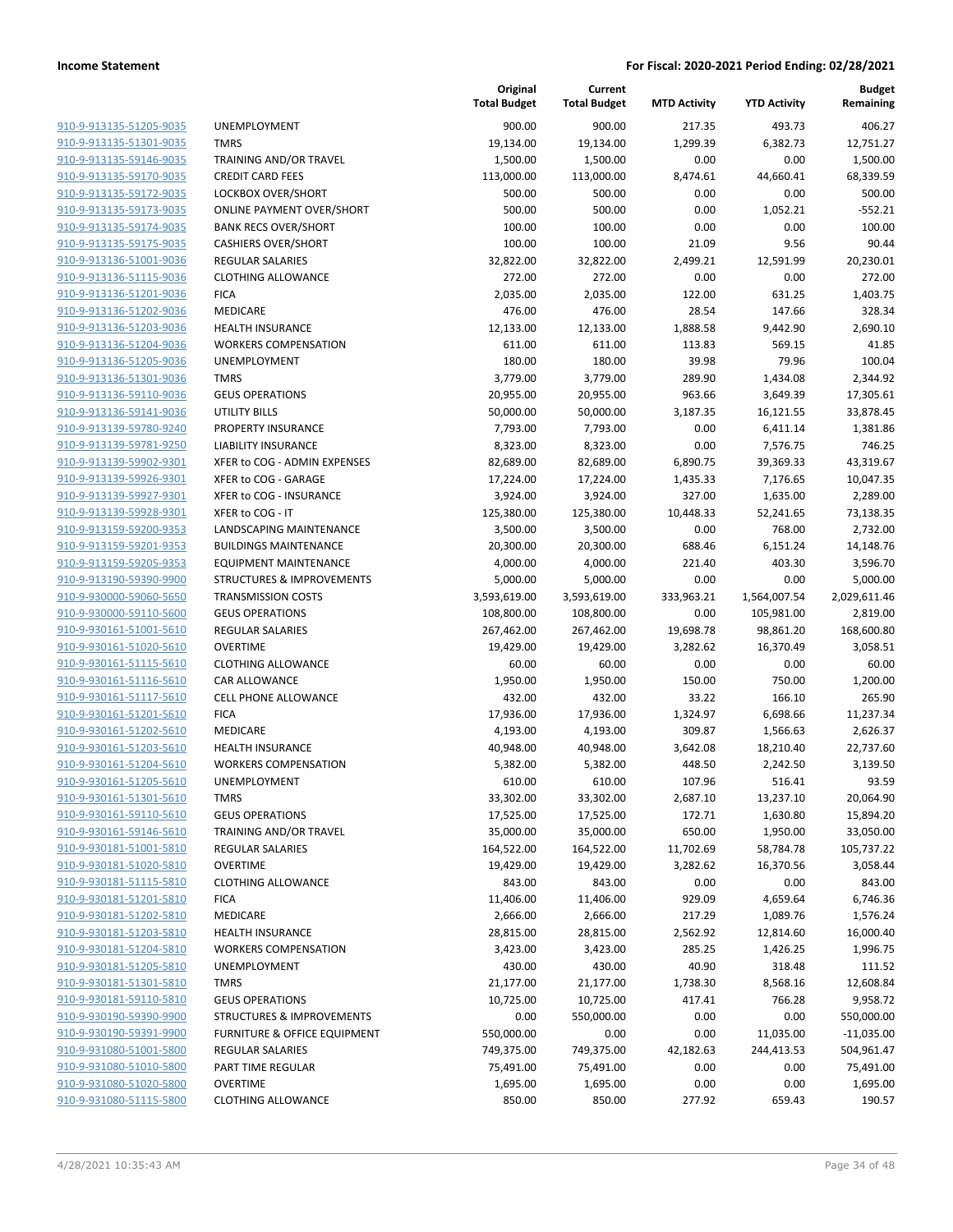| 910-9-913135-51205-9035        | U  |
|--------------------------------|----|
| 910-9-913135-51301-9035        | T٨ |
| 910-9-913135-59146-9035        | ТF |
|                                |    |
| 910-9-913135-59170-9035        | СF |
| 910-9-913135-59172-9035        | LC |
| 910-9-913135-59173-9035        | OI |
| 910-9-913135-59174-9035        | B/ |
| 910-9-913135-59175-9035        | C  |
| 910-9-913136-51001-9036        | RE |
| 910-9-913136-51115-9036        | CL |
| 910-9-913136-51201-9036        | F١ |
| 910-9-913136-51202-9036        | M  |
| 910-9-913136-51203-9036        | H  |
| 910-9-913136-51204-9036        | W  |
|                                |    |
| 910-9-913136-51205-9036        | UI |
| 910-9-913136-51301-9036        | T٨ |
| 910-9-913136-59110-9036        | GI |
| 910-9-913136-59141-9036        | U  |
| 910-9-913139-59780-9240        | PF |
| 910-9-913139-59781-9250        | LI |
| 910-9-913139-59902-9301        | XF |
| 910-9-913139-59926-9301        | XF |
| 910-9-913139-59927-9301        | XF |
| 910-9-913139-59928-9301        | XF |
| 910-9-913159-59200-9353        | LA |
|                                | Βl |
| 910-9-913159-59201-9353        |    |
| 910-9-913159-59205-9353        | E  |
| 910-9-913190-59390-9900        | ST |
| 910-9-930000-59060-5650        | ΤF |
| 910-9-930000-59110-5600        | GI |
| 910-9-930161-51001-5610        | RE |
| 910-9-930161-51020-5610        | O١ |
| 910-9-930161-51115-5610        | CL |
| 910-9-930161-51116-5610        | C  |
| 910-9-930161-51117-5610        | СE |
| 910-9-930161-51201-5610        | F١ |
| 910-9-930161-51202-5610        | M  |
| 910-9-930161-51203-5610        | H  |
| 910-9-930161-51204-5610        | W  |
| 910-9-930161-51205-5610        | U  |
| 910-9-930161-51301-5610        | T٨ |
|                                |    |
| 910-9-930161-59110-5610        | GI |
| 910-9-930161-59146-5610        | ТF |
| 910-9-930181-51001-5810        | RE |
| 910-9-930181-51020-5810        | О١ |
| 910-9-930181-51115-5810        | CL |
| 910-9-930181-51201-5810        | F١ |
| 910-9-930181-51202-5810        | M  |
| 910-9-930181-51203-5810        | HI |
| 910-9-930181-51204-5810        | W  |
| 910-9-930181-51205-5810        | UI |
| 910-9-930181-51301-5810        | T٨ |
| 910-9-930181-59110-5810        | GI |
| 910-9-930190-59390-9900        |    |
|                                | ST |
| 910-9-930190-59391-9900        | FL |
| <u>910-9-931080-51001-5800</u> | RE |
| 910-9-931080-51010-5800        | P/ |
| 910-9-931080-51020-5800        | О١ |
| 910-9-931080-51115-5800        | CL |
|                                |    |

|                                                    |                                            | Original<br><b>Total Budget</b> | Current<br><b>Total Budget</b> | <b>MTD Activity</b> | <b>YTD Activity</b> | <b>Budget</b><br>Remaining |
|----------------------------------------------------|--------------------------------------------|---------------------------------|--------------------------------|---------------------|---------------------|----------------------------|
| 910-9-913135-51205-9035                            | <b>UNEMPLOYMENT</b>                        | 900.00                          | 900.00                         | 217.35              | 493.73              | 406.27                     |
| 910-9-913135-51301-9035                            | <b>TMRS</b>                                | 19,134.00                       | 19,134.00                      | 1,299.39            | 6,382.73            | 12,751.27                  |
| 910-9-913135-59146-9035                            | TRAINING AND/OR TRAVEL                     | 1,500.00                        | 1,500.00                       | 0.00                | 0.00                | 1,500.00                   |
| 910-9-913135-59170-9035                            | <b>CREDIT CARD FEES</b>                    | 113,000.00                      | 113,000.00                     | 8,474.61            | 44,660.41           | 68,339.59                  |
| 910-9-913135-59172-9035                            | LOCKBOX OVER/SHORT                         | 500.00                          | 500.00                         | 0.00                | 0.00                | 500.00                     |
| 910-9-913135-59173-9035                            | <b>ONLINE PAYMENT OVER/SHORT</b>           | 500.00                          | 500.00                         | 0.00                | 1,052.21            | $-552.21$                  |
| 910-9-913135-59174-9035                            | <b>BANK RECS OVER/SHORT</b>                | 100.00                          | 100.00                         | 0.00                | 0.00                | 100.00                     |
| 910-9-913135-59175-9035                            | <b>CASHIERS OVER/SHORT</b>                 | 100.00                          | 100.00                         | 21.09               | 9.56                | 90.44                      |
| 910-9-913136-51001-9036                            | <b>REGULAR SALARIES</b>                    | 32,822.00                       | 32,822.00                      | 2,499.21            | 12,591.99           | 20,230.01                  |
| 910-9-913136-51115-9036                            | <b>CLOTHING ALLOWANCE</b>                  | 272.00                          | 272.00                         | 0.00                | 0.00                | 272.00                     |
| 910-9-913136-51201-9036                            | <b>FICA</b>                                | 2,035.00                        | 2,035.00                       | 122.00              | 631.25              | 1,403.75                   |
| 910-9-913136-51202-9036                            | MEDICARE                                   | 476.00                          | 476.00                         | 28.54               | 147.66              | 328.34                     |
| 910-9-913136-51203-9036                            | <b>HEALTH INSURANCE</b>                    | 12,133.00                       | 12,133.00                      | 1,888.58            | 9,442.90            | 2,690.10                   |
| 910-9-913136-51204-9036                            | <b>WORKERS COMPENSATION</b>                | 611.00                          | 611.00                         | 113.83              | 569.15              | 41.85                      |
| 910-9-913136-51205-9036                            | UNEMPLOYMENT                               | 180.00                          | 180.00                         | 39.98               | 79.96               | 100.04                     |
| 910-9-913136-51301-9036                            | <b>TMRS</b>                                | 3,779.00                        | 3,779.00                       | 289.90              | 1,434.08            | 2,344.92                   |
| 910-9-913136-59110-9036                            | <b>GEUS OPERATIONS</b>                     | 20,955.00                       | 20,955.00                      | 963.66              | 3,649.39            | 17,305.61                  |
| 910-9-913136-59141-9036                            | <b>UTILITY BILLS</b>                       | 50,000.00                       | 50,000.00                      | 3,187.35            | 16,121.55           | 33,878.45                  |
| 910-9-913139-59780-9240                            | PROPERTY INSURANCE                         | 7,793.00                        | 7,793.00                       | 0.00                | 6,411.14            | 1,381.86                   |
| 910-9-913139-59781-9250                            | <b>LIABILITY INSURANCE</b>                 | 8,323.00                        | 8,323.00                       | 0.00                | 7,576.75            | 746.25                     |
| 910-9-913139-59902-9301                            | XFER to COG - ADMIN EXPENSES               | 82,689.00                       | 82,689.00                      | 6,890.75            | 39,369.33           | 43,319.67                  |
| 910-9-913139-59926-9301                            | XFER to COG - GARAGE                       | 17,224.00                       | 17,224.00                      | 1,435.33            | 7,176.65            | 10,047.35                  |
| 910-9-913139-59927-9301                            | XFER to COG - INSURANCE                    | 3,924.00                        | 3,924.00                       | 327.00              | 1,635.00            | 2,289.00                   |
| 910-9-913139-59928-9301                            | XFER to COG - IT                           | 125,380.00                      | 125,380.00                     | 10,448.33           | 52,241.65           | 73,138.35                  |
| 910-9-913159-59200-9353                            | LANDSCAPING MAINTENANCE                    | 3,500.00                        | 3,500.00                       | 0.00                | 768.00              | 2,732.00                   |
| 910-9-913159-59201-9353                            | <b>BUILDINGS MAINTENANCE</b>               | 20,300.00                       | 20,300.00                      | 688.46              | 6,151.24            | 14,148.76                  |
| 910-9-913159-59205-9353                            | <b>EQUIPMENT MAINTENANCE</b>               | 4,000.00                        | 4,000.00                       | 221.40              | 403.30              | 3,596.70                   |
| 910-9-913190-59390-9900                            | <b>STRUCTURES &amp; IMPROVEMENTS</b>       | 5,000.00                        | 5,000.00                       | 0.00                | 0.00                | 5,000.00                   |
| 910-9-930000-59060-5650                            | <b>TRANSMISSION COSTS</b>                  | 3,593,619.00                    | 3,593,619.00                   | 333,963.21          | 1,564,007.54        | 2,029,611.46               |
| 910-9-930000-59110-5600                            | <b>GEUS OPERATIONS</b>                     | 108,800.00                      | 108,800.00                     | 0.00                | 105,981.00          | 2,819.00                   |
| 910-9-930161-51001-5610<br>910-9-930161-51020-5610 | <b>REGULAR SALARIES</b><br><b>OVERTIME</b> | 267,462.00                      | 267,462.00                     | 19,698.78           | 98,861.20           | 168,600.80                 |
| 910-9-930161-51115-5610                            | <b>CLOTHING ALLOWANCE</b>                  | 19,429.00<br>60.00              | 19,429.00<br>60.00             | 3,282.62<br>0.00    | 16,370.49<br>0.00   | 3,058.51<br>60.00          |
| 910-9-930161-51116-5610                            | CAR ALLOWANCE                              | 1,950.00                        | 1,950.00                       | 150.00              | 750.00              | 1,200.00                   |
| 910-9-930161-51117-5610                            | <b>CELL PHONE ALLOWANCE</b>                | 432.00                          | 432.00                         | 33.22               | 166.10              | 265.90                     |
| 910-9-930161-51201-5610                            | <b>FICA</b>                                | 17,936.00                       | 17,936.00                      | 1,324.97            | 6,698.66            | 11,237.34                  |
| 910-9-930161-51202-5610                            | MEDICARE                                   | 4,193.00                        | 4,193.00                       | 309.87              | 1,566.63            | 2,626.37                   |
| 910-9-930161-51203-5610                            | <b>HEALTH INSURANCE</b>                    | 40,948.00                       | 40,948.00                      | 3,642.08            | 18,210.40           | 22,737.60                  |
| 910-9-930161-51204-5610                            | <b>WORKERS COMPENSATION</b>                | 5,382.00                        | 5,382.00                       | 448.50              | 2,242.50            | 3,139.50                   |
| <u>910-9-930161-51205-5610</u>                     | UNEMPLOYMENT                               | 610.00                          | 610.00                         | 107.96              | 516.41              | 93.59                      |
| 910-9-930161-51301-5610                            | <b>TMRS</b>                                | 33,302.00                       | 33,302.00                      | 2,687.10            | 13,237.10           | 20,064.90                  |
| 910-9-930161-59110-5610                            | <b>GEUS OPERATIONS</b>                     | 17,525.00                       | 17,525.00                      | 172.71              | 1,630.80            | 15,894.20                  |
| 910-9-930161-59146-5610                            | <b>TRAINING AND/OR TRAVEL</b>              | 35,000.00                       | 35,000.00                      | 650.00              | 1,950.00            | 33,050.00                  |
| 910-9-930181-51001-5810                            | <b>REGULAR SALARIES</b>                    | 164,522.00                      | 164,522.00                     | 11,702.69           | 58,784.78           | 105,737.22                 |
| 910-9-930181-51020-5810                            | <b>OVERTIME</b>                            | 19,429.00                       | 19,429.00                      | 3,282.62            | 16,370.56           | 3,058.44                   |
| 910-9-930181-51115-5810                            | <b>CLOTHING ALLOWANCE</b>                  | 843.00                          | 843.00                         | 0.00                | 0.00                | 843.00                     |
| 910-9-930181-51201-5810                            | <b>FICA</b>                                | 11,406.00                       | 11,406.00                      | 929.09              | 4,659.64            | 6,746.36                   |
| 910-9-930181-51202-5810                            | MEDICARE                                   | 2,666.00                        | 2,666.00                       | 217.29              | 1,089.76            | 1,576.24                   |
| 910-9-930181-51203-5810                            | <b>HEALTH INSURANCE</b>                    | 28,815.00                       | 28,815.00                      | 2,562.92            | 12,814.60           | 16,000.40                  |
| 910-9-930181-51204-5810                            | <b>WORKERS COMPENSATION</b>                | 3,423.00                        | 3,423.00                       | 285.25              | 1,426.25            | 1,996.75                   |
| 910-9-930181-51205-5810                            | <b>UNEMPLOYMENT</b>                        | 430.00                          | 430.00                         | 40.90               | 318.48              | 111.52                     |
| 910-9-930181-51301-5810                            | <b>TMRS</b>                                | 21,177.00                       | 21,177.00                      | 1,738.30            | 8,568.16            | 12,608.84                  |
| 910-9-930181-59110-5810                            | <b>GEUS OPERATIONS</b>                     | 10,725.00                       | 10,725.00                      | 417.41              | 766.28              | 9,958.72                   |
| 910-9-930190-59390-9900                            | <b>STRUCTURES &amp; IMPROVEMENTS</b>       | 0.00                            | 550,000.00                     | 0.00                | 0.00                | 550,000.00                 |
| 910-9-930190-59391-9900                            | FURNITURE & OFFICE EQUIPMENT               | 550,000.00                      | 0.00                           | 0.00                | 11,035.00           | $-11,035.00$               |
| 910-9-931080-51001-5800                            | <b>REGULAR SALARIES</b>                    | 749,375.00                      | 749,375.00                     | 42,182.63           | 244,413.53          | 504,961.47                 |
| 910-9-931080-51010-5800                            | PART TIME REGULAR                          | 75,491.00                       | 75,491.00                      | 0.00                | 0.00                | 75,491.00                  |
| 910-9-931080-51020-5800                            | <b>OVERTIME</b>                            | 1,695.00                        | 1,695.00                       | 0.00                | 0.00                | 1,695.00                   |
| 910-9-931080-51115-5800                            | <b>CLOTHING ALLOWANCE</b>                  | 850.00                          | 850.00                         | 277.92              | 659.43              | 190.57                     |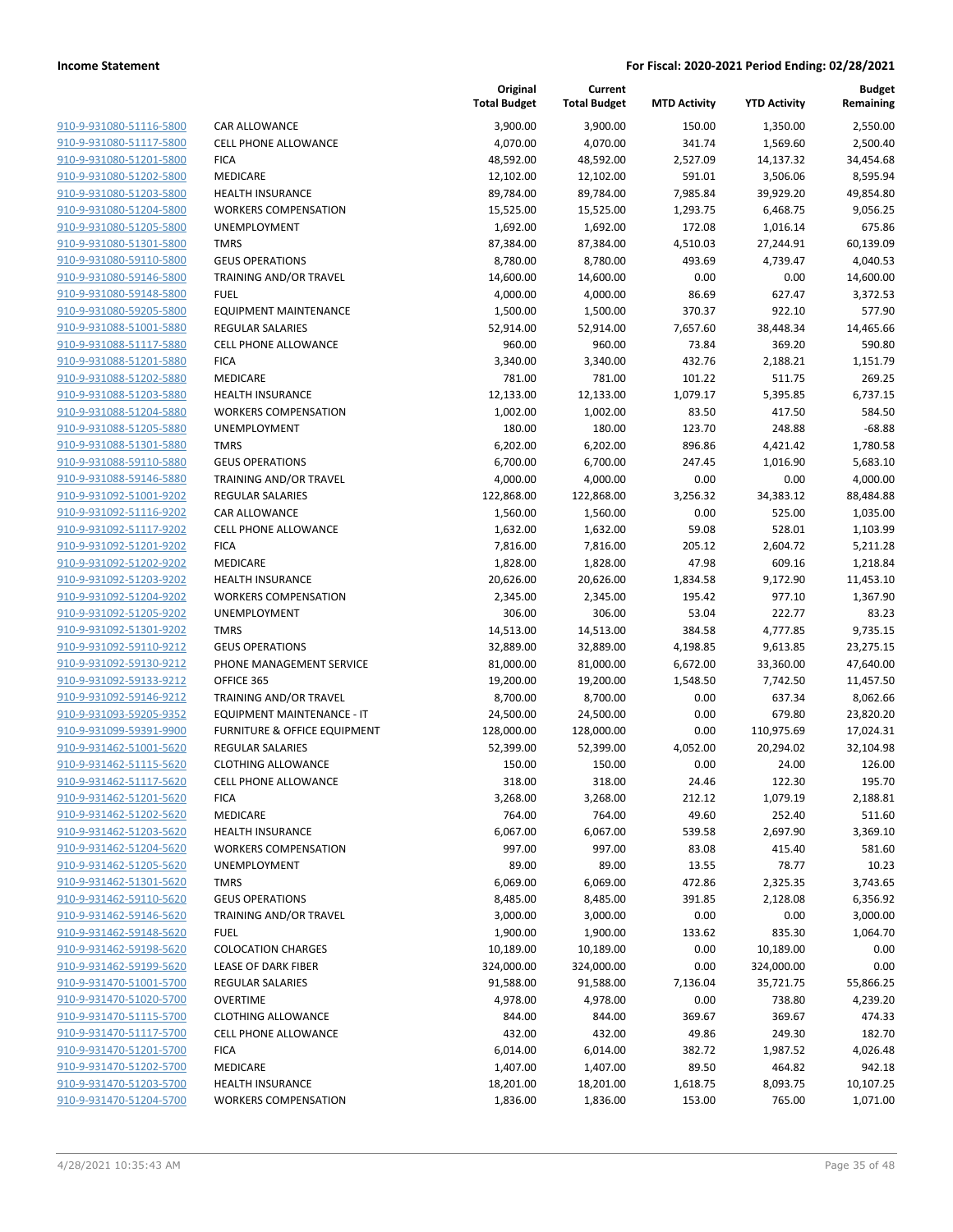| 910-9-931080-51116-5800        | O                        |
|--------------------------------|--------------------------|
| 910-9-931080-51117-5800        | $\overline{\mathbf{C}}$  |
| 910-9-931080-51201-5800        | F                        |
| 910-9-931080-51202-5800        | ľ                        |
| 910-9-931080-51203-5800        | ŀ                        |
|                                |                          |
| 910-9-931080-51204-5800        | ١                        |
| 910-9-931080-51205-5800        | l                        |
| 910-9-931080-51301-5800        | $\overline{1}$           |
| 910-9-931080-59110-5800        | $\overline{\phantom{a}}$ |
| 910-9-931080-59146-5800        | Ī                        |
| 910-9-931080-59148-5800        | f                        |
| 910-9-931080-59205-5800        | E                        |
| 910-9-931088-51001-5880        | F                        |
| 910-9-931088-51117-5880        | O                        |
| 910-9-931088-51201-5880        | F                        |
| <u>910-9-931088-51202-5880</u> | ľ                        |
| 910-9-931088-51203-5880        | ŀ                        |
| 910-9-931088-51204-5880        | ١                        |
| 910-9-931088-51205-5880        | ι                        |
| 910-9-931088-51301-5880        | Ī                        |
| <u>910-9-931088-59110-5880</u> | $\overline{\phantom{a}}$ |
| 910-9-931088-59146-5880        | $\overline{1}$           |
| 910-9-931092-51001-9202        | f                        |
| 910-9-931092-51116-9202        | O                        |
| 910-9-931092-51117-9202        | O                        |
|                                | F                        |
| 910-9-931092-51201-9202        | ľ                        |
| 910-9-931092-51202-9202        |                          |
| 910-9-931092-51203-9202        | ŀ                        |
| 910-9-931092-51204-9202        | ١                        |
| 910-9-931092-51205-9202        | l                        |
| 910-9-931092-51301-9202        | J                        |
| 910-9-931092-59110-9212        | $\overline{\phantom{a}}$ |
| 910-9-931092-59130-9212        | f                        |
| 910-9-931092-59133-9212        | O                        |
| 910-9-931092-59146-9212        | ٦                        |
| <u>910-9-931093-59205-9352</u> | E                        |
| 910-9-931099-59391-9900        | f                        |
| 910-9-931462-51001-5620        | F                        |
| 910-9-931462-51115-5620        | $\mathbf$                |
| 910-9-931462-51117-5620        | $\overline{\mathbf{C}}$  |
| 910-9-931462-51201-5620        | F                        |
| 910-9-931462-51202-5620        | ľ                        |
| 910-9-931462-51203-5620        | ŀ                        |
| 910-9-931462-51204-5620        |                          |
| 910-9-931462-51205-5620        | ι                        |
| 910-9-931462-51301-5620        | ٦                        |
| 910-9-931462-59110-5620        | O                        |
| 910-9-931462-59146-5620        | ٦                        |
| 910-9-931462-59148-5620        | F                        |
| 910-9-931462-59198-5620        | (                        |
|                                |                          |
| 910-9-931462-59199-5620        | l                        |
| 910-9-931470-51001-5700        | F                        |
| 910-9-931470-51020-5700        | (                        |
| 910-9-931470-51115-5700        | (                        |
| 910-9-931470-51117-5700        | (                        |
| <u>910-9-931470-51201-5700</u> | F                        |
| 910-9-931470-51202-5700        | ľ                        |
| 910-9-931470-51203-5700        | ŀ                        |
| 910-9-931470-51204-5700        |                          |
|                                |                          |

|                                                    |                                         | Original<br><b>Total Budget</b> | Current<br><b>Total Budget</b> | <b>MTD Activity</b> | <b>YTD Activity</b> | <b>Budget</b><br>Remaining |
|----------------------------------------------------|-----------------------------------------|---------------------------------|--------------------------------|---------------------|---------------------|----------------------------|
| 910-9-931080-51116-5800                            | CAR ALLOWANCE                           | 3,900.00                        | 3,900.00                       | 150.00              | 1,350.00            | 2,550.00                   |
| 910-9-931080-51117-5800                            | <b>CELL PHONE ALLOWANCE</b>             | 4,070.00                        | 4,070.00                       | 341.74              | 1,569.60            | 2,500.40                   |
| 910-9-931080-51201-5800                            | <b>FICA</b>                             | 48,592.00                       | 48,592.00                      | 2,527.09            | 14,137.32           | 34,454.68                  |
| 910-9-931080-51202-5800                            | <b>MEDICARE</b>                         | 12,102.00                       | 12,102.00                      | 591.01              | 3,506.06            | 8,595.94                   |
| 910-9-931080-51203-5800                            | <b>HEALTH INSURANCE</b>                 | 89,784.00                       | 89,784.00                      | 7,985.84            | 39,929.20           | 49,854.80                  |
| 910-9-931080-51204-5800                            | <b>WORKERS COMPENSATION</b>             | 15,525.00                       | 15,525.00                      | 1,293.75            | 6,468.75            | 9,056.25                   |
| 910-9-931080-51205-5800                            | <b>UNEMPLOYMENT</b>                     | 1,692.00                        | 1,692.00                       | 172.08              | 1,016.14            | 675.86                     |
| 910-9-931080-51301-5800                            | <b>TMRS</b>                             | 87,384.00                       | 87,384.00                      | 4,510.03            | 27,244.91           | 60,139.09                  |
| 910-9-931080-59110-5800                            | <b>GEUS OPERATIONS</b>                  | 8,780.00                        | 8,780.00                       | 493.69              | 4,739.47            | 4,040.53                   |
| 910-9-931080-59146-5800                            | TRAINING AND/OR TRAVEL                  | 14,600.00                       | 14,600.00                      | 0.00                | 0.00                | 14,600.00                  |
| 910-9-931080-59148-5800                            | <b>FUEL</b>                             | 4,000.00                        | 4,000.00                       | 86.69               | 627.47              | 3,372.53                   |
| 910-9-931080-59205-5800                            | <b>EQUIPMENT MAINTENANCE</b>            | 1,500.00                        | 1,500.00                       | 370.37              | 922.10              | 577.90                     |
| 910-9-931088-51001-5880                            | <b>REGULAR SALARIES</b>                 | 52,914.00                       | 52,914.00                      | 7,657.60            | 38,448.34           | 14,465.66                  |
| 910-9-931088-51117-5880                            | <b>CELL PHONE ALLOWANCE</b>             | 960.00                          | 960.00                         | 73.84               | 369.20              | 590.80                     |
| 910-9-931088-51201-5880                            | <b>FICA</b>                             | 3,340.00                        | 3,340.00                       | 432.76              | 2,188.21            | 1,151.79                   |
| 910-9-931088-51202-5880                            | MEDICARE                                | 781.00                          | 781.00                         | 101.22              | 511.75              | 269.25                     |
| 910-9-931088-51203-5880                            | <b>HEALTH INSURANCE</b>                 | 12,133.00                       | 12,133.00                      | 1,079.17            | 5,395.85            | 6,737.15                   |
| 910-9-931088-51204-5880                            | <b>WORKERS COMPENSATION</b>             | 1,002.00                        | 1,002.00                       | 83.50               | 417.50              | 584.50                     |
| 910-9-931088-51205-5880                            | <b>UNEMPLOYMENT</b>                     | 180.00                          | 180.00                         | 123.70              | 248.88              | $-68.88$                   |
| 910-9-931088-51301-5880                            | <b>TMRS</b>                             | 6,202.00                        | 6,202.00                       | 896.86              | 4,421.42            | 1,780.58                   |
| 910-9-931088-59110-5880                            | <b>GEUS OPERATIONS</b>                  | 6,700.00                        | 6,700.00                       | 247.45              | 1,016.90            | 5,683.10                   |
| 910-9-931088-59146-5880                            | TRAINING AND/OR TRAVEL                  | 4,000.00                        | 4,000.00                       | 0.00                | 0.00                | 4,000.00                   |
| 910-9-931092-51001-9202                            | <b>REGULAR SALARIES</b>                 | 122,868.00                      | 122,868.00                     | 3,256.32            | 34,383.12           | 88,484.88                  |
| 910-9-931092-51116-9202                            | CAR ALLOWANCE                           | 1,560.00                        | 1,560.00                       | 0.00                | 525.00              | 1,035.00                   |
| 910-9-931092-51117-9202                            | <b>CELL PHONE ALLOWANCE</b>             | 1,632.00                        | 1,632.00                       | 59.08               | 528.01              | 1,103.99                   |
| 910-9-931092-51201-9202                            | <b>FICA</b>                             | 7,816.00                        | 7,816.00                       | 205.12              | 2,604.72            | 5,211.28                   |
| 910-9-931092-51202-9202<br>910-9-931092-51203-9202 | MEDICARE<br><b>HEALTH INSURANCE</b>     | 1,828.00                        | 1,828.00                       | 47.98               | 609.16              | 1,218.84                   |
| 910-9-931092-51204-9202                            | <b>WORKERS COMPENSATION</b>             | 20,626.00                       | 20,626.00                      | 1,834.58<br>195.42  | 9,172.90<br>977.10  | 11,453.10<br>1,367.90      |
| 910-9-931092-51205-9202                            | <b>UNEMPLOYMENT</b>                     | 2,345.00<br>306.00              | 2,345.00<br>306.00             | 53.04               | 222.77              | 83.23                      |
| 910-9-931092-51301-9202                            | <b>TMRS</b>                             | 14,513.00                       | 14,513.00                      | 384.58              | 4,777.85            | 9,735.15                   |
| 910-9-931092-59110-9212                            | <b>GEUS OPERATIONS</b>                  | 32,889.00                       | 32,889.00                      | 4,198.85            | 9,613.85            | 23,275.15                  |
| 910-9-931092-59130-9212                            | PHONE MANAGEMENT SERVICE                | 81,000.00                       | 81,000.00                      | 6,672.00            | 33,360.00           | 47,640.00                  |
| 910-9-931092-59133-9212                            | OFFICE 365                              | 19,200.00                       | 19,200.00                      | 1,548.50            | 7,742.50            | 11,457.50                  |
| 910-9-931092-59146-9212                            | TRAINING AND/OR TRAVEL                  | 8,700.00                        | 8,700.00                       | 0.00                | 637.34              | 8,062.66                   |
| 910-9-931093-59205-9352                            | EQUIPMENT MAINTENANCE - IT              | 24,500.00                       | 24,500.00                      | 0.00                | 679.80              | 23,820.20                  |
| 910-9-931099-59391-9900                            | <b>FURNITURE &amp; OFFICE EQUIPMENT</b> | 128,000.00                      | 128,000.00                     | 0.00                | 110,975.69          | 17,024.31                  |
| 910-9-931462-51001-5620                            | <b>REGULAR SALARIES</b>                 | 52,399.00                       | 52,399.00                      | 4,052.00            | 20,294.02           | 32,104.98                  |
| 910-9-931462-51115-5620                            | <b>CLOTHING ALLOWANCE</b>               | 150.00                          | 150.00                         | 0.00                | 24.00               | 126.00                     |
| 910-9-931462-51117-5620                            | CELL PHONE ALLOWANCE                    | 318.00                          | 318.00                         | 24.46               | 122.30              | 195.70                     |
| 910-9-931462-51201-5620                            | <b>FICA</b>                             | 3,268.00                        | 3,268.00                       | 212.12              | 1,079.19            | 2,188.81                   |
| 910-9-931462-51202-5620                            | MEDICARE                                | 764.00                          | 764.00                         | 49.60               | 252.40              | 511.60                     |
| 910-9-931462-51203-5620                            | <b>HEALTH INSURANCE</b>                 | 6,067.00                        | 6,067.00                       | 539.58              | 2,697.90            | 3,369.10                   |
| 910-9-931462-51204-5620                            | <b>WORKERS COMPENSATION</b>             | 997.00                          | 997.00                         | 83.08               | 415.40              | 581.60                     |
| 910-9-931462-51205-5620                            | UNEMPLOYMENT                            | 89.00                           | 89.00                          | 13.55               | 78.77               | 10.23                      |
| 910-9-931462-51301-5620                            | <b>TMRS</b>                             | 6,069.00                        | 6,069.00                       | 472.86              | 2,325.35            | 3,743.65                   |
| 910-9-931462-59110-5620                            | <b>GEUS OPERATIONS</b>                  | 8,485.00                        | 8,485.00                       | 391.85              | 2,128.08            | 6,356.92                   |
| 910-9-931462-59146-5620                            | TRAINING AND/OR TRAVEL                  | 3,000.00                        | 3,000.00                       | 0.00                | 0.00                | 3,000.00                   |
| 910-9-931462-59148-5620                            | <b>FUEL</b>                             | 1,900.00                        | 1,900.00                       | 133.62              | 835.30              | 1,064.70                   |
| 910-9-931462-59198-5620                            | <b>COLOCATION CHARGES</b>               | 10,189.00                       | 10,189.00                      | 0.00                | 10,189.00           | 0.00                       |
| 910-9-931462-59199-5620                            | <b>LEASE OF DARK FIBER</b>              | 324,000.00                      | 324,000.00                     | 0.00                | 324,000.00          | 0.00                       |
| 910-9-931470-51001-5700                            | <b>REGULAR SALARIES</b>                 | 91,588.00                       | 91,588.00                      | 7,136.04            | 35,721.75           | 55,866.25                  |
| 910-9-931470-51020-5700                            | <b>OVERTIME</b>                         | 4,978.00                        | 4,978.00                       | 0.00                | 738.80              | 4,239.20                   |
| 910-9-931470-51115-5700                            | <b>CLOTHING ALLOWANCE</b>               | 844.00                          | 844.00                         | 369.67              | 369.67              | 474.33                     |
| 910-9-931470-51117-5700                            | <b>CELL PHONE ALLOWANCE</b>             | 432.00                          | 432.00                         | 49.86               | 249.30              | 182.70                     |
| 910-9-931470-51201-5700                            | <b>FICA</b>                             | 6,014.00                        | 6,014.00                       | 382.72              | 1,987.52            | 4,026.48                   |
| 910-9-931470-51202-5700                            | MEDICARE                                | 1,407.00                        | 1,407.00                       | 89.50               | 464.82              | 942.18                     |
| 910-9-931470-51203-5700                            | <b>HEALTH INSURANCE</b>                 | 18,201.00                       | 18,201.00                      | 1,618.75            | 8,093.75            | 10,107.25                  |
| 910-9-931470-51204-5700                            | <b>WORKERS COMPENSATION</b>             | 1,836.00                        | 1,836.00                       | 153.00              | 765.00              | 1,071.00                   |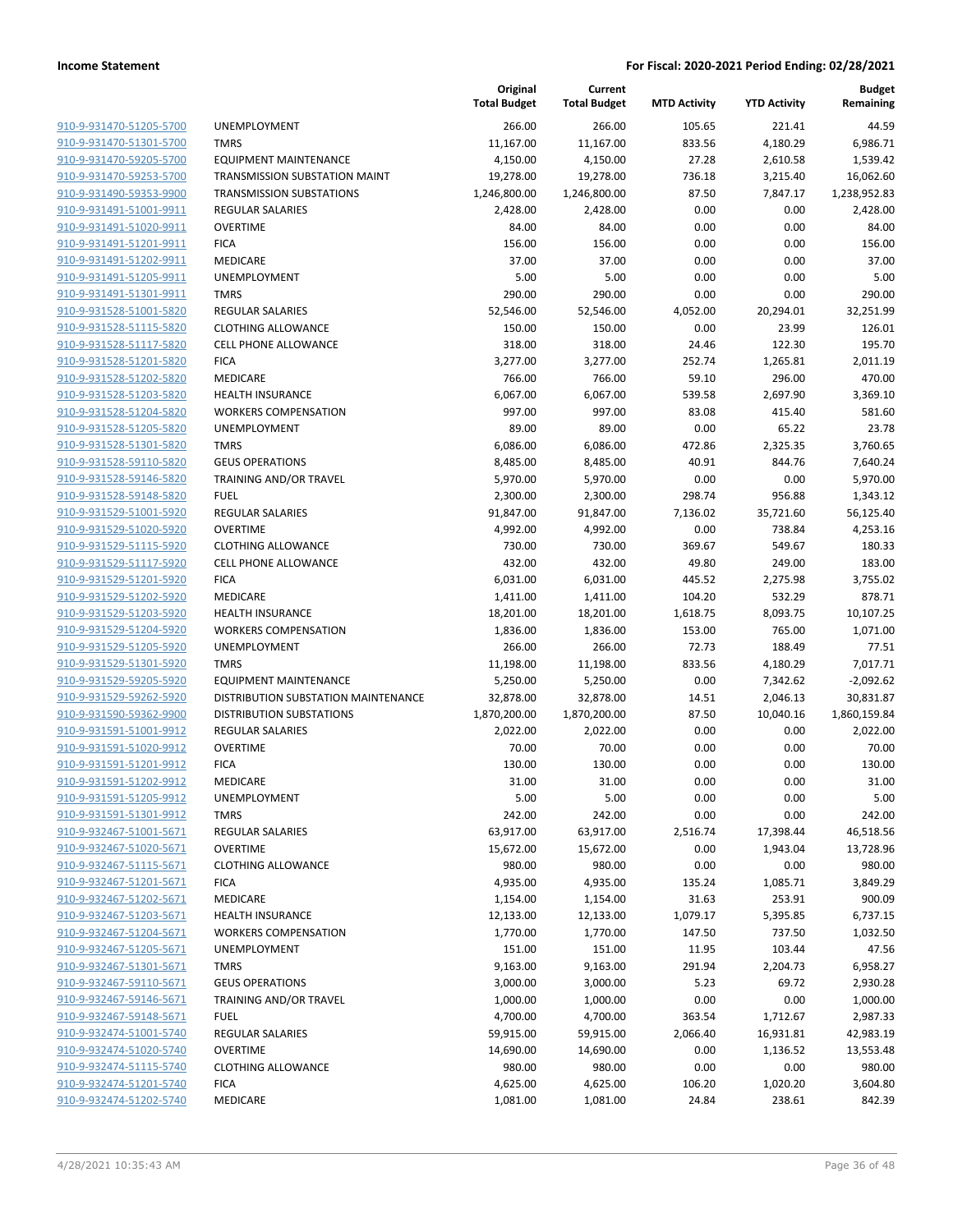|                                                    |                                      | Original<br><b>Total Budget</b> | Current<br><b>Total Budget</b> | <b>MTD Activity</b> | <b>YTD Activity</b> | <b>Budget</b><br>Remaining |
|----------------------------------------------------|--------------------------------------|---------------------------------|--------------------------------|---------------------|---------------------|----------------------------|
| 910-9-931470-51205-5700                            | UNEMPLOYMENT                         | 266.00                          | 266.00                         | 105.65              | 221.41              | 44.59                      |
| 910-9-931470-51301-5700                            | <b>TMRS</b>                          | 11,167.00                       | 11,167.00                      | 833.56              | 4,180.29            | 6,986.71                   |
| 910-9-931470-59205-5700                            | <b>EQUIPMENT MAINTENANCE</b>         | 4,150.00                        | 4,150.00                       | 27.28               | 2,610.58            | 1,539.42                   |
| 910-9-931470-59253-5700                            | <b>TRANSMISSION SUBSTATION MAINT</b> | 19,278.00                       | 19,278.00                      | 736.18              | 3,215.40            | 16,062.60                  |
| 910-9-931490-59353-9900                            | <b>TRANSMISSION SUBSTATIONS</b>      | 1,246,800.00                    | 1,246,800.00                   | 87.50               | 7,847.17            | 1,238,952.83               |
| 910-9-931491-51001-9911                            | <b>REGULAR SALARIES</b>              | 2,428.00                        | 2,428.00                       | 0.00                | 0.00                | 2,428.00                   |
| 910-9-931491-51020-9911                            | <b>OVERTIME</b>                      | 84.00                           | 84.00                          | 0.00                | 0.00                | 84.00                      |
| 910-9-931491-51201-9911                            | <b>FICA</b>                          | 156.00                          | 156.00                         | 0.00                | 0.00                | 156.00                     |
| 910-9-931491-51202-9911                            | <b>MEDICARE</b>                      | 37.00                           | 37.00                          | 0.00                | 0.00                | 37.00                      |
| 910-9-931491-51205-9911                            | UNEMPLOYMENT                         | 5.00                            | 5.00                           | 0.00                | 0.00                | 5.00                       |
| 910-9-931491-51301-9911                            | <b>TMRS</b>                          | 290.00                          | 290.00                         | 0.00                | 0.00                | 290.00                     |
| 910-9-931528-51001-5820                            | <b>REGULAR SALARIES</b>              | 52,546.00                       | 52,546.00                      | 4,052.00            | 20,294.01           | 32,251.99                  |
| 910-9-931528-51115-5820                            | <b>CLOTHING ALLOWANCE</b>            | 150.00                          | 150.00                         | 0.00                | 23.99               | 126.01                     |
| 910-9-931528-51117-5820                            | <b>CELL PHONE ALLOWANCE</b>          | 318.00                          | 318.00                         | 24.46               | 122.30              | 195.70                     |
| 910-9-931528-51201-5820                            | <b>FICA</b>                          | 3,277.00                        | 3,277.00                       | 252.74              | 1,265.81            | 2,011.19                   |
| 910-9-931528-51202-5820                            | MEDICARE                             | 766.00                          | 766.00                         | 59.10               | 296.00              | 470.00                     |
| 910-9-931528-51203-5820                            | <b>HEALTH INSURANCE</b>              | 6,067.00                        | 6,067.00                       | 539.58              | 2,697.90            | 3,369.10                   |
| 910-9-931528-51204-5820                            | <b>WORKERS COMPENSATION</b>          | 997.00                          | 997.00                         | 83.08               | 415.40              | 581.60                     |
| 910-9-931528-51205-5820                            | UNEMPLOYMENT                         | 89.00                           | 89.00                          | 0.00                | 65.22               | 23.78                      |
| 910-9-931528-51301-5820                            | <b>TMRS</b>                          | 6,086.00                        | 6,086.00                       | 472.86              | 2,325.35            | 3,760.65                   |
| 910-9-931528-59110-5820                            | <b>GEUS OPERATIONS</b>               | 8,485.00                        | 8,485.00                       | 40.91               | 844.76              | 7,640.24                   |
| 910-9-931528-59146-5820                            | TRAINING AND/OR TRAVEL               | 5,970.00                        | 5,970.00                       | 0.00                | 0.00                | 5,970.00                   |
| 910-9-931528-59148-5820                            | <b>FUEL</b>                          | 2,300.00                        | 2,300.00                       | 298.74              | 956.88              | 1,343.12                   |
| 910-9-931529-51001-5920                            | REGULAR SALARIES                     | 91,847.00                       | 91,847.00                      | 7,136.02            | 35,721.60           | 56,125.40                  |
| 910-9-931529-51020-5920                            | <b>OVERTIME</b>                      | 4,992.00                        | 4,992.00                       | 0.00                | 738.84              | 4,253.16                   |
| 910-9-931529-51115-5920                            | <b>CLOTHING ALLOWANCE</b>            | 730.00                          | 730.00                         | 369.67              | 549.67              | 180.33                     |
| 910-9-931529-51117-5920                            | <b>CELL PHONE ALLOWANCE</b>          | 432.00                          | 432.00                         | 49.80               | 249.00              | 183.00                     |
| 910-9-931529-51201-5920                            | <b>FICA</b>                          | 6,031.00                        | 6,031.00                       | 445.52              | 2,275.98            | 3,755.02                   |
| 910-9-931529-51202-5920                            | MEDICARE                             | 1,411.00                        | 1,411.00                       | 104.20              | 532.29              | 878.71                     |
| 910-9-931529-51203-5920                            | <b>HEALTH INSURANCE</b>              | 18,201.00                       | 18,201.00                      | 1,618.75            | 8,093.75            | 10,107.25                  |
| 910-9-931529-51204-5920                            | <b>WORKERS COMPENSATION</b>          | 1,836.00                        | 1,836.00                       | 153.00              | 765.00              | 1,071.00                   |
| 910-9-931529-51205-5920                            | UNEMPLOYMENT                         | 266.00                          | 266.00                         | 72.73               | 188.49              | 77.51                      |
| 910-9-931529-51301-5920                            | <b>TMRS</b>                          | 11,198.00                       | 11,198.00                      | 833.56              | 4,180.29            | 7,017.71                   |
| 910-9-931529-59205-5920                            | <b>EQUIPMENT MAINTENANCE</b>         | 5,250.00                        | 5,250.00                       | 0.00                | 7,342.62            | $-2,092.62$                |
| 910-9-931529-59262-5920                            | DISTRIBUTION SUBSTATION MAINTENANCE  | 32,878.00                       | 32,878.00                      | 14.51               | 2,046.13            | 30,831.87                  |
| 910-9-931590-59362-9900                            | <b>DISTRIBUTION SUBSTATIONS</b>      | 1,870,200.00                    | 1,870,200.00                   | 87.50               | 10,040.16           | 1,860,159.84               |
| 910-9-931591-51001-9912                            | <b>REGULAR SALARIES</b>              | 2,022.00                        | 2,022.00                       | 0.00                | 0.00                | 2,022.00                   |
| 910-9-931591-51020-9912<br>910-9-931591-51201-9912 | <b>OVERTIME</b>                      | 70.00                           | 70.00                          | 0.00                | 0.00                | 70.00                      |
| 910-9-931591-51202-9912                            | <b>FICA</b><br>MEDICARE              | 130.00                          | 130.00<br>31.00                | 0.00<br>0.00        | 0.00<br>0.00        | 130.00<br>31.00            |
| 910-9-931591-51205-9912                            | UNEMPLOYMENT                         | 31.00<br>5.00                   | 5.00                           | 0.00                | 0.00                | 5.00                       |
| 910-9-931591-51301-9912                            | <b>TMRS</b>                          | 242.00                          | 242.00                         | 0.00                | 0.00                | 242.00                     |
| 910-9-932467-51001-5671                            | REGULAR SALARIES                     | 63,917.00                       | 63,917.00                      | 2,516.74            | 17,398.44           | 46,518.56                  |
| 910-9-932467-51020-5671                            | <b>OVERTIME</b>                      | 15,672.00                       | 15,672.00                      | 0.00                | 1,943.04            | 13,728.96                  |
| 910-9-932467-51115-5671                            | <b>CLOTHING ALLOWANCE</b>            | 980.00                          | 980.00                         | 0.00                | 0.00                | 980.00                     |
| 910-9-932467-51201-5671                            | <b>FICA</b>                          | 4,935.00                        | 4,935.00                       | 135.24              | 1,085.71            | 3,849.29                   |
| 910-9-932467-51202-5671                            | MEDICARE                             | 1,154.00                        | 1,154.00                       | 31.63               | 253.91              | 900.09                     |
| 910-9-932467-51203-5671                            | HEALTH INSURANCE                     | 12,133.00                       | 12,133.00                      | 1,079.17            | 5,395.85            | 6,737.15                   |
| 910-9-932467-51204-5671                            | <b>WORKERS COMPENSATION</b>          | 1,770.00                        | 1,770.00                       | 147.50              | 737.50              | 1,032.50                   |
| 910-9-932467-51205-5671                            | UNEMPLOYMENT                         | 151.00                          | 151.00                         | 11.95               | 103.44              | 47.56                      |
| 910-9-932467-51301-5671                            | <b>TMRS</b>                          | 9,163.00                        | 9,163.00                       | 291.94              | 2,204.73            | 6,958.27                   |
| 910-9-932467-59110-5671                            | <b>GEUS OPERATIONS</b>               | 3,000.00                        | 3,000.00                       | 5.23                | 69.72               | 2,930.28                   |
| 910-9-932467-59146-5671                            | TRAINING AND/OR TRAVEL               | 1,000.00                        | 1,000.00                       | 0.00                | 0.00                | 1,000.00                   |
| 910-9-932467-59148-5671                            | <b>FUEL</b>                          | 4,700.00                        | 4,700.00                       | 363.54              | 1,712.67            | 2,987.33                   |
| 910-9-932474-51001-5740                            | REGULAR SALARIES                     | 59,915.00                       | 59,915.00                      | 2,066.40            | 16,931.81           | 42,983.19                  |
| 910-9-932474-51020-5740                            | <b>OVERTIME</b>                      | 14,690.00                       | 14,690.00                      | 0.00                | 1,136.52            | 13,553.48                  |
| 910-9-932474-51115-5740                            | <b>CLOTHING ALLOWANCE</b>            | 980.00                          | 980.00                         | 0.00                | 0.00                | 980.00                     |
| 910-9-932474-51201-5740                            | <b>FICA</b>                          | 4,625.00                        | 4,625.00                       | 106.20              | 1,020.20            | 3,604.80                   |
| 910-9-932474-51202-5740                            | MEDICARE                             | 1,081.00                        | 1,081.00                       | 24.84               | 238.61              | 842.39                     |
|                                                    |                                      |                                 |                                |                     |                     |                            |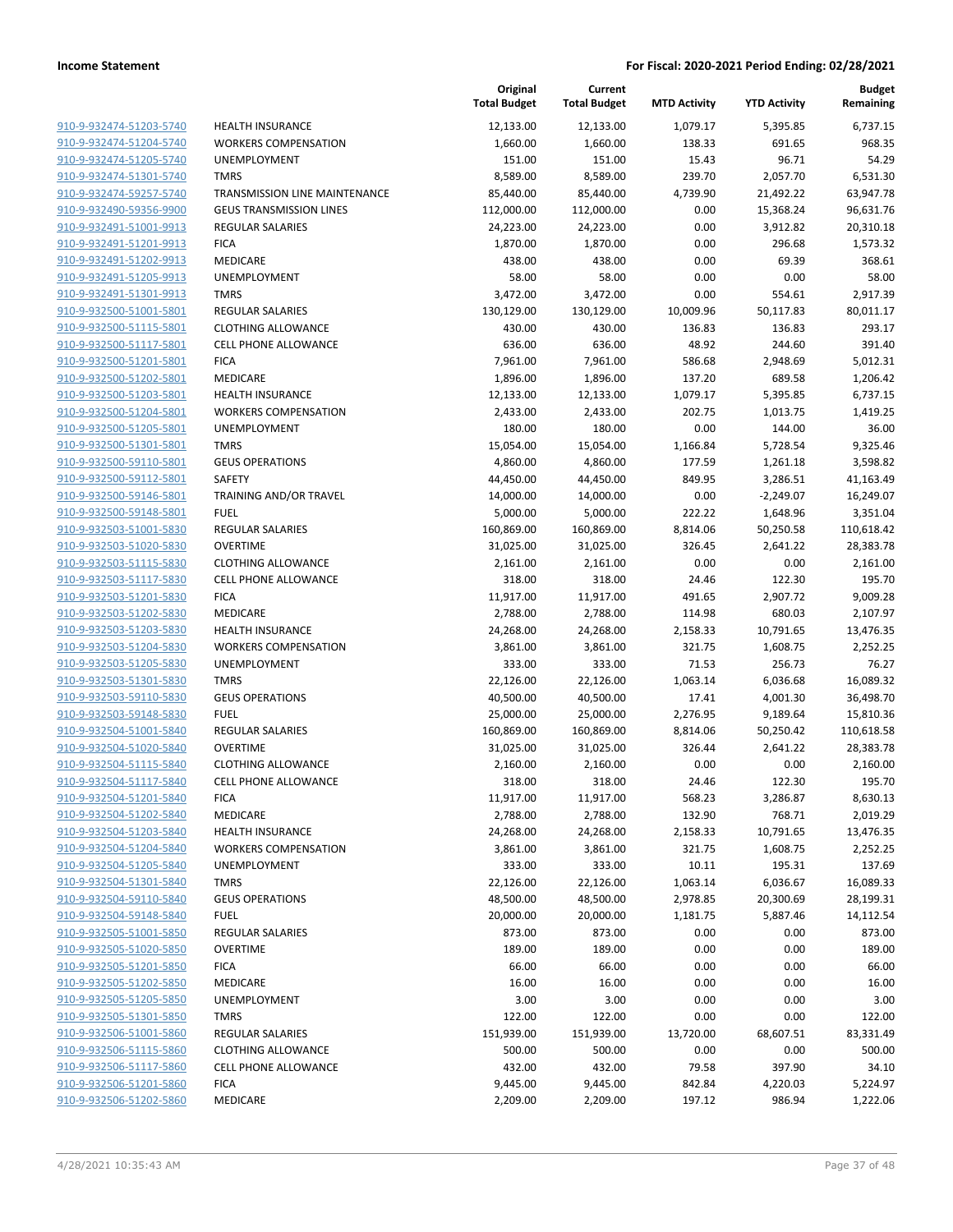|                         |                                | Original<br><b>Total Budget</b> | Current<br><b>Total Budget</b> | <b>MTD Activity</b> | <b>YTD Activity</b> | <b>Budget</b><br>Remaining |
|-------------------------|--------------------------------|---------------------------------|--------------------------------|---------------------|---------------------|----------------------------|
| 910-9-932474-51203-5740 | <b>HEALTH INSURANCE</b>        | 12,133.00                       | 12,133.00                      | 1,079.17            | 5,395.85            | 6,737.15                   |
| 910-9-932474-51204-5740 | <b>WORKERS COMPENSATION</b>    | 1,660.00                        | 1,660.00                       | 138.33              | 691.65              | 968.35                     |
| 910-9-932474-51205-5740 | UNEMPLOYMENT                   | 151.00                          | 151.00                         | 15.43               | 96.71               | 54.29                      |
| 910-9-932474-51301-5740 | <b>TMRS</b>                    | 8,589.00                        | 8,589.00                       | 239.70              | 2,057.70            | 6,531.30                   |
| 910-9-932474-59257-5740 | TRANSMISSION LINE MAINTENANCE  | 85,440.00                       | 85,440.00                      | 4,739.90            | 21,492.22           | 63,947.78                  |
| 910-9-932490-59356-9900 | <b>GEUS TRANSMISSION LINES</b> | 112,000.00                      | 112,000.00                     | 0.00                | 15,368.24           | 96,631.76                  |
| 910-9-932491-51001-9913 | REGULAR SALARIES               | 24,223.00                       | 24,223.00                      | 0.00                | 3,912.82            | 20,310.18                  |
| 910-9-932491-51201-9913 | <b>FICA</b>                    | 1,870.00                        | 1,870.00                       | 0.00                | 296.68              | 1,573.32                   |
| 910-9-932491-51202-9913 | MEDICARE                       | 438.00                          | 438.00                         | 0.00                | 69.39               | 368.61                     |
| 910-9-932491-51205-9913 | <b>UNEMPLOYMENT</b>            | 58.00                           | 58.00                          | 0.00                | 0.00                | 58.00                      |
| 910-9-932491-51301-9913 | <b>TMRS</b>                    | 3,472.00                        | 3,472.00                       | 0.00                | 554.61              | 2,917.39                   |
| 910-9-932500-51001-5801 | REGULAR SALARIES               | 130,129.00                      | 130,129.00                     | 10,009.96           | 50,117.83           | 80,011.17                  |
| 910-9-932500-51115-5801 | <b>CLOTHING ALLOWANCE</b>      | 430.00                          | 430.00                         | 136.83              | 136.83              | 293.17                     |
| 910-9-932500-51117-5801 | <b>CELL PHONE ALLOWANCE</b>    | 636.00                          | 636.00                         | 48.92               | 244.60              | 391.40                     |
| 910-9-932500-51201-5801 | <b>FICA</b>                    | 7,961.00                        | 7,961.00                       | 586.68              | 2,948.69            | 5,012.31                   |
| 910-9-932500-51202-5801 | MEDICARE                       | 1,896.00                        | 1,896.00                       | 137.20              | 689.58              | 1,206.42                   |
| 910-9-932500-51203-5801 | <b>HEALTH INSURANCE</b>        | 12,133.00                       | 12,133.00                      | 1,079.17            | 5,395.85            | 6,737.15                   |
| 910-9-932500-51204-5801 | <b>WORKERS COMPENSATION</b>    | 2,433.00                        | 2,433.00                       | 202.75              | 1,013.75            | 1,419.25                   |
| 910-9-932500-51205-5801 | UNEMPLOYMENT                   | 180.00                          | 180.00                         | 0.00                | 144.00              | 36.00                      |
| 910-9-932500-51301-5801 | <b>TMRS</b>                    | 15,054.00                       | 15,054.00                      | 1,166.84            | 5,728.54            | 9,325.46                   |
| 910-9-932500-59110-5801 | <b>GEUS OPERATIONS</b>         | 4,860.00                        | 4,860.00                       | 177.59              | 1,261.18            | 3,598.82                   |
| 910-9-932500-59112-5801 | SAFETY                         | 44,450.00                       | 44,450.00                      | 849.95              | 3,286.51            | 41,163.49                  |
| 910-9-932500-59146-5801 | TRAINING AND/OR TRAVEL         | 14,000.00                       | 14,000.00                      | 0.00                | $-2,249.07$         | 16,249.07                  |
| 910-9-932500-59148-5801 | <b>FUEL</b>                    | 5,000.00                        | 5,000.00                       | 222.22              | 1,648.96            | 3,351.04                   |
| 910-9-932503-51001-5830 | REGULAR SALARIES               | 160,869.00                      | 160,869.00                     | 8,814.06            | 50,250.58           | 110,618.42                 |
| 910-9-932503-51020-5830 | <b>OVERTIME</b>                | 31,025.00                       | 31,025.00                      | 326.45              | 2,641.22            | 28,383.78                  |
| 910-9-932503-51115-5830 | <b>CLOTHING ALLOWANCE</b>      | 2,161.00                        | 2,161.00                       | 0.00                | 0.00                | 2,161.00                   |
| 910-9-932503-51117-5830 | <b>CELL PHONE ALLOWANCE</b>    | 318.00                          | 318.00                         | 24.46               | 122.30              | 195.70                     |
| 910-9-932503-51201-5830 | <b>FICA</b>                    | 11,917.00                       | 11,917.00                      | 491.65              | 2,907.72            | 9,009.28                   |
| 910-9-932503-51202-5830 | MEDICARE                       | 2,788.00                        | 2,788.00                       | 114.98              | 680.03              | 2,107.97                   |
| 910-9-932503-51203-5830 | <b>HEALTH INSURANCE</b>        | 24,268.00                       | 24,268.00                      | 2,158.33            | 10,791.65           | 13,476.35                  |
| 910-9-932503-51204-5830 | <b>WORKERS COMPENSATION</b>    | 3,861.00                        | 3,861.00                       | 321.75              | 1,608.75            | 2,252.25                   |
| 910-9-932503-51205-5830 | UNEMPLOYMENT                   | 333.00                          | 333.00                         | 71.53               | 256.73              | 76.27                      |
| 910-9-932503-51301-5830 | <b>TMRS</b>                    | 22,126.00                       | 22,126.00                      | 1,063.14            | 6,036.68            | 16,089.32                  |
| 910-9-932503-59110-5830 | <b>GEUS OPERATIONS</b>         | 40,500.00                       | 40,500.00                      | 17.41               | 4,001.30            | 36,498.70                  |
| 910-9-932503-59148-5830 | <b>FUEL</b>                    | 25,000.00                       | 25,000.00                      | 2,276.95            | 9,189.64            | 15,810.36                  |
| 910-9-932504-51001-5840 | REGULAR SALARIES               | 160,869.00                      | 160,869.00                     | 8,814.06            | 50,250.42           | 110,618.58                 |
| 910-9-932504-51020-5840 | <b>OVERTIME</b>                | 31,025.00                       | 31,025.00                      | 326.44              | 2,641.22            | 28,383.78                  |
| 910-9-932504-51115-5840 | <b>CLOTHING ALLOWANCE</b>      | 2,160.00                        | 2,160.00                       | 0.00                | 0.00                | 2,160.00                   |
| 910-9-932504-51117-5840 | <b>CELL PHONE ALLOWANCE</b>    | 318.00                          | 318.00                         | 24.46               | 122.30              | 195.70                     |
| 910-9-932504-51201-5840 | <b>FICA</b>                    | 11,917.00                       | 11,917.00                      | 568.23              | 3,286.87            | 8,630.13                   |
| 910-9-932504-51202-5840 | MEDICARE                       | 2,788.00                        | 2,788.00                       | 132.90              | 768.71              | 2,019.29                   |
| 910-9-932504-51203-5840 | <b>HEALTH INSURANCE</b>        | 24,268.00                       | 24,268.00                      | 2,158.33            | 10,791.65           | 13,476.35                  |
| 910-9-932504-51204-5840 | <b>WORKERS COMPENSATION</b>    | 3,861.00                        | 3,861.00                       | 321.75              | 1,608.75            | 2,252.25                   |
| 910-9-932504-51205-5840 | <b>UNEMPLOYMENT</b>            | 333.00                          | 333.00                         | 10.11               | 195.31              | 137.69                     |
| 910-9-932504-51301-5840 | <b>TMRS</b>                    | 22,126.00                       | 22,126.00                      | 1,063.14            | 6,036.67            | 16,089.33                  |
| 910-9-932504-59110-5840 | <b>GEUS OPERATIONS</b>         | 48,500.00                       | 48,500.00                      | 2,978.85            | 20,300.69           | 28,199.31                  |
| 910-9-932504-59148-5840 | <b>FUEL</b>                    | 20,000.00                       | 20,000.00                      | 1,181.75            | 5,887.46            | 14,112.54                  |
| 910-9-932505-51001-5850 | <b>REGULAR SALARIES</b>        | 873.00                          | 873.00                         | 0.00                | 0.00                | 873.00                     |
| 910-9-932505-51020-5850 | <b>OVERTIME</b>                | 189.00                          | 189.00                         | 0.00                | 0.00                | 189.00                     |
| 910-9-932505-51201-5850 | <b>FICA</b>                    | 66.00                           | 66.00                          | 0.00                | 0.00                | 66.00                      |
| 910-9-932505-51202-5850 | MEDICARE                       | 16.00                           | 16.00                          | 0.00                | 0.00                | 16.00                      |
| 910-9-932505-51205-5850 | UNEMPLOYMENT                   | 3.00                            | 3.00                           | 0.00                | 0.00                | 3.00                       |
| 910-9-932505-51301-5850 | <b>TMRS</b>                    | 122.00                          | 122.00                         | 0.00                | 0.00                | 122.00                     |
| 910-9-932506-51001-5860 | REGULAR SALARIES               | 151,939.00                      | 151,939.00                     | 13,720.00           | 68,607.51           | 83,331.49                  |
| 910-9-932506-51115-5860 | <b>CLOTHING ALLOWANCE</b>      | 500.00                          | 500.00                         | 0.00                | 0.00                | 500.00                     |
| 910-9-932506-51117-5860 | <b>CELL PHONE ALLOWANCE</b>    | 432.00                          | 432.00                         | 79.58               | 397.90              | 34.10                      |
| 910-9-932506-51201-5860 | <b>FICA</b>                    | 9,445.00                        | 9,445.00                       | 842.84              | 4,220.03            | 5,224.97                   |
| 910-9-932506-51202-5860 | MEDICARE                       | 2,209.00                        | 2,209.00                       | 197.12              | 986.94              | 1,222.06                   |
|                         |                                |                                 |                                |                     |                     |                            |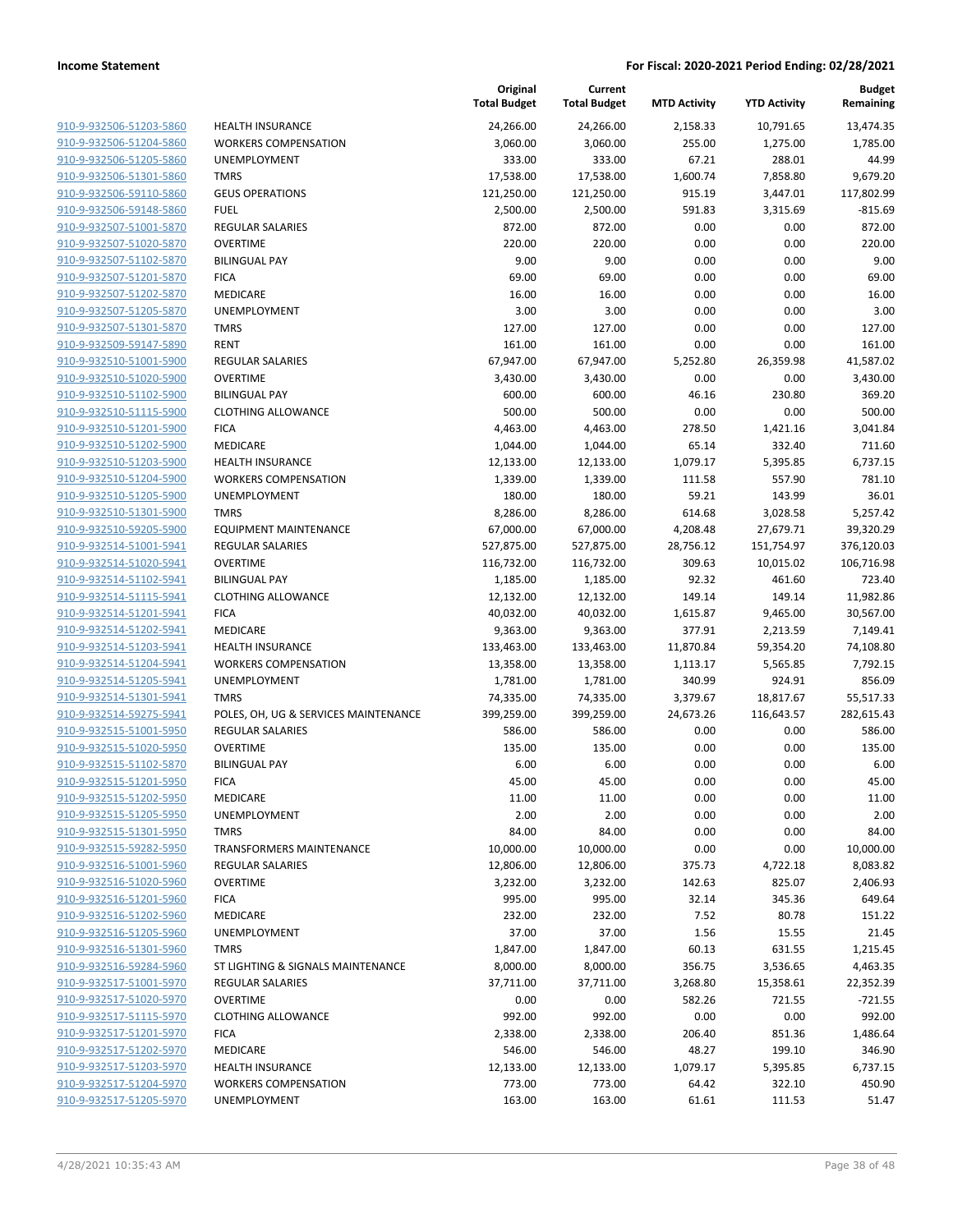| 910-9-932506-51203-5860        |
|--------------------------------|
| 910-9-932506-51204-5860        |
| 910-9-932506-51205-5860        |
| 910-9-932506-51301-5860        |
| <u>910-9-932506-59110-5860</u> |
| 910-9-932506-59148-5860        |
| 910-9-932507-51001-5870        |
| 910-9-932507-51020-5870        |
| 910-9-932507-51102-5870        |
| 910-9-932507-51201-5870        |
| 910-9-932507-51202-5870        |
| 910-9-932507-51205-5870        |
| 910-9-932507-51301-5870        |
| 910-9-932509-59147-5890        |
| <u>910-9-932510-51001-5900</u> |
| 910-9-932510-51020-5900        |
| 910-9-932510-51102-5900        |
| 910-9-932510-51115-5900        |
| 910-9-932510-51201-5900        |
| <u>910-9-932510-51202-5900</u> |
| 910-9-932510-51203-5900        |
| 910-9-932510-51204-5900        |
|                                |
| 910-9-932510-51205-5900        |
| 910-9-932510-51301-5900        |
| <u>910-9-932510-59205-5900</u> |
| 910-9-932514-51001-5941        |
| 910-9-932514-51020-5941        |
| 910-9-932514-51102-5941        |
| 910-9-932514-51115-5941        |
| 910-9-932514-51201-5941        |
| 910-9-932514-51202-5941        |
| 910-9-932514-51203-5941        |
| 910-9-932514-51204-5941        |
| 910-9-932514-51205-5941        |
| <u>910-9-932514-51301-5941</u> |
| 910-9-932514-59275-5941        |
| 910-9-932515-51001-5950        |
| 910-9-932515-51020-5950        |
| 910-9-932515-51102-5870        |
| 910-9-932515-51201-5950        |
| 910-9-932515-51202-5950        |
| 910-9-932515-51205-5950        |
| 910-9-932515-51301-5950        |
| 910-9-932515-59282-5950        |
| 910-9-932516-51001-5960        |
| 910-9-932516-51020-5960        |
| 910-9-932516-51201-5960        |
| 910-9-932516-51202-5960        |
| 910-9-932516-51205-5960        |
| <u>910-9-932516-51301-5960</u> |
| 910-9-932516-59284-5960        |
| 910-9-932517-51001-5970        |
| 910-9-932517-51020-5970        |
|                                |
| 910-9-932517-51115-5970        |
| 910-9-932517-51201-5970        |
| 910-9-932517-51202-5970        |
| 910-9-932517-51203-5970        |
| 910-9-932517-51204-5970        |
| 910-9-932517-51205-5970        |
|                                |

|                                                    |                                                            | Original<br><b>Total Budget</b> | Current<br><b>Total Budget</b> | <b>MTD Activity</b> | <b>YTD Activity</b> | <b>Budget</b><br>Remaining |
|----------------------------------------------------|------------------------------------------------------------|---------------------------------|--------------------------------|---------------------|---------------------|----------------------------|
| 910-9-932506-51203-5860                            | <b>HEALTH INSURANCE</b>                                    | 24,266.00                       | 24,266.00                      | 2,158.33            | 10,791.65           | 13,474.35                  |
| 910-9-932506-51204-5860                            | <b>WORKERS COMPENSATION</b>                                | 3,060.00                        | 3,060.00                       | 255.00              | 1,275.00            | 1,785.00                   |
| 910-9-932506-51205-5860                            | UNEMPLOYMENT                                               | 333.00                          | 333.00                         | 67.21               | 288.01              | 44.99                      |
| 910-9-932506-51301-5860                            | <b>TMRS</b>                                                | 17,538.00                       | 17,538.00                      | 1,600.74            | 7,858.80            | 9,679.20                   |
| 910-9-932506-59110-5860                            | <b>GEUS OPERATIONS</b>                                     | 121,250.00                      | 121,250.00                     | 915.19              | 3,447.01            | 117,802.99                 |
| 910-9-932506-59148-5860                            | <b>FUEL</b>                                                | 2,500.00                        | 2,500.00                       | 591.83              | 3,315.69            | $-815.69$                  |
| 910-9-932507-51001-5870                            | REGULAR SALARIES                                           | 872.00                          | 872.00                         | 0.00                | 0.00                | 872.00                     |
| 910-9-932507-51020-5870                            | <b>OVERTIME</b>                                            | 220.00                          | 220.00                         | 0.00                | 0.00                | 220.00                     |
| 910-9-932507-51102-5870                            | <b>BILINGUAL PAY</b>                                       | 9.00                            | 9.00                           | 0.00                | 0.00                | 9.00                       |
| 910-9-932507-51201-5870                            | <b>FICA</b>                                                | 69.00                           | 69.00                          | 0.00                | 0.00                | 69.00                      |
| 910-9-932507-51202-5870                            | <b>MEDICARE</b>                                            | 16.00                           | 16.00                          | 0.00                | 0.00                | 16.00                      |
| 910-9-932507-51205-5870                            | UNEMPLOYMENT                                               | 3.00                            | 3.00                           | 0.00                | 0.00                | 3.00                       |
| 910-9-932507-51301-5870                            | <b>TMRS</b>                                                | 127.00                          | 127.00                         | 0.00                | 0.00                | 127.00                     |
| 910-9-932509-59147-5890                            | <b>RENT</b>                                                | 161.00                          | 161.00                         | 0.00                | 0.00                | 161.00                     |
| 910-9-932510-51001-5900                            | REGULAR SALARIES                                           | 67,947.00                       | 67,947.00                      | 5,252.80            | 26,359.98           | 41,587.02                  |
| 910-9-932510-51020-5900                            | <b>OVERTIME</b>                                            | 3,430.00                        | 3,430.00                       | 0.00                | 0.00                | 3,430.00                   |
| 910-9-932510-51102-5900                            | <b>BILINGUAL PAY</b>                                       | 600.00                          | 600.00                         | 46.16               | 230.80              | 369.20                     |
| 910-9-932510-51115-5900                            | <b>CLOTHING ALLOWANCE</b>                                  | 500.00                          | 500.00                         | 0.00                | 0.00                | 500.00                     |
| 910-9-932510-51201-5900                            | <b>FICA</b>                                                | 4,463.00                        | 4,463.00                       | 278.50              | 1,421.16            | 3,041.84                   |
| 910-9-932510-51202-5900                            | MEDICARE                                                   | 1,044.00                        | 1,044.00                       | 65.14               | 332.40              | 711.60                     |
| 910-9-932510-51203-5900                            | <b>HEALTH INSURANCE</b>                                    | 12,133.00                       | 12,133.00                      | 1,079.17            | 5,395.85            | 6,737.15                   |
| 910-9-932510-51204-5900                            | <b>WORKERS COMPENSATION</b>                                | 1,339.00                        | 1,339.00                       | 111.58              | 557.90              | 781.10                     |
| 910-9-932510-51205-5900                            | UNEMPLOYMENT                                               | 180.00                          | 180.00                         | 59.21               | 143.99              | 36.01                      |
| 910-9-932510-51301-5900                            | <b>TMRS</b>                                                | 8,286.00                        | 8,286.00                       | 614.68              | 3,028.58            | 5,257.42                   |
| 910-9-932510-59205-5900                            | <b>EQUIPMENT MAINTENANCE</b>                               | 67,000.00                       | 67,000.00                      | 4,208.48            | 27,679.71           | 39,320.29                  |
| 910-9-932514-51001-5941                            | REGULAR SALARIES                                           | 527,875.00                      | 527,875.00                     | 28,756.12           | 151,754.97          | 376,120.03                 |
| 910-9-932514-51020-5941                            | <b>OVERTIME</b>                                            | 116,732.00                      | 116,732.00                     | 309.63              | 10,015.02           | 106,716.98                 |
| 910-9-932514-51102-5941                            | <b>BILINGUAL PAY</b>                                       | 1,185.00                        | 1,185.00                       | 92.32               | 461.60              | 723.40                     |
| 910-9-932514-51115-5941                            | <b>CLOTHING ALLOWANCE</b>                                  | 12,132.00                       | 12,132.00                      | 149.14              | 149.14              | 11,982.86                  |
| 910-9-932514-51201-5941                            | <b>FICA</b>                                                | 40,032.00                       | 40,032.00                      | 1,615.87            | 9,465.00            | 30,567.00                  |
| 910-9-932514-51202-5941                            | MEDICARE                                                   | 9,363.00                        | 9,363.00                       | 377.91              | 2,213.59            | 7,149.41                   |
| 910-9-932514-51203-5941                            | <b>HEALTH INSURANCE</b>                                    | 133,463.00                      | 133,463.00                     | 11,870.84           | 59,354.20           | 74,108.80                  |
| 910-9-932514-51204-5941                            | <b>WORKERS COMPENSATION</b>                                | 13,358.00                       | 13,358.00                      | 1,113.17            | 5,565.85            | 7,792.15                   |
| 910-9-932514-51205-5941                            | UNEMPLOYMENT                                               | 1,781.00                        | 1,781.00                       | 340.99              | 924.91              | 856.09                     |
| 910-9-932514-51301-5941                            | <b>TMRS</b>                                                | 74,335.00                       | 74,335.00                      | 3,379.67            | 18,817.67           | 55,517.33                  |
| 910-9-932514-59275-5941                            | POLES, OH, UG & SERVICES MAINTENANCE                       | 399,259.00                      | 399,259.00                     | 24,673.26           | 116,643.57          | 282,615.43                 |
| 910-9-932515-51001-5950                            | <b>REGULAR SALARIES</b>                                    | 586.00                          | 586.00                         | 0.00                | 0.00                | 586.00                     |
| 910-9-932515-51020-5950                            | <b>OVERTIME</b>                                            | 135.00                          | 135.00                         | 0.00                | 0.00                | 135.00                     |
| 910-9-932515-51102-5870                            | <b>BILINGUAL PAY</b>                                       | 6.00                            | 6.00                           | 0.00                | 0.00                | 6.00                       |
| 910-9-932515-51201-5950                            | <b>FICA</b>                                                | 45.00                           | 45.00                          | 0.00                | 0.00                | 45.00                      |
| 910-9-932515-51202-5950                            | MEDICARE                                                   | 11.00                           | 11.00                          | 0.00                | 0.00                | 11.00                      |
| 910-9-932515-51205-5950                            | UNEMPLOYMENT                                               | 2.00                            | 2.00                           | 0.00                | 0.00                | 2.00                       |
| 910-9-932515-51301-5950<br>910-9-932515-59282-5950 | <b>TMRS</b>                                                | 84.00                           | 84.00                          | 0.00                | 0.00                | 84.00                      |
| 910-9-932516-51001-5960                            | <b>TRANSFORMERS MAINTENANCE</b><br><b>REGULAR SALARIES</b> | 10,000.00<br>12,806.00          | 10,000.00<br>12,806.00         | 0.00<br>375.73      | 0.00<br>4,722.18    | 10,000.00<br>8,083.82      |
| 910-9-932516-51020-5960                            | <b>OVERTIME</b>                                            |                                 | 3,232.00                       | 142.63              | 825.07              | 2,406.93                   |
| 910-9-932516-51201-5960                            | <b>FICA</b>                                                | 3,232.00<br>995.00              | 995.00                         | 32.14               | 345.36              | 649.64                     |
| 910-9-932516-51202-5960                            | MEDICARE                                                   | 232.00                          | 232.00                         | 7.52                | 80.78               | 151.22                     |
| 910-9-932516-51205-5960                            | UNEMPLOYMENT                                               | 37.00                           | 37.00                          | 1.56                | 15.55               | 21.45                      |
| 910-9-932516-51301-5960                            | <b>TMRS</b>                                                | 1,847.00                        | 1,847.00                       | 60.13               | 631.55              | 1,215.45                   |
| 910-9-932516-59284-5960                            | ST LIGHTING & SIGNALS MAINTENANCE                          | 8,000.00                        | 8,000.00                       | 356.75              | 3,536.65            | 4,463.35                   |
| 910-9-932517-51001-5970                            | <b>REGULAR SALARIES</b>                                    | 37,711.00                       | 37,711.00                      | 3,268.80            | 15,358.61           | 22,352.39                  |
| 910-9-932517-51020-5970                            | <b>OVERTIME</b>                                            | 0.00                            | 0.00                           | 582.26              | 721.55              | $-721.55$                  |
| 910-9-932517-51115-5970                            | <b>CLOTHING ALLOWANCE</b>                                  | 992.00                          | 992.00                         | 0.00                | 0.00                | 992.00                     |
| 910-9-932517-51201-5970                            | <b>FICA</b>                                                | 2,338.00                        | 2,338.00                       | 206.40              | 851.36              | 1,486.64                   |
| 910-9-932517-51202-5970                            | MEDICARE                                                   | 546.00                          | 546.00                         | 48.27               | 199.10              | 346.90                     |
| 910-9-932517-51203-5970                            | <b>HEALTH INSURANCE</b>                                    | 12,133.00                       | 12,133.00                      | 1,079.17            | 5,395.85            | 6,737.15                   |
| 910-9-932517-51204-5970                            | <b>WORKERS COMPENSATION</b>                                | 773.00                          | 773.00                         | 64.42               | 322.10              | 450.90                     |
| 910-9-932517-51205-5970                            | UNEMPLOYMENT                                               | 163.00                          | 163.00                         | 61.61               | 111.53              | 51.47                      |
|                                                    |                                                            |                                 |                                |                     |                     |                            |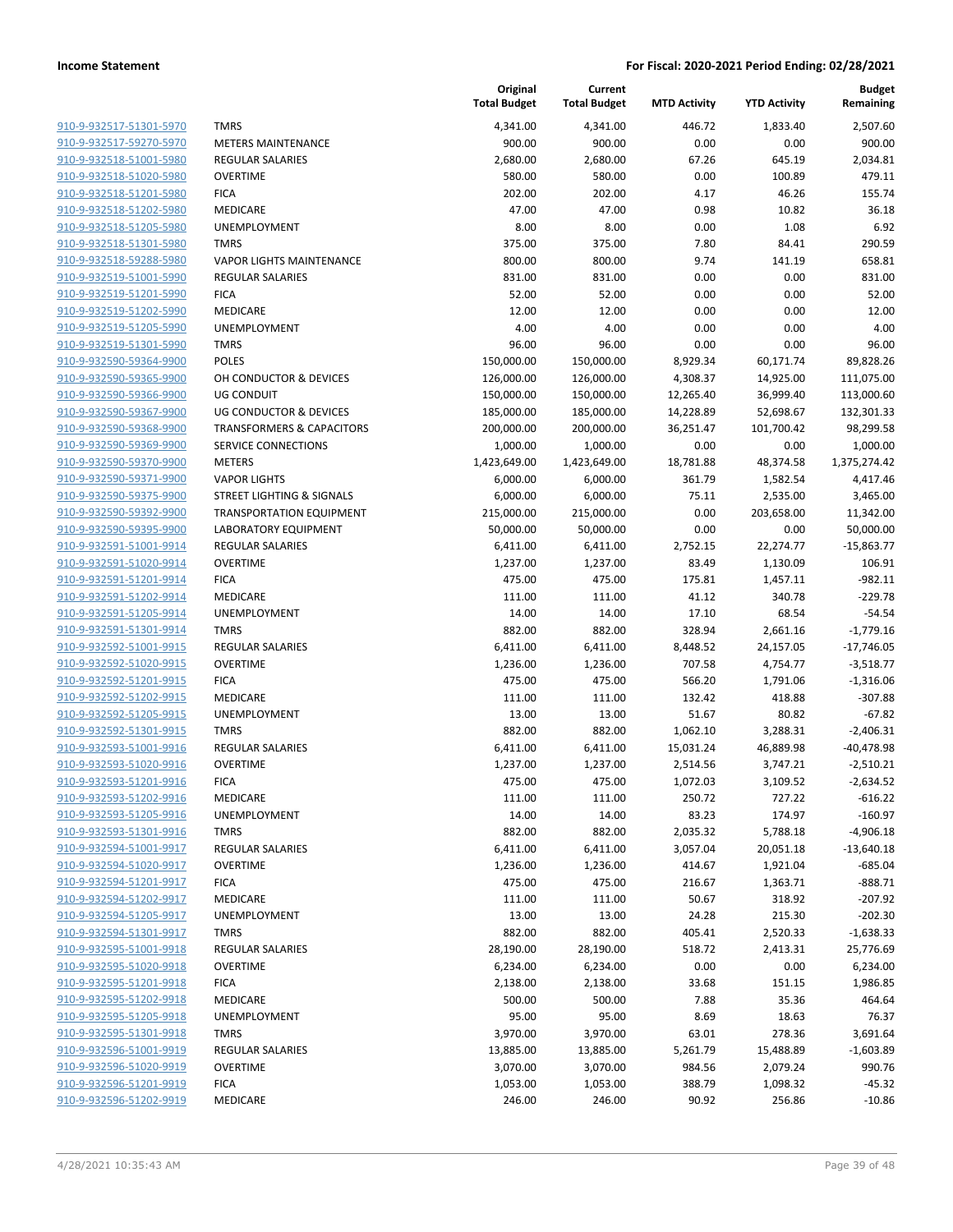| 910-9-932517-51301-5970        |
|--------------------------------|
| 910-9-932517-59270-5970        |
| 910-9-932518-51001-5980        |
| 910-9-932518-51020-5980        |
| 910-9-932518-51201-5980        |
| 910-9-932518-51202-5980        |
| 910-9-932518-51205-5980        |
| 910-9-932518-51301-5980        |
| 910-9-932518-59288-5980        |
| 910-9-932519-51001-5990        |
| 910-9-932519-51201-5990        |
| 910-9-932519-51202-5990        |
| 910-9-932519-51205-5990        |
| 910-9-932519-51301-5990        |
| 910-9-932590-59364-9900        |
| 910-9-932590-59365-9900        |
| 910-9-932590-59366-9900        |
| 910-9-932590-59367-9900        |
| 910-9-932590-59368-9900        |
| 910-9-932590-59369-9900        |
| 910-9-932590-59370-9900        |
| 910-9-932590-59371-9900        |
|                                |
| 910-9-932590-59375-9900        |
| 910-9-932590-59392-9900        |
| 910-9-932590-59395-9900        |
| 910-9-932591-51001-9914        |
| <u>910-9-932591-51020-9914</u> |
| 910-9-932591-51201-9914        |
| 910-9-932591-51202-9914        |
| 910-9-932591-51205-9914        |
| 910-9-932591-51301-9914        |
| 910-9-932592-51001-9915        |
| 910-9-932592-51020-9915        |
| 910-9-932592-51201-9915        |
| 910-9-932592-51202-9915        |
| 910-9-932592-51205-9915        |
| 910-9-932592-51301-9915        |
| 910-9-932593-51001-9916        |
| 910-9-932593-51020-9916        |
| 910-9-932593-51201-9916        |
| 910-9-932593-51202-9916        |
| <u>910-9-932593-51205-9916</u> |
| 910-9-932593-51301-9916        |
| 910-9-932594-51001-9917        |
| 910-9-932594-51020-9917        |
| 910-9-932594-51201-9917        |
| 910-9-932594-51202-9917        |
| 910-9-932594-51205-9917        |
| 910-9-932594-51301-9917        |
| 910-9-932595-51001-9918        |
| 910-9-932595-51020-9918        |
| 910-9-932595-51201-9918        |
| 910-9-932595-51202-9918        |
| 910-9-932595-51205-9918        |
| 910-9-932595-51301-9918        |
| 910-9-932596-51001-9919        |
| 910-9-932596-51020-9919        |
| 910-9-932596-51201-9919        |
| 910-9-932596-51202-9919        |
|                                |

|                         |                                      | Original<br><b>Total Budget</b> | Current<br><b>Total Budget</b> | <b>MTD Activity</b> | <b>YTD Activity</b> | <b>Budget</b><br>Remaining |
|-------------------------|--------------------------------------|---------------------------------|--------------------------------|---------------------|---------------------|----------------------------|
| 910-9-932517-51301-5970 | <b>TMRS</b>                          | 4,341.00                        | 4,341.00                       | 446.72              | 1,833.40            | 2,507.60                   |
| 910-9-932517-59270-5970 | <b>METERS MAINTENANCE</b>            | 900.00                          | 900.00                         | 0.00                | 0.00                | 900.00                     |
| 910-9-932518-51001-5980 | <b>REGULAR SALARIES</b>              | 2,680.00                        | 2,680.00                       | 67.26               | 645.19              | 2,034.81                   |
| 910-9-932518-51020-5980 | <b>OVERTIME</b>                      | 580.00                          | 580.00                         | 0.00                | 100.89              | 479.11                     |
| 910-9-932518-51201-5980 | <b>FICA</b>                          | 202.00                          | 202.00                         | 4.17                | 46.26               | 155.74                     |
| 910-9-932518-51202-5980 | <b>MEDICARE</b>                      | 47.00                           | 47.00                          | 0.98                | 10.82               | 36.18                      |
| 910-9-932518-51205-5980 | UNEMPLOYMENT                         | 8.00                            | 8.00                           | 0.00                | 1.08                | 6.92                       |
| 910-9-932518-51301-5980 | <b>TMRS</b>                          | 375.00                          | 375.00                         | 7.80                | 84.41               | 290.59                     |
| 910-9-932518-59288-5980 | <b>VAPOR LIGHTS MAINTENANCE</b>      | 800.00                          | 800.00                         | 9.74                | 141.19              | 658.81                     |
| 910-9-932519-51001-5990 | <b>REGULAR SALARIES</b>              | 831.00                          | 831.00                         | 0.00                | 0.00                | 831.00                     |
| 910-9-932519-51201-5990 | <b>FICA</b>                          | 52.00                           | 52.00                          | 0.00                | 0.00                | 52.00                      |
| 910-9-932519-51202-5990 | MEDICARE                             | 12.00                           | 12.00                          | 0.00                | 0.00                | 12.00                      |
| 910-9-932519-51205-5990 | UNEMPLOYMENT                         | 4.00                            | 4.00                           | 0.00                | 0.00                | 4.00                       |
| 910-9-932519-51301-5990 | <b>TMRS</b>                          | 96.00                           | 96.00                          | 0.00                | 0.00                | 96.00                      |
| 910-9-932590-59364-9900 | <b>POLES</b>                         | 150,000.00                      | 150,000.00                     | 8,929.34            | 60,171.74           | 89,828.26                  |
| 910-9-932590-59365-9900 | OH CONDUCTOR & DEVICES               | 126,000.00                      | 126,000.00                     | 4,308.37            | 14,925.00           | 111,075.00                 |
| 910-9-932590-59366-9900 | <b>UG CONDUIT</b>                    | 150,000.00                      | 150,000.00                     | 12,265.40           | 36,999.40           | 113,000.60                 |
| 910-9-932590-59367-9900 | <b>UG CONDUCTOR &amp; DEVICES</b>    |                                 |                                | 14,228.89           |                     |                            |
|                         |                                      | 185,000.00                      | 185,000.00                     |                     | 52,698.67           | 132,301.33                 |
| 910-9-932590-59368-9900 | <b>TRANSFORMERS &amp; CAPACITORS</b> | 200,000.00                      | 200,000.00                     | 36,251.47           | 101,700.42          | 98,299.58                  |
| 910-9-932590-59369-9900 | SERVICE CONNECTIONS                  | 1,000.00                        | 1,000.00                       | 0.00                | 0.00                | 1,000.00                   |
| 910-9-932590-59370-9900 | <b>METERS</b>                        | 1,423,649.00                    | 1,423,649.00                   | 18,781.88           | 48,374.58           | 1,375,274.42               |
| 910-9-932590-59371-9900 | <b>VAPOR LIGHTS</b>                  | 6,000.00                        | 6,000.00                       | 361.79              | 1,582.54            | 4,417.46                   |
| 910-9-932590-59375-9900 | <b>STREET LIGHTING &amp; SIGNALS</b> | 6,000.00                        | 6,000.00                       | 75.11               | 2,535.00            | 3,465.00                   |
| 910-9-932590-59392-9900 | <b>TRANSPORTATION EQUIPMENT</b>      | 215,000.00                      | 215,000.00                     | 0.00                | 203,658.00          | 11,342.00                  |
| 910-9-932590-59395-9900 | <b>LABORATORY EQUIPMENT</b>          | 50,000.00                       | 50,000.00                      | 0.00                | 0.00                | 50,000.00                  |
| 910-9-932591-51001-9914 | <b>REGULAR SALARIES</b>              | 6,411.00                        | 6,411.00                       | 2,752.15            | 22,274.77           | $-15,863.77$               |
| 910-9-932591-51020-9914 | <b>OVERTIME</b>                      | 1,237.00                        | 1,237.00                       | 83.49               | 1,130.09            | 106.91                     |
| 910-9-932591-51201-9914 | <b>FICA</b>                          | 475.00                          | 475.00                         | 175.81              | 1,457.11            | $-982.11$                  |
| 910-9-932591-51202-9914 | MEDICARE                             | 111.00                          | 111.00                         | 41.12               | 340.78              | $-229.78$                  |
| 910-9-932591-51205-9914 | <b>UNEMPLOYMENT</b>                  | 14.00                           | 14.00                          | 17.10               | 68.54               | $-54.54$                   |
| 910-9-932591-51301-9914 | <b>TMRS</b>                          | 882.00                          | 882.00                         | 328.94              | 2,661.16            | $-1,779.16$                |
| 910-9-932592-51001-9915 | REGULAR SALARIES                     | 6,411.00                        | 6,411.00                       | 8,448.52            | 24,157.05           | $-17,746.05$               |
| 910-9-932592-51020-9915 | <b>OVERTIME</b>                      | 1,236.00                        | 1,236.00                       | 707.58              | 4,754.77            | $-3,518.77$                |
| 910-9-932592-51201-9915 | <b>FICA</b>                          | 475.00                          | 475.00                         | 566.20              | 1,791.06            | $-1,316.06$                |
| 910-9-932592-51202-9915 | MEDICARE                             | 111.00                          | 111.00                         | 132.42              | 418.88              | $-307.88$                  |
| 910-9-932592-51205-9915 | UNEMPLOYMENT                         | 13.00                           | 13.00                          | 51.67               | 80.82               | $-67.82$                   |
| 910-9-932592-51301-9915 | <b>TMRS</b>                          | 882.00                          | 882.00                         | 1,062.10            | 3,288.31            | $-2,406.31$                |
| 910-9-932593-51001-9916 | <b>REGULAR SALARIES</b>              | 6,411.00                        | 6,411.00                       | 15,031.24           | 46,889.98           | $-40,478.98$               |
| 910-9-932593-51020-9916 | <b>OVERTIME</b>                      | 1,237.00                        | 1,237.00                       | 2,514.56            | 3,747.21            | $-2,510.21$                |
| 910-9-932593-51201-9916 | <b>FICA</b>                          | 475.00                          | 475.00                         | 1,072.03            | 3,109.52            | $-2,634.52$                |
| 910-9-932593-51202-9916 | MEDICARE                             | 111.00                          | 111.00                         | 250.72              | 727.22              | $-616.22$                  |
| 910-9-932593-51205-9916 | UNEMPLOYMENT                         | 14.00                           | 14.00                          | 83.23               | 174.97              | $-160.97$                  |
| 910-9-932593-51301-9916 | <b>TMRS</b>                          | 882.00                          | 882.00                         | 2,035.32            | 5,788.18            | $-4,906.18$                |
| 910-9-932594-51001-9917 | <b>REGULAR SALARIES</b>              | 6,411.00                        | 6,411.00                       | 3,057.04            | 20,051.18           | $-13,640.18$               |
| 910-9-932594-51020-9917 | <b>OVERTIME</b>                      | 1,236.00                        | 1,236.00                       | 414.67              | 1,921.04            | $-685.04$                  |
| 910-9-932594-51201-9917 | <b>FICA</b>                          | 475.00                          | 475.00                         | 216.67              |                     | $-888.71$                  |
| 910-9-932594-51202-9917 |                                      |                                 |                                |                     | 1,363.71            |                            |
|                         | MEDICARE                             | 111.00                          | 111.00                         | 50.67               | 318.92              | $-207.92$                  |
| 910-9-932594-51205-9917 | UNEMPLOYMENT                         | 13.00                           | 13.00                          | 24.28               | 215.30              | $-202.30$                  |
| 910-9-932594-51301-9917 | <b>TMRS</b>                          | 882.00                          | 882.00                         | 405.41              | 2,520.33            | $-1,638.33$                |
| 910-9-932595-51001-9918 | <b>REGULAR SALARIES</b>              | 28,190.00                       | 28,190.00                      | 518.72              | 2,413.31            | 25,776.69                  |
| 910-9-932595-51020-9918 | <b>OVERTIME</b>                      | 6,234.00                        | 6,234.00                       | 0.00                | 0.00                | 6,234.00                   |
| 910-9-932595-51201-9918 | <b>FICA</b>                          | 2,138.00                        | 2,138.00                       | 33.68               | 151.15              | 1,986.85                   |
| 910-9-932595-51202-9918 | MEDICARE                             | 500.00                          | 500.00                         | 7.88                | 35.36               | 464.64                     |
| 910-9-932595-51205-9918 | UNEMPLOYMENT                         | 95.00                           | 95.00                          | 8.69                | 18.63               | 76.37                      |
| 910-9-932595-51301-9918 | <b>TMRS</b>                          | 3,970.00                        | 3,970.00                       | 63.01               | 278.36              | 3,691.64                   |
| 910-9-932596-51001-9919 | <b>REGULAR SALARIES</b>              | 13,885.00                       | 13,885.00                      | 5,261.79            | 15,488.89           | $-1,603.89$                |
| 910-9-932596-51020-9919 | <b>OVERTIME</b>                      | 3,070.00                        | 3,070.00                       | 984.56              | 2,079.24            | 990.76                     |
| 910-9-932596-51201-9919 | <b>FICA</b>                          | 1,053.00                        | 1,053.00                       | 388.79              | 1,098.32            | $-45.32$                   |
| 910-9-932596-51202-9919 | MEDICARE                             | 246.00                          | 246.00                         | 90.92               | 256.86              | $-10.86$                   |
|                         |                                      |                                 |                                |                     |                     |                            |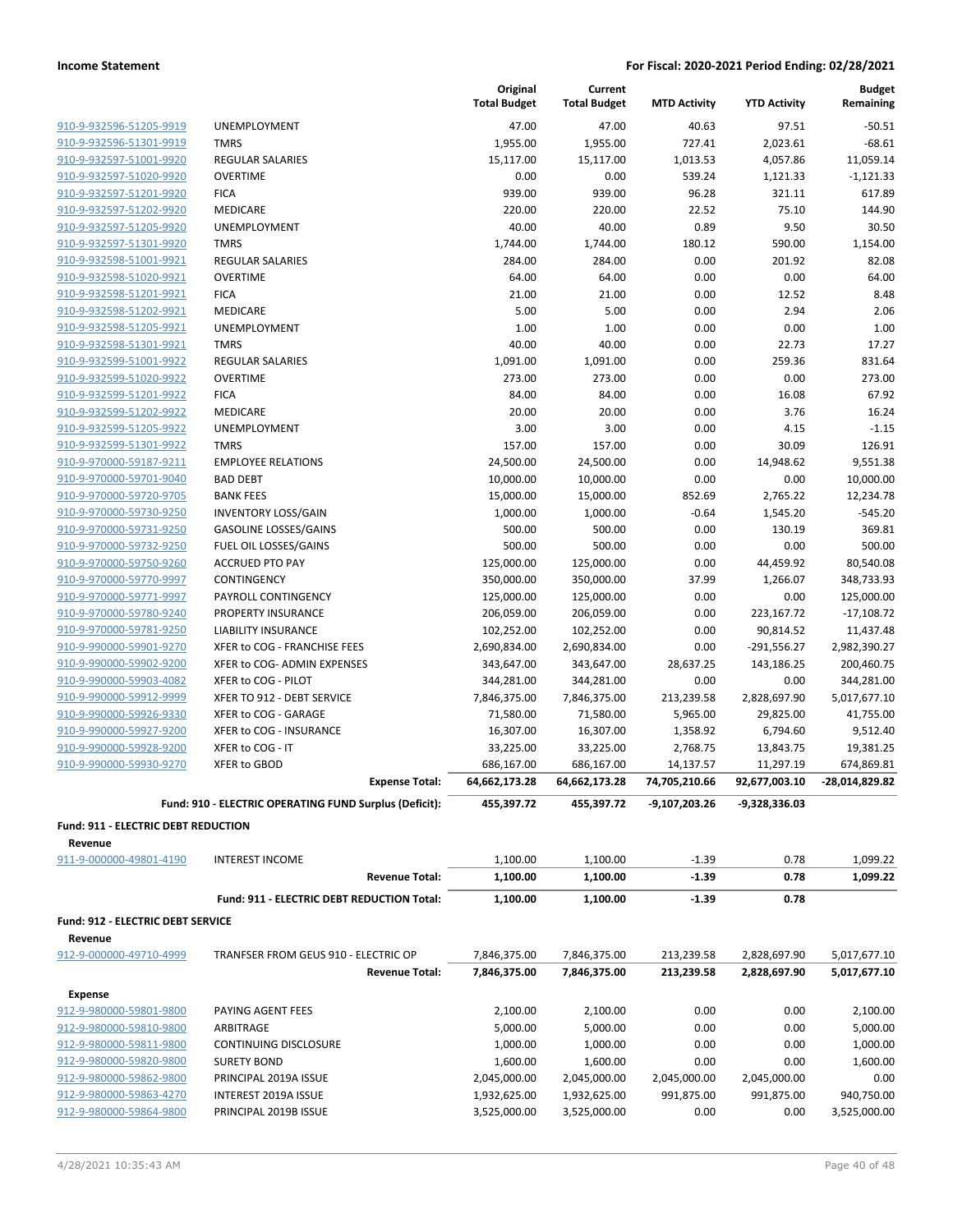|                                                    |                                                        | Original<br><b>Total Budget</b> | Current<br><b>Total Budget</b> | <b>MTD Activity</b> | <b>YTD Activity</b>         | <b>Budget</b><br>Remaining |
|----------------------------------------------------|--------------------------------------------------------|---------------------------------|--------------------------------|---------------------|-----------------------------|----------------------------|
| 910-9-932596-51205-9919                            | <b>UNEMPLOYMENT</b>                                    | 47.00                           | 47.00                          | 40.63               | 97.51                       | $-50.51$                   |
| 910-9-932596-51301-9919                            | <b>TMRS</b>                                            | 1,955.00                        | 1,955.00                       | 727.41              | 2,023.61                    | $-68.61$                   |
| 910-9-932597-51001-9920                            | <b>REGULAR SALARIES</b>                                | 15,117.00                       | 15,117.00                      | 1,013.53            | 4,057.86                    | 11,059.14                  |
| 910-9-932597-51020-9920                            | <b>OVERTIME</b>                                        | 0.00                            | 0.00                           | 539.24              | 1,121.33                    | $-1.121.33$                |
| 910-9-932597-51201-9920                            | <b>FICA</b>                                            | 939.00                          | 939.00                         | 96.28               | 321.11                      | 617.89                     |
| 910-9-932597-51202-9920                            | MEDICARE                                               | 220.00                          | 220.00                         | 22.52               | 75.10                       | 144.90                     |
| 910-9-932597-51205-9920                            | UNEMPLOYMENT                                           | 40.00                           | 40.00                          | 0.89                | 9.50                        | 30.50                      |
| 910-9-932597-51301-9920                            | <b>TMRS</b>                                            | 1,744.00                        | 1,744.00                       | 180.12              | 590.00                      | 1.154.00                   |
| 910-9-932598-51001-9921                            | <b>REGULAR SALARIES</b>                                | 284.00                          | 284.00                         | 0.00                | 201.92                      | 82.08                      |
| 910-9-932598-51020-9921                            | <b>OVERTIME</b>                                        | 64.00                           | 64.00                          | 0.00                | 0.00                        | 64.00                      |
| 910-9-932598-51201-9921                            | <b>FICA</b>                                            | 21.00                           | 21.00                          | 0.00                | 12.52                       | 8.48                       |
| 910-9-932598-51202-9921                            | MEDICARE                                               | 5.00                            | 5.00                           | 0.00                | 2.94                        | 2.06                       |
| 910-9-932598-51205-9921                            | UNEMPLOYMENT                                           | 1.00                            | 1.00                           | 0.00                | 0.00                        | 1.00                       |
| 910-9-932598-51301-9921                            | <b>TMRS</b>                                            | 40.00                           | 40.00                          | 0.00                | 22.73                       | 17.27                      |
| 910-9-932599-51001-9922                            | REGULAR SALARIES                                       | 1,091.00                        | 1,091.00                       | 0.00                | 259.36                      | 831.64                     |
| 910-9-932599-51020-9922                            | <b>OVERTIME</b>                                        | 273.00                          | 273.00                         | 0.00                | 0.00                        | 273.00                     |
| 910-9-932599-51201-9922                            | <b>FICA</b>                                            | 84.00                           | 84.00                          | 0.00                | 16.08                       | 67.92                      |
| 910-9-932599-51202-9922<br>910-9-932599-51205-9922 | MEDICARE                                               | 20.00                           | 20.00                          | 0.00                | 3.76                        | 16.24                      |
|                                                    | UNEMPLOYMENT<br><b>TMRS</b>                            | 3.00<br>157.00                  | 3.00<br>157.00                 | 0.00<br>0.00        | 4.15<br>30.09               | $-1.15$<br>126.91          |
| 910-9-932599-51301-9922<br>910-9-970000-59187-9211 | <b>EMPLOYEE RELATIONS</b>                              | 24,500.00                       |                                | 0.00                | 14,948.62                   | 9,551.38                   |
| 910-9-970000-59701-9040                            | <b>BAD DEBT</b>                                        | 10,000.00                       | 24,500.00<br>10,000.00         | 0.00                | 0.00                        | 10,000.00                  |
| 910-9-970000-59720-9705                            | <b>BANK FEES</b>                                       | 15,000.00                       | 15,000.00                      | 852.69              | 2,765.22                    | 12,234.78                  |
| 910-9-970000-59730-9250                            | <b>INVENTORY LOSS/GAIN</b>                             | 1,000.00                        | 1,000.00                       | $-0.64$             | 1,545.20                    | $-545.20$                  |
| 910-9-970000-59731-9250                            | <b>GASOLINE LOSSES/GAINS</b>                           | 500.00                          | 500.00                         | 0.00                | 130.19                      | 369.81                     |
| 910-9-970000-59732-9250                            | FUEL OIL LOSSES/GAINS                                  | 500.00                          | 500.00                         | 0.00                | 0.00                        | 500.00                     |
| 910-9-970000-59750-9260                            | <b>ACCRUED PTO PAY</b>                                 | 125,000.00                      | 125,000.00                     | 0.00                | 44,459.92                   | 80,540.08                  |
| 910-9-970000-59770-9997                            | CONTINGENCY                                            | 350,000.00                      | 350,000.00                     | 37.99               | 1,266.07                    | 348,733.93                 |
| 910-9-970000-59771-9997                            | PAYROLL CONTINGENCY                                    | 125,000.00                      | 125,000.00                     | 0.00                | 0.00                        | 125,000.00                 |
| 910-9-970000-59780-9240                            | PROPERTY INSURANCE                                     | 206,059.00                      | 206,059.00                     | 0.00                | 223,167.72                  | $-17,108.72$               |
| 910-9-970000-59781-9250                            | LIABILITY INSURANCE                                    | 102,252.00                      | 102,252.00                     | 0.00                | 90,814.52                   | 11,437.48                  |
| 910-9-990000-59901-9270                            | XFER to COG - FRANCHISE FEES                           | 2,690,834.00                    | 2,690,834.00                   | 0.00                | $-291,556.27$               | 2,982,390.27               |
| 910-9-990000-59902-9200                            | XFER to COG- ADMIN EXPENSES                            | 343,647.00                      | 343,647.00                     | 28,637.25           | 143,186.25                  | 200,460.75                 |
| 910-9-990000-59903-4082                            | XFER to COG - PILOT                                    | 344,281.00                      | 344,281.00                     | 0.00                | 0.00                        | 344,281.00                 |
| 910-9-990000-59912-9999                            | XFER TO 912 - DEBT SERVICE                             | 7,846,375.00                    | 7,846,375.00                   | 213,239.58          | 2,828,697.90                | 5,017,677.10               |
| 910-9-990000-59926-9330                            | XFER to COG - GARAGE                                   | 71,580.00                       | 71,580.00                      | 5,965.00            | 29,825.00                   | 41,755.00                  |
| 910-9-990000-59927-9200                            | XFER to COG - INSURANCE                                | 16,307.00                       | 16,307.00                      | 1,358.92            | 6,794.60                    | 9,512.40                   |
| 910-9-990000-59928-9200                            | XFER to COG - IT                                       | 33,225.00                       | 33,225.00                      | 2,768.75            | 13,843.75                   | 19,381.25                  |
| 910-9-990000-59930-9270                            | XFER to GBOD                                           | 686,167.00                      | 686,167.00                     | 14,137.57           | 11,297.19                   | 674,869.81                 |
|                                                    | <b>Expense Total:</b>                                  | 64,662,173.28                   | 64,662,173.28                  |                     | 74,705,210.66 92,677,003.10 | -28,014,829.82             |
|                                                    | Fund: 910 - ELECTRIC OPERATING FUND Surplus (Deficit): | 455,397.72                      | 455,397.72                     | -9,107,203.26       | -9,328,336.03               |                            |
| Fund: 911 - ELECTRIC DEBT REDUCTION                |                                                        |                                 |                                |                     |                             |                            |
| Revenue                                            |                                                        |                                 |                                |                     |                             |                            |
| 911-9-000000-49801-4190                            | <b>INTEREST INCOME</b>                                 | 1,100.00                        | 1,100.00                       | $-1.39$             | 0.78                        | 1,099.22                   |
|                                                    | <b>Revenue Total:</b>                                  | 1,100.00                        | 1,100.00                       | $-1.39$             | 0.78                        | 1,099.22                   |
|                                                    | Fund: 911 - ELECTRIC DEBT REDUCTION Total:             | 1,100.00                        | 1,100.00                       | $-1.39$             | 0.78                        |                            |
| Fund: 912 - ELECTRIC DEBT SERVICE<br>Revenue       |                                                        |                                 |                                |                     |                             |                            |
| 912-9-000000-49710-4999                            | TRANFSER FROM GEUS 910 - ELECTRIC OP                   | 7,846,375.00                    | 7,846,375.00                   | 213,239.58          | 2,828,697.90                | 5,017,677.10               |
|                                                    | <b>Revenue Total:</b>                                  | 7,846,375.00                    | 7,846,375.00                   | 213,239.58          | 2,828,697.90                | 5,017,677.10               |
| <b>Expense</b>                                     |                                                        |                                 |                                |                     |                             |                            |
| 912-9-980000-59801-9800                            | PAYING AGENT FEES                                      | 2,100.00                        | 2,100.00                       | 0.00                | 0.00                        | 2,100.00                   |
| 912-9-980000-59810-9800                            | ARBITRAGE                                              | 5,000.00                        | 5,000.00                       | 0.00                | 0.00                        | 5,000.00                   |
| 912-9-980000-59811-9800                            | <b>CONTINUING DISCLOSURE</b>                           | 1,000.00                        | 1,000.00                       | 0.00                | 0.00                        | 1,000.00                   |
| 912-9-980000-59820-9800                            | <b>SURETY BOND</b>                                     | 1,600.00                        | 1,600.00                       | 0.00                | 0.00                        | 1,600.00                   |
| 912-9-980000-59862-9800                            | PRINCIPAL 2019A ISSUE                                  | 2,045,000.00                    | 2,045,000.00                   | 2,045,000.00        | 2,045,000.00                | 0.00                       |
| 912-9-980000-59863-4270                            | INTEREST 2019A ISSUE                                   | 1,932,625.00                    | 1,932,625.00                   | 991,875.00          | 991,875.00                  | 940,750.00                 |
| 912-9-980000-59864-9800                            | PRINCIPAL 2019B ISSUE                                  | 3,525,000.00                    | 3,525,000.00                   | 0.00                | 0.00                        | 3,525,000.00               |
|                                                    |                                                        |                                 |                                |                     |                             |                            |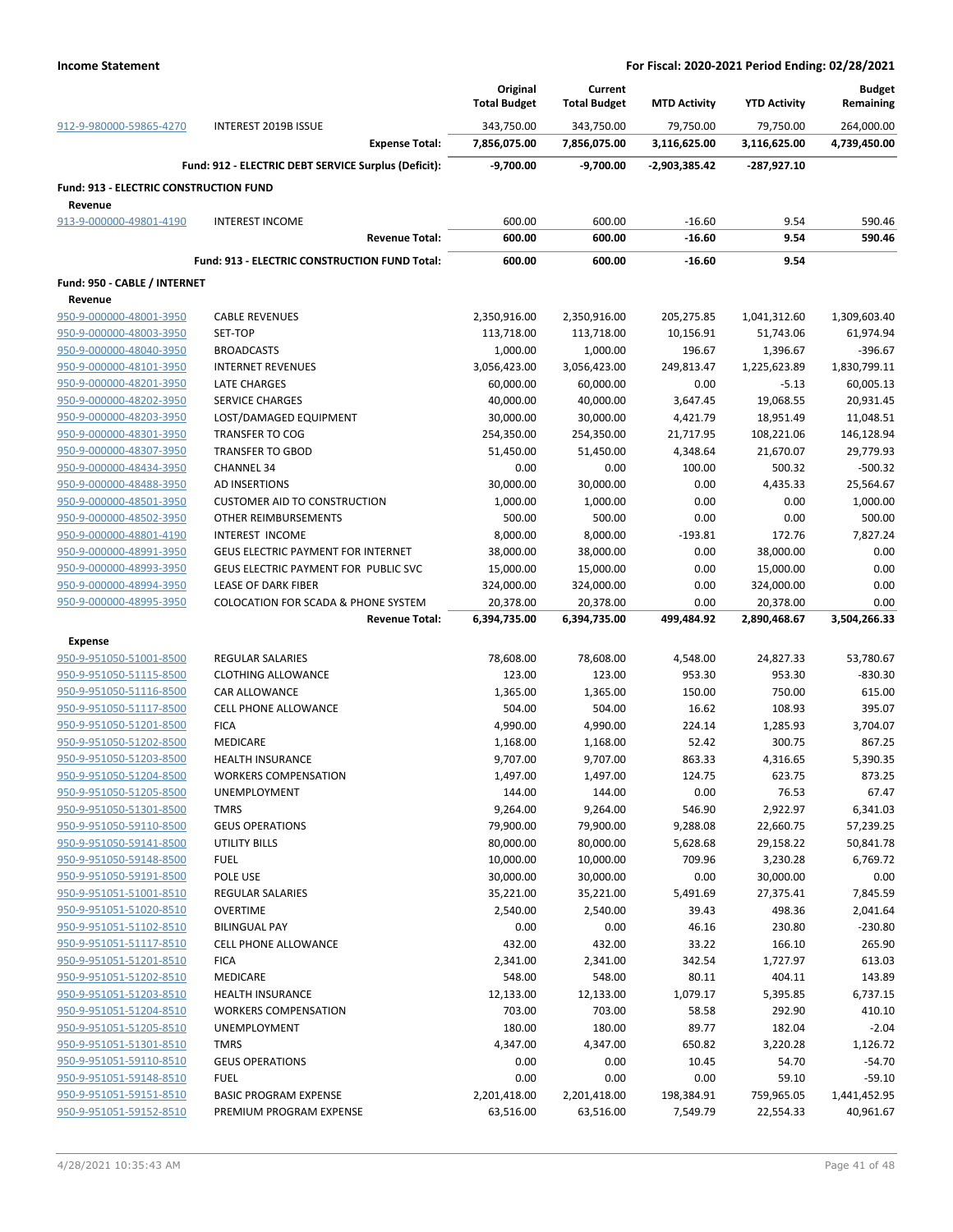|                                               |                                                      | Original<br><b>Total Budget</b> | Current<br><b>Total Budget</b> | <b>MTD Activity</b> | <b>YTD Activity</b> | <b>Budget</b><br>Remaining |
|-----------------------------------------------|------------------------------------------------------|---------------------------------|--------------------------------|---------------------|---------------------|----------------------------|
| 912-9-980000-59865-4270                       | INTEREST 2019B ISSUE                                 | 343,750.00                      | 343,750.00                     | 79,750.00           | 79,750.00           | 264,000.00                 |
|                                               | <b>Expense Total:</b>                                | 7,856,075.00                    | 7,856,075.00                   | 3,116,625.00        | 3,116,625.00        | 4,739,450.00               |
|                                               | Fund: 912 - ELECTRIC DEBT SERVICE Surplus (Deficit): | $-9,700.00$                     | -9,700.00                      | $-2,903,385.42$     | -287,927.10         |                            |
| <b>Fund: 913 - ELECTRIC CONSTRUCTION FUND</b> |                                                      |                                 |                                |                     |                     |                            |
| Revenue<br>913-9-000000-49801-4190            | <b>INTEREST INCOME</b>                               | 600.00                          | 600.00                         | $-16.60$            | 9.54                | 590.46                     |
|                                               | <b>Revenue Total:</b>                                | 600.00                          | 600.00                         | $-16.60$            | 9.54                | 590.46                     |
|                                               | Fund: 913 - ELECTRIC CONSTRUCTION FUND Total:        | 600.00                          | 600.00                         | $-16.60$            | 9.54                |                            |
| Fund: 950 - CABLE / INTERNET                  |                                                      |                                 |                                |                     |                     |                            |
| Revenue                                       |                                                      |                                 |                                |                     |                     |                            |
| 950-9-000000-48001-3950                       | <b>CABLE REVENUES</b>                                | 2,350,916.00                    | 2,350,916.00                   | 205,275.85          | 1,041,312.60        | 1,309,603.40               |
| 950-9-000000-48003-3950                       | SET-TOP                                              | 113,718.00                      | 113,718.00                     | 10,156.91           | 51,743.06           | 61,974.94                  |
| 950-9-000000-48040-3950                       | <b>BROADCASTS</b>                                    | 1,000.00                        | 1,000.00                       | 196.67              | 1,396.67            | $-396.67$                  |
| 950-9-000000-48101-3950                       | <b>INTERNET REVENUES</b>                             | 3,056,423.00                    | 3,056,423.00                   | 249,813.47          | 1,225,623.89        | 1,830,799.11               |
| 950-9-000000-48201-3950                       | <b>LATE CHARGES</b>                                  | 60,000.00                       | 60,000.00                      | 0.00                | $-5.13$             | 60,005.13                  |
| 950-9-000000-48202-3950                       | <b>SERVICE CHARGES</b>                               | 40,000.00                       | 40,000.00                      | 3,647.45            | 19,068.55           | 20,931.45                  |
| 950-9-000000-48203-3950                       | LOST/DAMAGED EQUIPMENT                               | 30,000.00                       | 30,000.00                      | 4,421.79            | 18,951.49           | 11,048.51                  |
| 950-9-000000-48301-3950                       | <b>TRANSFER TO COG</b>                               | 254,350.00                      | 254,350.00                     | 21,717.95           | 108,221.06          | 146,128.94                 |
| 950-9-000000-48307-3950                       | <b>TRANSFER TO GBOD</b>                              | 51,450.00                       | 51,450.00                      | 4,348.64            | 21,670.07           | 29,779.93                  |
| 950-9-000000-48434-3950                       | <b>CHANNEL 34</b>                                    | 0.00                            | 0.00                           | 100.00              | 500.32              | $-500.32$                  |
| 950-9-000000-48488-3950                       | AD INSERTIONS                                        | 30,000.00                       | 30,000.00                      | 0.00                | 4,435.33            | 25,564.67                  |
| 950-9-000000-48501-3950                       | <b>CUSTOMER AID TO CONSTRUCTION</b>                  | 1,000.00                        | 1,000.00                       | 0.00                | 0.00                | 1,000.00                   |
| 950-9-000000-48502-3950                       | OTHER REIMBURSEMENTS                                 | 500.00                          | 500.00                         | 0.00                | 0.00                | 500.00                     |
| 950-9-000000-48801-4190                       | <b>INTEREST INCOME</b>                               | 8,000.00                        | 8,000.00                       | $-193.81$           | 172.76              | 7,827.24                   |
| 950-9-000000-48991-3950                       | GEUS ELECTRIC PAYMENT FOR INTERNET                   | 38,000.00                       | 38,000.00                      | 0.00                | 38,000.00           | 0.00                       |
| 950-9-000000-48993-3950                       | GEUS ELECTRIC PAYMENT FOR PUBLIC SVC                 | 15,000.00                       | 15,000.00                      | 0.00                | 15,000.00           | 0.00                       |
| 950-9-000000-48994-3950                       | LEASE OF DARK FIBER                                  | 324,000.00                      | 324,000.00                     | 0.00                | 324,000.00          | 0.00                       |
| 950-9-000000-48995-3950                       | <b>COLOCATION FOR SCADA &amp; PHONE SYSTEM</b>       | 20,378.00                       | 20,378.00                      | 0.00                | 20,378.00           | 0.00                       |
|                                               | <b>Revenue Total:</b>                                | 6,394,735.00                    | 6,394,735.00                   | 499,484.92          | 2,890,468.67        | 3,504,266.33               |
|                                               |                                                      |                                 |                                |                     |                     |                            |
| <b>Expense</b>                                |                                                      |                                 |                                |                     |                     |                            |
| 950-9-951050-51001-8500                       | <b>REGULAR SALARIES</b>                              | 78,608.00                       | 78,608.00                      | 4,548.00            | 24,827.33           | 53,780.67                  |
| 950-9-951050-51115-8500                       | <b>CLOTHING ALLOWANCE</b>                            | 123.00                          | 123.00                         | 953.30              | 953.30              | $-830.30$                  |
| 950-9-951050-51116-8500                       | CAR ALLOWANCE                                        | 1,365.00                        | 1,365.00                       | 150.00              | 750.00              | 615.00                     |
| 950-9-951050-51117-8500                       | <b>CELL PHONE ALLOWANCE</b>                          | 504.00                          | 504.00                         | 16.62               | 108.93              | 395.07                     |
| 950-9-951050-51201-8500                       | <b>FICA</b>                                          | 4,990.00                        | 4,990.00                       | 224.14              | 1,285.93            | 3,704.07                   |
| 950-9-951050-51202-8500                       | MEDICARE                                             | 1,168.00                        | 1,168.00                       | 52.42               | 300.75              | 867.25                     |
| 950-9-951050-51203-8500                       | <b>HEALTH INSURANCE</b>                              | 9,707.00                        | 9,707.00                       | 863.33              | 4,316.65            | 5,390.35                   |
| 950-9-951050-51204-8500                       | <b>WORKERS COMPENSATION</b>                          | 1,497.00                        | 1,497.00                       | 124.75              | 623.75              | 873.25                     |
| 950-9-951050-51205-8500                       | UNEMPLOYMENT                                         | 144.00                          | 144.00                         | 0.00                | 76.53               | 67.47                      |
| 950-9-951050-51301-8500                       | <b>TMRS</b>                                          | 9,264.00                        | 9,264.00                       | 546.90              | 2,922.97            | 6,341.03                   |
| 950-9-951050-59110-8500                       | <b>GEUS OPERATIONS</b>                               | 79,900.00                       | 79,900.00                      | 9,288.08            | 22,660.75           | 57,239.25                  |
| 950-9-951050-59141-8500                       | <b>UTILITY BILLS</b>                                 | 80,000.00                       | 80,000.00                      | 5,628.68            | 29,158.22           | 50,841.78                  |
| 950-9-951050-59148-8500                       | <b>FUEL</b>                                          | 10,000.00                       | 10,000.00                      | 709.96              | 3,230.28            | 6,769.72                   |
| 950-9-951050-59191-8500                       | POLE USE                                             | 30,000.00                       | 30,000.00                      | 0.00                | 30,000.00           | 0.00                       |
| 950-9-951051-51001-8510                       | REGULAR SALARIES                                     | 35,221.00                       | 35,221.00                      | 5,491.69            | 27,375.41           | 7,845.59                   |
| 950-9-951051-51020-8510                       | <b>OVERTIME</b>                                      | 2,540.00                        | 2,540.00                       | 39.43               | 498.36              | 2,041.64                   |
| 950-9-951051-51102-8510                       | <b>BILINGUAL PAY</b>                                 | 0.00                            | 0.00                           | 46.16               | 230.80              | $-230.80$                  |
| 950-9-951051-51117-8510                       | <b>CELL PHONE ALLOWANCE</b>                          | 432.00                          | 432.00                         | 33.22               | 166.10              | 265.90                     |
| 950-9-951051-51201-8510                       | <b>FICA</b>                                          | 2,341.00                        | 2,341.00                       | 342.54              | 1,727.97            | 613.03                     |
| 950-9-951051-51202-8510                       | MEDICARE                                             | 548.00                          | 548.00                         | 80.11               | 404.11              | 143.89                     |
| 950-9-951051-51203-8510                       | <b>HEALTH INSURANCE</b>                              | 12,133.00                       | 12,133.00                      | 1,079.17            | 5,395.85            | 6,737.15                   |
| 950-9-951051-51204-8510                       | <b>WORKERS COMPENSATION</b>                          | 703.00                          | 703.00                         | 58.58               | 292.90              | 410.10                     |
| 950-9-951051-51205-8510                       | UNEMPLOYMENT                                         | 180.00                          | 180.00                         | 89.77               | 182.04              | $-2.04$                    |
| 950-9-951051-51301-8510                       | <b>TMRS</b>                                          | 4,347.00                        | 4,347.00                       | 650.82              | 3,220.28            | 1,126.72                   |
| 950-9-951051-59110-8510                       | <b>GEUS OPERATIONS</b>                               | 0.00                            | 0.00                           | 10.45               | 54.70               | $-54.70$                   |
| 950-9-951051-59148-8510                       | <b>FUEL</b>                                          | 0.00                            | 0.00                           | 0.00                | 59.10               | $-59.10$                   |
| 950-9-951051-59151-8510                       | <b>BASIC PROGRAM EXPENSE</b>                         | 2,201,418.00                    | 2,201,418.00                   | 198,384.91          | 759,965.05          | 1,441,452.95               |
| 950-9-951051-59152-8510                       | PREMIUM PROGRAM EXPENSE                              | 63,516.00                       | 63,516.00                      | 7,549.79            | 22,554.33           | 40,961.67                  |
|                                               |                                                      |                                 |                                |                     |                     |                            |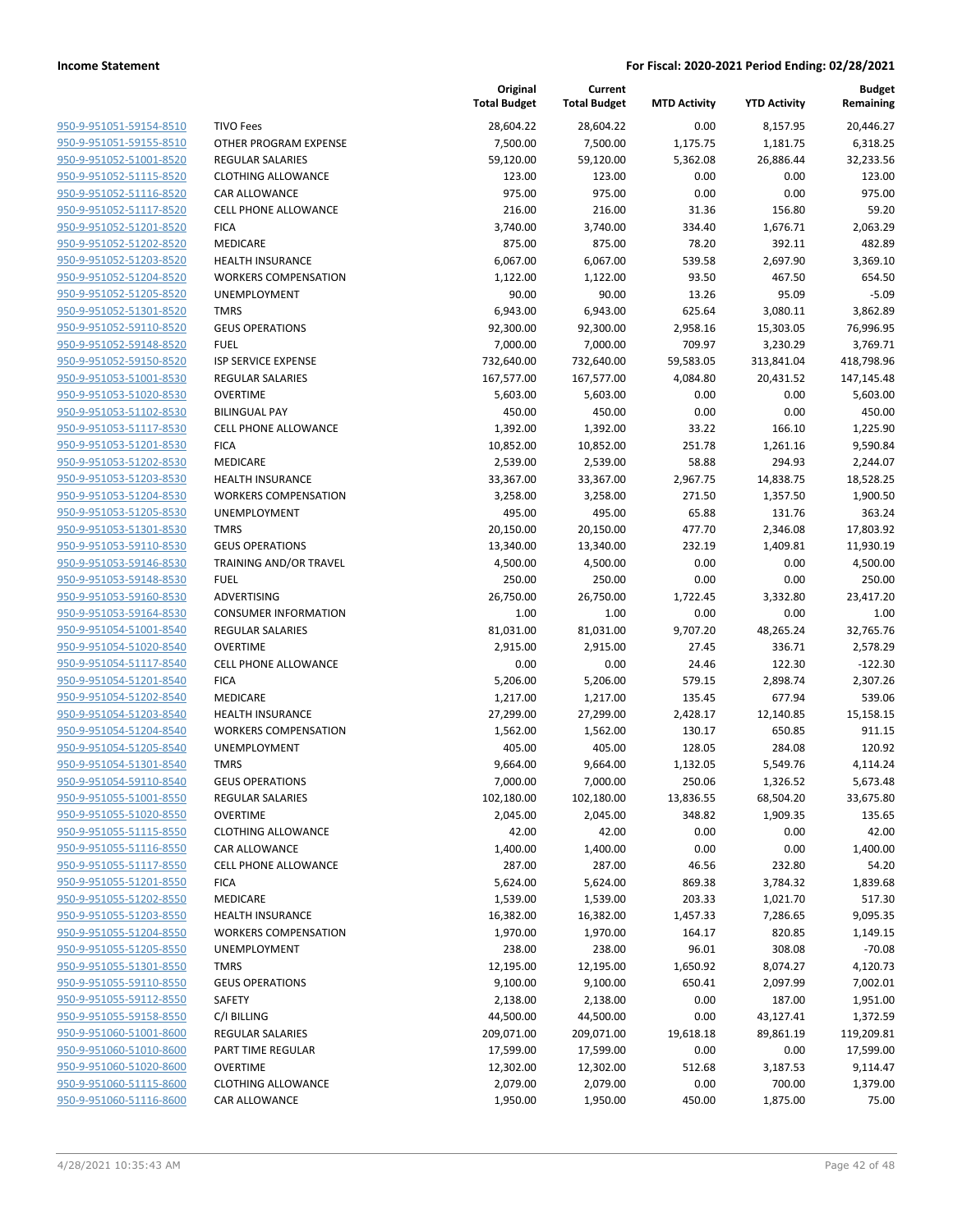| 950-9-951051-59154-8510        |
|--------------------------------|
| 950-9-951051-59155-8510        |
| 950-9-951052-51001-8520        |
| 950-9-951052-51115-8520        |
| 950-9-951052-51116-8520        |
| 950-9-951052-51117-8520        |
| 950-9-951052-51201-8520        |
| 950-9-951052-51202-8520        |
| 950-9-951052-51203-8520        |
| 950-9-951052-51204-8520        |
| 950-9-951052-51205-8520        |
| 950-9-951052-51301-8520        |
| 950-9-951052-59110-8520        |
| <u>950-9-951052-59148-8520</u> |
| 950-9-951052-59150-8520        |
| 950-9-951053-51001-8530        |
| 950-9-951053-51020-8530        |
| 950-9-951053-51102-8530        |
| 950-9-951053-51117-8530        |
| 950-9-951053-51201-8530        |
| 950-9-951053-51202-8530        |
| 950-9-951053-51203-8530        |
| 950-9-951053-51204-8530        |
|                                |
| 950-9-951053-51205-8530        |
| 950-9-951053-51301-8530        |
| 950-9-951053-59110-8530        |
| 950-9-951053-59146-8530        |
| 950-9-951053-59148-8530        |
| 950-9-951053-59160-8530        |
| 950-9-951053-59164-8530        |
| 950-9-951054-51001-8540        |
| 950-9-951054-51020-8540        |
| 950-9-951054-51117-8540        |
| 950-9-951054-51201-8540        |
| 950-9-951054-51202-8540        |
| 950-9-951054-51203-8540        |
| 950-9-951054-51204-8540        |
| 950-9-951054-51205-8540        |
| 950-9-951054-51301-8540        |
| 950-9-951054-59110-8540        |
| 950-9-951055-51001-8550        |
| 950-9-951055-51020-8550        |
| 950-9-951055-51115-8550        |
| 950-9-951055-51116-8550        |
| 950-9-951055-51117-8550        |
| 950-9-951055-51201-8550        |
| 950-9-951055-51202-8550        |
| <u>950-9-951055-51203-8550</u> |
| 950-9-951055-51204-8550        |
| 950-9-951055-51205-8550        |
| 950-9-951055-51301-8550        |
| 950-9-951055-59110-8550        |
| 950-9-951055-59112-8550        |
| <u>950-9-951055-59158-8550</u> |
| 950-9-951060-51001-8600        |
|                                |
| <u>950-9-951060-51010-8600</u> |
| 950-9-951060-51020-8600        |
| 950-9-951060-51115-8600        |
| <u>950-9-951060-51116-8600</u> |

|                         |                             | Original<br><b>Total Budget</b> | Current<br><b>Total Budget</b> | <b>MTD Activity</b> | <b>YTD Activity</b> | <b>Budget</b><br>Remaining |
|-------------------------|-----------------------------|---------------------------------|--------------------------------|---------------------|---------------------|----------------------------|
| 950-9-951051-59154-8510 | <b>TIVO Fees</b>            | 28,604.22                       | 28,604.22                      | 0.00                | 8,157.95            | 20,446.27                  |
| 950-9-951051-59155-8510 | OTHER PROGRAM EXPENSE       | 7,500.00                        | 7,500.00                       | 1,175.75            | 1,181.75            | 6,318.25                   |
| 950-9-951052-51001-8520 | <b>REGULAR SALARIES</b>     | 59,120.00                       | 59,120.00                      | 5,362.08            | 26,886.44           | 32,233.56                  |
| 950-9-951052-51115-8520 | <b>CLOTHING ALLOWANCE</b>   | 123.00                          | 123.00                         | 0.00                | 0.00                | 123.00                     |
| 950-9-951052-51116-8520 | <b>CAR ALLOWANCE</b>        | 975.00                          | 975.00                         | 0.00                | 0.00                | 975.00                     |
| 950-9-951052-51117-8520 | <b>CELL PHONE ALLOWANCE</b> | 216.00                          | 216.00                         | 31.36               | 156.80              | 59.20                      |
| 950-9-951052-51201-8520 | <b>FICA</b>                 | 3,740.00                        | 3,740.00                       | 334.40              | 1,676.71            | 2,063.29                   |
| 950-9-951052-51202-8520 | MEDICARE                    | 875.00                          | 875.00                         | 78.20               | 392.11              | 482.89                     |
| 950-9-951052-51203-8520 | <b>HEALTH INSURANCE</b>     | 6,067.00                        | 6,067.00                       | 539.58              | 2,697.90            | 3,369.10                   |
| 950-9-951052-51204-8520 | <b>WORKERS COMPENSATION</b> | 1,122.00                        | 1,122.00                       | 93.50               | 467.50              | 654.50                     |
| 950-9-951052-51205-8520 | <b>UNEMPLOYMENT</b>         | 90.00                           | 90.00                          | 13.26               | 95.09               | $-5.09$                    |
| 950-9-951052-51301-8520 | <b>TMRS</b>                 | 6,943.00                        | 6,943.00                       | 625.64              | 3,080.11            | 3,862.89                   |
| 950-9-951052-59110-8520 | <b>GEUS OPERATIONS</b>      | 92,300.00                       | 92,300.00                      | 2,958.16            | 15,303.05           | 76,996.95                  |
| 950-9-951052-59148-8520 | <b>FUEL</b>                 | 7,000.00                        | 7,000.00                       | 709.97              | 3,230.29            | 3,769.71                   |
| 950-9-951052-59150-8520 | <b>ISP SERVICE EXPENSE</b>  | 732,640.00                      | 732,640.00                     | 59,583.05           | 313,841.04          | 418,798.96                 |
| 950-9-951053-51001-8530 | <b>REGULAR SALARIES</b>     | 167,577.00                      | 167,577.00                     | 4,084.80            | 20,431.52           | 147,145.48                 |
| 950-9-951053-51020-8530 | <b>OVERTIME</b>             | 5,603.00                        | 5,603.00                       | 0.00                | 0.00                | 5,603.00                   |
| 950-9-951053-51102-8530 | <b>BILINGUAL PAY</b>        | 450.00                          | 450.00                         | 0.00                | 0.00                | 450.00                     |
| 950-9-951053-51117-8530 | <b>CELL PHONE ALLOWANCE</b> | 1,392.00                        | 1,392.00                       | 33.22               | 166.10              | 1,225.90                   |
| 950-9-951053-51201-8530 | <b>FICA</b>                 | 10,852.00                       | 10,852.00                      | 251.78              | 1,261.16            | 9,590.84                   |
| 950-9-951053-51202-8530 | MEDICARE                    | 2,539.00                        | 2,539.00                       | 58.88               | 294.93              | 2,244.07                   |
| 950-9-951053-51203-8530 | HEALTH INSURANCE            | 33,367.00                       | 33,367.00                      | 2,967.75            | 14,838.75           | 18,528.25                  |
| 950-9-951053-51204-8530 | <b>WORKERS COMPENSATION</b> | 3,258.00                        | 3,258.00                       | 271.50              | 1,357.50            | 1,900.50                   |
| 950-9-951053-51205-8530 | UNEMPLOYMENT                | 495.00                          | 495.00                         | 65.88               | 131.76              | 363.24                     |
| 950-9-951053-51301-8530 | <b>TMRS</b>                 | 20,150.00                       | 20,150.00                      | 477.70              | 2,346.08            | 17,803.92                  |
| 950-9-951053-59110-8530 | <b>GEUS OPERATIONS</b>      | 13,340.00                       | 13,340.00                      | 232.19              | 1,409.81            | 11,930.19                  |
| 950-9-951053-59146-8530 | TRAINING AND/OR TRAVEL      | 4,500.00                        | 4,500.00                       | 0.00                | 0.00                | 4,500.00                   |
| 950-9-951053-59148-8530 | <b>FUEL</b>                 | 250.00                          | 250.00                         | 0.00                | 0.00                | 250.00                     |
| 950-9-951053-59160-8530 | ADVERTISING                 | 26,750.00                       | 26,750.00                      | 1,722.45            | 3,332.80            | 23,417.20                  |
| 950-9-951053-59164-8530 | <b>CONSUMER INFORMATION</b> | 1.00                            | 1.00                           | 0.00                | 0.00                | 1.00                       |
| 950-9-951054-51001-8540 | <b>REGULAR SALARIES</b>     | 81,031.00                       | 81,031.00                      | 9,707.20            | 48,265.24           | 32,765.76                  |
| 950-9-951054-51020-8540 | <b>OVERTIME</b>             | 2,915.00                        | 2,915.00                       | 27.45               | 336.71              | 2,578.29                   |
| 950-9-951054-51117-8540 | <b>CELL PHONE ALLOWANCE</b> | 0.00                            | 0.00                           | 24.46               | 122.30              | $-122.30$                  |
| 950-9-951054-51201-8540 | <b>FICA</b>                 | 5,206.00                        | 5,206.00                       | 579.15              | 2,898.74            | 2,307.26                   |
| 950-9-951054-51202-8540 | MEDICARE                    | 1,217.00                        | 1,217.00                       | 135.45              | 677.94              | 539.06                     |
| 950-9-951054-51203-8540 | <b>HEALTH INSURANCE</b>     | 27,299.00                       | 27,299.00                      | 2,428.17            | 12,140.85           | 15,158.15                  |
| 950-9-951054-51204-8540 | <b>WORKERS COMPENSATION</b> | 1,562.00                        | 1,562.00                       | 130.17              | 650.85              | 911.15                     |
| 950-9-951054-51205-8540 | UNEMPLOYMENT                | 405.00                          | 405.00                         | 128.05              | 284.08              | 120.92                     |
| 950-9-951054-51301-8540 | <b>TMRS</b>                 | 9,664.00                        | 9,664.00                       | 1,132.05            | 5,549.76            | 4,114.24                   |
| 950-9-951054-59110-8540 | <b>GEUS OPERATIONS</b>      | 7,000.00                        | 7,000.00                       | 250.06              | 1,326.52            | 5,673.48                   |
| 950-9-951055-51001-8550 | <b>REGULAR SALARIES</b>     | 102,180.00                      | 102,180.00                     | 13,836.55           | 68,504.20           | 33,675.80                  |
| 950-9-951055-51020-8550 | <b>OVERTIME</b>             | 2,045.00                        | 2,045.00                       | 348.82              | 1,909.35            | 135.65                     |
| 950-9-951055-51115-8550 | <b>CLOTHING ALLOWANCE</b>   | 42.00                           | 42.00                          | 0.00                | 0.00                | 42.00                      |
| 950-9-951055-51116-8550 | <b>CAR ALLOWANCE</b>        | 1,400.00                        | 1,400.00                       | 0.00                | 0.00                | 1,400.00                   |
| 950-9-951055-51117-8550 | CELL PHONE ALLOWANCE        | 287.00                          | 287.00                         | 46.56               | 232.80              | 54.20                      |
| 950-9-951055-51201-8550 | <b>FICA</b>                 | 5,624.00                        | 5,624.00                       | 869.38              | 3,784.32            | 1,839.68                   |
| 950-9-951055-51202-8550 | MEDICARE                    | 1,539.00                        | 1,539.00                       | 203.33              | 1,021.70            | 517.30                     |
| 950-9-951055-51203-8550 | HEALTH INSURANCE            | 16,382.00                       | 16,382.00                      | 1,457.33            | 7,286.65            | 9,095.35                   |
| 950-9-951055-51204-8550 | <b>WORKERS COMPENSATION</b> | 1,970.00                        | 1,970.00                       | 164.17              | 820.85              | 1,149.15                   |
| 950-9-951055-51205-8550 | <b>UNEMPLOYMENT</b>         | 238.00                          | 238.00                         | 96.01               | 308.08              | $-70.08$                   |
| 950-9-951055-51301-8550 | <b>TMRS</b>                 | 12,195.00                       | 12,195.00                      | 1,650.92            | 8,074.27            | 4,120.73                   |
| 950-9-951055-59110-8550 | <b>GEUS OPERATIONS</b>      | 9,100.00                        | 9,100.00                       | 650.41              | 2,097.99            | 7,002.01                   |
| 950-9-951055-59112-8550 | SAFETY                      | 2,138.00                        | 2,138.00                       | 0.00                | 187.00              | 1,951.00                   |
| 950-9-951055-59158-8550 | C/I BILLING                 | 44,500.00                       | 44,500.00                      | 0.00                | 43,127.41           | 1,372.59                   |
| 950-9-951060-51001-8600 | REGULAR SALARIES            | 209,071.00                      | 209,071.00                     | 19,618.18           | 89,861.19           | 119,209.81                 |
| 950-9-951060-51010-8600 | PART TIME REGULAR           | 17,599.00                       | 17,599.00                      | 0.00                | 0.00                | 17,599.00                  |
| 950-9-951060-51020-8600 | <b>OVERTIME</b>             | 12,302.00                       | 12,302.00                      | 512.68              | 3,187.53            | 9,114.47                   |
| 950-9-951060-51115-8600 | <b>CLOTHING ALLOWANCE</b>   | 2,079.00                        | 2,079.00                       | 0.00                | 700.00              | 1,379.00                   |
| 950-9-951060-51116-8600 | CAR ALLOWANCE               | 1,950.00                        | 1,950.00                       | 450.00              | 1,875.00            | 75.00                      |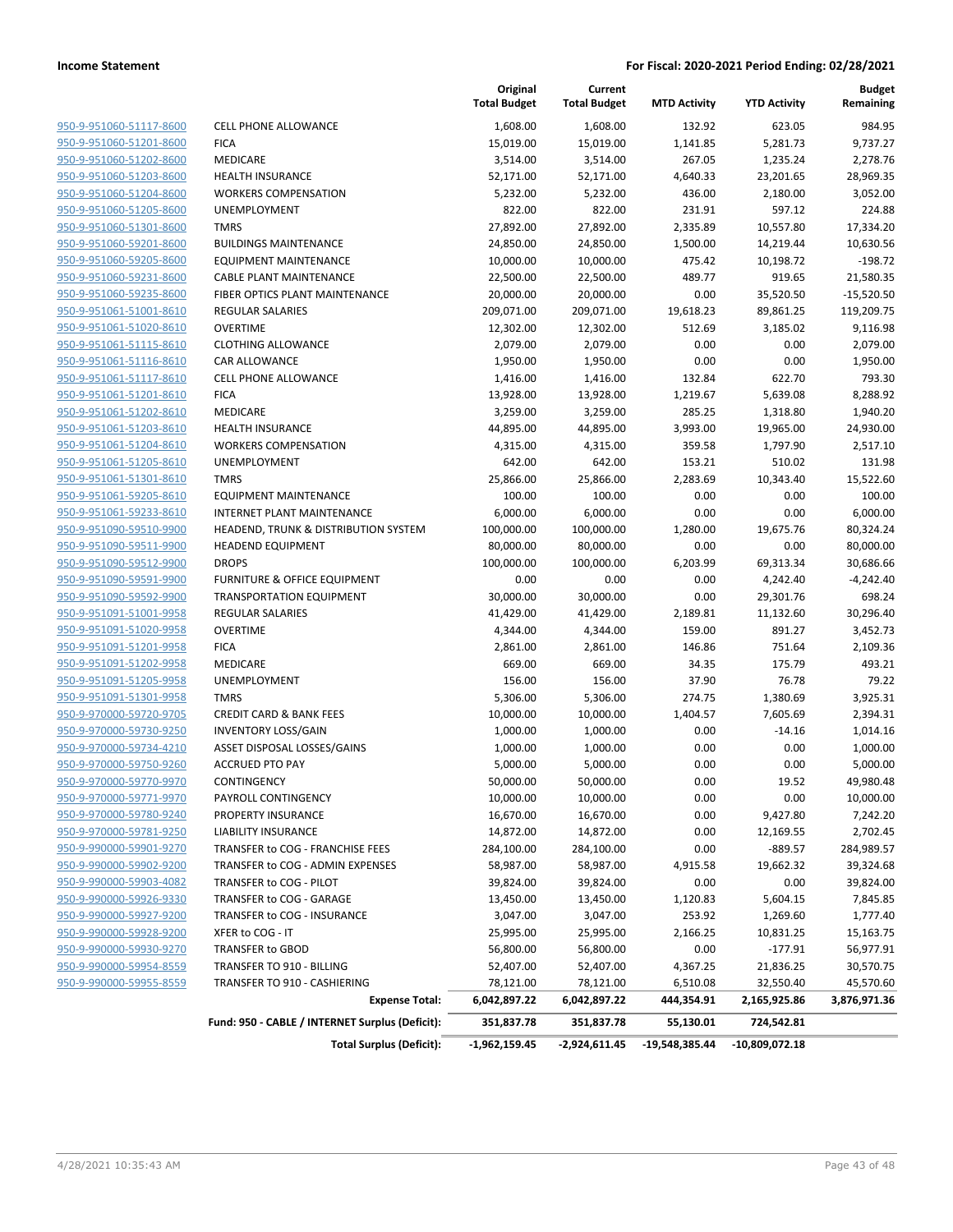|                         |                                                 | Original<br><b>Total Budget</b> | Current<br><b>Total Budget</b> | <b>MTD Activity</b> | <b>YTD Activity</b> | <b>Budget</b><br>Remaining |
|-------------------------|-------------------------------------------------|---------------------------------|--------------------------------|---------------------|---------------------|----------------------------|
| 950-9-951060-51117-8600 | <b>CELL PHONE ALLOWANCE</b>                     | 1,608.00                        | 1,608.00                       | 132.92              | 623.05              | 984.95                     |
| 950-9-951060-51201-8600 | <b>FICA</b>                                     | 15,019.00                       | 15,019.00                      | 1,141.85            | 5,281.73            | 9,737.27                   |
| 950-9-951060-51202-8600 | <b>MEDICARE</b>                                 | 3,514.00                        | 3,514.00                       | 267.05              | 1,235.24            | 2,278.76                   |
| 950-9-951060-51203-8600 | <b>HEALTH INSURANCE</b>                         | 52,171.00                       | 52,171.00                      | 4,640.33            | 23,201.65           | 28,969.35                  |
| 950-9-951060-51204-8600 | <b>WORKERS COMPENSATION</b>                     | 5,232.00                        | 5,232.00                       | 436.00              | 2,180.00            | 3,052.00                   |
| 950-9-951060-51205-8600 | UNEMPLOYMENT                                    | 822.00                          | 822.00                         | 231.91              | 597.12              | 224.88                     |
| 950-9-951060-51301-8600 | <b>TMRS</b>                                     | 27,892.00                       | 27,892.00                      | 2,335.89            | 10,557.80           | 17,334.20                  |
| 950-9-951060-59201-8600 | <b>BUILDINGS MAINTENANCE</b>                    | 24,850.00                       | 24,850.00                      | 1,500.00            | 14,219.44           | 10,630.56                  |
| 950-9-951060-59205-8600 | <b>EQUIPMENT MAINTENANCE</b>                    | 10,000.00                       | 10,000.00                      | 475.42              | 10,198.72           | $-198.72$                  |
| 950-9-951060-59231-8600 | <b>CABLE PLANT MAINTENANCE</b>                  | 22,500.00                       | 22,500.00                      | 489.77              | 919.65              | 21,580.35                  |
| 950-9-951060-59235-8600 | FIBER OPTICS PLANT MAINTENANCE                  | 20,000.00                       | 20,000.00                      | 0.00                | 35,520.50           | $-15,520.50$               |
| 950-9-951061-51001-8610 | REGULAR SALARIES                                | 209,071.00                      | 209,071.00                     | 19,618.23           | 89,861.25           | 119,209.75                 |
| 950-9-951061-51020-8610 | <b>OVERTIME</b>                                 | 12,302.00                       | 12,302.00                      | 512.69              | 3,185.02            | 9,116.98                   |
| 950-9-951061-51115-8610 | <b>CLOTHING ALLOWANCE</b>                       | 2,079.00                        | 2,079.00                       | 0.00                | 0.00                | 2,079.00                   |
| 950-9-951061-51116-8610 | <b>CAR ALLOWANCE</b>                            | 1,950.00                        | 1,950.00                       | 0.00                | 0.00                | 1,950.00                   |
| 950-9-951061-51117-8610 | <b>CELL PHONE ALLOWANCE</b>                     | 1,416.00                        | 1,416.00                       | 132.84              | 622.70              | 793.30                     |
| 950-9-951061-51201-8610 | <b>FICA</b>                                     | 13,928.00                       | 13,928.00                      | 1,219.67            | 5,639.08            | 8,288.92                   |
| 950-9-951061-51202-8610 | MEDICARE                                        | 3,259.00                        | 3,259.00                       | 285.25              | 1,318.80            | 1,940.20                   |
| 950-9-951061-51203-8610 | <b>HEALTH INSURANCE</b>                         | 44,895.00                       | 44,895.00                      | 3,993.00            | 19,965.00           | 24,930.00                  |
| 950-9-951061-51204-8610 | <b>WORKERS COMPENSATION</b>                     | 4,315.00                        | 4,315.00                       | 359.58              | 1,797.90            | 2,517.10                   |
| 950-9-951061-51205-8610 | <b>UNEMPLOYMENT</b>                             | 642.00                          | 642.00                         | 153.21              | 510.02              | 131.98                     |
| 950-9-951061-51301-8610 | <b>TMRS</b>                                     | 25,866.00                       | 25,866.00                      | 2,283.69            | 10,343.40           | 15,522.60                  |
| 950-9-951061-59205-8610 | <b>EQUIPMENT MAINTENANCE</b>                    | 100.00                          | 100.00                         | 0.00                | 0.00                | 100.00                     |
| 950-9-951061-59233-8610 | <b>INTERNET PLANT MAINTENANCE</b>               | 6,000.00                        | 6,000.00                       | 0.00                | 0.00                | 6,000.00                   |
| 950-9-951090-59510-9900 | HEADEND, TRUNK & DISTRIBUTION SYSTEM            | 100,000.00                      | 100,000.00                     | 1,280.00            | 19,675.76           | 80,324.24                  |
| 950-9-951090-59511-9900 | <b>HEADEND EQUIPMENT</b>                        | 80,000.00                       | 80,000.00                      | 0.00                | 0.00                | 80,000.00                  |
| 950-9-951090-59512-9900 | <b>DROPS</b>                                    | 100,000.00                      | 100,000.00                     | 6,203.99            | 69,313.34           | 30,686.66                  |
| 950-9-951090-59591-9900 | <b>FURNITURE &amp; OFFICE EQUIPMENT</b>         | 0.00                            | 0.00                           | 0.00                | 4,242.40            | $-4,242.40$                |
| 950-9-951090-59592-9900 | <b>TRANSPORTATION EQUIPMENT</b>                 | 30,000.00                       | 30,000.00                      | 0.00                | 29,301.76           | 698.24                     |
| 950-9-951091-51001-9958 | <b>REGULAR SALARIES</b>                         | 41,429.00                       | 41,429.00                      | 2,189.81            | 11,132.60           | 30,296.40                  |
| 950-9-951091-51020-9958 | <b>OVERTIME</b>                                 | 4,344.00                        | 4,344.00                       | 159.00              | 891.27              | 3,452.73                   |
| 950-9-951091-51201-9958 | <b>FICA</b>                                     | 2,861.00                        | 2,861.00                       | 146.86              | 751.64              | 2,109.36                   |
| 950-9-951091-51202-9958 | MEDICARE                                        | 669.00                          | 669.00                         | 34.35               | 175.79              | 493.21                     |
| 950-9-951091-51205-9958 | UNEMPLOYMENT                                    | 156.00                          | 156.00                         | 37.90               | 76.78               | 79.22                      |
| 950-9-951091-51301-9958 | <b>TMRS</b>                                     | 5,306.00                        | 5,306.00                       | 274.75              | 1,380.69            | 3,925.31                   |
| 950-9-970000-59720-9705 | <b>CREDIT CARD &amp; BANK FEES</b>              | 10,000.00                       | 10,000.00                      | 1,404.57            | 7,605.69            | 2,394.31                   |
| 950-9-970000-59730-9250 | <b>INVENTORY LOSS/GAIN</b>                      | 1,000.00                        | 1,000.00                       | 0.00                | $-14.16$            | 1,014.16                   |
| 950-9-970000-59734-4210 | ASSET DISPOSAL LOSSES/GAINS                     | 1,000.00                        | 1,000.00                       | 0.00                | 0.00                | 1,000.00                   |
| 950-9-970000-59750-9260 | <b>ACCRUED PTO PAY</b>                          | 5,000.00                        | 5,000.00                       | 0.00                | 0.00                | 5,000.00                   |
| 950-9-970000-59770-9970 | CONTINGENCY                                     | 50,000.00                       | 50,000.00                      | 0.00                | 19.52               | 49,980.48                  |
| 950-9-970000-59771-9970 | PAYROLL CONTINGENCY                             | 10,000.00                       | 10,000.00                      | 0.00                | 0.00                | 10,000.00                  |
| 950-9-970000-59780-9240 | PROPERTY INSURANCE                              | 16,670.00                       | 16,670.00                      | 0.00                | 9,427.80            | 7,242.20                   |
| 950-9-970000-59781-9250 | LIABILITY INSURANCE                             | 14,872.00                       | 14,872.00                      | 0.00                | 12,169.55           | 2,702.45                   |
| 950-9-990000-59901-9270 | TRANSFER to COG - FRANCHISE FEES                | 284,100.00                      | 284,100.00                     | 0.00                | $-889.57$           | 284,989.57                 |
| 950-9-990000-59902-9200 | TRANSFER to COG - ADMIN EXPENSES                | 58,987.00                       | 58,987.00                      | 4,915.58            | 19,662.32           | 39,324.68                  |
| 950-9-990000-59903-4082 | TRANSFER to COG - PILOT                         | 39,824.00                       | 39,824.00                      | 0.00                | 0.00                | 39,824.00                  |
| 950-9-990000-59926-9330 | TRANSFER to COG - GARAGE                        | 13,450.00                       | 13,450.00                      | 1,120.83            | 5,604.15            | 7,845.85                   |
| 950-9-990000-59927-9200 | TRANSFER to COG - INSURANCE                     | 3,047.00                        | 3,047.00                       | 253.92              | 1,269.60            | 1,777.40                   |
| 950-9-990000-59928-9200 | XFER to COG - IT                                | 25,995.00                       | 25,995.00                      | 2,166.25            | 10,831.25           | 15,163.75                  |
| 950-9-990000-59930-9270 | TRANSFER to GBOD                                | 56,800.00                       | 56,800.00                      | 0.00                | $-177.91$           | 56,977.91                  |
| 950-9-990000-59954-8559 | TRANSFER TO 910 - BILLING                       | 52,407.00                       | 52,407.00                      | 4,367.25            | 21,836.25           | 30,570.75                  |
| 950-9-990000-59955-8559 | TRANSFER TO 910 - CASHIERING                    | 78,121.00                       | 78,121.00                      | 6,510.08            | 32,550.40           | 45,570.60                  |
|                         | <b>Expense Total:</b>                           | 6,042,897.22                    | 6,042,897.22                   | 444,354.91          | 2,165,925.86        | 3,876,971.36               |
|                         | Fund: 950 - CABLE / INTERNET Surplus (Deficit): | 351,837.78                      | 351,837.78                     | 55,130.01           | 724,542.81          |                            |
|                         | <b>Total Surplus (Deficit):</b>                 | $-1,962,159.45$                 | -2,924,611.45                  | -19,548,385.44      | $-10,809,072.18$    |                            |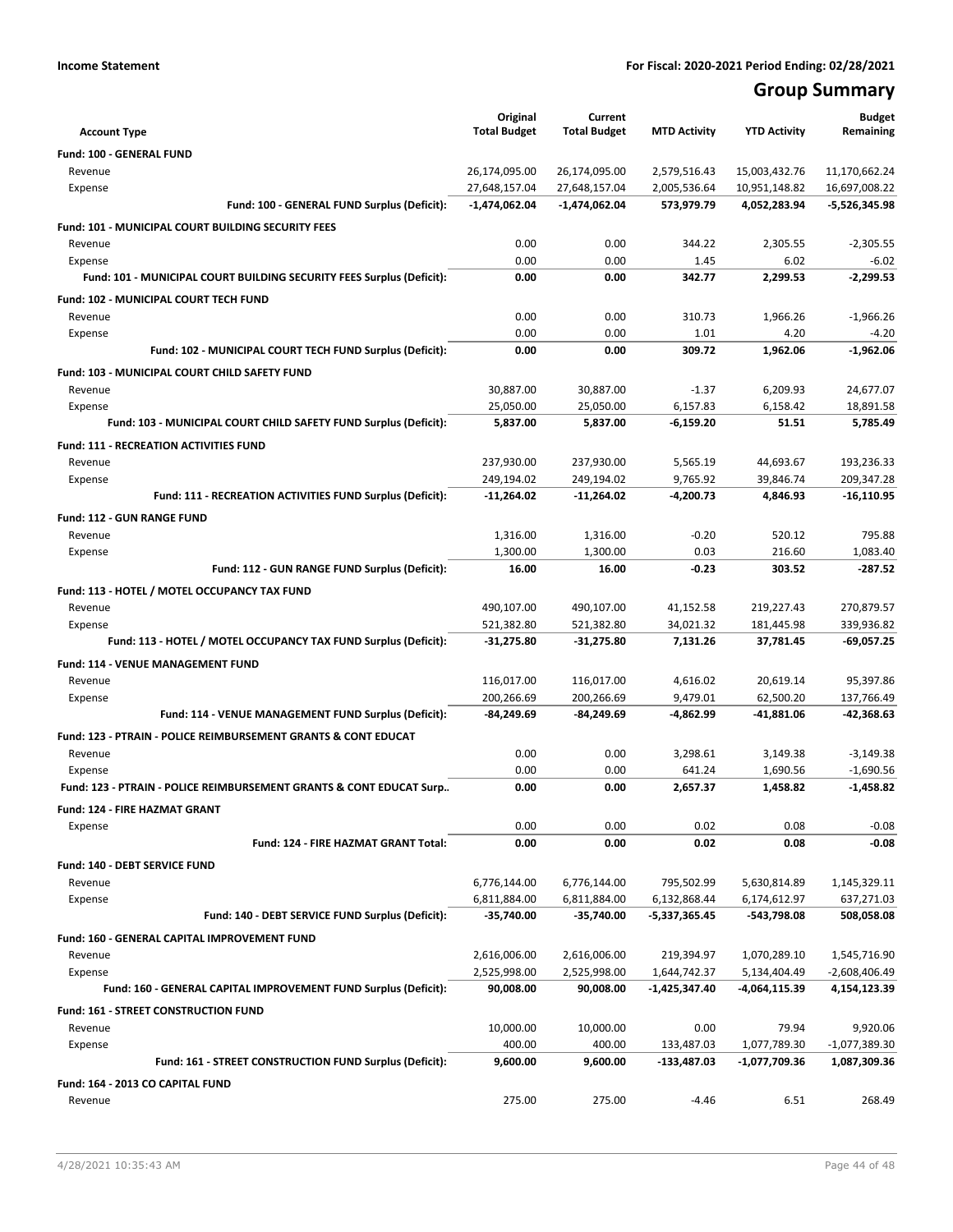# **Group Summary**

| <b>Account Type</b>                                                        | Original<br><b>Total Budget</b> | Current<br><b>Total Budget</b> | <b>MTD Activity</b>   | <b>YTD Activity</b>     | <b>Budget</b><br>Remaining |
|----------------------------------------------------------------------------|---------------------------------|--------------------------------|-----------------------|-------------------------|----------------------------|
| Fund: 100 - GENERAL FUND                                                   |                                 |                                |                       |                         |                            |
| Revenue                                                                    | 26,174,095.00                   | 26,174,095.00                  | 2,579,516.43          | 15,003,432.76           | 11,170,662.24              |
| Expense                                                                    | 27,648,157.04                   | 27,648,157.04                  | 2,005,536.64          | 10,951,148.82           | 16,697,008.22              |
| Fund: 100 - GENERAL FUND Surplus (Deficit):                                | $-1,474,062.04$                 | $-1,474,062.04$                | 573,979.79            | 4,052,283.94            | $-5,526,345.98$            |
| <b>Fund: 101 - MUNICIPAL COURT BUILDING SECURITY FEES</b>                  |                                 |                                |                       |                         |                            |
| Revenue                                                                    | 0.00                            | 0.00                           | 344.22                | 2,305.55                | $-2,305.55$                |
| Expense                                                                    | 0.00                            | 0.00                           | 1.45                  | 6.02                    | $-6.02$                    |
| Fund: 101 - MUNICIPAL COURT BUILDING SECURITY FEES Surplus (Deficit):      | 0.00                            | 0.00                           | 342.77                | 2,299.53                | $-2,299.53$                |
| Fund: 102 - MUNICIPAL COURT TECH FUND                                      |                                 |                                |                       |                         |                            |
| Revenue                                                                    | 0.00                            | 0.00                           | 310.73                | 1,966.26                | $-1.966.26$                |
| Expense                                                                    | 0.00                            | 0.00                           | 1.01                  | 4.20                    | $-4.20$                    |
| Fund: 102 - MUNICIPAL COURT TECH FUND Surplus (Deficit):                   | 0.00                            | 0.00                           | 309.72                | 1,962.06                | $-1,962.06$                |
|                                                                            |                                 |                                |                       |                         |                            |
| Fund: 103 - MUNICIPAL COURT CHILD SAFETY FUND<br>Revenue                   | 30,887.00                       | 30,887.00                      | $-1.37$               | 6,209.93                | 24,677.07                  |
| Expense                                                                    | 25,050.00                       | 25,050.00                      | 6,157.83              | 6,158.42                | 18,891.58                  |
| Fund: 103 - MUNICIPAL COURT CHILD SAFETY FUND Surplus (Deficit):           | 5,837.00                        | 5,837.00                       | $-6,159.20$           | 51.51                   | 5,785.49                   |
|                                                                            |                                 |                                |                       |                         |                            |
| <b>Fund: 111 - RECREATION ACTIVITIES FUND</b>                              |                                 |                                |                       |                         |                            |
| Revenue<br>Expense                                                         | 237,930.00<br>249,194.02        | 237,930.00<br>249,194.02       | 5,565.19<br>9,765.92  | 44,693.67<br>39,846.74  | 193,236.33<br>209,347.28   |
| Fund: 111 - RECREATION ACTIVITIES FUND Surplus (Deficit):                  | $-11,264.02$                    | $-11,264.02$                   | $-4,200.73$           | 4,846.93                | $-16,110.95$               |
|                                                                            |                                 |                                |                       |                         |                            |
| <b>Fund: 112 - GUN RANGE FUND</b>                                          |                                 |                                |                       |                         |                            |
| Revenue                                                                    | 1,316.00                        | 1,316.00                       | $-0.20$               | 520.12                  | 795.88                     |
| Expense<br>Fund: 112 - GUN RANGE FUND Surplus (Deficit):                   | 1,300.00<br>16.00               | 1,300.00<br>16.00              | 0.03<br>$-0.23$       | 216.60<br>303.52        | 1,083.40<br>$-287.52$      |
|                                                                            |                                 |                                |                       |                         |                            |
| Fund: 113 - HOTEL / MOTEL OCCUPANCY TAX FUND                               |                                 |                                |                       |                         |                            |
| Revenue                                                                    | 490,107.00                      | 490,107.00                     | 41,152.58             | 219,227.43              | 270,879.57                 |
| Expense<br>Fund: 113 - HOTEL / MOTEL OCCUPANCY TAX FUND Surplus (Deficit): | 521,382.80<br>-31,275.80        | 521,382.80<br>-31,275.80       | 34,021.32<br>7,131.26 | 181,445.98<br>37,781.45 | 339,936.82<br>-69,057.25   |
|                                                                            |                                 |                                |                       |                         |                            |
| Fund: 114 - VENUE MANAGEMENT FUND                                          |                                 |                                |                       |                         |                            |
| Revenue                                                                    | 116,017.00                      | 116,017.00                     | 4,616.02              | 20,619.14               | 95,397.86                  |
| Expense<br>Fund: 114 - VENUE MANAGEMENT FUND Surplus (Deficit):            | 200,266.69<br>$-84,249.69$      | 200,266.69<br>-84,249.69       | 9,479.01              | 62,500.20               | 137,766.49<br>$-42,368.63$ |
|                                                                            |                                 |                                | -4,862.99             | -41,881.06              |                            |
| <b>Fund: 123 - PTRAIN - POLICE REIMBURSEMENT GRANTS &amp; CONT EDUCAT</b>  |                                 |                                |                       |                         |                            |
| Revenue                                                                    | 0.00                            | 0.00                           | 3,298.61              | 3,149.38                | $-3,149.38$                |
| Expense                                                                    | 0.00                            | 0.00                           | 641.24                | 1,690.56                | $-1,690.56$                |
| Fund: 123 - PTRAIN - POLICE REIMBURSEMENT GRANTS & CONT EDUCAT Surp        | 0.00                            | 0.00                           | 2,657.37              | 1,458.82                | $-1,458.82$                |
| Fund: 124 - FIRE HAZMAT GRANT                                              |                                 |                                |                       |                         |                            |
| Expense                                                                    | 0.00                            | 0.00                           | 0.02                  | 0.08                    | $-0.08$                    |
| Fund: 124 - FIRE HAZMAT GRANT Total:                                       | 0.00                            | 0.00                           | 0.02                  | 0.08                    | $-0.08$                    |
| Fund: 140 - DEBT SERVICE FUND                                              |                                 |                                |                       |                         |                            |
| Revenue                                                                    | 6,776,144.00                    | 6,776,144.00                   | 795,502.99            | 5,630,814.89            | 1,145,329.11               |
| Expense                                                                    | 6,811,884.00                    | 6,811,884.00                   | 6,132,868.44          | 6,174,612.97            | 637,271.03                 |
| Fund: 140 - DEBT SERVICE FUND Surplus (Deficit):                           | -35,740.00                      | $-35,740.00$                   | -5,337,365.45         | -543,798.08             | 508,058.08                 |
| Fund: 160 - GENERAL CAPITAL IMPROVEMENT FUND                               |                                 |                                |                       |                         |                            |
| Revenue                                                                    | 2,616,006.00                    | 2,616,006.00                   | 219,394.97            | 1,070,289.10            | 1,545,716.90               |
| Expense                                                                    | 2,525,998.00                    | 2,525,998.00                   | 1,644,742.37          | 5,134,404.49            | $-2,608,406.49$            |
| Fund: 160 - GENERAL CAPITAL IMPROVEMENT FUND Surplus (Deficit):            | 90,008.00                       | 90,008.00                      | -1,425,347.40         | -4,064,115.39           | 4,154,123.39               |
| Fund: 161 - STREET CONSTRUCTION FUND                                       |                                 |                                |                       |                         |                            |
| Revenue                                                                    | 10,000.00                       | 10,000.00                      | 0.00                  | 79.94                   | 9,920.06                   |
| Expense                                                                    | 400.00                          | 400.00                         | 133,487.03            | 1,077,789.30            | -1,077,389.30              |
| Fund: 161 - STREET CONSTRUCTION FUND Surplus (Deficit):                    | 9,600.00                        | 9,600.00                       | $-133,487.03$         | -1,077,709.36           | 1,087,309.36               |
| Fund: 164 - 2013 CO CAPITAL FUND                                           |                                 |                                |                       |                         |                            |
| Revenue                                                                    | 275.00                          | 275.00                         | $-4.46$               | 6.51                    | 268.49                     |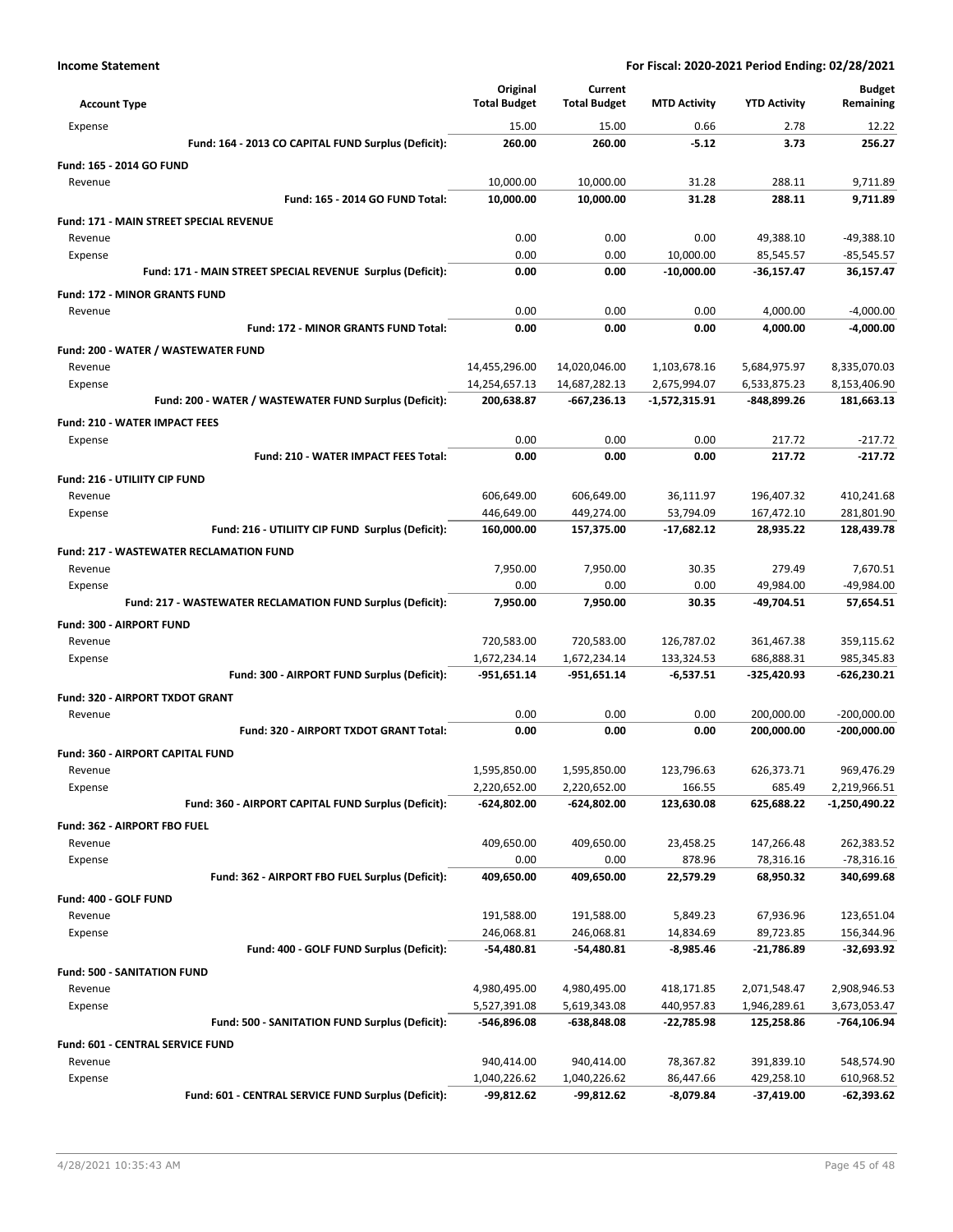| <b>Account Type</b>                                            | Original<br><b>Total Budget</b> | Current<br><b>Total Budget</b> | <b>MTD Activity</b>       | <b>YTD Activity</b>      | <b>Budget</b><br>Remaining |
|----------------------------------------------------------------|---------------------------------|--------------------------------|---------------------------|--------------------------|----------------------------|
| Expense                                                        | 15.00                           | 15.00                          | 0.66                      | 2.78                     | 12.22                      |
| Fund: 164 - 2013 CO CAPITAL FUND Surplus (Deficit):            | 260.00                          | 260.00                         | $-5.12$                   | 3.73                     | 256.27                     |
| Fund: 165 - 2014 GO FUND                                       |                                 |                                |                           |                          |                            |
| Revenue                                                        | 10,000.00                       | 10,000.00                      | 31.28                     | 288.11                   | 9,711.89                   |
| Fund: 165 - 2014 GO FUND Total:                                | 10,000.00                       | 10,000.00                      | 31.28                     | 288.11                   | 9,711.89                   |
| Fund: 171 - MAIN STREET SPECIAL REVENUE                        |                                 |                                |                           |                          |                            |
| Revenue                                                        | 0.00                            | 0.00                           | 0.00                      | 49,388.10                | -49,388.10                 |
| Expense                                                        | 0.00                            | 0.00                           | 10,000.00                 | 85,545.57                | $-85,545.57$               |
| Fund: 171 - MAIN STREET SPECIAL REVENUE Surplus (Deficit):     | 0.00                            | 0.00                           | $-10,000.00$              | $-36,157.47$             | 36,157.47                  |
| <b>Fund: 172 - MINOR GRANTS FUND</b>                           |                                 |                                |                           |                          |                            |
| Revenue                                                        | 0.00                            | 0.00                           | 0.00                      | 4,000.00                 | $-4,000.00$                |
| Fund: 172 - MINOR GRANTS FUND Total:                           | 0.00                            | 0.00                           | 0.00                      | 4,000.00                 | -4,000.00                  |
| Fund: 200 - WATER / WASTEWATER FUND                            |                                 |                                |                           |                          |                            |
| Revenue                                                        | 14,455,296.00                   | 14,020,046.00                  | 1,103,678.16              | 5,684,975.97             | 8,335,070.03               |
| Expense                                                        | 14,254,657.13                   | 14,687,282.13                  | 2,675,994.07              | 6,533,875.23             | 8,153,406.90               |
| Fund: 200 - WATER / WASTEWATER FUND Surplus (Deficit):         | 200,638.87                      | $-667,236.13$                  | -1,572,315.91             | -848,899.26              | 181,663.13                 |
| Fund: 210 - WATER IMPACT FEES                                  |                                 |                                |                           |                          |                            |
| Expense                                                        | 0.00                            | 0.00                           | 0.00                      | 217.72                   | $-217.72$                  |
| Fund: 210 - WATER IMPACT FEES Total:                           | 0.00                            | 0.00                           | 0.00                      | 217.72                   | $-217.72$                  |
| Fund: 216 - UTILIITY CIP FUND                                  |                                 |                                |                           |                          |                            |
| Revenue                                                        | 606,649.00                      | 606,649.00                     | 36,111.97                 | 196,407.32               | 410,241.68                 |
| Expense<br>Fund: 216 - UTILIITY CIP FUND Surplus (Deficit):    | 446,649.00<br>160,000.00        | 449,274.00<br>157,375.00       | 53,794.09<br>$-17,682.12$ | 167,472.10<br>28,935.22  | 281,801.90<br>128,439.78   |
|                                                                |                                 |                                |                           |                          |                            |
| <b>Fund: 217 - WASTEWATER RECLAMATION FUND</b>                 |                                 |                                |                           |                          |                            |
| Revenue<br>Expense                                             | 7,950.00<br>0.00                | 7,950.00<br>0.00               | 30.35<br>0.00             | 279.49<br>49,984.00      | 7,670.51<br>$-49,984.00$   |
| Fund: 217 - WASTEWATER RECLAMATION FUND Surplus (Deficit):     | 7,950.00                        | 7,950.00                       | 30.35                     | $-49,704.51$             | 57,654.51                  |
|                                                                |                                 |                                |                           |                          |                            |
| Fund: 300 - AIRPORT FUND<br>Revenue                            | 720,583.00                      | 720,583.00                     | 126,787.02                | 361,467.38               | 359,115.62                 |
| Expense                                                        | 1,672,234.14                    | 1,672,234.14                   | 133,324.53                | 686,888.31               | 985,345.83                 |
| Fund: 300 - AIRPORT FUND Surplus (Deficit):                    | -951,651.14                     | -951,651.14                    | $-6,537.51$               | -325,420.93              | -626,230.21                |
| Fund: 320 - AIRPORT TXDOT GRANT                                |                                 |                                |                           |                          |                            |
| Revenue                                                        | 0.00                            | 0.00                           | 0.00                      | 200,000.00               | $-200,000.00$              |
| Fund: 320 - AIRPORT TXDOT GRANT Total:                         | 0.00                            | 0.00                           | 0.00                      | 200,000.00               | -200,000.00                |
| Fund: 360 - AIRPORT CAPITAL FUND                               |                                 |                                |                           |                          |                            |
| Revenue                                                        | 1,595,850.00                    | 1,595,850.00                   | 123,796.63                | 626,373.71               | 969,476.29                 |
| Expense                                                        | 2,220,652.00                    | 2,220,652.00                   | 166.55                    | 685.49                   | 2,219,966.51               |
| Fund: 360 - AIRPORT CAPITAL FUND Surplus (Deficit):            | $-624,802.00$                   | $-624,802.00$                  | 123,630.08                | 625,688.22               | -1,250,490.22              |
| Fund: 362 - AIRPORT FBO FUEL                                   |                                 |                                |                           |                          |                            |
| Revenue                                                        | 409,650.00                      | 409,650.00                     | 23,458.25                 | 147,266.48               | 262,383.52                 |
| Expense                                                        | 0.00                            | 0.00                           | 878.96                    | 78,316.16                | $-78,316.16$               |
| Fund: 362 - AIRPORT FBO FUEL Surplus (Deficit):                | 409,650.00                      | 409,650.00                     | 22,579.29                 | 68,950.32                | 340,699.68                 |
| Fund: 400 - GOLF FUND                                          |                                 |                                |                           |                          |                            |
| Revenue                                                        | 191,588.00                      | 191,588.00                     | 5,849.23                  | 67,936.96                | 123,651.04                 |
| Expense                                                        | 246,068.81                      | 246,068.81                     | 14,834.69                 | 89,723.85                | 156,344.96                 |
| Fund: 400 - GOLF FUND Surplus (Deficit):                       | -54,480.81                      | -54,480.81                     | -8,985.46                 | -21,786.89               | -32,693.92                 |
| <b>Fund: 500 - SANITATION FUND</b>                             |                                 |                                |                           |                          |                            |
| Revenue                                                        | 4,980,495.00                    | 4,980,495.00                   | 418,171.85                | 2,071,548.47             | 2,908,946.53               |
| Expense                                                        | 5,527,391.08                    | 5,619,343.08                   | 440,957.83                | 1,946,289.61             | 3,673,053.47               |
| Fund: 500 - SANITATION FUND Surplus (Deficit):                 | -546,896.08                     | $-638,848.08$                  | -22,785.98                | 125,258.86               | -764,106.94                |
| Fund: 601 - CENTRAL SERVICE FUND                               |                                 |                                |                           |                          |                            |
| Revenue                                                        | 940,414.00                      | 940,414.00                     | 78,367.82                 | 391,839.10               | 548,574.90                 |
| Expense<br>Fund: 601 - CENTRAL SERVICE FUND Surplus (Deficit): | 1,040,226.62<br>-99,812.62      | 1,040,226.62<br>-99,812.62     | 86,447.66<br>$-8,079.84$  | 429,258.10<br>-37,419.00 | 610,968.52<br>-62,393.62   |
|                                                                |                                 |                                |                           |                          |                            |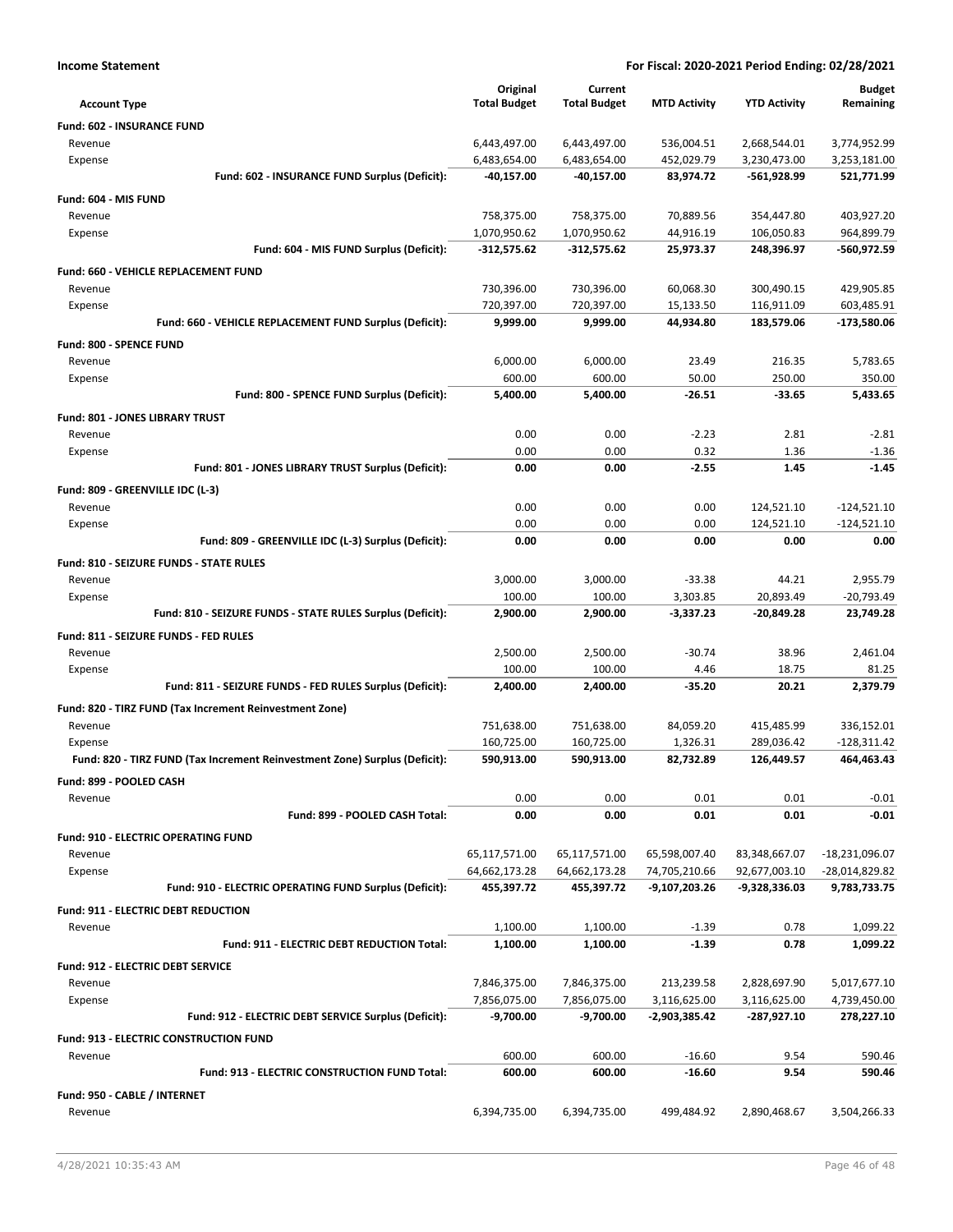| <b>Income Statement</b>                                                    | For Fiscal: 2020-2021 Period Ending: 02/28/2021 |                     |                     |                     |                  |
|----------------------------------------------------------------------------|-------------------------------------------------|---------------------|---------------------|---------------------|------------------|
|                                                                            | Original                                        | Current             |                     |                     | <b>Budget</b>    |
| <b>Account Type</b>                                                        | <b>Total Budget</b>                             | <b>Total Budget</b> | <b>MTD Activity</b> | <b>YTD Activity</b> | Remaining        |
| Fund: 602 - INSURANCE FUND                                                 |                                                 |                     |                     |                     |                  |
| Revenue                                                                    | 6,443,497.00                                    | 6,443,497.00        | 536,004.51          | 2,668,544.01        | 3,774,952.99     |
| Expense                                                                    | 6,483,654.00                                    | 6,483,654.00        | 452,029.79          | 3,230,473.00        | 3,253,181.00     |
| Fund: 602 - INSURANCE FUND Surplus (Deficit):                              | -40,157.00                                      | -40,157.00          | 83,974.72           | -561,928.99         | 521,771.99       |
| Fund: 604 - MIS FUND                                                       |                                                 |                     |                     |                     |                  |
| Revenue                                                                    | 758,375.00                                      | 758,375.00          | 70,889.56           | 354,447.80          | 403,927.20       |
| Expense                                                                    | 1,070,950.62                                    | 1,070,950.62        | 44,916.19           | 106,050.83          | 964,899.79       |
| Fund: 604 - MIS FUND Surplus (Deficit):                                    | $-312,575.62$                                   | -312,575.62         | 25,973.37           | 248,396.97          | -560,972.59      |
| Fund: 660 - VEHICLE REPLACEMENT FUND                                       |                                                 |                     |                     |                     |                  |
| Revenue                                                                    | 730,396.00                                      | 730,396.00          | 60,068.30           | 300,490.15          | 429,905.85       |
| Expense                                                                    | 720,397.00                                      | 720,397.00          | 15,133.50           | 116,911.09          | 603,485.91       |
| Fund: 660 - VEHICLE REPLACEMENT FUND Surplus (Deficit):                    | 9,999.00                                        | 9,999.00            | 44,934.80           | 183,579.06          | -173,580.06      |
| Fund: 800 - SPENCE FUND                                                    |                                                 |                     |                     |                     |                  |
| Revenue                                                                    | 6,000.00                                        | 6,000.00            | 23.49               | 216.35              | 5,783.65         |
| Expense                                                                    | 600.00                                          | 600.00              | 50.00               | 250.00              | 350.00           |
| Fund: 800 - SPENCE FUND Surplus (Deficit):                                 | 5,400.00                                        | 5,400.00            | $-26.51$            | $-33.65$            | 5,433.65         |
| Fund: 801 - JONES LIBRARY TRUST                                            |                                                 |                     |                     |                     |                  |
| Revenue                                                                    | 0.00                                            | 0.00                | $-2.23$             | 2.81                | $-2.81$          |
| Expense                                                                    | 0.00                                            | 0.00                | 0.32                | 1.36                | $-1.36$          |
| Fund: 801 - JONES LIBRARY TRUST Surplus (Deficit):                         | 0.00                                            | 0.00                | $-2.55$             | 1.45                | $-1.45$          |
| Fund: 809 - GREENVILLE IDC (L-3)                                           |                                                 |                     |                     |                     |                  |
| Revenue                                                                    | 0.00                                            | 0.00                | 0.00                | 124,521.10          | $-124,521.10$    |
| Expense                                                                    | 0.00                                            | 0.00                | 0.00                | 124,521.10          | $-124,521.10$    |
| Fund: 809 - GREENVILLE IDC (L-3) Surplus (Deficit):                        | 0.00                                            | 0.00                | 0.00                | 0.00                | 0.00             |
| Fund: 810 - SEIZURE FUNDS - STATE RULES                                    |                                                 |                     |                     |                     |                  |
| Revenue                                                                    | 3,000.00                                        | 3,000.00            | $-33.38$            | 44.21               | 2,955.79         |
| Expense                                                                    | 100.00                                          | 100.00              | 3,303.85            | 20,893.49           | $-20,793.49$     |
| Fund: 810 - SEIZURE FUNDS - STATE RULES Surplus (Deficit):                 | 2,900.00                                        | 2,900.00            | $-3,337.23$         | -20,849.28          | 23,749.28        |
| Fund: 811 - SEIZURE FUNDS - FED RULES                                      |                                                 |                     |                     |                     |                  |
| Revenue                                                                    | 2,500.00                                        | 2,500.00            | $-30.74$            | 38.96               | 2,461.04         |
| Expense                                                                    | 100.00                                          | 100.00              | 4.46                | 18.75               | 81.25            |
| Fund: 811 - SEIZURE FUNDS - FED RULES Surplus (Deficit):                   | 2,400.00                                        | 2,400.00            | $-35.20$            | 20.21               | 2,379.79         |
| Fund: 820 - TIRZ FUND (Tax Increment Reinvestment Zone)                    |                                                 |                     |                     |                     |                  |
| Revenue                                                                    | 751,638.00                                      | 751,638.00          | 84,059.20           | 415,485.99          | 336,152.01       |
| Expense                                                                    | 160,725.00                                      | 160,725.00          | 1,326.31            | 289,036.42          | $-128,311.42$    |
| Fund: 820 - TIRZ FUND (Tax Increment Reinvestment Zone) Surplus (Deficit): | 590,913.00                                      | 590,913.00          | 82,732.89           | 126,449.57          | 464,463.43       |
| Fund: 899 - POOLED CASH                                                    |                                                 |                     |                     |                     |                  |
| Revenue                                                                    | 0.00                                            | 0.00                | 0.01                | 0.01                | $-0.01$          |
| Fund: 899 - POOLED CASH Total:                                             | 0.00                                            | 0.00                | 0.01                | 0.01                | $-0.01$          |
| <b>Fund: 910 - ELECTRIC OPERATING FUND</b>                                 |                                                 |                     |                     |                     |                  |
| Revenue                                                                    | 65,117,571.00                                   | 65,117,571.00       | 65,598,007.40       | 83,348,667.07       | $-18,231,096.07$ |
| Expense                                                                    | 64,662,173.28                                   | 64,662,173.28       | 74,705,210.66       | 92,677,003.10       | -28,014,829.82   |
| Fund: 910 - ELECTRIC OPERATING FUND Surplus (Deficit):                     | 455,397.72                                      | 455,397.72          | -9,107,203.26       | $-9,328,336.03$     | 9,783,733.75     |
| <b>Fund: 911 - ELECTRIC DEBT REDUCTION</b>                                 |                                                 |                     |                     |                     |                  |
| Revenue                                                                    | 1,100.00                                        | 1,100.00            | $-1.39$             | 0.78                | 1,099.22         |
| Fund: 911 - ELECTRIC DEBT REDUCTION Total:                                 | 1,100.00                                        | 1,100.00            | $-1.39$             | 0.78                | 1,099.22         |
|                                                                            |                                                 |                     |                     |                     |                  |
| <b>Fund: 912 - ELECTRIC DEBT SERVICE</b><br>Revenue                        | 7,846,375.00                                    | 7,846,375.00        | 213,239.58          | 2,828,697.90        | 5,017,677.10     |
| Expense                                                                    | 7,856,075.00                                    | 7,856,075.00        | 3,116,625.00        | 3,116,625.00        | 4,739,450.00     |
| Fund: 912 - ELECTRIC DEBT SERVICE Surplus (Deficit):                       | -9,700.00                                       | $-9,700.00$         | -2,903,385.42       | -287,927.10         | 278,227.10       |
|                                                                            |                                                 |                     |                     |                     |                  |
| <b>Fund: 913 - ELECTRIC CONSTRUCTION FUND</b>                              | 600.00                                          | 600.00              | $-16.60$            | 9.54                | 590.46           |
| Revenue<br>Fund: 913 - ELECTRIC CONSTRUCTION FUND Total:                   | 600.00                                          | 600.00              | $-16.60$            | 9.54                | 590.46           |
|                                                                            |                                                 |                     |                     |                     |                  |
| Fund: 950 - CABLE / INTERNET                                               |                                                 |                     |                     |                     |                  |
| Revenue                                                                    | 6,394,735.00                                    | 6,394,735.00        | 499,484.92          | 2,890,468.67        | 3,504,266.33     |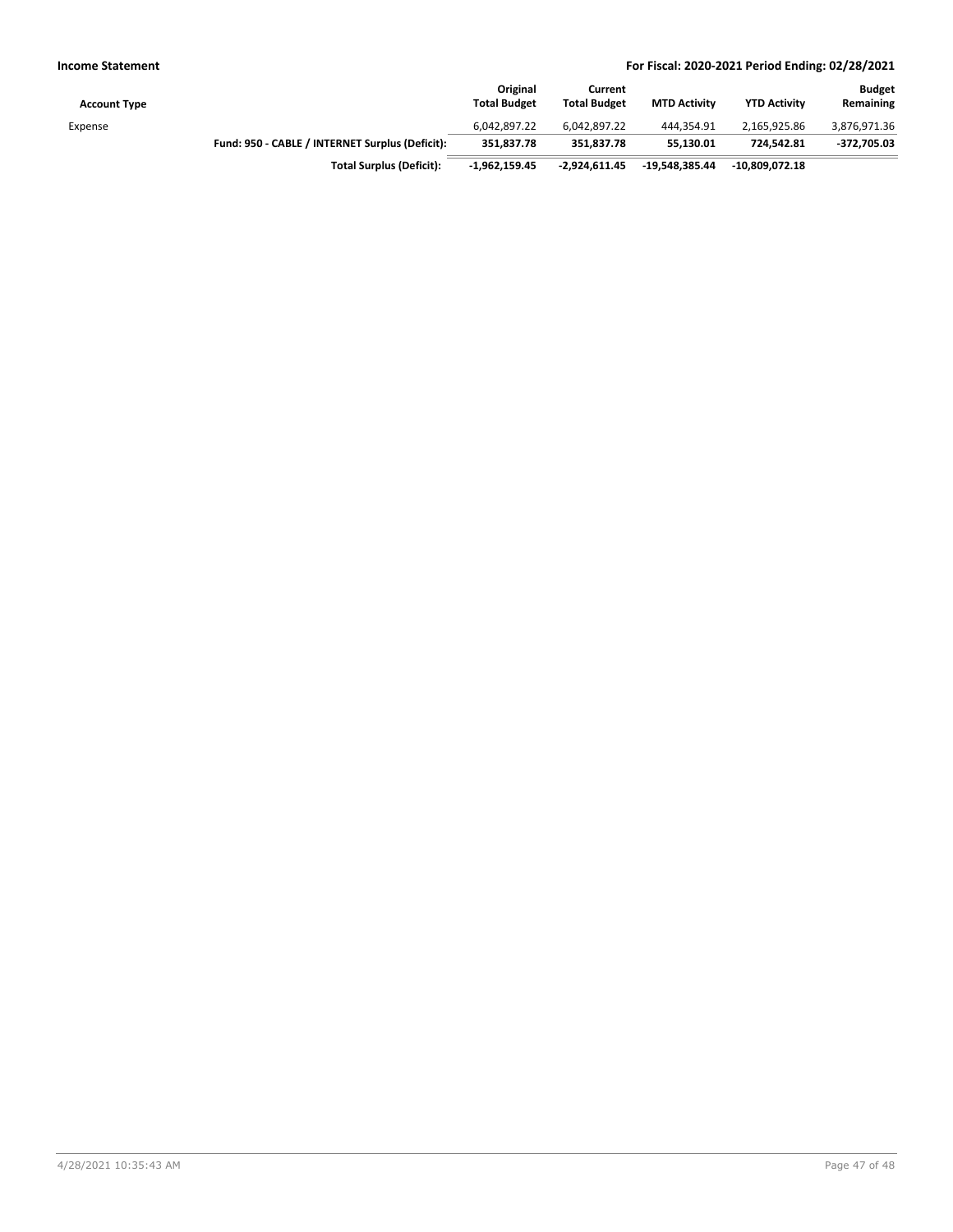| <b>Account Type</b> |                                                 | Original<br><b>Total Budget</b> | Current<br><b>Total Budget</b> | <b>MTD Activity</b> | <b>YTD Activity</b> | <b>Budget</b><br>Remaining |
|---------------------|-------------------------------------------------|---------------------------------|--------------------------------|---------------------|---------------------|----------------------------|
| Expense             |                                                 | 6,042,897.22                    | 6.042.897.22                   | 444.354.91          | 2.165.925.86        | 3,876,971.36               |
|                     | Fund: 950 - CABLE / INTERNET Surplus (Deficit): | 351.837.78                      | 351.837.78                     | 55.130.01           | 724.542.81          | $-372,705.03$              |
|                     | <b>Total Surplus (Deficit):</b>                 | $-1.962.159.45$                 | $-2.924.611.45$                | -19.548.385.44      | $-10.809.072.18$    |                            |